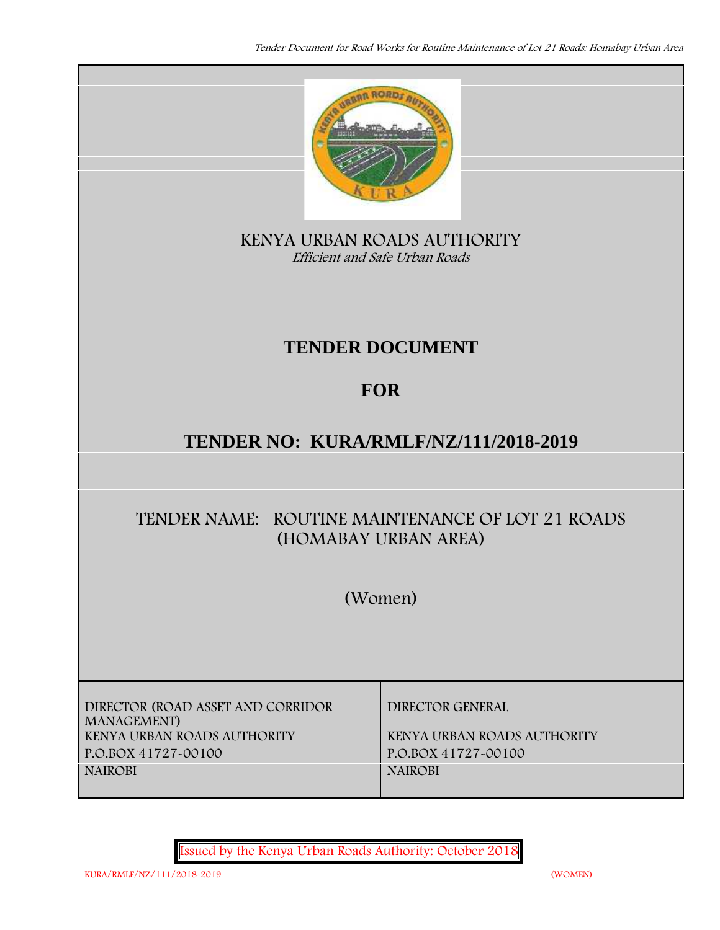

**KENYA URBAN ROADS AUTHORITY** *Efficient and Safe Urban Roads*

# **TENDER DOCUMENT**

## **FOR**

## **TENDER NO: KURA/RMLF/NZ/111/2018-2019**

## **TENDER NAME: ROUTINE MAINTENANCE OF LOT 21 ROADS (HOMABAY URBAN AREA)**

**(Women)**

**DIRECTOR (ROAD ASSET AND CORRIDOR MANAGEMENT) KENYA URBAN ROADS AUTHORITY KENYA URBAN ROADS AUTHORITY P.O.BOX 41727-00100 P.O.BOX 41727-00100 NAIROBI NAIROBI**

**DIRECTOR GENERAL**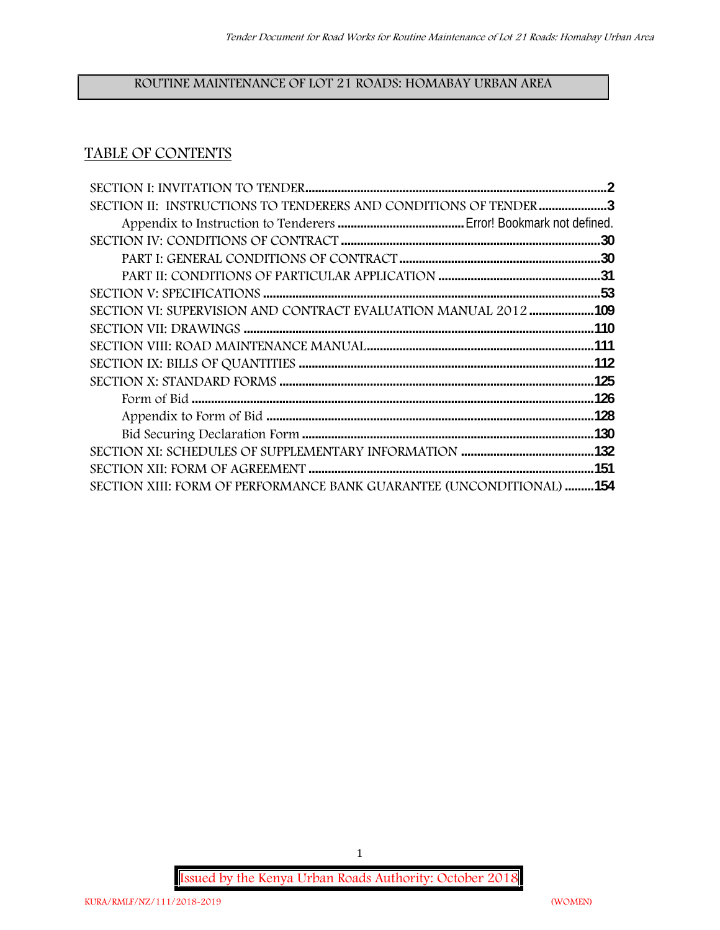## **ROUTINE MAINTENANCE OF LOT 21 ROADS: HOMABAY URBAN AREA**

## **TABLE OF CONTENTS**

| SECTION II: INSTRUCTIONS TO TENDERERS AND CONDITIONS OF TENDER 3     |  |
|----------------------------------------------------------------------|--|
|                                                                      |  |
|                                                                      |  |
|                                                                      |  |
|                                                                      |  |
|                                                                      |  |
| SECTION VI: SUPERVISION AND CONTRACT EVALUATION MANUAL 2012 109      |  |
|                                                                      |  |
|                                                                      |  |
|                                                                      |  |
|                                                                      |  |
|                                                                      |  |
|                                                                      |  |
|                                                                      |  |
|                                                                      |  |
|                                                                      |  |
| SECTION XIII: FORM OF PERFORMANCE BANK GUARANTEE (UNCONDITIONAL) 154 |  |

**Issued by the Kenya Urban Roads Authority: October 2018**

1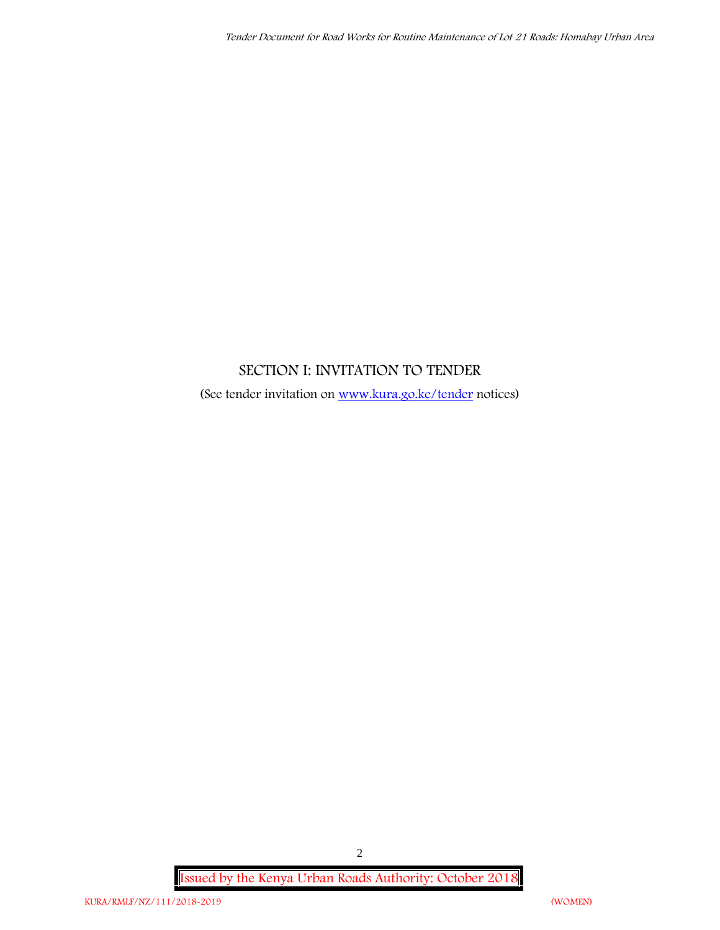## **SECTION I: INVITATION TO TENDER**

(See tender invitation on www.kura.go.ke/tender notices)

**Issued by the Kenya Urban Roads Authority: October 2018**

2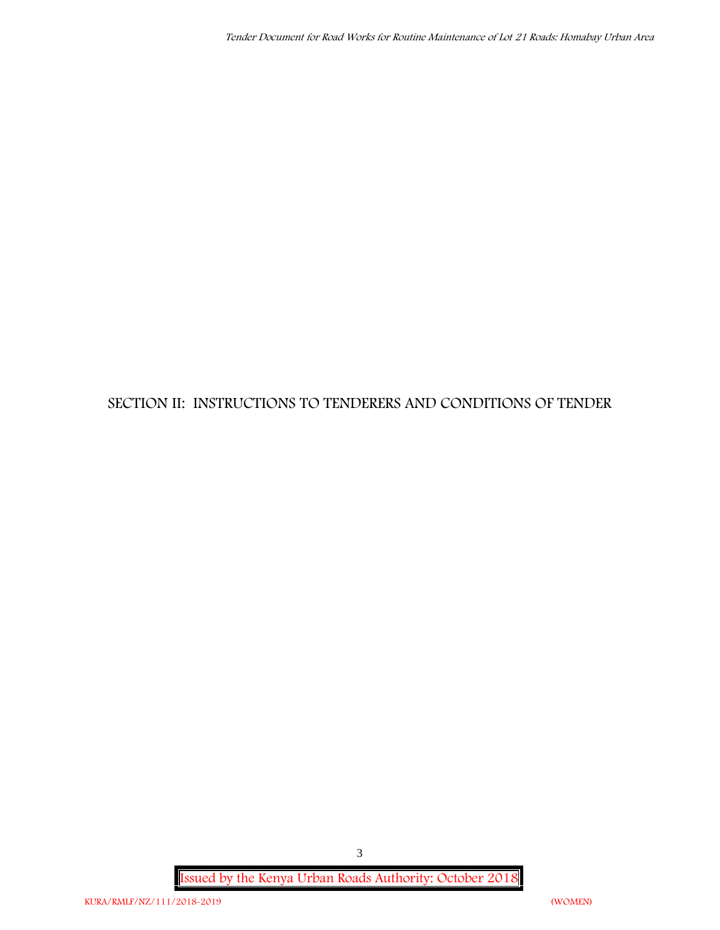## **SECTION II: INSTRUCTIONS TO TENDERERS AND CONDITIONS OF TENDER**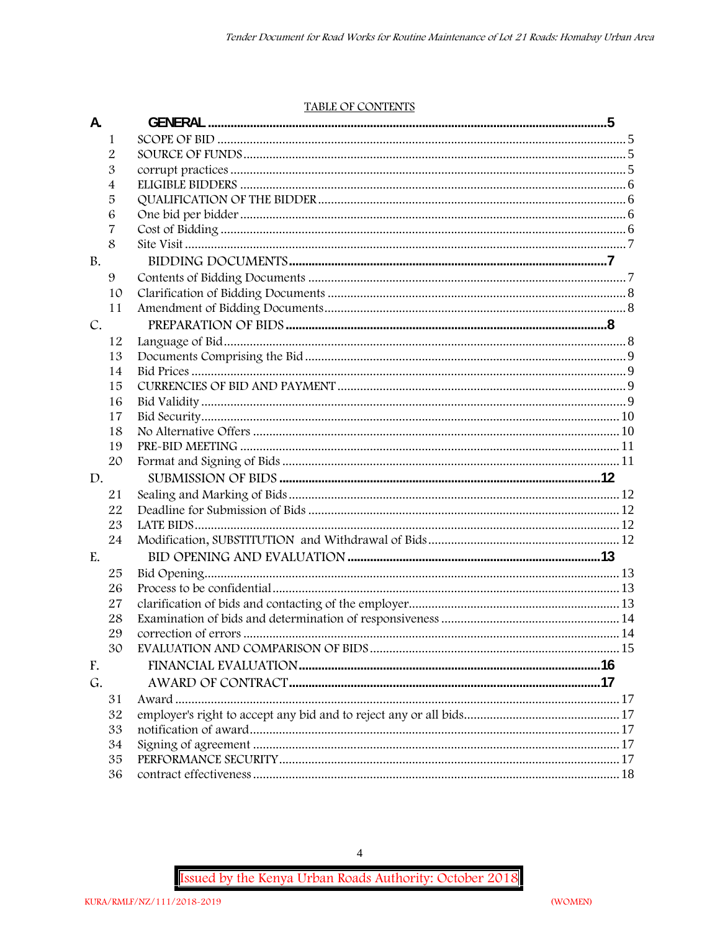#### TABLE OF CONTENTS

| A.            |                | <b>GENERAL</b> |  |
|---------------|----------------|----------------|--|
|               | 1              |                |  |
|               | $\overline{2}$ |                |  |
|               | 3              |                |  |
|               | 4              |                |  |
|               | 5              |                |  |
|               | 6              |                |  |
|               | 7              |                |  |
|               | 8              |                |  |
| <b>B.</b>     |                |                |  |
|               | 9              |                |  |
|               | 10             |                |  |
|               | 11             |                |  |
| $C_{\bullet}$ |                |                |  |
|               | 12             |                |  |
|               | 13             |                |  |
|               | 14             |                |  |
|               | 15             |                |  |
|               | 16             |                |  |
|               | 17             |                |  |
|               | 18             |                |  |
|               | 19             |                |  |
|               | 20             |                |  |
| D.            |                |                |  |
|               | 21             |                |  |
|               | 22             |                |  |
|               | 23             |                |  |
|               | 24             |                |  |
| E.            |                |                |  |
|               | 25             |                |  |
|               | 26             |                |  |
|               | 27             |                |  |
|               | 28             |                |  |
|               | 29             |                |  |
|               | 30             |                |  |
| F.            |                |                |  |
| G.            |                |                |  |
|               | 31             |                |  |
|               | 32             |                |  |
|               | 33             |                |  |
|               | 34             |                |  |
|               | 35             |                |  |
|               | 36             |                |  |

 $\overline{4}$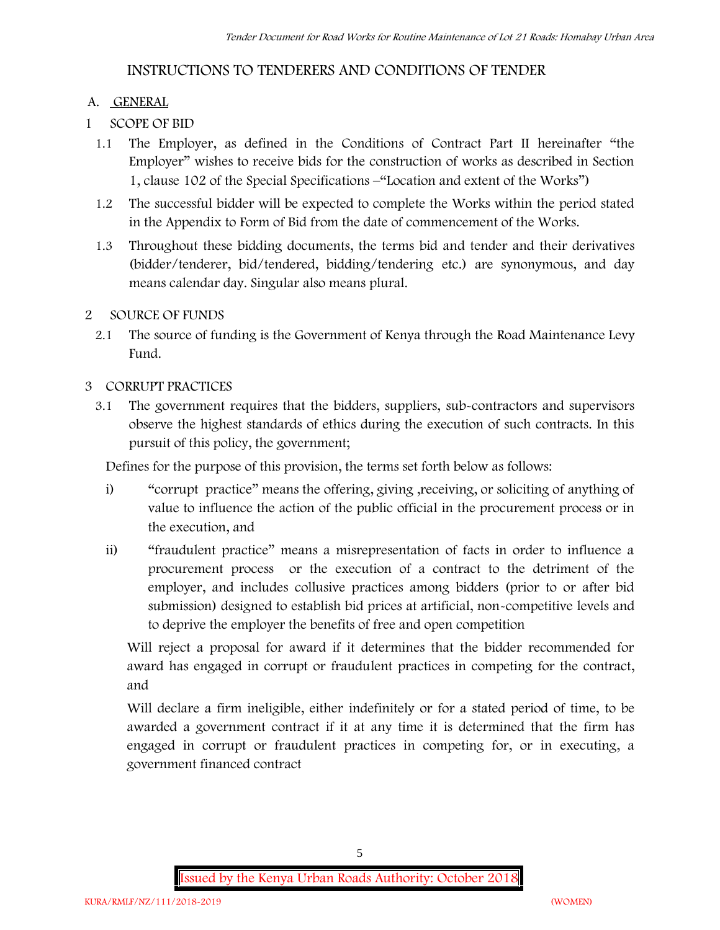## **INSTRUCTIONS TO TENDERERS AND CONDITIONS OF TENDER**

### **A. GENERAL**

- **1 SCOPE OF BID**
	- 1.1 The Employer, as defined in the Conditions of Contract Part II hereinafter "the Employer" wishes to receive bids for the construction of works as described in Section 1, clause 102 of the Special Specifications –"Location and extent of the Works")
	- 1.2 The successful bidder will be expected to complete the Works within the period stated in the Appendix to Form of Bid from the date of commencement of the Works.
	- 1.3 Throughout these bidding documents, the terms bid and tender and their derivatives (bidder/tenderer, bid/tendered, bidding/tendering etc.) are synonymous, and day means calendar day. Singular also means plural.

### **2 SOURCE OF FUNDS**

2.1 The source of funding is the Government of Kenya through the Road Maintenance Levy Fund.

### **3 CORRUPT PRACTICES**

3.1 The government requires that the bidders, suppliers, sub-contractors and supervisors observe the highest standards of ethics during the execution of such contracts. In this pursuit of this policy, the government;

Defines for the purpose of this provision, the terms set forth below as follows:

- i) "corrupt practice" means the offering, giving ,receiving, or soliciting of anything of value to influence the action of the public official in the procurement process or in the execution, and
- ii) "fraudulent practice" means a misrepresentation of facts in order to influence a procurement process or the execution of a contract to the detriment of the employer, and includes collusive practices among bidders (prior to or after bid submission) designed to establish bid prices at artificial, non-competitive levels and to deprive the employer the benefits of free and open competition

Will reject a proposal for award if it determines that the bidder recommended for award has engaged in corrupt or fraudulent practices in competing for the contract, and

Will declare a firm ineligible, either indefinitely or for a stated period of time, to be awarded a government contract if it at any time it is determined that the firm has engaged in corrupt or fraudulent practices in competing for, or in executing, a government financed contract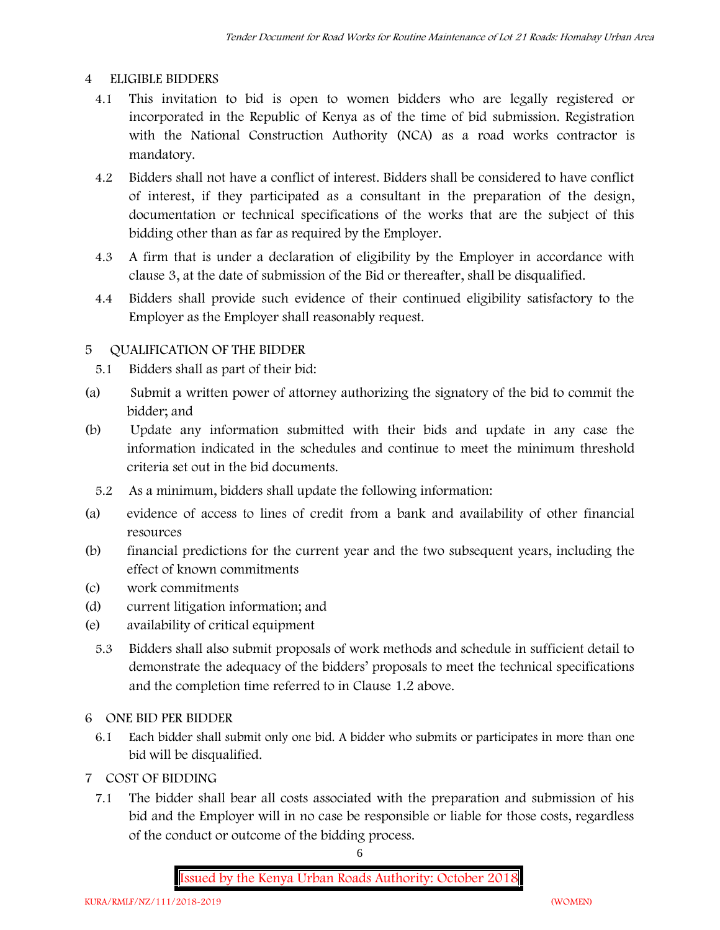### **4 ELIGIBLE BIDDERS**

- 4.1 This invitation to bid is open to women bidders who are legally registered or incorporated in the Republic of Kenya as of the time of bid submission. Registration with the National Construction Authority (NCA) as a road works contractor is mandatory.
- 4.2 Bidders shall not have a conflict of interest. Bidders shall be considered to have conflict of interest, if they participated as a consultant in the preparation of the design, documentation or technical specifications of the works that are the subject of this bidding other than as far as required by the Employer.
- 4.3 A firm that is under a declaration of eligibility by the Employer in accordance with clause 3, at the date of submission of the Bid or thereafter, shall be disqualified.
- 4.4 Bidders shall provide such evidence of their continued eligibility satisfactory to the Employer as the Employer shall reasonably request.

## **5 QUALIFICATION OF THE BIDDER**

- 5.1 Bidders shall as part of their bid:
- (a) Submit a written power of attorney authorizing the signatory of the bid to commit the bidder; and
- (b) Update any information submitted with their bids and update in any case the information indicated in the schedules and continue to meet the minimum threshold criteria set out in the bid documents.
	- 5.2 As a minimum, bidders shall update the following information:
- (a) evidence of access to lines of credit from a bank and availability of other financial resources
- (b) financial predictions for the current year and the two subsequent years, including the effect of known commitments
- (c) work commitments
- (d) current litigation information; and
- (e) availability of critical equipment
	- 5.3 Bidders shall also submit proposals of work methods and schedule in sufficient detail to demonstrate the adequacy of the bidders' proposals to meet the technical specifications and the completion time referred to in Clause 1.2 above.

#### **6 ONE BID PER BIDDER**

- 6.1 Each bidder shall submit only one bid. A bidder who submits or participates in more than one bid will be disqualified.
- **7 COST OF BIDDING**
	- 7.1 The bidder shall bear all costs associated with the preparation and submission of his bid and the Employer will in no case be responsible or liable for those costs, regardless of the conduct or outcome of the bidding process.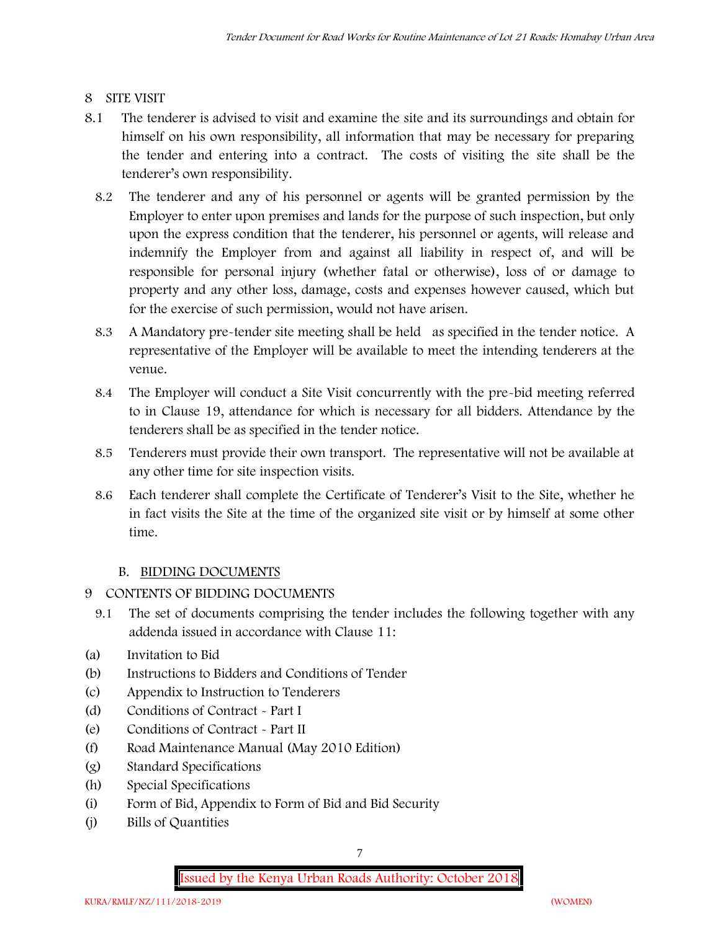## **8 SITE VISIT**

- 8.1 The tenderer is advised to visit and examine the site and its surroundings and obtain for himself on his own responsibility, all information that may be necessary for preparing the tender and entering into a contract. The costs of visiting the site shall be the tenderer's own responsibility.
	- 8.2 The tenderer and any of his personnel or agents will be granted permission by the Employer to enter upon premises and lands for the purpose of such inspection, but only upon the express condition that the tenderer, his personnel or agents, will release and indemnify the Employer from and against all liability in respect of, and will be responsible for personal injury (whether fatal or otherwise), loss of or damage to property and any other loss, damage, costs and expenses however caused, which but for the exercise of such permission, would not have arisen.
	- 8.3 A Mandatory pre-tender site meeting shall be held as specified in the tender notice. A representative of the Employer will be available to meet the intending tenderers at the venue.
	- 8.4 The Employer will conduct a Site Visit concurrently with the pre-bid meeting referred to in Clause 19, attendance for which is necessary for all bidders. Attendance by the tenderers shall be as specified in the tender notice.
	- 8.5 Tenderers must provide their own transport. The representative will not be available at any other time for site inspection visits.
	- 8.6 Each tenderer shall complete the Certificate of Tenderer's Visit to the Site, whether he in fact visits the Site at the time of the organized site visit or by himself at some other time.

## **B. BIDDING DOCUMENTS**

- 9 CONTENTS OF BIDDING DOCUMENTS
	- 9.1 The set of documents comprising the tender includes the following together with any addenda issued in accordance with Clause 11:
- (a) Invitation to Bid
- (b) Instructions to Bidders and Conditions of Tender
- (c) Appendix to Instruction to Tenderers
- (d) Conditions of Contract Part I
- (e) Conditions of Contract Part II
- (f) Road Maintenance Manual (May 2010 Edition)
- (g) Standard Specifications
- (h) Special Specifications
- (i) Form of Bid, Appendix to Form of Bid and Bid Security
- (j) Bills of Quantities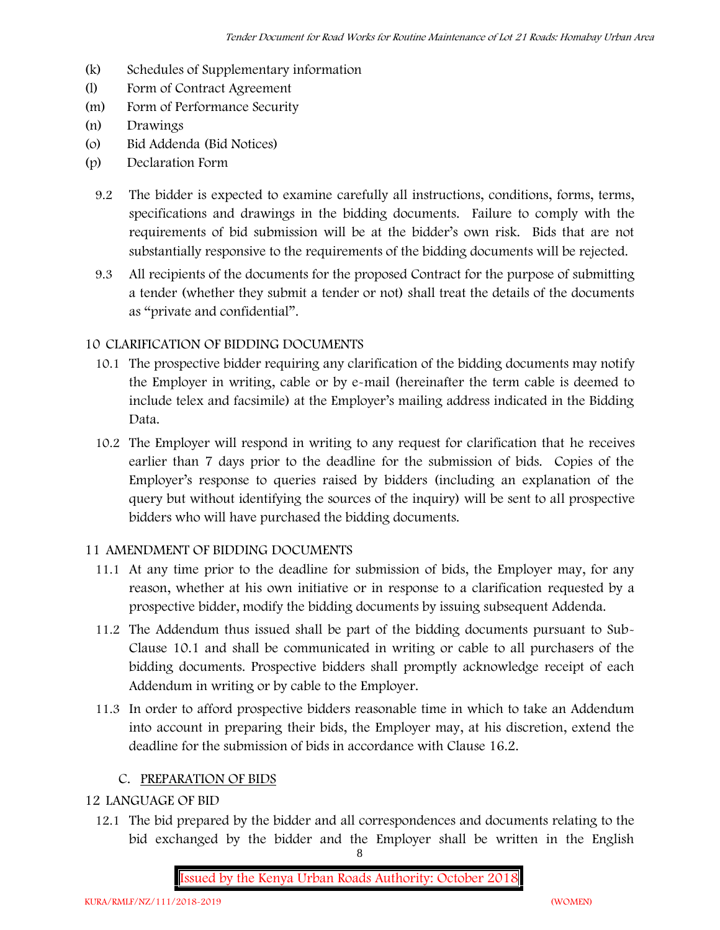- (k) Schedules of Supplementary information
- (l) Form of Contract Agreement
- (m) Form of Performance Security
- (n) Drawings
- (o) Bid Addenda (Bid Notices)
- (p) Declaration Form
	- 9.2 The bidder is expected to examine carefully all instructions, conditions, forms, terms, specifications and drawings in the bidding documents. Failure to comply with the requirements of bid submission will be at the bidder's own risk. Bids that are not substantially responsive to the requirements of the bidding documents will be rejected.
	- 9.3 All recipients of the documents for the proposed Contract for the purpose of submitting a tender (whether they submit a tender or not) shall treat the details of the documents as "private and confidential".

#### **10 CLARIFICATION OF BIDDING DOCUMENTS**

- 10.1 The prospective bidder requiring any clarification of the bidding documents may notify the Employer in writing, cable or by e-mail (hereinafter the term cable is deemed to include telex and facsimile) at the Employer's mailing address indicated in the Bidding Data.
- 10.2 The Employer will respond in writing to any request for clarification that he receives earlier than 7 days prior to the deadline for the submission of bids. Copies of the Employer's response to queries raised by bidders (including an explanation of the query but without identifying the sources of the inquiry) will be sent to all prospective bidders who will have purchased the bidding documents.

#### **11 AMENDMENT OF BIDDING DOCUMENTS**

- 11.1 At any time prior to the deadline for submission of bids, the Employer may, for any reason, whether at his own initiative or in response to a clarification requested by a prospective bidder, modify the bidding documents by issuing subsequent Addenda.
- 11.2 The Addendum thus issued shall be part of the bidding documents pursuant to Sub- Clause 10.1 and shall be communicated in writing or cable to all purchasers of the bidding documents. Prospective bidders shall promptly acknowledge receipt of each Addendum in writing or by cable to the Employer.
- 11.3 In order to afford prospective bidders reasonable time in which to take an Addendum into account in preparing their bids, the Employer may, at his discretion, extend the deadline for the submission of bids in accordance with Clause 16.2.

#### **C. PREPARATION OF BIDS**

#### **12 LANGUAGE OF BID**

12.1 The bid prepared by the bidder and all correspondences and documents relating to the bid exchanged by the bidder and the Employer shall be written in the English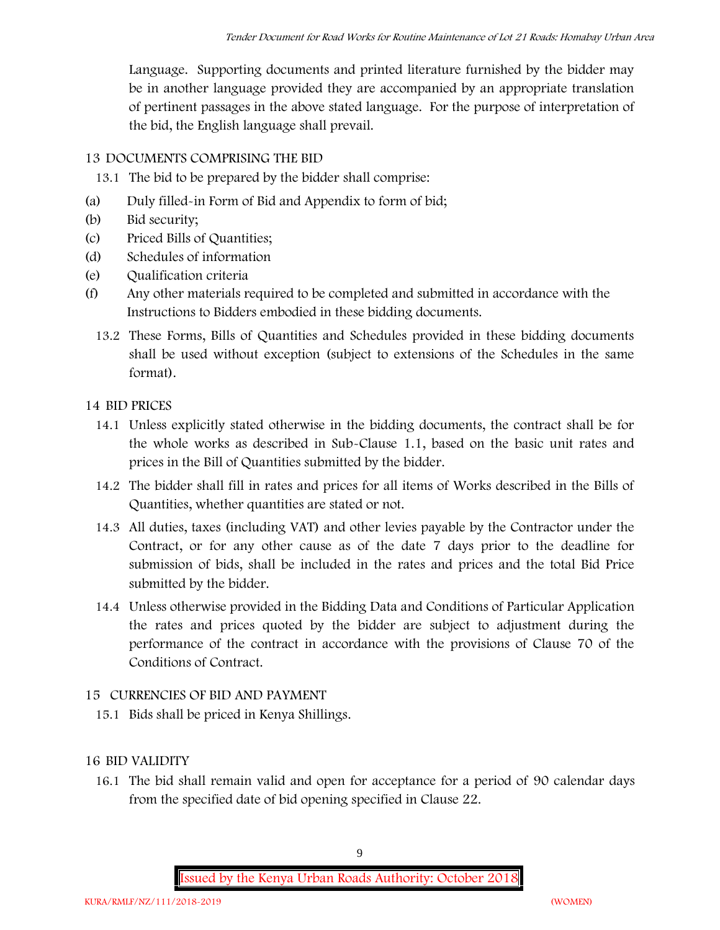Language. Supporting documents and printed literature furnished by the bidder may be in another language provided they are accompanied by an appropriate translation of pertinent passages in the above stated language. For the purpose of interpretation of the bid, the English language shall prevail.

## **13 DOCUMENTS COMPRISING THE BID**

- 13.1 The bid to be prepared by the bidder shall comprise:
- (a) Duly filled-in Form of Bid and Appendix to form of bid;
- (b) Bid security;
- (c) Priced Bills of Quantities;
- (d) Schedules of information
- (e) Qualification criteria
- (f) Any other materials required to be completed and submitted in accordance with the Instructions to Bidders embodied in these bidding documents.
	- 13.2 These Forms, Bills of Quantities and Schedules provided in these bidding documents shall be used without exception (subject to extensions of the Schedules in the same format).

## **14 BID PRICES**

- 14.1 Unless explicitly stated otherwise in the bidding documents, the contract shall be for the whole works as described in Sub-Clause 1.1, based on the basic unit rates and prices in the Bill of Quantities submitted by the bidder.
- 14.2 The bidder shall fill in rates and prices for all items of Works described in the Bills of Quantities, whether quantities are stated or not.
- 14.3 All duties, taxes (including VAT) and other levies payable by the Contractor under the Contract, or for any other cause as of the date 7 days prior to the deadline for submission of bids, shall be included in the rates and prices and the total Bid Price submitted by the bidder.
- 14.4 Unless otherwise provided in the Bidding Data and Conditions of Particular Application the rates and prices quoted by the bidder are subject to adjustment during the performance of the contract in accordance with the provisions of Clause 70 of the Conditions of Contract.

## **15 CURRENCIES OF BID AND PAYMENT**

15.1 Bids shall be priced in Kenya Shillings.

## **16 BID VALIDITY**

16.1 The bid shall remain valid and open for acceptance for a period of 90 calendar days from the specified date of bid opening specified in Clause 22.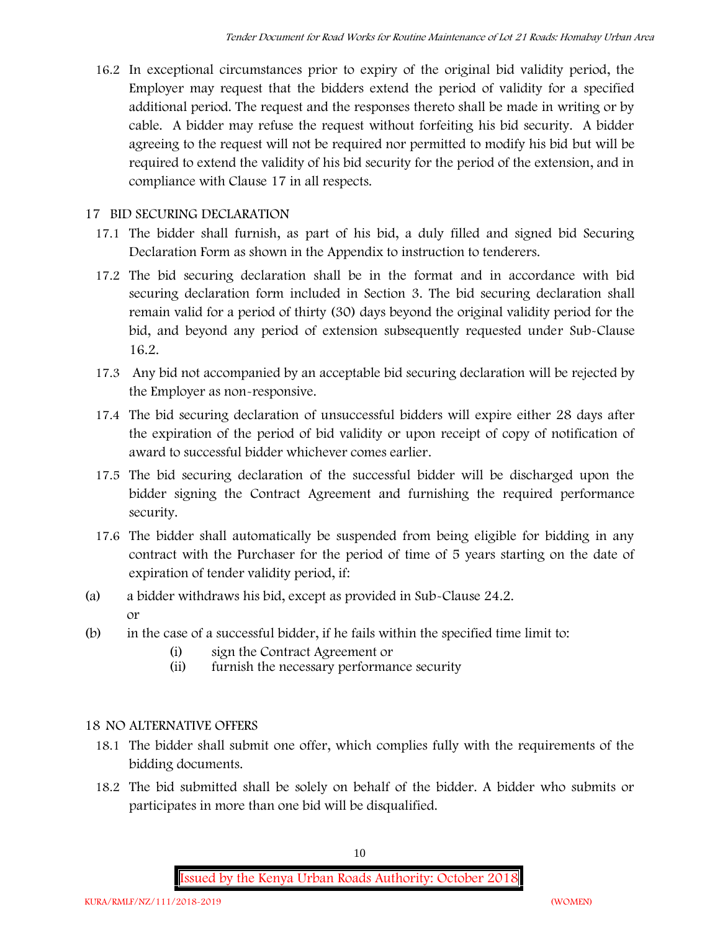16.2 In exceptional circumstances prior to expiry of the original bid validity period, the Employer may request that the bidders extend the period of validity for a specified additional period. The request and the responses thereto shall be made in writing or by cable. A bidder may refuse the request without forfeiting his bid security. A bidder agreeing to the request will not be required nor permitted to modify his bid but will be required to extend the validity of his bid security for the period of the extension, and in compliance with Clause 17 in all respects.

### **17 BID SECURING DECLARATION**

- 17.1 The bidder shall furnish, as part of his bid, a duly filled and signed bid Securing Declaration Form as shown in the Appendix to instruction to tenderers.
- 17.2 The bid securing declaration shall be in the format and in accordance with bid securing declaration form included in Section 3. The bid securing declaration shall remain valid for a period of thirty (30) days beyond the original validity period for the bid, and beyond any period of extension subsequently requested under Sub-Clause 16.2.
- 17.3 Any bid not accompanied by an acceptable bid securing declaration will be rejected by the Employer as non-responsive.
- 17.4 The bid securing declaration of unsuccessful bidders will expire either 28 days after the expiration of the period of bid validity or upon receipt of copy of notification of award to successful bidder whichever comes earlier.
- 17.5 The bid securing declaration of the successful bidder will be discharged upon the bidder signing the Contract Agreement and furnishing the required performance security.
- 17.6 The bidder shall automatically be suspended from being eligible for bidding in any contract with the Purchaser for the period of time of 5 years starting on the date of expiration of tender validity period, if:
- (a) a bidder withdraws his bid, except as provided in Sub-Clause 24.2. or
- (b) in the case of a successful bidder, if he fails within the specified time limit to:
	- (i) sign the Contract Agreement or
	- (ii) furnish the necessary performance security

## **18 NO ALTERNATIVE OFFERS**

- 18.1 The bidder shall submit one offer, which complies fully with the requirements of the bidding documents.
- 18.2 The bid submitted shall be solely on behalf of the bidder. A bidder who submits or participates in more than one bid will be disqualified.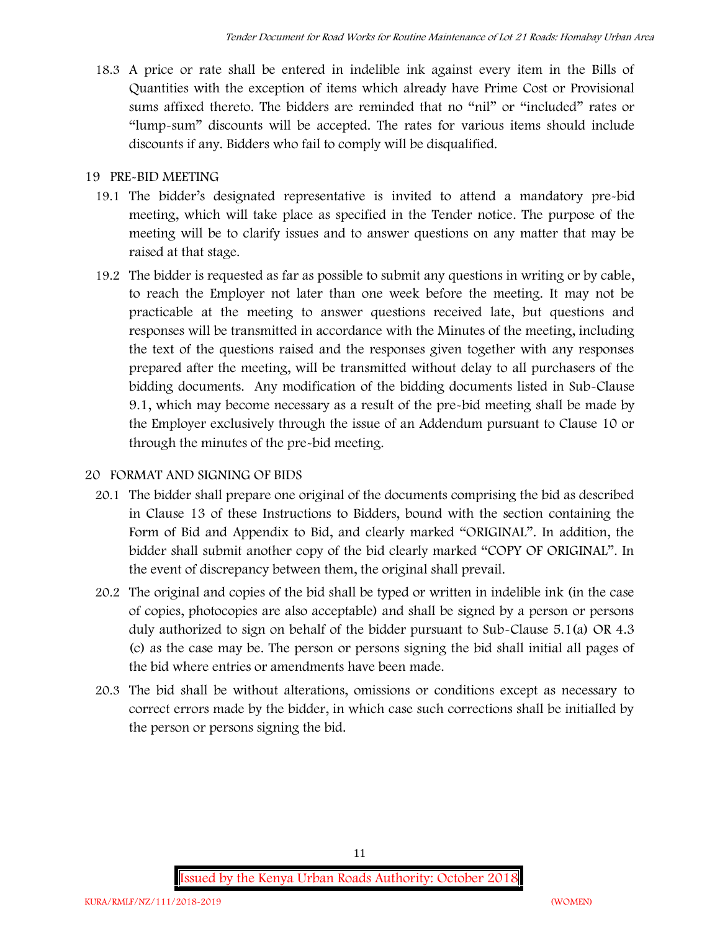18.3 A price or rate shall be entered in indelible ink against every item in the Bills of Quantities with the exception of items which already have Prime Cost or Provisional sums affixed thereto. The bidders are reminded that no "nil" or "included" rates or "lump-sum" discounts will be accepted. The rates for various items should include discounts if any. Bidders who fail to comply will be disqualified.

### **19 PRE-BID MEETING**

- 19.1 The bidder's designated representative is invited to attend a mandatory pre-bid meeting, which will take place as specified in the Tender notice. The purpose of the meeting will be to clarify issues and to answer questions on any matter that may be raised at that stage.
- 19.2 The bidder is requested as far as possible to submit any questions in writing or by cable, to reach the Employer not later than one week before the meeting. It may not be practicable at the meeting to answer questions received late, but questions and responses will be transmitted in accordance with the Minutes of the meeting, including the text of the questions raised and the responses given together with any responses prepared after the meeting, will be transmitted without delay to all purchasers of the bidding documents. Any modification of the bidding documents listed in Sub-Clause 9.1, which may become necessary as a result of the pre-bid meeting shall be made by the Employer exclusively through the issue of an Addendum pursuant to Clause 10 or through the minutes of the pre-bid meeting.

## **20 FORMAT AND SIGNING OF BIDS**

- 20.1 The bidder shall prepare one original of the documents comprising the bid as described in Clause 13 of these Instructions to Bidders, bound with the section containing the Form of Bid and Appendix to Bid, and clearly marked "ORIGINAL". In addition, the bidder shall submit another copy of the bid clearly marked "COPY OF ORIGINAL". In the event of discrepancy between them, the original shall prevail.
- 20.2 The original and copies of the bid shall be typed or written in indelible ink (in the case of copies, photocopies are also acceptable) and shall be signed by a person or persons duly authorized to sign on behalf of the bidder pursuant to Sub-Clause 5.1(a) OR 4.3 (c) as the case may be. The person or persons signing the bid shall initial all pages of the bid where entries or amendments have been made.
- 20.3 The bid shall be without alterations, omissions or conditions except as necessary to correct errors made by the bidder, in which case such corrections shall be initialled by the person or persons signing the bid.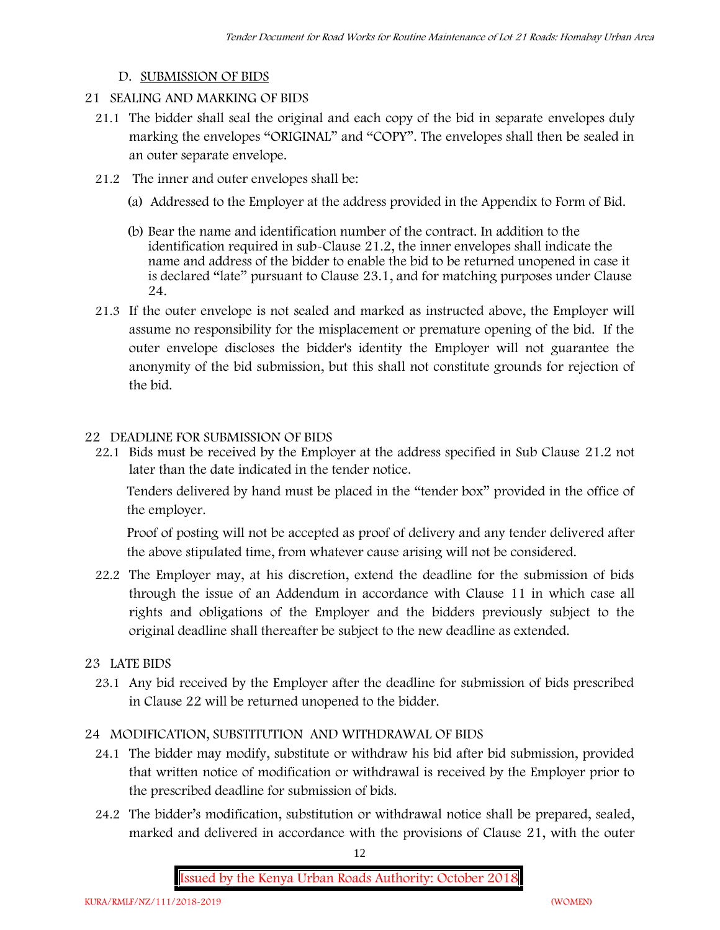#### **D. SUBMISSION OF BIDS**

- **21 SEALING AND MARKING OF BIDS**
	- 21.1 The bidder shall seal the original and each copy of the bid in separate envelopes duly marking the envelopes "ORIGINAL" and "COPY". The envelopes shall then be sealed in an outer separate envelope.
	- 21.2 The inner and outer envelopes shall be:
		- (a) Addressed to the Employer at the address provided in the Appendix to Form of Bid.
		- (b) Bear the name and identification number of the contract. In addition to the identification required in sub-Clause 21.2, the inner envelopes shall indicate the name and address of the bidder to enable the bid to be returned unopened in case it is declared "late" pursuant to Clause 23.1, and for matching purposes under Clause 24.
	- 21.3 If the outer envelope is not sealed and marked as instructed above, the Employer will assume no responsibility for the misplacement or premature opening of the bid. If the outer envelope discloses the bidder's identity the Employer will not guarantee the anonymity of the bid submission, but this shall not constitute grounds for rejection of the bid.

#### **22 DEADLINE FOR SUBMISSION OF BIDS**

22.1 Bids must be received by the Employer at the address specified in Sub Clause 21.2 not later than **the date indicated in the tender notice.**

Tenders delivered by hand must be placed in the "tender box" provided in the office of the employer.

Proof of posting will not be accepted as proof of delivery and any tender delivered after the above stipulated time, from whatever cause arising will not be considered.

- 22.2 The Employer may, at his discretion, extend the deadline for the submission of bids through the issue of an Addendum in accordance with Clause 11 in which case all rights and obligations of the Employer and the bidders previously subject to the original deadline shall thereafter be subject to the new deadline as extended.
- **23 LATE BIDS**
	- 23.1 Any bid received by the Employer after the deadline for submission of bids prescribed in Clause 22 will be returned unopened to the bidder.

#### **24 MODIFICATION, SUBSTITUTION AND WITHDRAWAL OF BIDS**

- 24.1 The bidder may modify, substitute or withdraw his bid after bid submission, provided that written notice of modification or withdrawal is received by the Employer prior to the prescribed deadline for submission of bids.
- 24.2 The bidder's modification, substitution or withdrawal notice shall be prepared, sealed, marked and delivered in accordance with the provisions of Clause 21, with the outer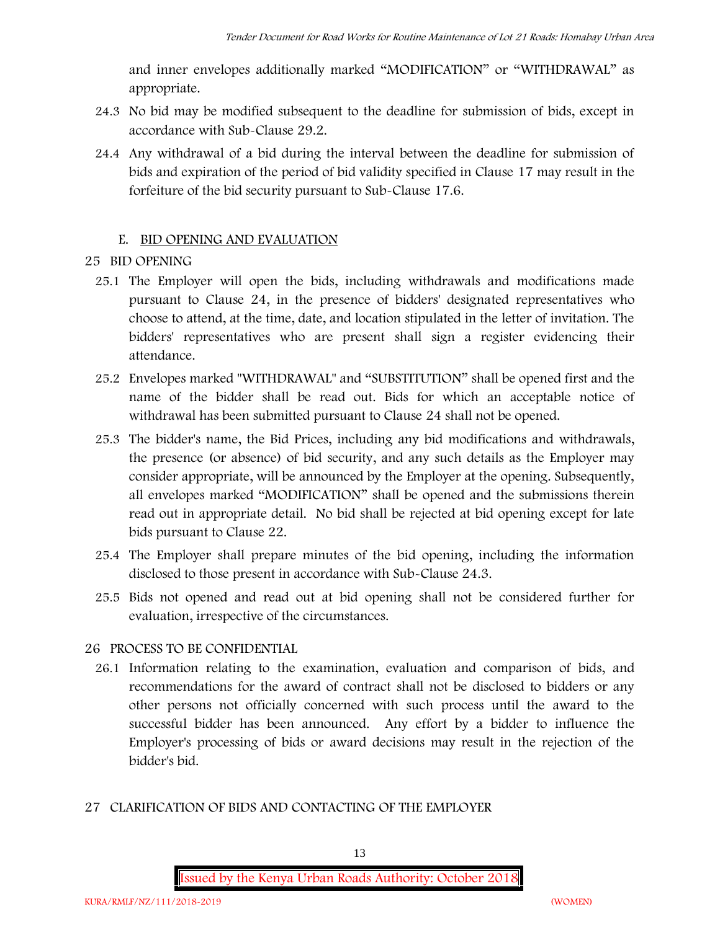and inner envelopes additionally marked "MODIFICATION" or "WITHDRAWAL" as appropriate.

- 24.3 No bid may be modified subsequent to the deadline for submission of bids, except in accordance with Sub-Clause 29.2.
- 24.4 Any withdrawal of a bid during the interval between the deadline for submission of bids and expiration of the period of bid validity specified in Clause 17 may result in the forfeiture of the bid security pursuant to Sub-Clause 17.6.

#### **E. BID OPENING AND EVALUATION**

#### **25 BID OPENING**

- 25.1 The Employer will open the bids, including withdrawals and modifications made pursuant to Clause 24, in the presence of bidders' designated representatives who choose to attend, at the time, date, and location stipulated in the letter of invitation. The bidders' representatives who are present shall sign a register evidencing their attendance.
- 25.2 Envelopes marked "WITHDRAWAL" and "SUBSTITUTION" shall be opened first and the name of the bidder shall be read out. Bids for which an acceptable notice of withdrawal has been submitted pursuant to Clause 24 shall not be opened.
- 25.3 The bidder's name, the Bid Prices, including any bid modifications and withdrawals, the presence (or absence) of bid security, and any such details as the Employer may consider appropriate, will be announced by the Employer at the opening. Subsequently, all envelopes marked "MODIFICATION" shall be opened and the submissions therein read out in appropriate detail. No bid shall be rejected at bid opening except for late bids pursuant to Clause 22.
- 25.4 The Employer shall prepare minutes of the bid opening, including the information disclosed to those present in accordance with Sub-Clause 24.3.
- 25.5 Bids not opened and read out at bid opening shall not be considered further for evaluation, irrespective of the circumstances.

#### **26 PROCESS TO BE CONFIDENTIAL**

26.1 Information relating to the examination, evaluation and comparison of bids, and recommendations for the award of contract shall not be disclosed to bidders or any other persons not officially concerned with such process until the award to the successful bidder has been announced. Any effort by a bidder to influence the Employer's processing of bids or award decisions may result in the rejection of the bidder's bid.

#### **27 CLARIFICATION OF BIDS AND CONTACTING OF THE EMPLOYER**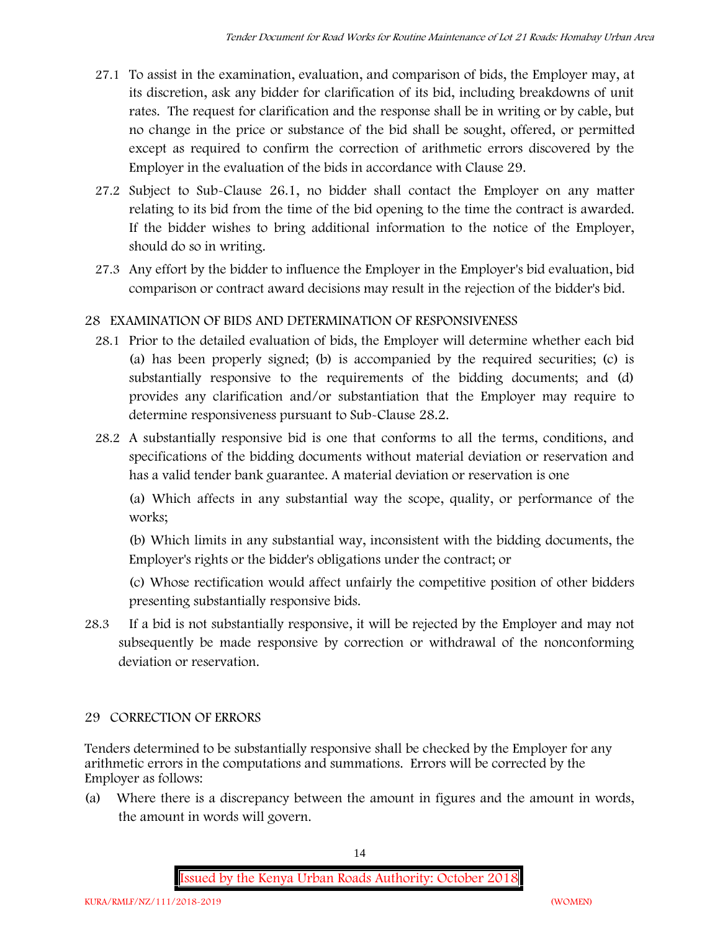- 27.1 To assist in the examination, evaluation, and comparison of bids, the Employer may, at its discretion, ask any bidder for clarification of its bid, including breakdowns of unit rates. The request for clarification and the response shall be in writing or by cable, but no change in the price or substance of the bid shall be sought, offered, or permitted except as required to confirm the correction of arithmetic errors discovered by the Employer in the evaluation of the bids in accordance with Clause 29.
- 27.2 Subject to Sub-Clause 26.1, no bidder shall contact the Employer on any matter relating to its bid from the time of the bid opening to the time the contract is awarded. If the bidder wishes to bring additional information to the notice of the Employer, should do so in writing.
- 27.3 Any effort by the bidder to influence the Employer in the Employer's bid evaluation, bid comparison or contract award decisions may result in the rejection of the bidder's bid.

## **28 EXAMINATION OF BIDS AND DETERMINATION OF RESPONSIVENESS**

- 28.1 Prior to the detailed evaluation of bids, the Employer will determine whether each bid (a) has been properly signed; (b) is accompanied by the required securities; (c) is substantially responsive to the requirements of the bidding documents; and (d) provides any clarification and/or substantiation that the Employer may require to determine responsiveness pursuant to Sub-Clause 28.2.
- 28.2 A substantially responsive bid is one that conforms to all the terms, conditions, and specifications of the bidding documents without material deviation or reservation and has a valid tender bank guarantee. A material deviation or reservation is one

(a) Which affects in any substantial way the scope, quality, or performance of the works;

(b) Which limits in any substantial way, inconsistent with the bidding documents, the Employer's rights or the bidder's obligations under the contract; or

(c) Whose rectification would affect unfairly the competitive position of other bidders presenting substantially responsive bids.

28.3 If a bid is not substantially responsive, it will be rejected by the Employer and may not subsequently be made responsive by correction or withdrawal of the nonconforming deviation or reservation.

## **29 CORRECTION OF ERRORS**

Tenders determined to be substantially responsive shall be checked by the Employer for any arithmetic errors in the computations and summations. Errors will be corrected by the Employer as follows:

(a) Where there is a discrepancy between the amount in figures and the amount in words, the amount in words will govern.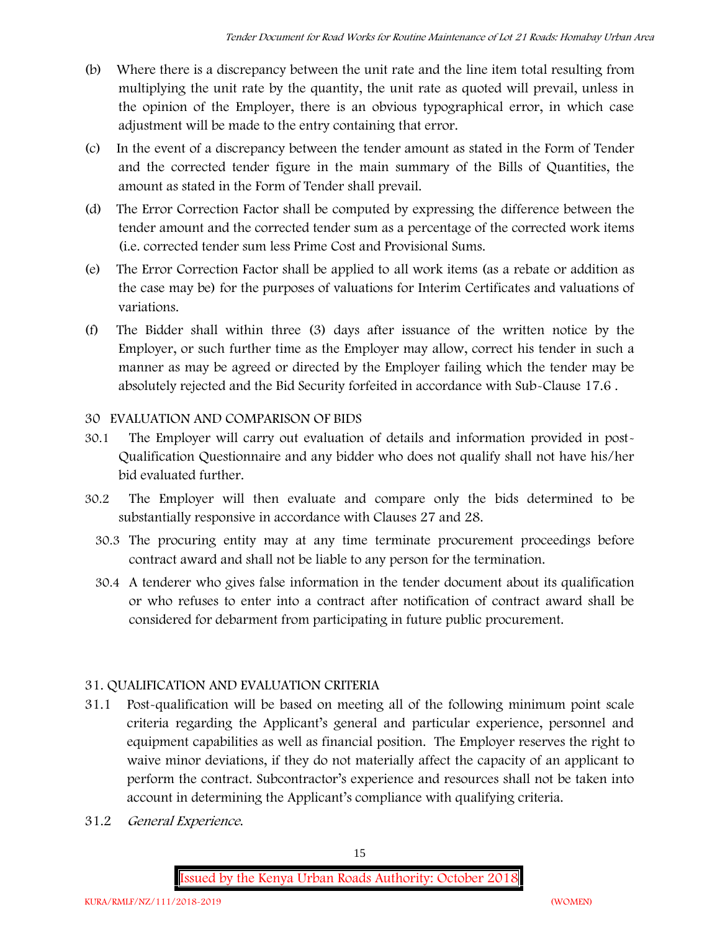- (b) Where there is a discrepancy between the unit rate and the line item total resulting from multiplying the unit rate by the quantity, the unit rate as quoted will prevail, unless in the opinion of the Employer, there is an obvious typographical error, in which case adjustment will be made to the entry containing that error.
- (c) In the event of a discrepancy between the tender amount as stated in the Form of Tender and the corrected tender figure in the main summary of the Bills of Quantities, the amount as stated in the Form of Tender shall prevail.
- (d) The Error Correction Factor shall be computed by expressing the difference between the tender amount and the corrected tender sum as a percentage of the corrected work items (i.e. corrected tender sum less Prime Cost and Provisional Sums.
- (e) The Error Correction Factor shall be applied to all work items (as a rebate or addition as the case may be) for the purposes of valuations for Interim Certificates and valuations of variations.
- (f) The Bidder shall within three (3) days after issuance of the written notice by the Employer, or such further time as the Employer may allow, correct his tender in such a manner as may be agreed or directed by the Employer failing which the tender may be absolutely rejected and the Bid Security forfeited in accordance with Sub-Clause 17.6 .

## **30 EVALUATION AND COMPARISON OF BIDS**

- 30.1 The Employer will carry out evaluation of details and information provided in post- Qualification Questionnaire and any bidder who does not qualify shall not have his/her bid evaluated further.
- 30.2 The Employer will then evaluate and compare only the bids determined to be substantially responsive in accordance with Clauses 27 and 28.
	- 30.3 The procuring entity may at any time terminate procurement proceedings before contract award and shall not be liable to any person for the termination.
	- 30.4 A tenderer who gives false information in the tender document about its qualification or who refuses to enter into a contract after notification of contract award shall be considered for debarment from participating in future public procurement.

## **31. QUALIFICATION AND EVALUATION CRITERIA**

- 31.1 Post-qualification will be based on meeting all of the following minimum point scale criteria regarding the Applicant's general and particular experience, personnel and equipment capabilities as well as financial position. The Employer reserves the right to waive minor deviations, if they do not materially affect the capacity of an applicant to perform the contract. Subcontractor's experience and resources shall not be taken into account in determining the Applicant's compliance with qualifying criteria.
- **31.2** *General Experience***.**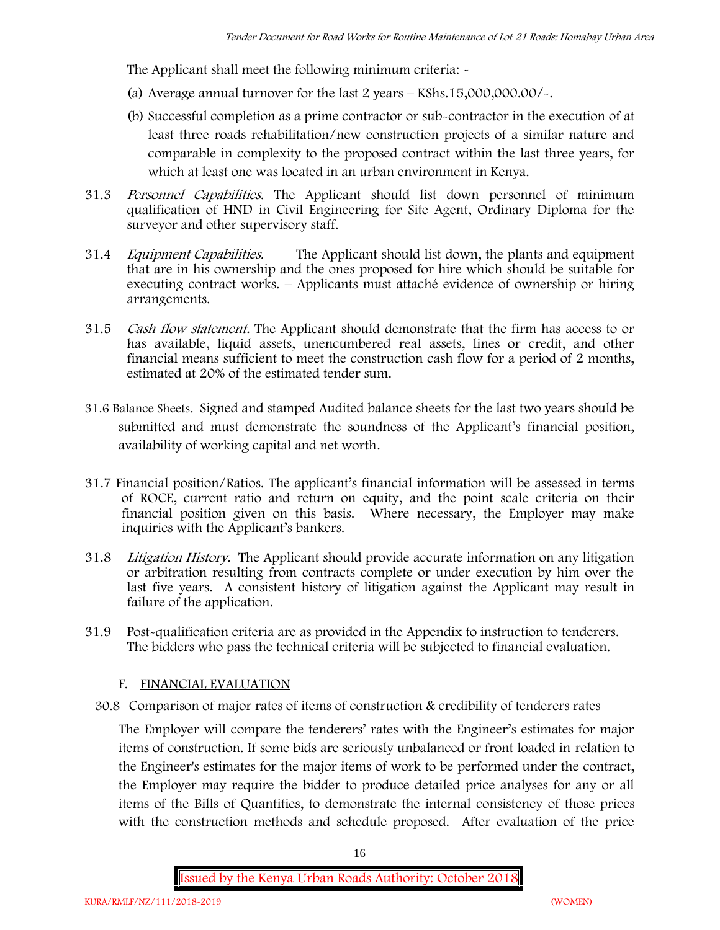The Applicant shall meet the following minimum criteria: -

- (a) Average annual turnover for the last 2 years **KShs.15,000,000.00/-.**
- (b) Successful completion as a prime contractor or sub-contractor in the execution of at least three roads rehabilitation/new construction projects of a similar nature and comparable in complexity to the proposed contract within the last three years, for which at least one was located in an urban environment in Kenya.
- 31.3 *Personnel Capabilities***.** The Applicant should list down personnel of minimum qualification of HND in Civil Engineering for Site Agent, Ordinary Diploma for the surveyor and other supervisory staff.
- 31.4 *Equipment Capabilities.* The Applicant should list down, the plants and equipment that are in his ownership and the ones proposed for hire which should be suitable for executing contract works. – Applicants must attaché evidence of ownership or hiring arrangements.
- 31.5 *Cash flow statement.* The Applicant should demonstrate that the firm has access to or has available, liquid assets, unencumbered real assets, lines or credit, and other financial means sufficient to meet the construction cash flow for a period of 2 months, estimated at 20% of the estimated tender sum.
- **31.6 Balance Sheets***.* Signed and stamped Audited balance sheets for the last two years should be submitted and must demonstrate the soundness of the Applicant's financial position, availability of working capital and net worth.
- **31.7 Financial position/Ratios.** The applicant's financial information will be assessed in terms of ROCE, current ratio and return on equity, and the point scale criteria on their financial position given on this basis. Where necessary, the Employer may make inquiries with the Applicant's bankers.
- 31.8 *Litigation History.* The Applicant should provide accurate information on any litigation or arbitration resulting from contracts complete or under execution by him over the last five years. A consistent history of litigation against the Applicant may result in failure of the application.
- 31.9 Post-qualification criteria are as provided in the Appendix to instruction to tenderers. The bidders who pass the technical criteria will be subjected to financial evaluation.

#### **F. FINANCIAL EVALUATION**

30.8 Comparison of major rates of items of construction & credibility of tenderers rates

The Employer will compare the tenderers' rates with the Engineer's estimates for major items of construction. If some bids are seriously unbalanced or front loaded in relation to the Engineer's estimates for the major items of work to be performed under the contract, the Employer may require the bidder to produce detailed price analyses for any or all items of the Bills of Quantities, to demonstrate the internal consistency of those prices with the construction methods and schedule proposed. After evaluation of the price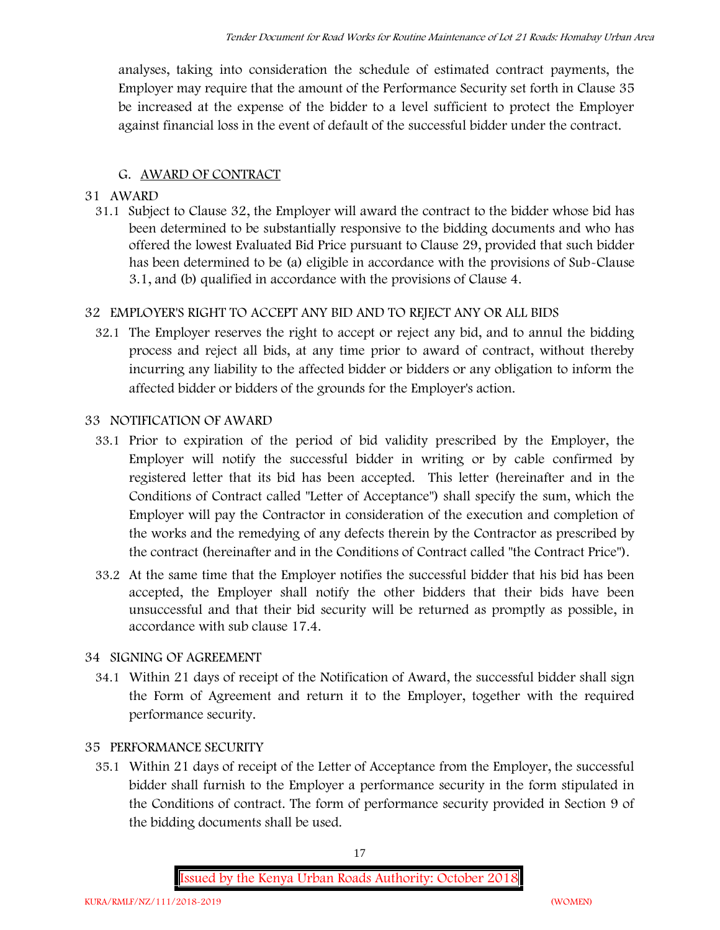analyses, taking into consideration the schedule of estimated contract payments, the Employer may require that the amount of the Performance Security set forth in Clause 35 be increased at the expense of the bidder to a level sufficient to protect the Employer against financial loss in the event of default of the successful bidder under the contract.

## **G. AWARD OF CONTRACT**

### **31 AWARD**

31.1 Subject to Clause 32, the Employer will award the contract to the bidder whose bid has been determined to be substantially responsive to the bidding documents and who has offered the lowest Evaluated Bid Price pursuant to Clause 29, provided that such bidder has been determined to be (a) eligible in accordance with the provisions of Sub-Clause 3.1, and (b) qualified in accordance with the provisions of Clause 4.

## **32 EMPLOYER'S RIGHT TO ACCEPT ANY BID AND TO REJECT ANY OR ALL BIDS**

32.1 The Employer reserves the right to accept or reject any bid, and to annul the bidding process and reject all bids, at any time prior to award of contract, without thereby incurring any liability to the affected bidder or bidders or any obligation to inform the affected bidder or bidders of the grounds for the Employer's action.

### **33 NOTIFICATION OF AWARD**

- 33.1 Prior to expiration of the period of bid validity prescribed by the Employer, the Employer will notify the successful bidder in writing or by cable confirmed by registered letter that its bid has been accepted. This letter (hereinafter and in the Conditions of Contract called "Letter of Acceptance") shall specify the sum, which the Employer will pay the Contractor in consideration of the execution and completion of the works and the remedying of any defects therein by the Contractor as prescribed by the contract (hereinafter and in the Conditions of Contract called "the Contract Price").
- 33.2 At the same time that the Employer notifies the successful bidder that his bid has been accepted, the Employer shall notify the other bidders that their bids have been unsuccessful and that their bid security will be returned as promptly as possible, in accordance with sub clause 17.4.

## **34 SIGNING OF AGREEMENT**

34.1 Within 21 days of receipt of the Notification of Award, the successful bidder shall sign the Form of Agreement and return it to the Employer, together with the required performance security.

#### **35 PERFORMANCE SECURITY**

35.1 Within 21 days of receipt of the Letter of Acceptance from the Employer, the successful bidder shall furnish to the Employer a performance security in the form stipulated in the Conditions of contract. The form of performance security provided in Section 9 of the bidding documents shall be used.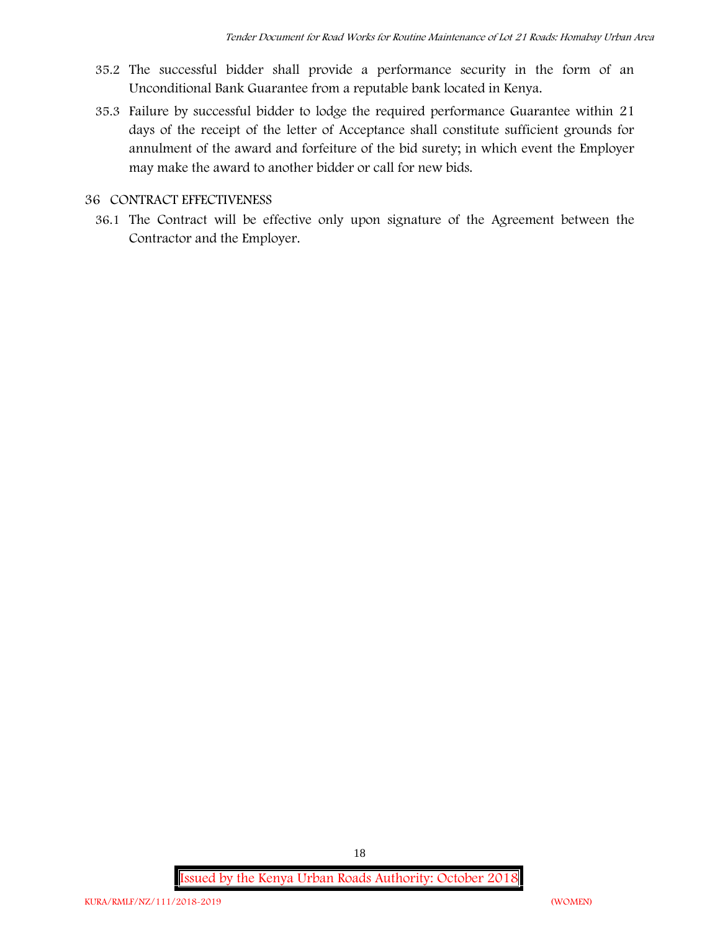- 35.2 The successful bidder shall provide a performance security in the form of an Unconditional Bank Guarantee from a reputable bank located in Kenya.
- 35.3 Failure by successful bidder to lodge the required performance Guarantee within 21 days of the receipt of the letter of Acceptance shall constitute sufficient grounds for annulment of the award and forfeiture of the bid surety; in which event the Employer may make the award to another bidder or call for new bids.

#### **36 CONTRACT EFFECTIVENESS**

36.1 The Contract will be effective only upon signature of the Agreement between the Contractor and the Employer.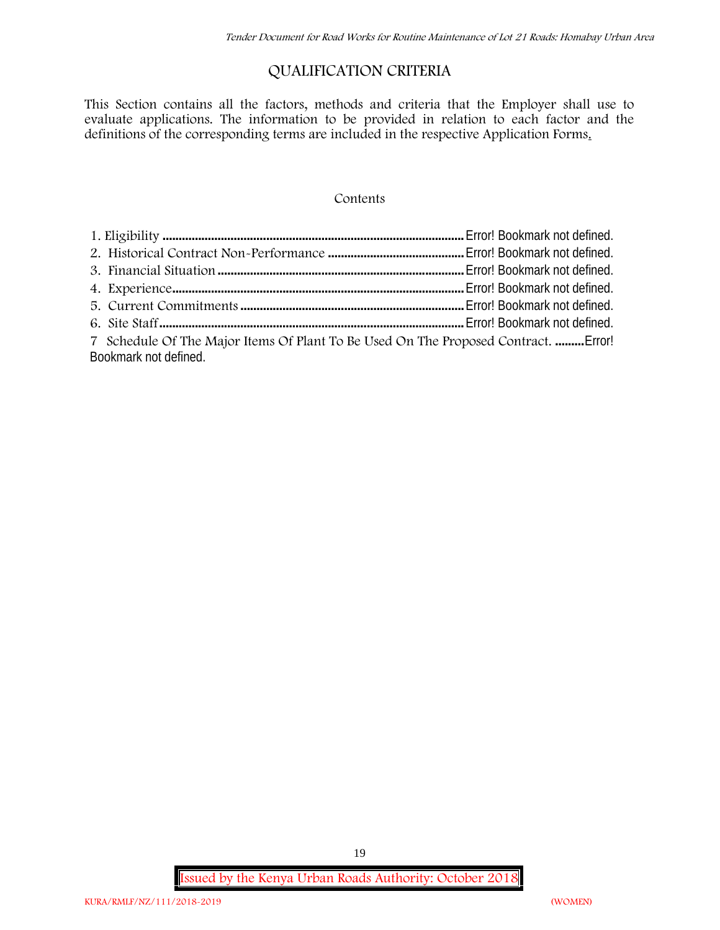## **QUALIFICATION CRITERIA**

This Section contains all the factors, methods and criteria that the Employer shall use to evaluate applications. The information to be provided in relation to each factor and the definitions of the corresponding terms are included in the respective Application Forms.

#### **Contents**

| 7 Schedule Of The Major Items Of Plant To Be Used On The Proposed Contract.  Error! |  |
|-------------------------------------------------------------------------------------|--|
| Bookmark not defined.                                                               |  |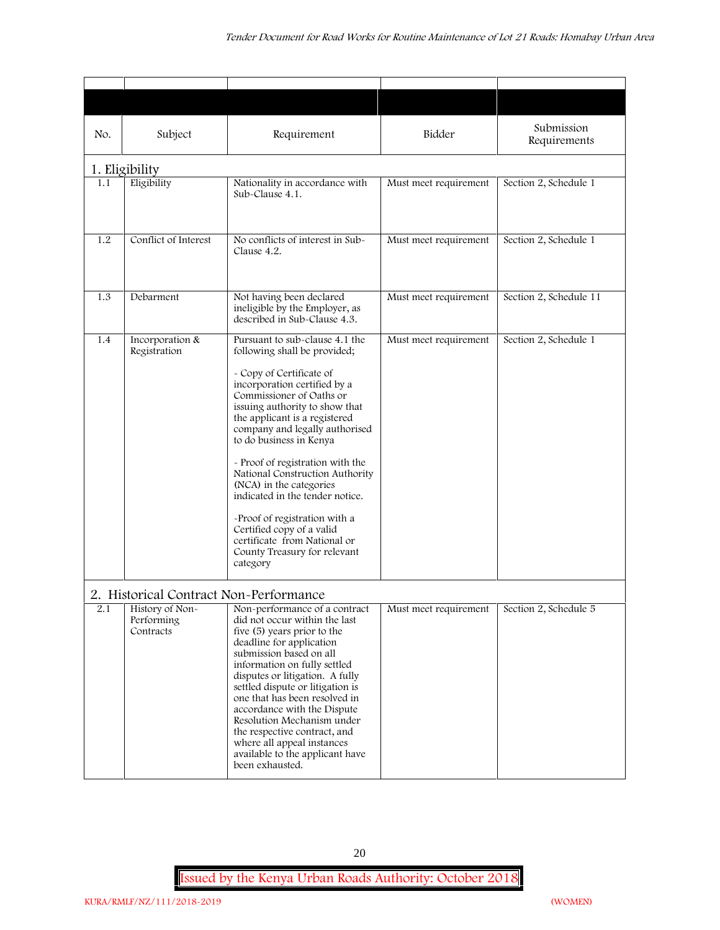| No. | Subject                                                                              | Requirement                                                                                                                                                                                                                                                                                                                                                                                                                                                                                                                                                           | Bidder                | Submission<br>Requirements |
|-----|--------------------------------------------------------------------------------------|-----------------------------------------------------------------------------------------------------------------------------------------------------------------------------------------------------------------------------------------------------------------------------------------------------------------------------------------------------------------------------------------------------------------------------------------------------------------------------------------------------------------------------------------------------------------------|-----------------------|----------------------------|
|     | 1. Eligibility                                                                       |                                                                                                                                                                                                                                                                                                                                                                                                                                                                                                                                                                       |                       |                            |
| 1.1 | Eligibility                                                                          | Nationality in accordance with<br>Sub-Clause 4.1.                                                                                                                                                                                                                                                                                                                                                                                                                                                                                                                     | Must meet requirement | Section 2, Schedule 1      |
| 1.2 | Conflict of Interest                                                                 | No conflicts of interest in Sub-<br>Clause 4.2.                                                                                                                                                                                                                                                                                                                                                                                                                                                                                                                       | Must meet requirement | Section 2, Schedule 1      |
| 1.3 | Debarment                                                                            | Not having been declared<br>ineligible by the Employer, as<br>described in Sub-Clause 4.3.                                                                                                                                                                                                                                                                                                                                                                                                                                                                            | Must meet requirement | Section 2, Schedule 11     |
| 1.4 | Incorporation &<br>Registration                                                      | Pursuant to sub-clause 4.1 the<br>following shall be provided;<br>- Copy of Certificate of<br>incorporation certified by a<br>Commissioner of Oaths or<br>issuing authority to show that<br>the applicant is a registered<br>company and legally authorised<br>to do business in Kenya<br>- Proof of registration with the<br>National Construction Authority<br>(NCA) in the categories<br>indicated in the tender notice.<br>-Proof of registration with a<br>Certified copy of a valid<br>certificate from National or<br>County Treasury for relevant<br>category | Must meet requirement | Section 2, Schedule 1      |
| 2.1 | 2. Historical Contract Non-Performance<br>History of Non-<br>Performing<br>Contracts | Non-performance of a contract<br>did not occur within the last<br>five (5) years prior to the<br>deadline for application<br>submission based on all<br>information on fully settled<br>disputes or litigation. A fully<br>settled dispute or litigation is<br>one that has been resolved in<br>accordance with the Dispute<br>Resolution Mechanism under<br>the respective contract, and<br>where all appeal instances<br>available to the applicant have<br>been exhausted.                                                                                         | Must meet requirement | Section 2, Schedule 5      |

20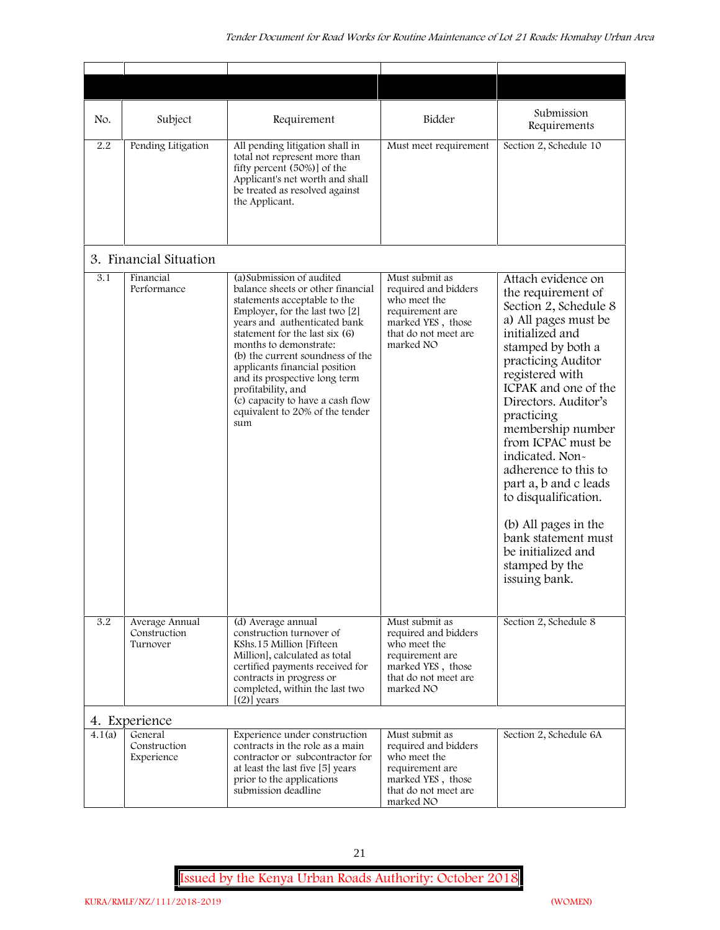| No.    | Subject                                    | Requirement                                                                                                                                                                                                                                                                                                                                                                                                                            | Bidder                                                                                                                              | Submission<br>Requirements                                                                                                                                                                                                                                                                                                                                                                                                                                                              |
|--------|--------------------------------------------|----------------------------------------------------------------------------------------------------------------------------------------------------------------------------------------------------------------------------------------------------------------------------------------------------------------------------------------------------------------------------------------------------------------------------------------|-------------------------------------------------------------------------------------------------------------------------------------|-----------------------------------------------------------------------------------------------------------------------------------------------------------------------------------------------------------------------------------------------------------------------------------------------------------------------------------------------------------------------------------------------------------------------------------------------------------------------------------------|
| 2.2    | Pending Litigation                         | All pending litigation shall in<br>total not represent more than<br>fifty percent (50%)] of the<br>Applicant's net worth and shall<br>be treated as resolved against<br>the Applicant.                                                                                                                                                                                                                                                 | Must meet requirement                                                                                                               | Section 2, Schedule 10                                                                                                                                                                                                                                                                                                                                                                                                                                                                  |
|        | 3. Financial Situation                     |                                                                                                                                                                                                                                                                                                                                                                                                                                        |                                                                                                                                     |                                                                                                                                                                                                                                                                                                                                                                                                                                                                                         |
| 3.1    | Financial<br>Performance                   | (a) Submission of audited<br>balance sheets or other financial<br>statements acceptable to the<br>Employer, for the last two [2]<br>years and authenticated bank<br>statement for the last six (6)<br>months to demonstrate:<br>(b) the current soundness of the<br>applicants financial position<br>and its prospective long term<br>profitability, and<br>(c) capacity to have a cash flow<br>equivalent to 20% of the tender<br>sum | Must submit as<br>required and bidders<br>who meet the<br>requirement are<br>marked YES, those<br>that do not meet are<br>marked NO | Attach evidence on<br>the requirement of<br>Section 2, Schedule 8<br>a) All pages must be<br>initialized and<br>stamped by both a<br>practicing Auditor<br>registered with<br>ICPAK and one of the<br>Directors. Auditor's<br>practicing<br>membership number<br>from ICPAC must be<br>indicated. Non-<br>adherence to this to<br>part a, b and c leads<br>to disqualification.<br>(b) All pages in the<br>bank statement must<br>be initialized and<br>stamped by the<br>issuing bank. |
| 3.2    | Average Annual<br>Construction<br>Turnover | (d) Average annual<br>construction turnover of<br>KShs.15 Million [Fifteen]<br>Million], calculated as total<br>certified payments received for<br>contracts in progress or<br>completed, within the last two<br>$[ (2) ]$ years                                                                                                                                                                                                       | Must submit as<br>required and bidders<br>who meet the<br>requirement are<br>marked YES, those<br>that do not meet are<br>marked NO | Section 2, Schedule 8                                                                                                                                                                                                                                                                                                                                                                                                                                                                   |
|        | 4. Experience                              |                                                                                                                                                                                                                                                                                                                                                                                                                                        |                                                                                                                                     |                                                                                                                                                                                                                                                                                                                                                                                                                                                                                         |
| 4.1(a) | General<br>Construction<br>Experience      | Experience under construction<br>contracts in the role as a main<br>contractor or subcontractor for<br>at least the last five [5] years<br>prior to the applications<br>submission deadline                                                                                                                                                                                                                                            | Must submit as<br>required and bidders<br>who meet the<br>requirement are<br>marked YES, those<br>that do not meet are<br>marked NO | Section 2, Schedule 6A                                                                                                                                                                                                                                                                                                                                                                                                                                                                  |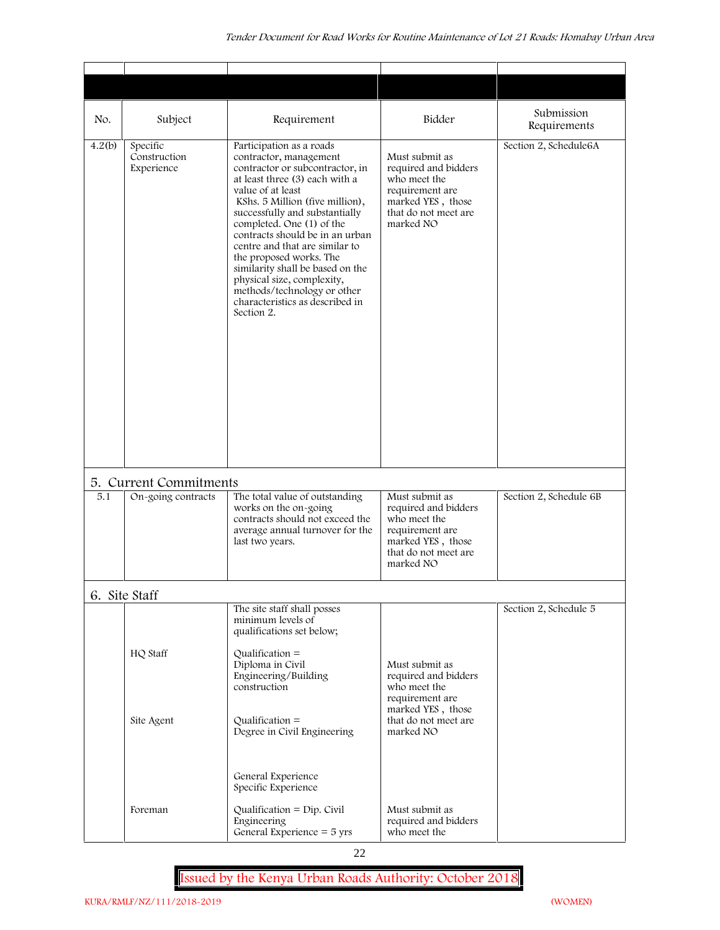| No.    | Subject                                | Requirement                                                                                                                                                                                                                                                                                                                                                                                                                                                                                      | Bidder                                                                                                                              | Submission<br>Requirements |
|--------|----------------------------------------|--------------------------------------------------------------------------------------------------------------------------------------------------------------------------------------------------------------------------------------------------------------------------------------------------------------------------------------------------------------------------------------------------------------------------------------------------------------------------------------------------|-------------------------------------------------------------------------------------------------------------------------------------|----------------------------|
| 4.2(b) | Specific<br>Construction<br>Experience | Participation as a roads<br>contractor, management<br>contractor or subcontractor, in<br>at least three (3) each with a<br>value of at least<br>KShs. 5 Million (five million),<br>successfully and substantially<br>completed. One (1) of the<br>contracts should be in an urban<br>centre and that are similar to<br>the proposed works. The<br>similarity shall be based on the<br>physical size, complexity,<br>methods/technology or other<br>characteristics as described in<br>Section 2. | Must submit as<br>required and bidders<br>who meet the<br>requirement are<br>marked YES, those<br>that do not meet are<br>marked NO | Section 2, Schedule6A      |
|        | 5. Current Commitments                 |                                                                                                                                                                                                                                                                                                                                                                                                                                                                                                  |                                                                                                                                     |                            |
| 5.1    | On-going contracts                     | The total value of outstanding<br>works on the on-going<br>contracts should not exceed the<br>average annual turnover for the<br>last two years.                                                                                                                                                                                                                                                                                                                                                 | Must submit as<br>required and bidders<br>who meet the<br>requirement are<br>marked YES, those<br>that do not meet are<br>marked NO | Section 2, Schedule 6B     |
|        | 6. Site Staff                          |                                                                                                                                                                                                                                                                                                                                                                                                                                                                                                  |                                                                                                                                     |                            |
|        | HQ Staff<br>Site Agent                 | The site staff shall posses<br>minimum levels of<br>qualifications set below;<br>Qualification $=$<br>Diploma in Civil<br>Engineering/Building<br>construction<br>Qualification $=$<br>Degree in Civil Engineering                                                                                                                                                                                                                                                                               | Must submit as<br>required and bidders<br>who meet the<br>requirement are<br>marked YES, those<br>that do not meet are<br>marked NO | Section 2, Schedule 5      |
|        | Foreman                                | General Experience<br>Specific Experience<br>Qualification = $Dip$ . Civil<br>Engineering<br>General Experience $=$ 5 yrs                                                                                                                                                                                                                                                                                                                                                                        | Must submit as<br>required and bidders<br>who meet the                                                                              |                            |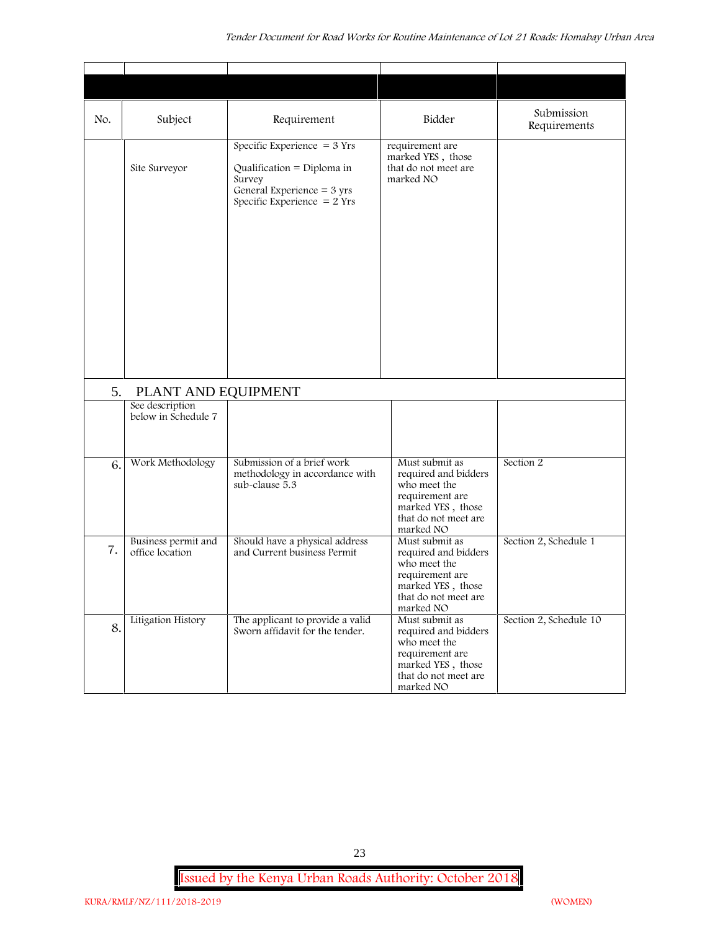| No. | Subject                                | Requirement                                                                                                                            | Bidder                                                                                                                              | Submission<br>Requirements |
|-----|----------------------------------------|----------------------------------------------------------------------------------------------------------------------------------------|-------------------------------------------------------------------------------------------------------------------------------------|----------------------------|
|     | Site Surveyor                          | Specific Experience $=$ 3 Yrs<br>Qualification = Diploma in<br>Survey<br>General Experience $=$ 3 yrs<br>Specific Experience $= 2$ Yrs | requirement are<br>marked YES, those<br>that do not meet are<br>marked NO                                                           |                            |
| 5.  | PLANT AND EQUIPMENT                    |                                                                                                                                        |                                                                                                                                     |                            |
|     | See description<br>below in Schedule 7 |                                                                                                                                        |                                                                                                                                     |                            |
| 6.  | Work Methodology                       | Submission of a brief work<br>methodology in accordance with<br>sub-clause 5.3                                                         | Must submit as<br>required and bidders<br>who meet the<br>requirement are<br>marked YES, those<br>that do not meet are<br>marked NO | Section 2                  |
| 7.  | Business permit and<br>office location | Should have a physical address<br>and Current business Permit                                                                          | Must submit as<br>required and bidders<br>who meet the<br>requirement are<br>marked YES, those<br>that do not meet are<br>marked NO | Section 2, Schedule 1      |
| 8.  | Litigation History                     | The applicant to provide a valid<br>Sworn affidavit for the tender.                                                                    | Must submit as<br>required and bidders<br>who meet the<br>requirement are<br>marked YES, those<br>that do not meet are<br>marked NO | Section 2, Schedule 10     |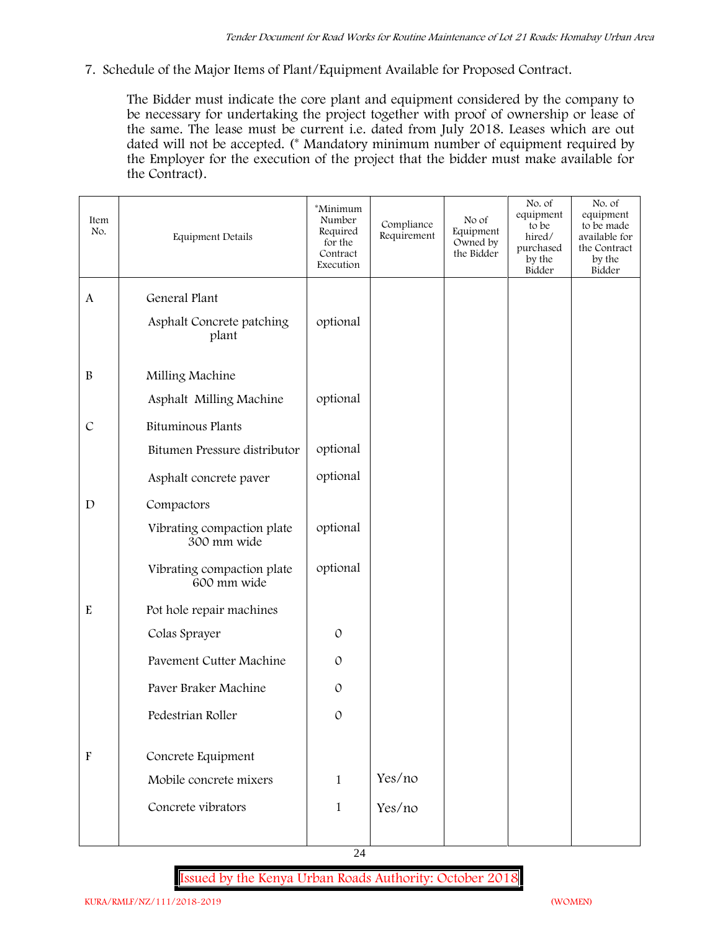**7. Schedule of the Major Items of Plant/Equipment Available for Proposed Contract.**

The Bidder must indicate the core plant and equipment considered by the company to be necessary for undertaking the project together with proof of ownership or lease of the same. The lease must be current i.e. dated from July 2018. Leases which are out dated will not be accepted. (\* Mandatory minimum number of equipment required by the Employer for the execution of the project that the bidder must make available for the Contract).

| Item<br>No.               | Equipment Details                         | *Minimum<br>Number<br>Required<br>for the<br>Contract<br>Execution | Compliance<br>Requirement | No of<br>Equipment<br>Owned by<br>the Bidder | No. of<br>equipment<br>to be<br>hired/<br>purchased<br>by the<br>Bidder | No. of<br>equipment<br>to be made<br>available for<br>the Contract<br>by the<br>Bidder |
|---------------------------|-------------------------------------------|--------------------------------------------------------------------|---------------------------|----------------------------------------------|-------------------------------------------------------------------------|----------------------------------------------------------------------------------------|
| $\mathbf{A}$              | General Plant                             |                                                                    |                           |                                              |                                                                         |                                                                                        |
|                           | Asphalt Concrete patching<br>plant        | optional                                                           |                           |                                              |                                                                         |                                                                                        |
| $\, {\bf B}$              | Milling Machine                           |                                                                    |                           |                                              |                                                                         |                                                                                        |
|                           | Asphalt Milling Machine                   | optional                                                           |                           |                                              |                                                                         |                                                                                        |
| $\cal C$                  | <b>Bituminous Plants</b>                  |                                                                    |                           |                                              |                                                                         |                                                                                        |
|                           | Bitumen Pressure distributor              | optional                                                           |                           |                                              |                                                                         |                                                                                        |
|                           | Asphalt concrete paver                    | optional                                                           |                           |                                              |                                                                         |                                                                                        |
| $\mathbf D$               | Compactors                                |                                                                    |                           |                                              |                                                                         |                                                                                        |
|                           | Vibrating compaction plate<br>300 mm wide | optional                                                           |                           |                                              |                                                                         |                                                                                        |
|                           | Vibrating compaction plate<br>600 mm wide | optional                                                           |                           |                                              |                                                                         |                                                                                        |
| $\mathbf E$               | Pot hole repair machines                  |                                                                    |                           |                                              |                                                                         |                                                                                        |
|                           | Colas Sprayer                             | $\mathcal{O}$                                                      |                           |                                              |                                                                         |                                                                                        |
|                           | Pavement Cutter Machine                   | $\mathcal{O}$                                                      |                           |                                              |                                                                         |                                                                                        |
|                           | Paver Braker Machine                      | $\mathcal{O}$                                                      |                           |                                              |                                                                         |                                                                                        |
|                           | Pedestrian Roller                         | $\mathcal{O}$                                                      |                           |                                              |                                                                         |                                                                                        |
| $\boldsymbol{\mathrm{F}}$ | Concrete Equipment                        |                                                                    |                           |                                              |                                                                         |                                                                                        |
|                           | Mobile concrete mixers                    | $\mathbf{1}$                                                       | Yes/no                    |                                              |                                                                         |                                                                                        |
|                           | Concrete vibrators                        | $\mathbf{1}$                                                       | Yes/no                    |                                              |                                                                         |                                                                                        |
|                           |                                           |                                                                    |                           |                                              |                                                                         |                                                                                        |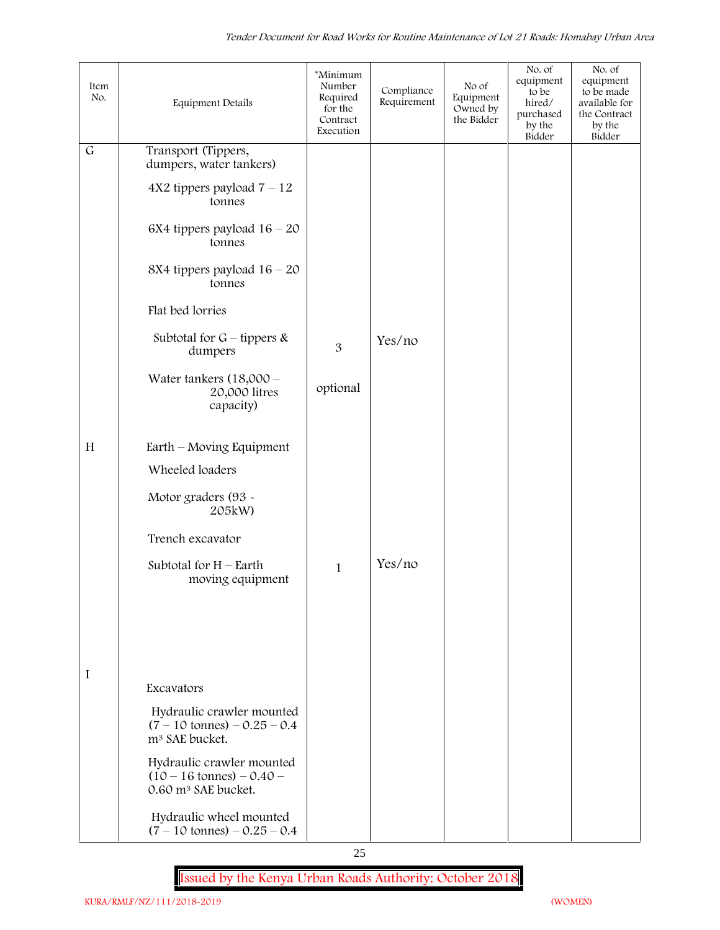| Item<br>No.  | <b>Equipment Details</b>                                                                          | *Minimum<br>Number<br>Required<br>for the<br>Contract<br>Execution | Compliance<br>Requirement | No of<br>Equipment<br>Owned by<br>the Bidder | No. of<br>equipment<br>to be<br>hired/<br>purchased<br>by the<br>Bidder | No. of<br>equipment<br>to be made<br>available for<br>the Contract<br>by the<br>Bidder |
|--------------|---------------------------------------------------------------------------------------------------|--------------------------------------------------------------------|---------------------------|----------------------------------------------|-------------------------------------------------------------------------|----------------------------------------------------------------------------------------|
| $\mathsf{G}$ | Transport (Tippers,<br>dumpers, water tankers)                                                    |                                                                    |                           |                                              |                                                                         |                                                                                        |
|              | $4X2$ tippers payload $7 - 12$<br>tonnes                                                          |                                                                    |                           |                                              |                                                                         |                                                                                        |
|              | 6X4 tippers payload $16 - 20$<br>tonnes                                                           |                                                                    |                           |                                              |                                                                         |                                                                                        |
|              | 8X4 tippers payload $16 - 20$<br>tonnes                                                           |                                                                    |                           |                                              |                                                                         |                                                                                        |
|              | Flat bed lorries                                                                                  |                                                                    |                           |                                              |                                                                         |                                                                                        |
|              | Subtotal for $G$ – tippers &<br>dumpers                                                           | $\overline{3}$                                                     | Yes/no                    |                                              |                                                                         |                                                                                        |
|              | Water tankers $(18,000 -$<br>20,000 litres<br>capacity)                                           | optional                                                           |                           |                                              |                                                                         |                                                                                        |
| H            | $Earth$ – Moving Equipment                                                                        |                                                                    |                           |                                              |                                                                         |                                                                                        |
|              | Wheeled loaders                                                                                   |                                                                    |                           |                                              |                                                                         |                                                                                        |
|              | Motor graders (93 -<br>205kW)                                                                     |                                                                    |                           |                                              |                                                                         |                                                                                        |
|              | Trench excavator                                                                                  |                                                                    |                           |                                              |                                                                         |                                                                                        |
|              | Subtotal for $H$ – Earth<br>moving equipment                                                      | $\mathbf{1}$                                                       | Yes/no                    |                                              |                                                                         |                                                                                        |
|              |                                                                                                   |                                                                    |                           |                                              |                                                                         |                                                                                        |
|              |                                                                                                   |                                                                    |                           |                                              |                                                                         |                                                                                        |
| I            | Excavators                                                                                        |                                                                    |                           |                                              |                                                                         |                                                                                        |
|              | Hydraulic crawler mounted<br>$(7 - 10 \text{ tonnes}) - 0.25 - 0.4$<br>m <sup>3</sup> SAE bucket. |                                                                    |                           |                                              |                                                                         |                                                                                        |
|              | Hydraulic crawler mounted<br>$(10 - 16 \text{ tonnes}) - 0.40$<br>0.60 m <sup>3</sup> SAE bucket. |                                                                    |                           |                                              |                                                                         |                                                                                        |
|              | Hydraulic wheel mounted<br>$(7 - 10 \text{ tonnes}) - 0.25 - 0.4$                                 |                                                                    |                           |                                              |                                                                         |                                                                                        |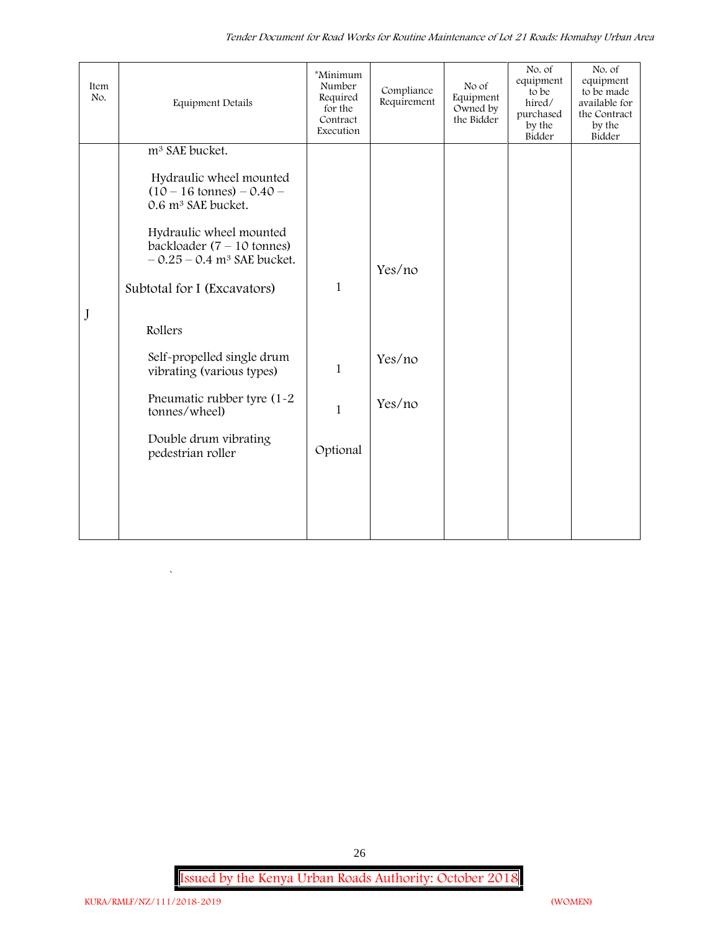| Item<br>No. | <b>Equipment Details</b>                                                                                    | *Minimum<br>Number<br>Required<br>for the<br>Contract<br>Execution | Compliance<br>Requirement | No of<br>Equipment<br>Owned by<br>the Bidder | No. of<br>equipment<br>to be<br>hired/<br>purchased<br>by the<br>Bidder | No. of<br>equipment<br>to be made<br>available for<br>the Contract<br>by the<br>Bidder |
|-------------|-------------------------------------------------------------------------------------------------------------|--------------------------------------------------------------------|---------------------------|----------------------------------------------|-------------------------------------------------------------------------|----------------------------------------------------------------------------------------|
|             | m <sup>3</sup> SAE bucket.                                                                                  |                                                                    |                           |                                              |                                                                         |                                                                                        |
|             | Hydraulic wheel mounted<br>$(10 - 16 \text{ tonnes}) - 0.40 -$<br>0.6 m <sup>3</sup> SAE bucket.            |                                                                    |                           |                                              |                                                                         |                                                                                        |
|             | Hydraulic wheel mounted<br>backloader $(7 - 10 \text{ tonnes})$<br>$-0.25 - 0.4$ m <sup>3</sup> SAE bucket. |                                                                    | Yes/no                    |                                              |                                                                         |                                                                                        |
|             | Subtotal for I (Excavators)                                                                                 | $\mathbf{1}$                                                       |                           |                                              |                                                                         |                                                                                        |
| J           | Rollers                                                                                                     |                                                                    |                           |                                              |                                                                         |                                                                                        |
|             | Self-propelled single drum<br>vibrating (various types)                                                     | $\mathbf{1}$                                                       | Yes/no                    |                                              |                                                                         |                                                                                        |
|             | Pneumatic rubber tyre (1-2)<br>tonnes/wheel)                                                                | $\mathbf{1}$                                                       | Yes/no                    |                                              |                                                                         |                                                                                        |
|             | Double drum vibrating<br>pedestrian roller                                                                  | Optional                                                           |                           |                                              |                                                                         |                                                                                        |
|             |                                                                                                             |                                                                    |                           |                                              |                                                                         |                                                                                        |
|             |                                                                                                             |                                                                    |                           |                                              |                                                                         |                                                                                        |
|             |                                                                                                             |                                                                    |                           |                                              |                                                                         |                                                                                        |

26

`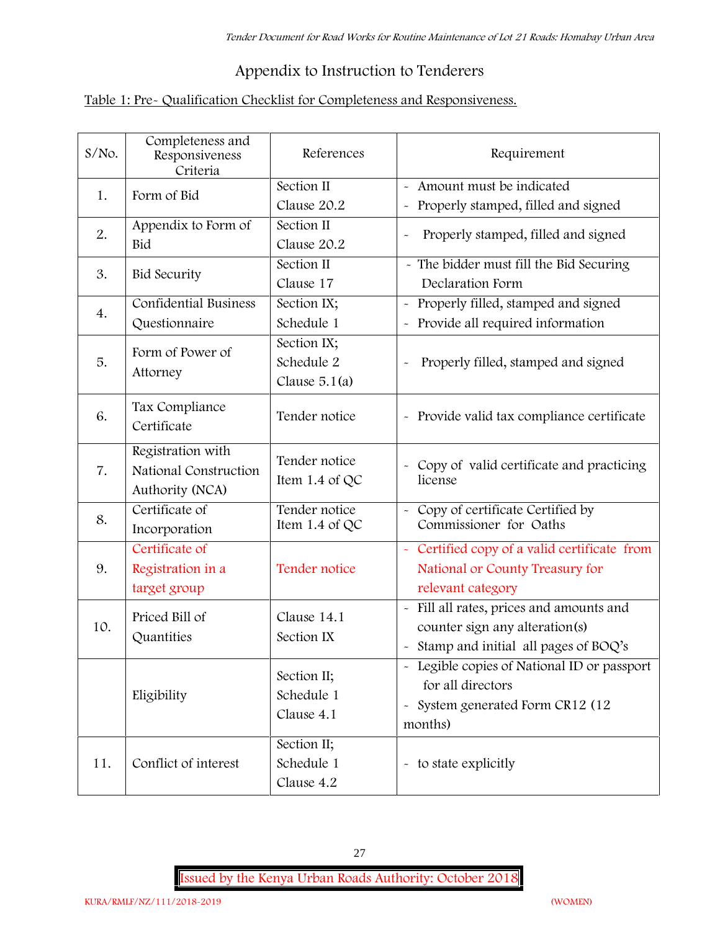## **Appendix to Instruction to Tenderers**

## **Table 1: Pre- Qualification Checklist for Completeness and Responsiveness.**

| $S/NO$ . | Completeness and<br>Responsiveness<br>Criteria                | References                                   | Requirement                                                                                                                                |
|----------|---------------------------------------------------------------|----------------------------------------------|--------------------------------------------------------------------------------------------------------------------------------------------|
| 1.       | Form of Bid                                                   | Section II<br>Clause 20.2                    | Amount must be indicated<br>Properly stamped, filled and signed<br>$\tilde{\phantom{a}}$                                                   |
| 2.       | Appendix to Form of<br>Bid                                    | Section II<br>Clause 20.2                    | Properly stamped, filled and signed                                                                                                        |
| 3.       | <b>Bid Security</b>                                           | Section II<br>Clause 17                      | - The bidder must fill the Bid Securing<br>Declaration Form                                                                                |
| 4.       | <b>Confidential Business</b><br>Questionnaire                 | Section IX;<br>Schedule 1                    | Properly filled, stamped and signed<br>Provide all required information                                                                    |
| 5.       | Form of Power of<br>Attorney                                  | Section IX;<br>Schedule 2<br>Clause $5.1(a)$ | Properly filled, stamped and signed                                                                                                        |
| 6.       | Tax Compliance<br>Certificate                                 | Tender notice                                | - Provide valid tax compliance certificate                                                                                                 |
| 7.       | Registration with<br>National Construction<br>Authority (NCA) | Tender notice<br>Item 1.4 of QC              | - Copy of valid certificate and practicing<br>license                                                                                      |
| 8.       | Certificate of<br>Incorporation                               | Tender notice<br>Item $1.4$ of QC            | Copy of certificate Certified by<br>Commissioner for Oaths                                                                                 |
| 9.       | Certificate of<br>Registration in a<br>target group           | Tender notice                                | Certified copy of a valid certificate from<br>$\sim$<br>National or County Treasury for<br>relevant category                               |
| 10.      | Priced Bill of<br>Quantities                                  | Clause 14.1<br>Section IX                    | Fill all rates, prices and amounts and<br>counter sign any alteration(s)<br>Stamp and initial all pages of BOQ's                           |
|          | Eligibility                                                   | Section II;<br>Schedule 1<br>Clause 4.1      | - Legible copies of National ID or passport<br>for all directors<br>System generated Form CR12 (12<br>$\widetilde{\phantom{m}}$<br>months) |
| 11.      | Conflict of interest                                          | Section II;<br>Schedule 1<br>Clause 4.2      | - to state explicitly                                                                                                                      |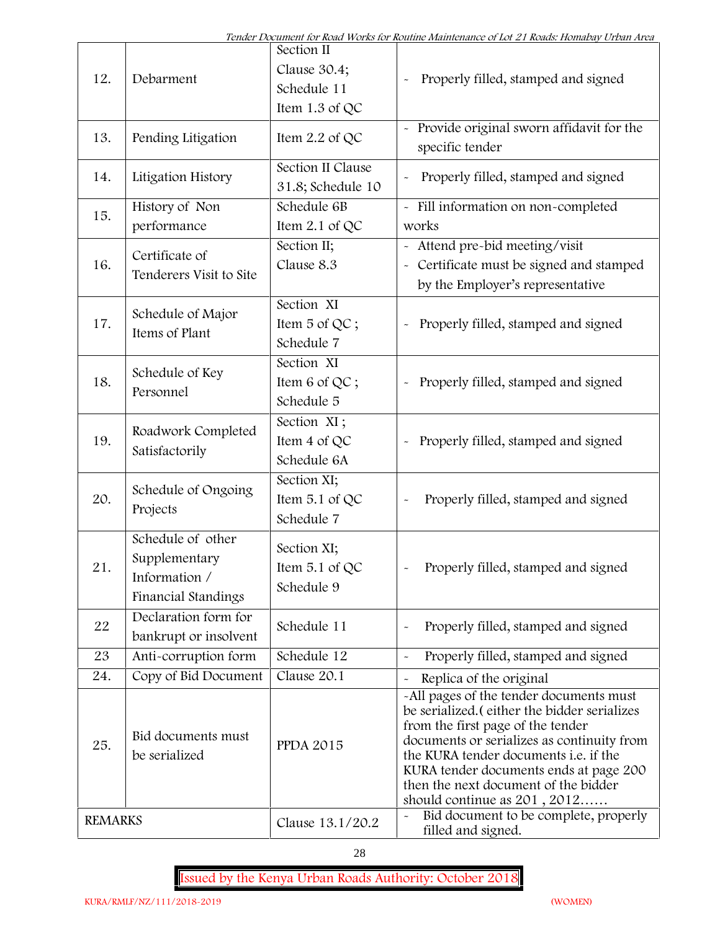| 12.            | Debarment                                                                         | Section II<br>Clause 30.4;<br>Schedule 11<br>Item 1.3 of QC | Properly filled, stamped and signed                                                                                                                                                                                                                                                                                                     |
|----------------|-----------------------------------------------------------------------------------|-------------------------------------------------------------|-----------------------------------------------------------------------------------------------------------------------------------------------------------------------------------------------------------------------------------------------------------------------------------------------------------------------------------------|
| 13.            | Pending Litigation                                                                | Item 2.2 of QC                                              | Provide original sworn affidavit for the<br>specific tender                                                                                                                                                                                                                                                                             |
| 14.            | Litigation History                                                                | Section II Clause<br>31.8; Schedule 10                      | Properly filled, stamped and signed                                                                                                                                                                                                                                                                                                     |
| 15.            | History of Non<br>performance                                                     | Schedule 6B<br>Item 2.1 of QC                               | - Fill information on non-completed<br>works                                                                                                                                                                                                                                                                                            |
| 16.            | Certificate of<br>Tenderers Visit to Site                                         | Section II;<br>Clause 8.3                                   | Attend pre-bid meeting/visit<br>Certificate must be signed and stamped<br>$\widetilde{\phantom{m}}$<br>by the Employer's representative                                                                                                                                                                                                 |
| 17.            | Schedule of Major<br>Items of Plant                                               | Section XI<br>Item 5 of QC;<br>Schedule 7                   | Properly filled, stamped and signed                                                                                                                                                                                                                                                                                                     |
| 18.            | Schedule of Key<br>Personnel                                                      | Section XI<br>Item 6 of QC;<br>Schedule 5                   | Properly filled, stamped and signed                                                                                                                                                                                                                                                                                                     |
| 19.            | Roadwork Completed<br>Satisfactorily                                              | Section XI;<br>Item 4 of QC<br>Schedule 6A                  | Properly filled, stamped and signed<br>$\tilde{}$                                                                                                                                                                                                                                                                                       |
| 20.            | Schedule of Ongoing<br>Projects                                                   | Section XI;<br>Item 5.1 of QC<br>Schedule 7                 | Properly filled, stamped and signed                                                                                                                                                                                                                                                                                                     |
| 21             | Schedule of other<br>Supplementary<br>Information /<br><b>Financial Standings</b> | Section XI;<br>Item 5.1 of QC<br>Schedule 9                 | Properly filled, stamped and signed                                                                                                                                                                                                                                                                                                     |
| 22             | Declaration form for<br>bankrupt or insolvent                                     | Schedule 11                                                 | Properly filled, stamped and signed                                                                                                                                                                                                                                                                                                     |
| 23             | Anti-corruption form                                                              | Schedule 12                                                 | Properly filled, stamped and signed                                                                                                                                                                                                                                                                                                     |
| 24.            | Copy of Bid Document                                                              | Clause 20.1                                                 | Replica of the original                                                                                                                                                                                                                                                                                                                 |
| 25.            | Bid documents must<br>be serialized                                               | <b>PPDA 2015</b>                                            | -All pages of the tender documents must<br>be serialized. (either the bidder serializes<br>from the first page of the tender<br>documents or serializes as continuity from<br>the KURA tender documents i.e. if the<br>KURA tender documents ends at page 200<br>then the next document of the bidder<br>should continue as $201, 2012$ |
| <b>REMARKS</b> |                                                                                   | Clause 13.1/20.2                                            | Bid document to be complete, properly<br>$\tilde{\phantom{a}}$<br>filled and signed.                                                                                                                                                                                                                                                    |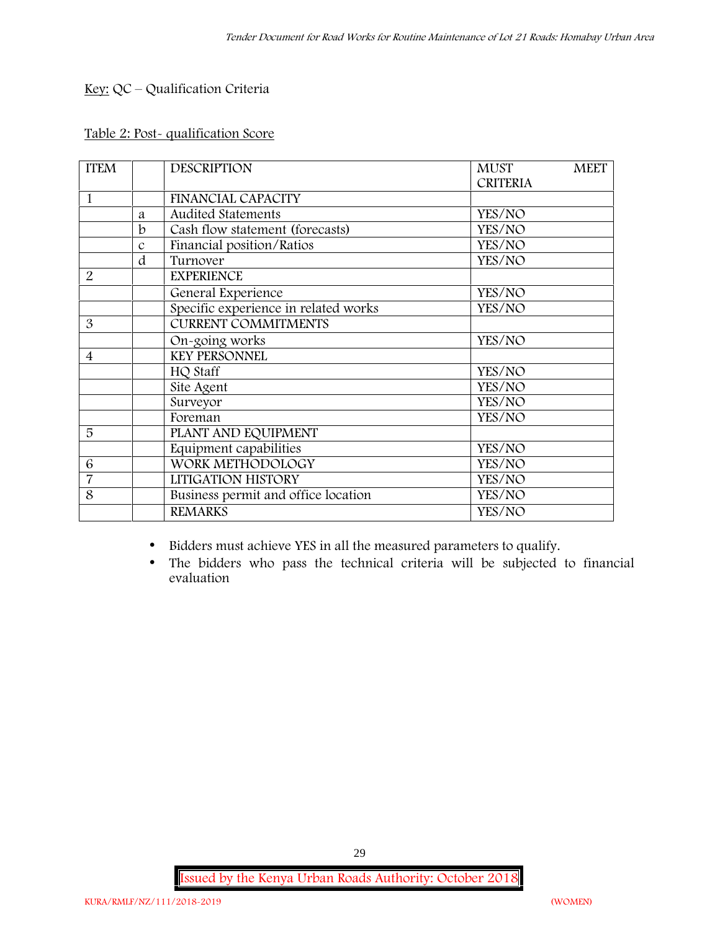## **Key:** QC – Qualification Criteria

## **Table 2: Post- qualification Score**

| <b>ITEM</b>              |               | <b>DESCRIPTION</b>                   | <b>MUST</b>     | <b>MEET</b> |
|--------------------------|---------------|--------------------------------------|-----------------|-------------|
|                          |               |                                      | <b>CRITERIA</b> |             |
| 1                        |               | <b>FINANCIAL CAPACITY</b>            |                 |             |
|                          | a             | <b>Audited Statements</b>            | YES/NO          |             |
|                          | b             | Cash flow statement (forecasts)      | YES/NO          |             |
|                          | $\mathcal{C}$ | Financial position/Ratios            | YES/NO          |             |
|                          | d             | Turnover                             | YES/NO          |             |
| $\overline{2}$           |               | <b>EXPERIENCE</b>                    |                 |             |
|                          |               | General Experience                   | YES/NO          |             |
|                          |               | Specific experience in related works | YES/NO          |             |
| 3                        |               | <b>CURRENT COMMITMENTS</b>           |                 |             |
|                          |               | On-going works                       | YES/NO          |             |
| $\overline{\mathcal{A}}$ |               | <b>KEY PERSONNEL</b>                 |                 |             |
|                          |               | HQ Staff                             | YES/NO          |             |
|                          |               | Site Agent                           | YES/NO          |             |
|                          |               | Surveyor                             | YES/NO          |             |
|                          |               | Foreman                              | YES/NO          |             |
| 5                        |               | PLANT AND EQUIPMENT                  |                 |             |
|                          |               | Equipment capabilities               | YES/NO          |             |
| 6                        |               | WORK METHODOLOGY                     | YES/NO          |             |
| $\overline{7}$           |               | LITIGATION HISTORY                   | YES/NO          |             |
| 8                        |               | Business permit and office location  | YES/NO          |             |
|                          |               | <b>REMARKS</b>                       | YES/NO          |             |

- Bidders must achieve YES in all the measured parameters to qualify.
- The bidders who pass the technical criteria will be subjected to financial evaluation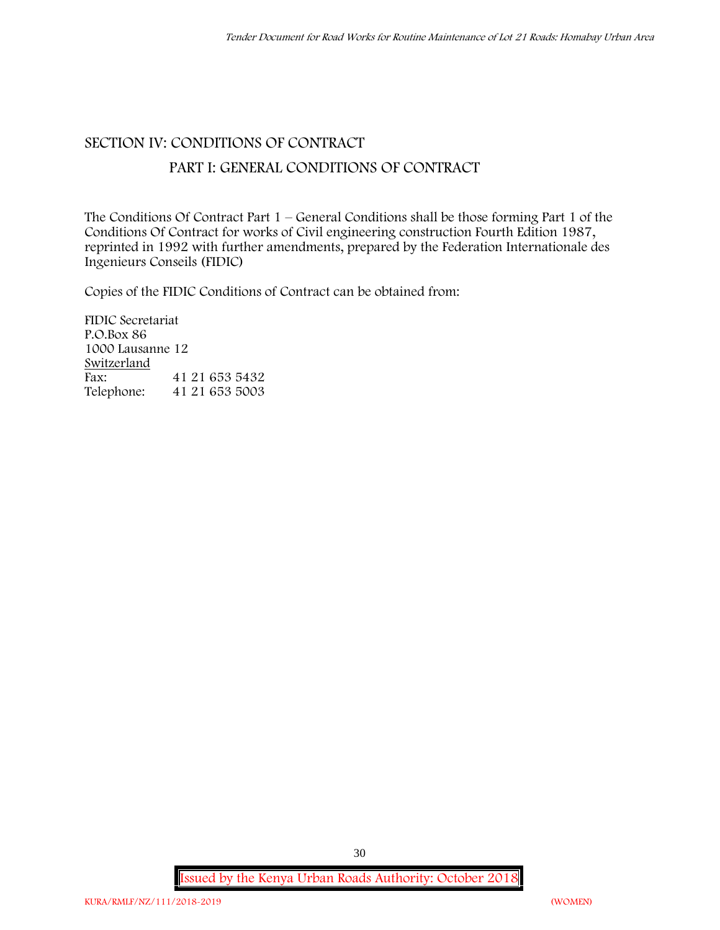# **SECTION IV: CONDITIONS OF CONTRACT PART I: GENERAL CONDITIONS OF CONTRACT**

The Conditions Of Contract Part 1 – General Conditions shall be those forming Part 1 of the Conditions Of Contract for works of Civil engineering construction Fourth Edition 1987, reprinted in 1992 with further amendments, prepared by the Federation Internationale des Ingenieurs Conseils (FIDIC)

Copies of the FIDIC Conditions of Contract can be obtained from:

FIDIC Secretariat P.O.Box 86 1000 Lausanne 12 **Switzerland** Fax: 41 21 653 5432<br>Telephone: 41 21 653 5003 41 21 653 5003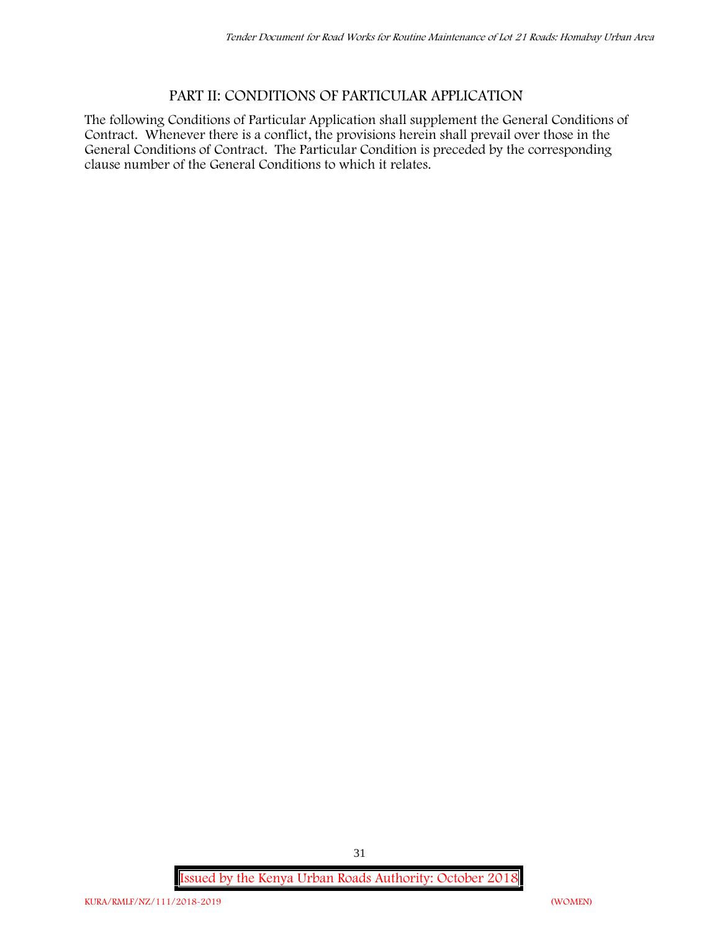## **PART II: CONDITIONS OF PARTICULAR APPLICATION**

The following Conditions of Particular Application shall supplement the General Conditions of Contract. Whenever there is a conflict, the provisions herein shall prevail over those in the General Conditions of Contract. The Particular Condition is preceded by the corresponding clause number of the General Conditions to which it relates.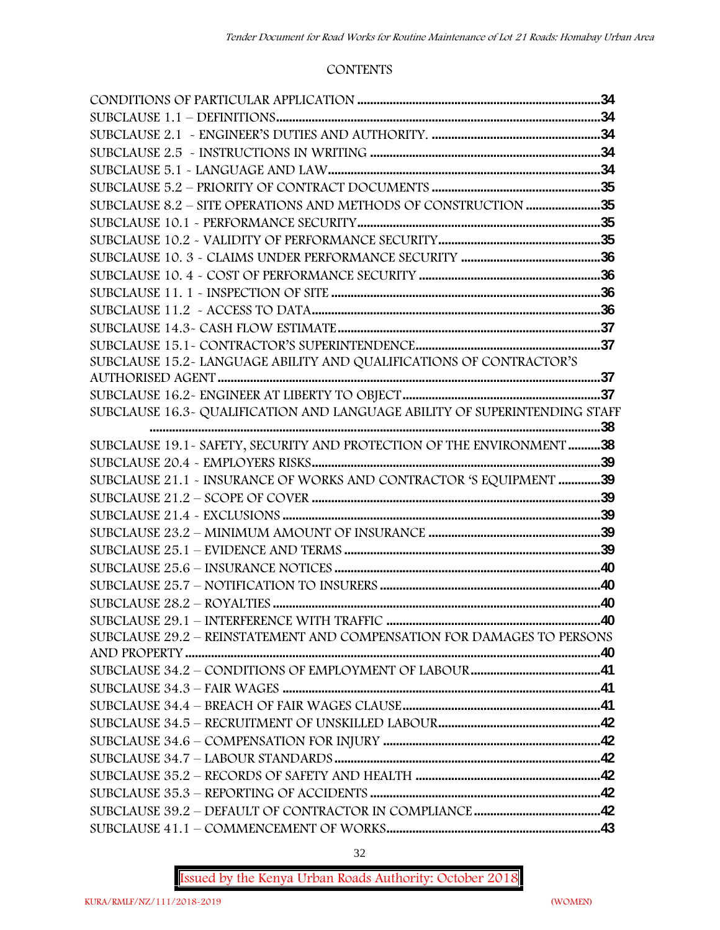#### **CONTENTS**

| SUBCLAUSE 8.2 - SITE OPERATIONS AND METHODS OF CONSTRUCTION 35             |  |
|----------------------------------------------------------------------------|--|
|                                                                            |  |
|                                                                            |  |
|                                                                            |  |
|                                                                            |  |
|                                                                            |  |
|                                                                            |  |
|                                                                            |  |
|                                                                            |  |
| SUBCLAUSE 15.2-LANGUAGE ABILITY AND QUALIFICATIONS OF CONTRACTOR'S         |  |
|                                                                            |  |
|                                                                            |  |
| SUBCLAUSE 16.3- QUALIFICATION AND LANGUAGE ABILITY OF SUPERINTENDING STAFF |  |
|                                                                            |  |
| SUBCLAUSE 19.1 - SAFETY, SECURITY AND PROTECTION OF THE ENVIRONMENT 38     |  |
|                                                                            |  |
| SUBCLAUSE 21.1 - INSURANCE OF WORKS AND CONTRACTOR 'S EQUIPMENT 39         |  |
|                                                                            |  |
|                                                                            |  |
|                                                                            |  |
|                                                                            |  |
|                                                                            |  |
|                                                                            |  |
|                                                                            |  |
|                                                                            |  |
| SUBCLAUSE 29.2 - REINSTATEMENT AND COMPENSATION FOR DAMAGES TO PERSONS     |  |
|                                                                            |  |
|                                                                            |  |
|                                                                            |  |
|                                                                            |  |
|                                                                            |  |
|                                                                            |  |
|                                                                            |  |
|                                                                            |  |
|                                                                            |  |
|                                                                            |  |
|                                                                            |  |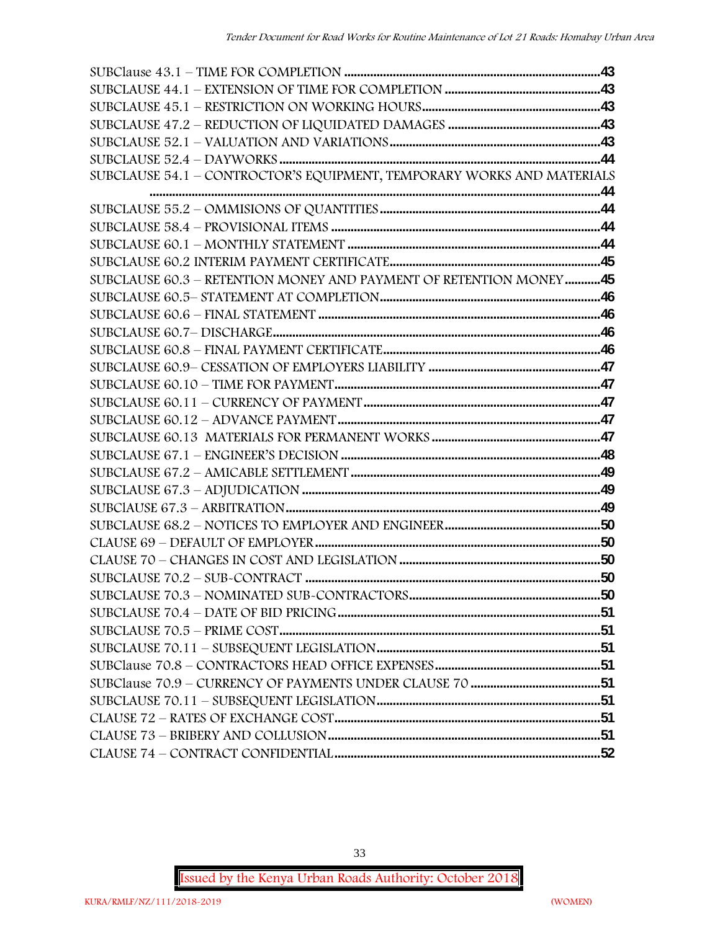| SUBCLAUSE 54.1 - CONTROCTOR'S EQUIPMENT, TEMPORARY WORKS AND MATERIALS |  |
|------------------------------------------------------------------------|--|
|                                                                        |  |
|                                                                        |  |
|                                                                        |  |
|                                                                        |  |
|                                                                        |  |
| SUBCLAUSE 60.3 - RETENTION MONEY AND PAYMENT OF RETENTION MONEY45      |  |
|                                                                        |  |
|                                                                        |  |
|                                                                        |  |
|                                                                        |  |
|                                                                        |  |
|                                                                        |  |
|                                                                        |  |
|                                                                        |  |
|                                                                        |  |
|                                                                        |  |
|                                                                        |  |
|                                                                        |  |
|                                                                        |  |
|                                                                        |  |
|                                                                        |  |
|                                                                        |  |
|                                                                        |  |
|                                                                        |  |
|                                                                        |  |
|                                                                        |  |
|                                                                        |  |
|                                                                        |  |
|                                                                        |  |
|                                                                        |  |
|                                                                        |  |
|                                                                        |  |
|                                                                        |  |

33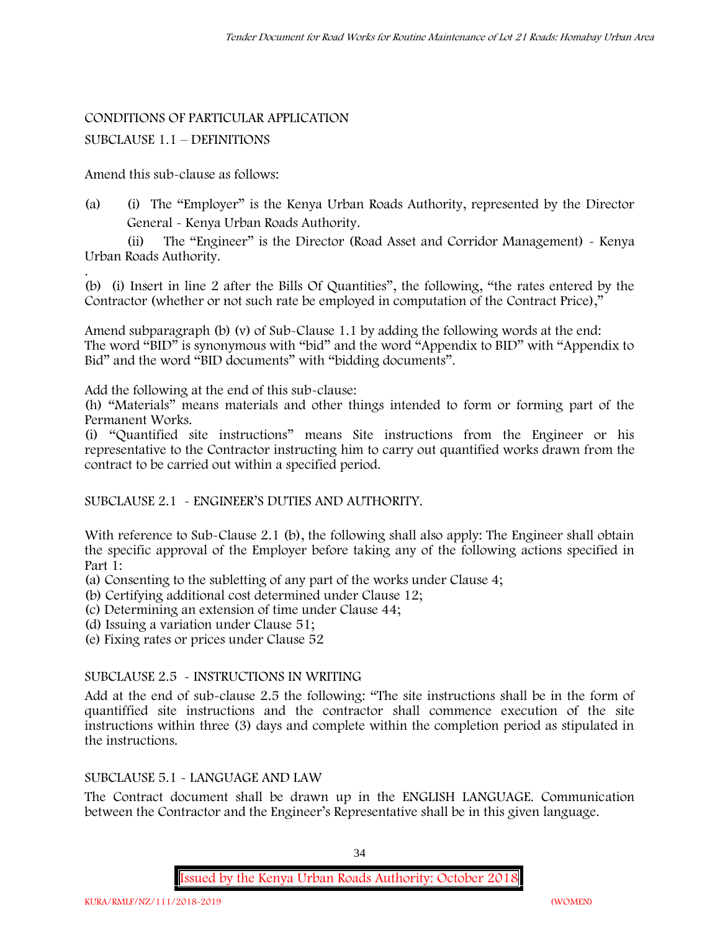#### CONDITIONS OF PARTICULAR APPLICATION

#### SUBCLAUSE 1.1 – DEFINITIONS

Amend this sub-clause as follows:

(a) (i) The "Employer" is the Kenya Urban Roads Authority, represented by the Director General - Kenya Urban Roads Authority.

(ii) The "Engineer" is the Director (Road Asset and Corridor Management) - Kenya Urban Roads Authority.

.(b) (i) Insert in line 2 after the Bills Of Quantities", the following, "the rates entered by the Contractor (whether or not such rate be employed in computation of the Contract Price),"

Amend subparagraph (b) (v) of Sub-Clause 1.1 by adding the following words at the end: The word "BID" is synonymous with "bid" and the word "Appendix to BID" with "Appendix to Bid" and the word "BID documents" with "bidding documents".

Add the following at the end of this sub-clause:

(h) "Materials" means materials and other things intended to form or forming part of the Permanent Works.

(i) "Quantified site instructions" means Site instructions from the Engineer or his representative to the Contractor instructing him to carry out quantified works drawn from the contract to be carried out within a specified period.

SUBCLAUSE 2.1 - ENGINEER'S DUTIES AND AUTHORITY.

With reference to Sub-Clause 2.1 (b), the following shall also apply: The Engineer shall obtain the specific approval of the Employer before taking any of the following actions specified in Part 1:

(a) Consenting to the subletting of any part of the works under Clause 4;

(b) Certifying additional cost determined under Clause 12;

(c) Determining an extension of time under Clause 44;

(d) Issuing a variation under Clause 51;

(e) Fixing rates or prices under Clause 52

#### SUBCLAUSE 2.5 - INSTRUCTIONS IN WRITING

Add at the end of sub-clause 2.5 the following: "The site instructions shall be in the form of quantiffied site instructions and the contractor shall commence execution of the site instructions within three (3) days and complete within the completion period as stipulated in the instructions.

#### SUBCLAUSE 5.1 - LANGUAGE AND LAW

The Contract document shall be drawn up in the ENGLISH LANGUAGE. Communication between the Contractor and the Engineer's Representative shall be in this given language.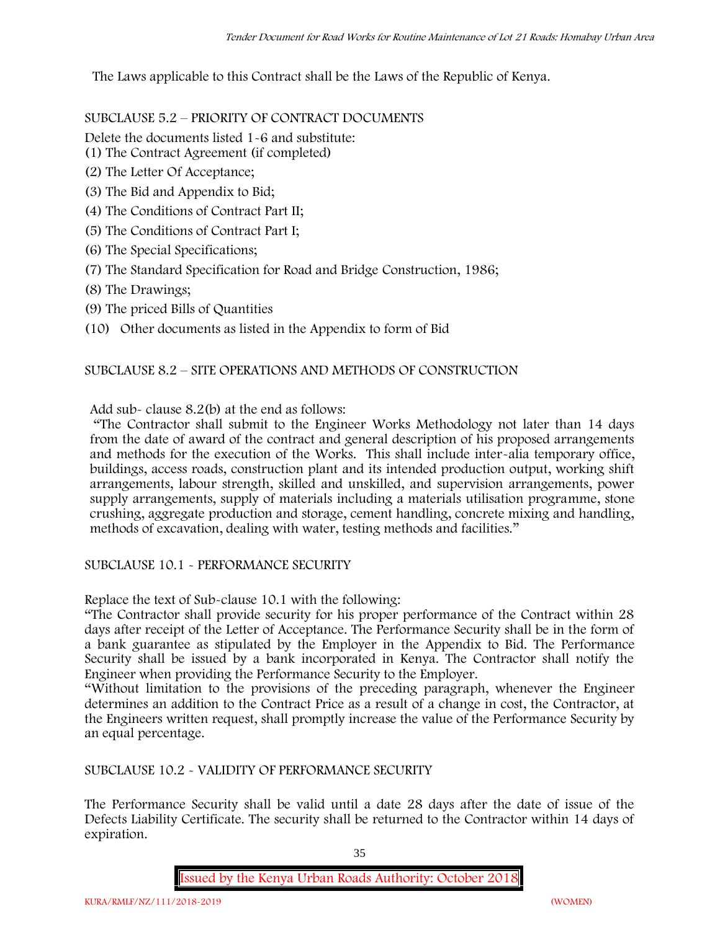The Laws applicable to this Contract shall be the Laws of the Republic of Kenya.

SUBCLAUSE 5.2 – PRIORITY OF CONTRACT DOCUMENTS

Delete the documents listed 1-6 and substitute:

- (1) The Contract Agreement (if completed)
- (2) The Letter Of Acceptance;
- (3) The Bid and Appendix to Bid;
- (4) The Conditions of Contract Part II;
- (5) The Conditions of Contract Part I;
- (6) The Special Specifications;
- (7) The Standard Specification for Road and Bridge Construction, 1986;
- (8) The Drawings;
- (9) The priced Bills of Quantities
- (10) Other documents as listed in the Appendix to form of Bid

#### SUBCLAUSE 8.2 – SITE OPERATIONS AND METHODS OF CONSTRUCTION

Add sub- clause 8.2(b) at the end as follows:

"The Contractor shall submit to the Engineer Works Methodology not later than 14 days from the date of award of the contract and general description of his proposed arrangements and methods for the execution of the Works. This shall include inter-alia temporary office, buildings, access roads, construction plant and its intended production output, working shift arrangements, labour strength, skilled and unskilled, and supervision arrangements, power supply arrangements, supply of materials including a materials utilisation programme, stone crushing, aggregate production and storage, cement handling, concrete mixing and handling, methods of excavation, dealing with water, testing methods and facilities."

SUBCLAUSE 10.1 - PERFORMANCE SECURITY

Replace the text of Sub-clause 10.1 with the following:

"The Contractor shall provide security for his proper performance of the Contract within 28 days after receipt of the Letter of Acceptance. The Performance Security shall be in the form of a bank guarantee as stipulated by the Employer in the Appendix to Bid. The Performance Security shall be issued by a bank incorporated in Kenya. The Contractor shall notify the Engineer when providing the Performance Security to the Employer.

"Without limitation to the provisions of the preceding paragraph, whenever the Engineer determines an addition to the Contract Price as a result of a change in cost, the Contractor, at the Engineers written request, shall promptly increase the value of the Performance Security by an equal percentage.

SUBCLAUSE 10.2 - VALIDITY OF PERFORMANCE SECURITY

The Performance Security shall be valid until a date 28 days after the date of issue of the Defects Liability Certificate. The security shall be returned to the Contractor within 14 days of expiration.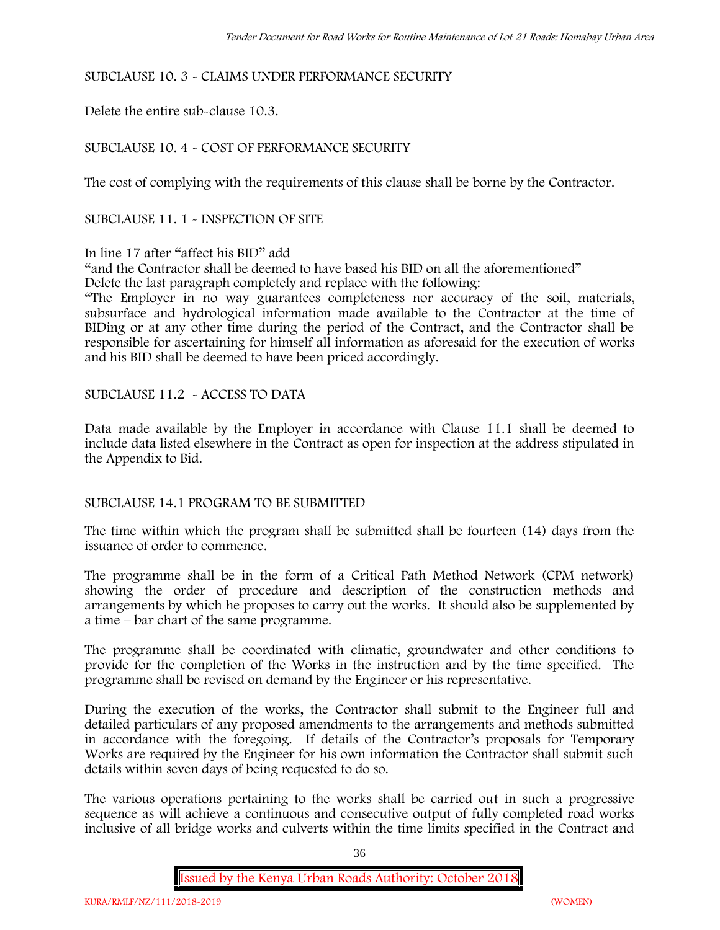# SUBCLAUSE 10. 3 - CLAIMS UNDER PERFORMANCE SECURITY

Delete the entire sub-clause 10.3.

# SUBCLAUSE 10. 4 - COST OF PERFORMANCE SECURITY

The cost of complying with the requirements of this clause shall be borne by the Contractor.

SUBCLAUSE 11. 1 - INSPECTION OF SITE

# In line 17 after "affect his BID" add

"and the Contractor shall be deemed to have based his BID on all the aforementioned" Delete the last paragraph completely and replace with the following:

"The Employer in no way guarantees completeness nor accuracy of the soil, materials, subsurface and hydrological information made available to the Contractor at the time of BIDing or at any other time during the period of the Contract, and the Contractor shall be responsible for ascertaining for himself all information as aforesaid for the execution of works and his BID shall be deemed to have been priced accordingly.

SUBCLAUSE 11.2 - ACCESS TO DATA

Data made available by the Employer in accordance with Clause 11.1 shall be deemed to include data listed elsewhere in the Contract as open for inspection at the address stipulated in the Appendix to Bid.

### SUBCLAUSE 14.1 PROGRAM TO BE SUBMITTED

The time within which the program shall be submitted shall be fourteen (14) days from the issuance of order to commence**.**

The programme shall be in the form of a Critical Path Method Network (CPM network) showing the order of procedure and description of the construction methods and arrangements by which he proposes to carry out the works. It should also be supplemented by a time – bar chart of the same programme.

The programme shall be coordinated with climatic, groundwater and other conditions to provide for the completion of the Works in the instruction and by the time specified. The programme shall be revised on demand by the Engineer or his representative.

During the execution of the works, the Contractor shall submit to the Engineer full and detailed particulars of any proposed amendments to the arrangements and methods submitted in accordance with the foregoing. If details of the Contractor's proposals for Temporary Works are required by the Engineer for his own information the Contractor shall submit such details within seven days of being requested to do so.

The various operations pertaining to the works shall be carried out in such a progressive sequence as will achieve a continuous and consecutive output of fully completed road works inclusive of all bridge works and culverts within the time limits specified in the Contract and

36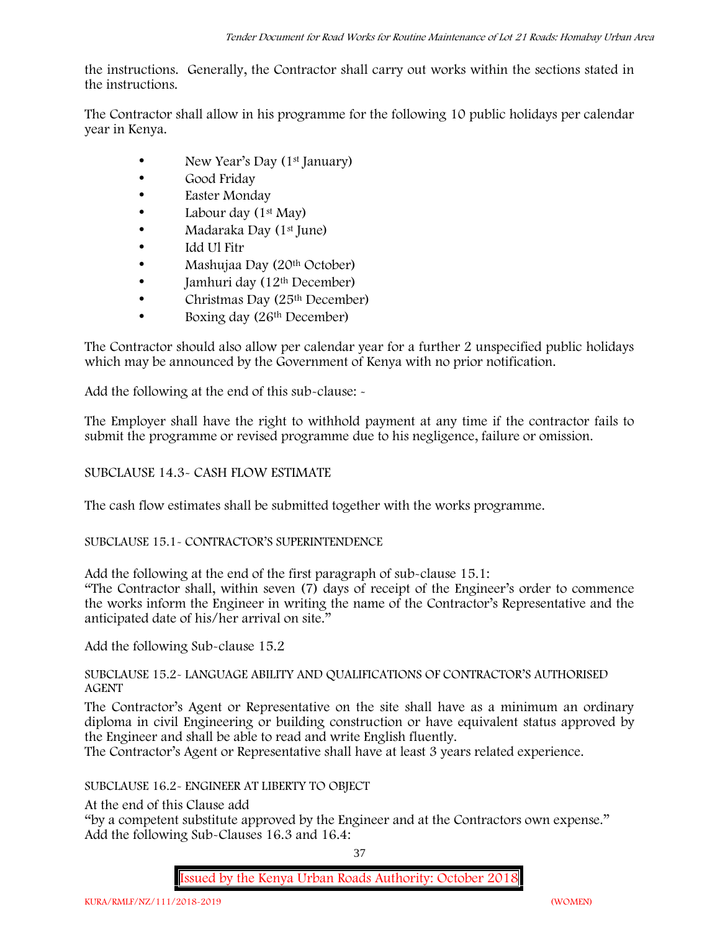the instructions. Generally, the Contractor shall carry out works within the sections stated in the instructions.

The Contractor shall allow in his programme for the following 10 public holidays per calendar year in Kenya.

- New Year's Day (1<sup>st</sup> January)
- Good Friday
- Easter Monday
- Labour day (1<sup>st</sup> May)
- Madaraka Day (1<sup>st</sup> June)
- Idd Ul Fitr
- Mashujaa Day (20<sup>th</sup> October)
- $\bullet$  Jamhuri day (12<sup>th</sup> December)
- $\bullet$  Christmas Day (25<sup>th</sup> December)
- Boxing day (26<sup>th</sup> December)

The Contractor should also allow per calendar year for a further 2 unspecified public holidays which may be announced by the Government of Kenya with no prior notification.

Add the following at the end of this sub-clause: -

The Employer shall have the right to withhold payment at any time if the contractor fails to submit the programme or revised programme due to his negligence, failure or omission.

# SUBCLAUSE 14.3- CASH FLOW ESTIMATE

The cash flow estimates shall be submitted together with the works programme.

# SUBCLAUSE 15.1- CONTRACTOR'S SUPERINTENDENCE

Add the following at the end of the first paragraph of sub-clause 15.1:

"The Contractor shall, within seven (7) days of receipt of the Engineer's order to commence the works inform the Engineer in writing the name of the Contractor's Representative and the anticipated date of his/her arrival on site."

Add the following Sub-clause 15.2

### SUBCLAUSE 15.2- LANGUAGE ABILITY AND QUALIFICATIONS OF CONTRACTOR'S AUTHORISED AGENT

The Contractor's Agent or Representative on the site shall have as a minimum an ordinary diploma in civil Engineering or building construction or have equivalent status approved by the Engineer and shall be able to read and write English fluently.

The Contractor's Agent or Representative shall have at least 3 years related experience.

# SUBCLAUSE 16.2- ENGINEER AT LIBERTY TO OBJECT

At the end of this Clause add

"by a competent substitute approved by the Engineer and at the Contractors own expense." Add the following Sub-Clauses 16.3 and 16.4:

37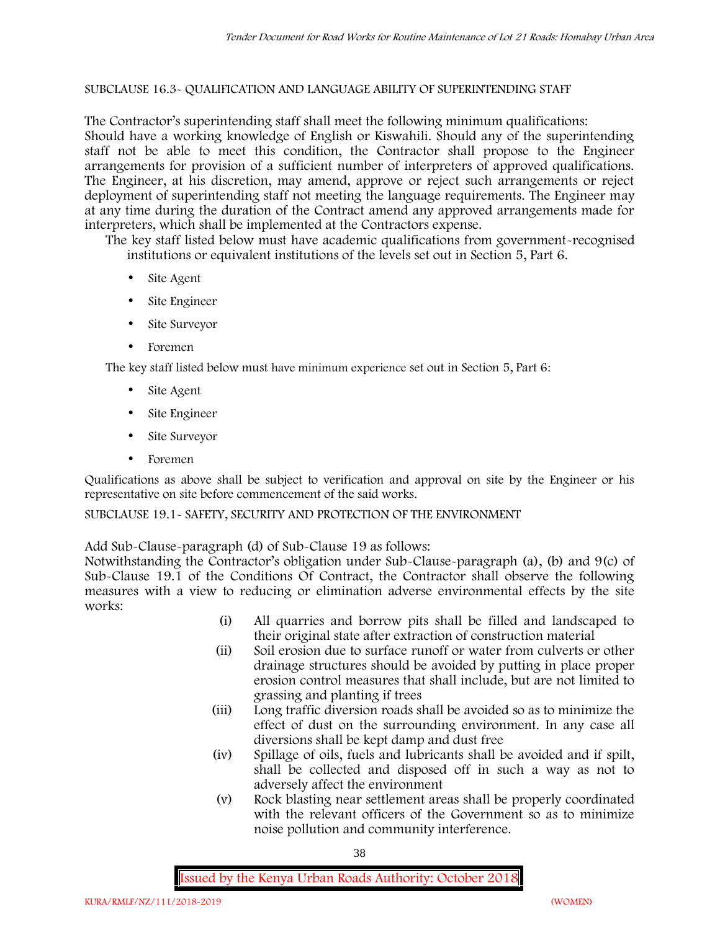### SUBCLAUSE 16.3- QUALIFICATION AND LANGUAGE ABILITY OF SUPERINTENDING STAFF

The Contractor's superintending staff shall meet the following minimum qualifications: Should have a working knowledge of English or Kiswahili. Should any of the superintending staff not be able to meet this condition, the Contractor shall propose to the Engineer arrangements for provision of a sufficient number of interpreters of approved qualifications. The Engineer, at his discretion, may amend, approve or reject such arrangements or reject deployment of superintending staff not meeting the language requirements. The Engineer may at any time during the duration of the Contract amend any approved arrangements made for interpreters, which shall be implemented at the Contractors expense.

The key staff listed below must have academic qualifications from government-recognised institutions or equivalent institutions of the levels set out in Section 5, Part 6.

- Site Agent
- Site Engineer
- Site Surveyor
- Foremen

The key staff listed below must have minimum experience set out in Section 5, Part 6:

- Site Agent
- Site Engineer
- Site Surveyor
- Foremen

Qualifications as above shall be subject to verification and approval on site by the Engineer or his representative on site before commencement of the said works.

SUBCLAUSE 19.1- SAFETY, SECURITY AND PROTECTION OF THE ENVIRONMENT

Add Sub-Clause-paragraph (d) of Sub-Clause 19 as follows:

Notwithstanding the Contractor's obligation under Sub-Clause-paragraph (a), (b) and 9(c) of Sub-Clause 19.1 of the Conditions Of Contract, the Contractor shall observe the following measures with a view to reducing or elimination adverse environmental effects by the site works:

- (i) All quarries and borrow pits shall be filled and landscaped to their original state after extraction of construction material
- (ii) Soil erosion due to surface runoff or water from culverts or other drainage structures should be avoided by putting in place proper erosion control measures that shall include, but are not limited to grassing and planting if trees
- (iii) Long traffic diversion roads shall be avoided so as to minimize the effect of dust on the surrounding environment. In any case all diversions shall be kept damp and dust free
- (iv) Spillage of oils, fuels and lubricants shall be avoided and if spilt, shall be collected and disposed off in such a way as not to adversely affect the environment
- (v) Rock blasting near settlement areas shall be properly coordinated with the relevant officers of the Government so as to minimize noise pollution and community interference.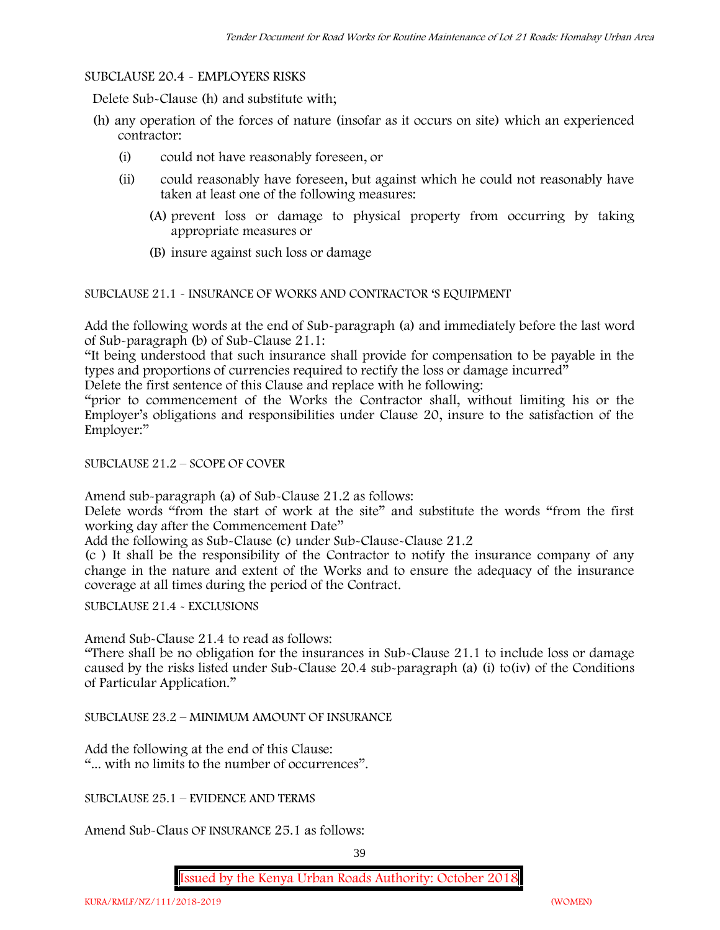### SUBCLAUSE 20.4 - EMPLOYERS RISKS

Delete Sub-Clause (h) and substitute with;

- (h) any operation of the forces of nature (insofar as it occurs on site) which an experienced contractor:
	- (i) could not have reasonably foreseen, or
	- (ii) could reasonably have foreseen, but against which he could not reasonably have taken at least one of the following measures:
		- (A) prevent loss or damage to physical property from occurring by taking appropriate measures or
		- (B) insure against such loss or damage

# SUBCLAUSE 21.1 - INSURANCE OF WORKS AND CONTRACTOR 'S EQUIPMENT

Add the following words at the end of Sub-paragraph (a) and immediately before the last word of Sub-paragraph (b) of Sub-Clause 21.1:

"It being understood that such insurance shall provide for compensation to be payable in the types and proportions of currencies required to rectify the loss or damage incurred"

Delete the first sentence of this Clause and replace with he following:

"prior to commencement of the Works the Contractor shall, without limiting his or the Employer's obligations and responsibilities under Clause 20, insure to the satisfaction of the Employer:"

### SUBCLAUSE 21.2 – SCOPE OF COVER

Amend sub-paragraph (a) of Sub-Clause 21.2 as follows:

Delete words "from the start of work at the site" and substitute the words "from the first working day after the Commencement Date"

Add the following as Sub-Clause (c) under Sub-Clause-Clause 21.2

(c ) It shall be the responsibility of the Contractor to notify the insurance company of any change in the nature and extent of the Works and to ensure the adequacy of the insurance coverage at all times during the period of the Contract.

SUBCLAUSE 21.4 - EXCLUSIONS

Amend Sub-Clause 21.4 to read as follows:

"There shall be no obligation for the insurances in Sub-Clause 21.1 to include loss or damage caused by the risks listed under Sub-Clause 20.4 sub-paragraph (a) (i) to(iv) of the Conditions of Particular Application."

SUBCLAUSE 23.2 – MINIMUM AMOUNT OF INSURANCE

Add the following at the end of this Clause: "... with no limits to the number of occurrences".

SUBCLAUSE 25.1 – EVIDENCE AND TERMS

Amend Sub-Claus OF INSURANCE 25.1 as follows: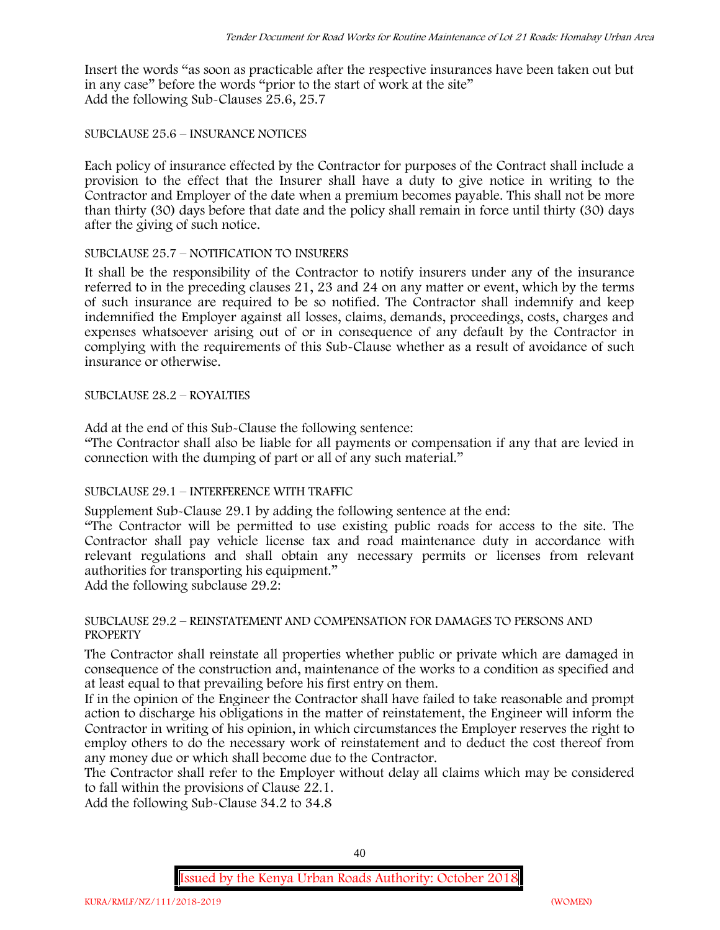Insert the words "as soon as practicable after the respective insurances have been taken out but in any case" before the words "prior to the start of work at the site" Add the following Sub-Clauses 25.6, 25.7

### SUBCLAUSE 25.6 – INSURANCE NOTICES

Each policy of insurance effected by the Contractor for purposes of the Contract shall include a provision to the effect that the Insurer shall have a duty to give notice in writing to the Contractor and Employer of the date when a premium becomes payable. This shall not be more than thirty (30) days before that date and the policy shall remain in force until thirty (30) days after the giving of such notice.

# SUBCLAUSE 25.7 – NOTIFICATION TO INSURERS

It shall be the responsibility of the Contractor to notify insurers under any of the insurance referred to in the preceding clauses 21, 23 and 24 on any matter or event, which by the terms of such insurance are required to be so notified. The Contractor shall indemnify and keep indemnified the Employer against all losses, claims, demands, proceedings, costs, charges and expenses whatsoever arising out of or in consequence of any default by the Contractor in complying with the requirements of this Sub-Clause whether as a result of avoidance of such insurance or otherwise.

# SUBCLAUSE 28.2 – ROYALTIES

Add at the end of this Sub-Clause the following sentence:

"The Contractor shall also be liable for all payments or compensation if any that are levied in connection with the dumping of part or all of any such material."

# SUBCLAUSE 29.1 – INTERFERENCE WITH TRAFFIC

Supplement Sub-Clause 29.1 by adding the following sentence at the end:

"The Contractor will be permitted to use existing public roads for access to the site. The Contractor shall pay vehicle license tax and road maintenance duty in accordance with relevant regulations and shall obtain any necessary permits or licenses from relevant authorities for transporting his equipment."

Add the following subclause 29.2:

### SUBCLAUSE 29.2 – REINSTATEMENT AND COMPENSATION FOR DAMAGES TO PERSONS AND **PROPERTY**

The Contractor shall reinstate all properties whether public or private which are damaged in consequence of the construction and, maintenance of the works to a condition as specified and at least equal to that prevailing before his first entry on them.

If in the opinion of the Engineer the Contractor shall have failed to take reasonable and prompt action to discharge his obligations in the matter of reinstatement, the Engineer will inform the Contractor in writing of his opinion, in which circumstances the Employer reserves the right to employ others to do the necessary work of reinstatement and to deduct the cost thereof from any money due or which shall become due to the Contractor.

The Contractor shall refer to the Employer without delay all claims which may be considered to fall within the provisions of Clause 22.1.

Add the following Sub-Clause 34.2 to 34.8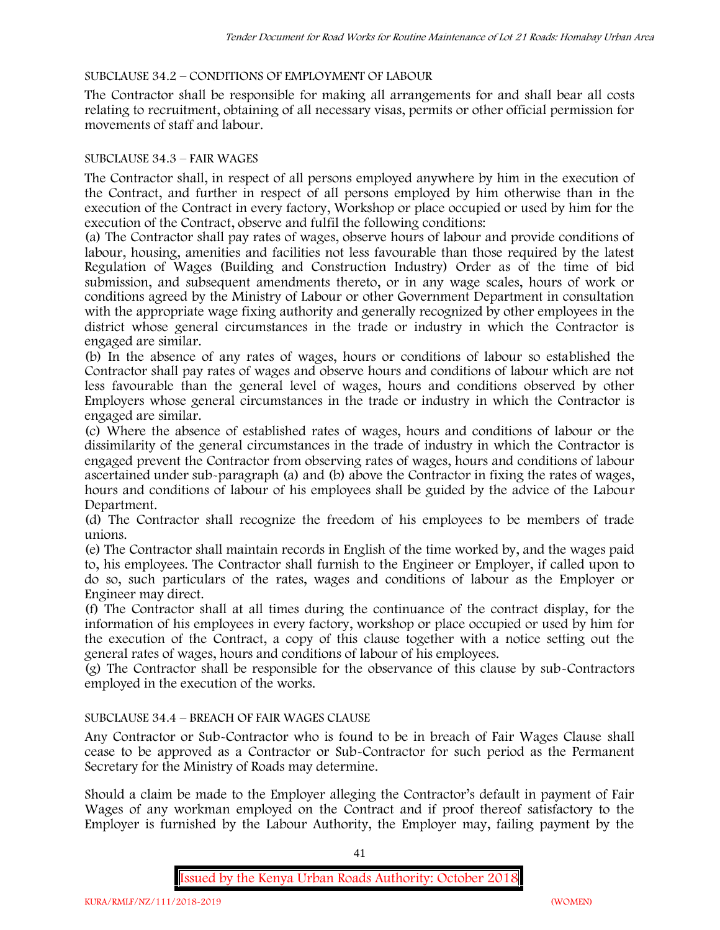# SUBCLAUSE 34.2 – CONDITIONS OF EMPLOYMENT OF LABOUR

The Contractor shall be responsible for making all arrangements for and shall bear all costs relating to recruitment, obtaining of all necessary visas, permits or other official permission for movements of staff and labour.

### SUBCLAUSE 34.3 – FAIR WAGES

The Contractor shall, in respect of all persons employed anywhere by him in the execution of the Contract, and further in respect of all persons employed by him otherwise than in the execution of the Contract in every factory, Workshop or place occupied or used by him for the execution of the Contract, observe and fulfil the following conditions:

(a) The Contractor shall pay rates of wages, observe hours of labour and provide conditions of labour, housing, amenities and facilities not less favourable than those required by the latest Regulation of Wages (Building and Construction Industry) Order as of the time of bid submission, and subsequent amendments thereto, or in any wage scales, hours of work or conditions agreed by the Ministry of Labour or other Government Department in consultation with the appropriate wage fixing authority and generally recognized by other employees in the district whose general circumstances in the trade or industry in which the Contractor is engaged are similar.

(b) In the absence of any rates of wages, hours or conditions of labour so established the Contractor shall pay rates of wages and observe hours and conditions of labour which are not less favourable than the general level of wages, hours and conditions observed by other Employers whose general circumstances in the trade or industry in which the Contractor is engaged are similar.

(c) Where the absence of established rates of wages, hours and conditions of labour or the dissimilarity of the general circumstances in the trade of industry in which the Contractor is engaged prevent the Contractor from observing rates of wages, hours and conditions of labour ascertained under sub-paragraph (a) and (b) above the Contractor in fixing the rates of wages, hours and conditions of labour of his employees shall be guided by the advice of the Labour Department.

(d) The Contractor shall recognize the freedom of his employees to be members of trade unions.

(e) The Contractor shall maintain records in English of the time worked by, and the wages paid to, his employees. The Contractor shall furnish to the Engineer or Employer, if called upon to do so, such particulars of the rates, wages and conditions of labour as the Employer or Engineer may direct.

(f) The Contractor shall at all times during the continuance of the contract display, for the information of his employees in every factory, workshop or place occupied or used by him for the execution of the Contract, a copy of this clause together with a notice setting out the general rates of wages, hours and conditions of labour of his employees.

(g) The Contractor shall be responsible for the observance of this clause by sub-Contractors employed in the execution of the works.

# SUBCLAUSE 34.4 – BREACH OF FAIR WAGES CLAUSE

Any Contractor or Sub-Contractor who is found to be in breach of Fair Wages Clause shall cease to be approved as a Contractor or Sub-Contractor for such period as the Permanent Secretary for the Ministry of Roads may determine.

Should a claim be made to the Employer alleging the Contractor's default in payment of Fair Wages of any workman employed on the Contract and if proof thereof satisfactory to the Employer is furnished by the Labour Authority, the Employer may, failing payment by the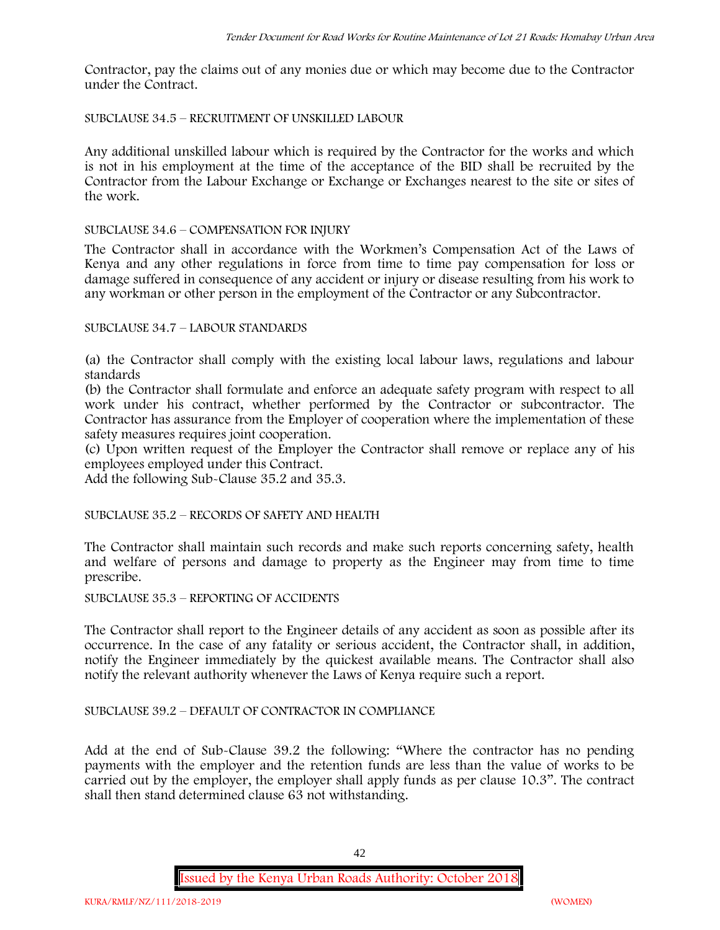Contractor, pay the claims out of any monies due or which may become due to the Contractor under the Contract.

SUBCLAUSE 34.5 – RECRUITMENT OF UNSKILLED LABOUR

Any additional unskilled labour which is required by the Contractor for the works and which is not in his employment at the time of the acceptance of the BID shall be recruited by the Contractor from the Labour Exchange or Exchange or Exchanges nearest to the site or sites of the work.

### SUBCLAUSE 34.6 – COMPENSATION FOR INJURY

The Contractor shall in accordance with the Workmen's Compensation Act of the Laws of Kenya and any other regulations in force from time to time pay compensation for loss or damage suffered in consequence of any accident or injury or disease resulting from his work to any workman or other person in the employment of the Contractor or any Subcontractor.

# SUBCLAUSE 34.7 – LABOUR STANDARDS

(a) the Contractor shall comply with the existing local labour laws, regulations and labour standards

(b) the Contractor shall formulate and enforce an adequate safety program with respect to all work under his contract, whether performed by the Contractor or subcontractor. The Contractor has assurance from the Employer of cooperation where the implementation of these safety measures requires joint cooperation.

(c) Upon written request of the Employer the Contractor shall remove or replace any of his employees employed under this Contract.

Add the following Sub-Clause 35.2 and 35.3.

SUBCLAUSE 35.2 – RECORDS OF SAFETY AND HEALTH

The Contractor shall maintain such records and make such reports concerning safety, health and welfare of persons and damage to property as the Engineer may from time to time prescribe.

SUBCLAUSE 35.3 – REPORTING OF ACCIDENTS

The Contractor shall report to the Engineer details of any accident as soon as possible after its occurrence. In the case of any fatality or serious accident, the Contractor shall, in addition, notify the Engineer immediately by the quickest available means. The Contractor shall also notify the relevant authority whenever the Laws of Kenya require such a report.

### SUBCLAUSE 39.2 – DEFAULT OF CONTRACTOR IN COMPLIANCE

Add at the end of Sub-Clause 39.2 the following: "Where the contractor has no pending payments with the employer and the retention funds are less than the value of works to be carried out by the employer, the employer shall apply funds as per clause 10.3". The contract shall then stand determined clause 63 not withstanding.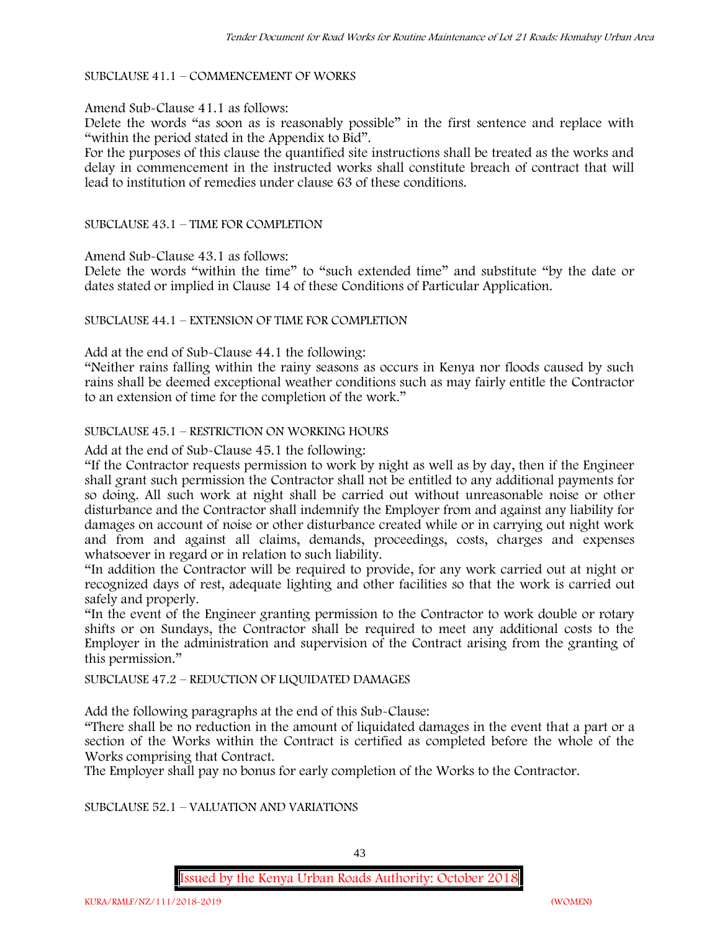#### SUBCLAUSE 41.1 – COMMENCEMENT OF WORKS

#### Amend Sub-Clause 41.1 as follows:

Delete the words "as soon as is reasonably possible" in the first sentence and replace with "within the period stated in the Appendix to Bid".

For the purposes of this clause the quantified site instructions shall be treated as the works and delay in commencement in the instructed works shall constitute breach of contract that will lead to institution of remedies under clause 63 of these conditions.

#### SUBCLAUSE 43.1 – TIME FOR COMPLETION

Amend Sub-Clause 43.1 as follows:

Delete the words "within the time" to "such extended time" and substitute "by the date or dates stated or implied in Clause 14 of these Conditions of Particular Application.

#### SUBCLAUSE 44.1 – EXTENSION OF TIME FOR COMPLETION

Add at the end of Sub-Clause 44.1 the following:

"Neither rains falling within the rainy seasons as occurs in Kenya nor floods caused by such rains shall be deemed exceptional weather conditions such as may fairly entitle the Contractor to an extension of time for the completion of the work."

#### SUBCLAUSE 45.1 – RESTRICTION ON WORKING HOURS

Add at the end of Sub-Clause 45.1 the following:

"If the Contractor requests permission to work by night as well as by day, then if the Engineer shall grant such permission the Contractor shall not be entitled to any additional payments for so doing. All such work at night shall be carried out without unreasonable noise or other disturbance and the Contractor shall indemnify the Employer from and against any liability for damages on account of noise or other disturbance created while or in carrying out night work and from and against all claims, demands, proceedings, costs, charges and expenses whatsoever in regard or in relation to such liability.

"In addition the Contractor will be required to provide, for any work carried out at night or recognized days of rest, adequate lighting and other facilities so that the work is carried out safely and properly.

"In the event of the Engineer granting permission to the Contractor to work double or rotary shifts or on Sundays, the Contractor shall be required to meet any additional costs to the Employer in the administration and supervision of the Contract arising from the granting of this permission."

#### SUBCLAUSE 47.2 – REDUCTION OF LIQUIDATED DAMAGES

Add the following paragraphs at the end of this Sub-Clause:

"There shall be no reduction in the amount of liquidated damages in the event that a part or a section of the Works within the Contract is certified as completed before the whole of the Works comprising that Contract.

The Employer shall pay no bonus for early completion of the Works to the Contractor.

SUBCLAUSE 52.1 – VALUATION AND VARIATIONS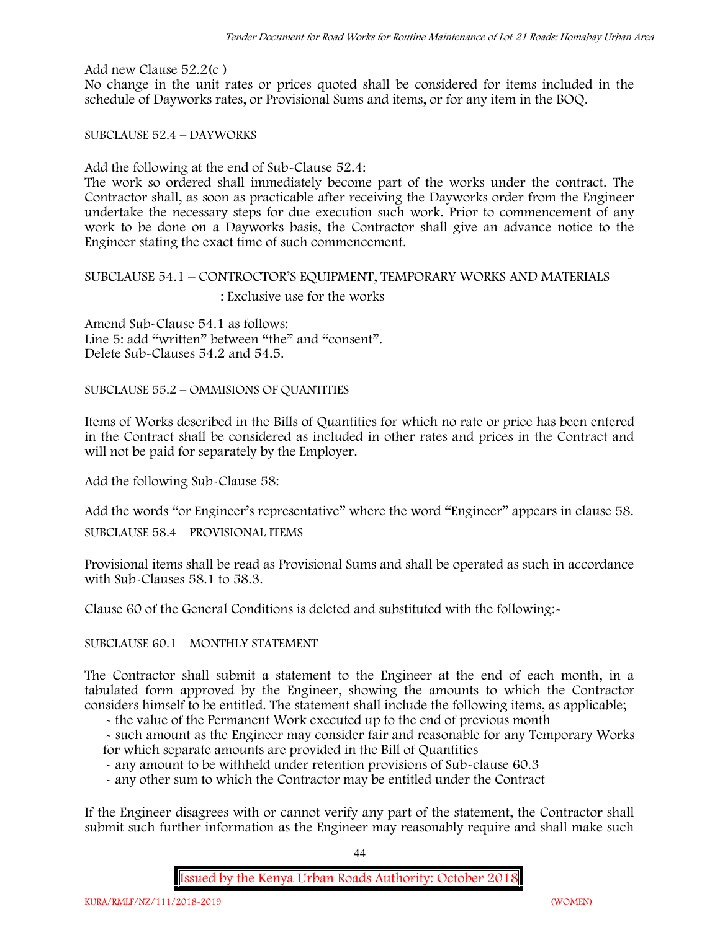Add new Clause 52.2(c )

No change in the unit rates or prices quoted shall be considered for items included in the schedule of Dayworks rates, or Provisional Sums and items, or for any item in the BOQ.

SUBCLAUSE 52.4 – DAYWORKS

Add the following at the end of Sub-Clause 52.4:

The work so ordered shall immediately become part of the works under the contract. The Contractor shall, as soon as practicable after receiving the Dayworks order from the Engineer undertake the necessary steps for due execution such work. Prior to commencement of any work to be done on a Dayworks basis, the Contractor shall give an advance notice to the Engineer stating the exact time of such commencement.

# SUBCLAUSE 54.1 – CONTROCTOR'S EQUIPMENT, TEMPORARY WORKS AND MATERIALS : Exclusive use for the works

Amend Sub-Clause 54.1 as follows: Line 5: add "written" between "the" and "consent". Delete Sub-Clauses 54.2 and 54.5.

SUBCLAUSE 55.2 – OMMISIONS OF QUANTITIES

Items of Works described in the Bills of Quantities for which no rate or price has been entered in the Contract shall be considered as included in other rates and prices in the Contract and will not be paid for separately by the Employer.

Add the following Sub-Clause 58:

Add the words "or Engineer's representative" where the word "Engineer" appears in clause 58.

SUBCLAUSE 58.4 – PROVISIONAL ITEMS

Provisional items shall be read as Provisional Sums and shall be operated as such in accordance with Sub-Clauses 58.1 to 58.3.

Clause 60 of the General Conditions is deleted and substituted with the following:-

SUBCLAUSE 60.1 – MONTHLY STATEMENT

The Contractor shall submit a statement to the Engineer at the end of each month, in a tabulated form approved by the Engineer, showing the amounts to which the Contractor considers himself to be entitled. The statement shall include the following items, as applicable;

- the value of the Permanent Work executed up to the end of previous month

- such amount as the Engineer may consider fair and reasonable for any Temporary Works for which separate amounts are provided in the Bill of Quantities

- any amount to be withheld under retention provisions of Sub-clause 60.3

- any other sum to which the Contractor may be entitled under the Contract

If the Engineer disagrees with or cannot verify any part of the statement, the Contractor shall submit such further information as the Engineer may reasonably require and shall make such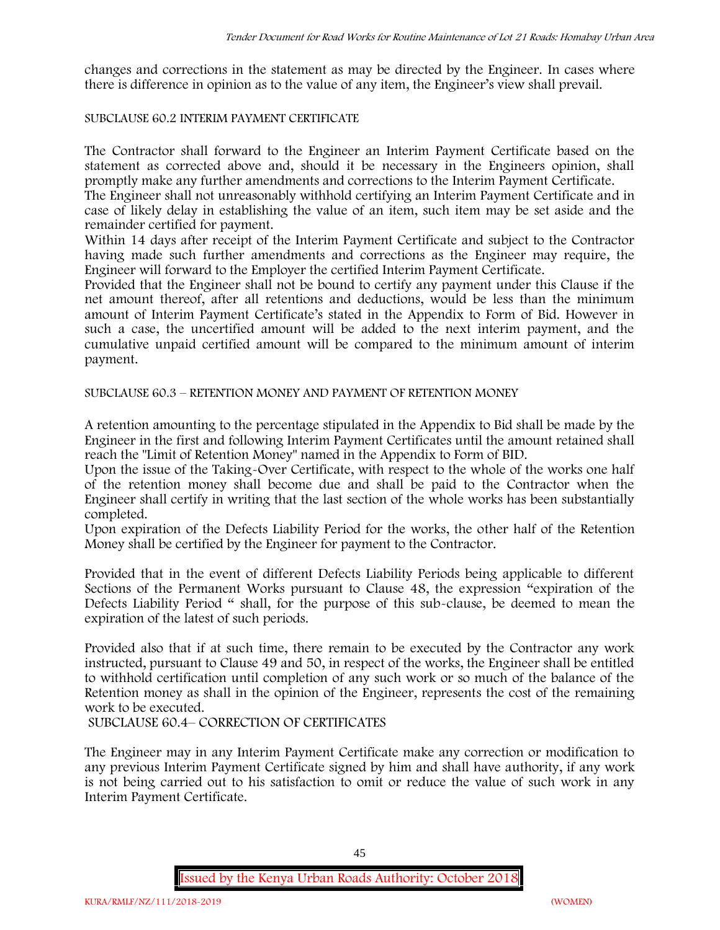changes and corrections in the statement as may be directed by the Engineer. In cases where there is difference in opinion as to the value of any item, the Engineer's view shall prevail.

#### SUBCLAUSE 60.2 INTERIM PAYMENT CERTIFICATE

The Contractor shall forward to the Engineer an Interim Payment Certificate based on the statement as corrected above and, should it be necessary in the Engineers opinion, shall promptly make any further amendments and corrections to the Interim Payment Certificate.

The Engineer shall not unreasonably withhold certifying an Interim Payment Certificate and in case of likely delay in establishing the value of an item, such item may be set aside and the remainder certified for payment.

Within 14 days after receipt of the Interim Payment Certificate and subject to the Contractor having made such further amendments and corrections as the Engineer may require, the Engineer will forward to the Employer the certified Interim Payment Certificate.

Provided that the Engineer shall not be bound to certify any payment under this Clause if the net amount thereof, after all retentions and deductions, would be less than the minimum amount of Interim Payment Certificate's stated in the Appendix to Form of Bid. However in such a case, the uncertified amount will be added to the next interim payment, and the cumulative unpaid certified amount will be compared to the minimum amount of interim payment.

SUBCLAUSE 60.3 – RETENTION MONEY AND PAYMENT OF RETENTION MONEY

A retention amounting to the percentage stipulated in the Appendix to Bid shall be made by the Engineer in the first and following Interim Payment Certificates until the amount retained shall reach the "Limit of Retention Money" named in the Appendix to Form of BID.

Upon the issue of the Taking-Over Certificate, with respect to the whole of the works one half of the retention money shall become due and shall be paid to the Contractor when the Engineer shall certify in writing that the last section of the whole works has been substantially completed.

Upon expiration of the Defects Liability Period for the works, the other half of the Retention Money shall be certified by the Engineer for payment to the Contractor.

Provided that in the event of different Defects Liability Periods being applicable to different Sections of the Permanent Works pursuant to Clause 48, the expression "expiration of the Defects Liability Period " shall, for the purpose of this sub-clause, be deemed to mean the expiration of the latest of such periods.

Provided also that if at such time, there remain to be executed by the Contractor any work instructed, pursuant to Clause 49 and 50, in respect of the works, the Engineer shall be entitled to withhold certification until completion of any such work or so much of the balance of the Retention money as shall in the opinion of the Engineer, represents the cost of the remaining work to be executed.

SUBCLAUSE 60.4– CORRECTION OF CERTIFICATES

The Engineer may in any Interim Payment Certificate make any correction or modification to any previous Interim Payment Certificate signed by him and shall have authority, if any work is not being carried out to his satisfaction to omit or reduce the value of such work in any Interim Payment Certificate.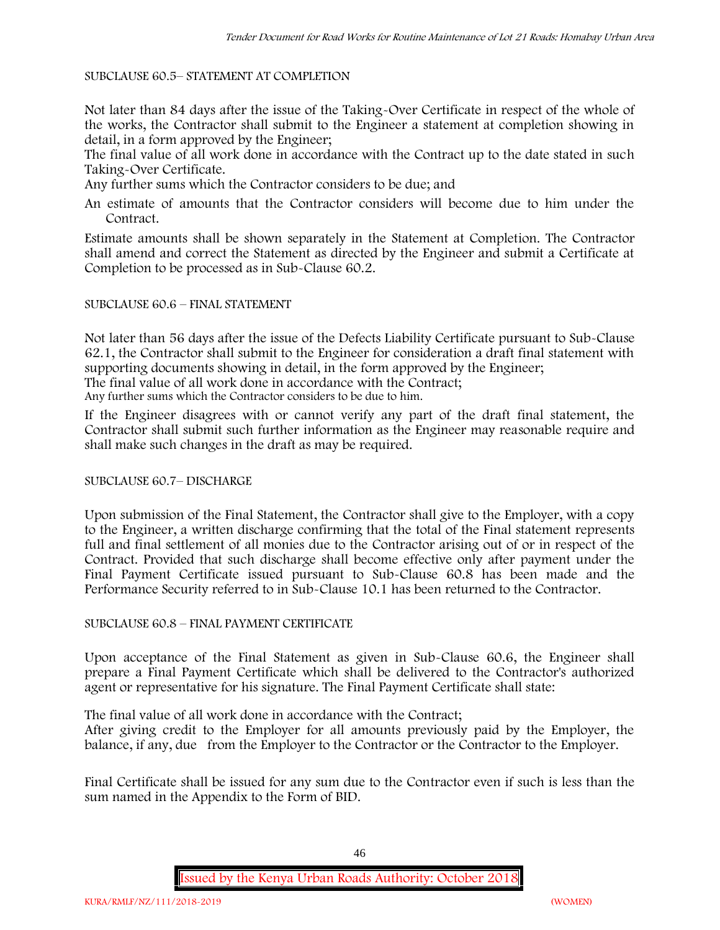### SUBCLAUSE 60.5– STATEMENT AT COMPLETION

Not later than 84 days after the issue of the Taking-Over Certificate in respect of the whole of the works, the Contractor shall submit to the Engineer a statement at completion showing in detail, in a form approved by the Engineer;

The final value of all work done in accordance with the Contract up to the date stated in such Taking-Over Certificate.

Any further sums which the Contractor considers to be due; and

An estimate of amounts that the Contractor considers will become due to him under the Contract.

Estimate amounts shall be shown separately in the Statement at Completion. The Contractor shall amend and correct the Statement as directed by the Engineer and submit a Certificate at Completion to be processed as in Sub-Clause 60.2.

### SUBCLAUSE 60.6 – FINAL STATEMENT

Not later than 56 days after the issue of the Defects Liability Certificate pursuant to Sub-Clause 62.1, the Contractor shall submit to the Engineer for consideration a draft final statement with supporting documents showing in detail, in the form approved by the Engineer;

The final value of all work done in accordance with the Contract;

Any further sums which the Contractor considers to be due to him.

If the Engineer disagrees with or cannot verify any part of the draft final statement, the Contractor shall submit such further information as the Engineer may reasonable require and shall make such changes in the draft as may be required.

### SUBCLAUSE 60.7– DISCHARGE

Upon submission of the Final Statement, the Contractor shall give to the Employer, with a copy to the Engineer, a written discharge confirming that the total of the Final statement represents full and final settlement of all monies due to the Contractor arising out of or in respect of the Contract. Provided that such discharge shall become effective only after payment under the Final Payment Certificate issued pursuant to Sub-Clause 60.8 has been made and the Performance Security referred to in Sub-Clause 10.1 has been returned to the Contractor.

### SUBCLAUSE 60.8 – FINAL PAYMENT CERTIFICATE

Upon acceptance of the Final Statement as given in Sub-Clause 60.6, the Engineer shall prepare a Final Payment Certificate which shall be delivered to the Contractor's authorized agent or representative for his signature. The Final Payment Certificate shall state:

The final value of all work done in accordance with the Contract;

After giving credit to the Employer for all amounts previously paid by the Employer, the balance, if any, due from the Employer to the Contractor or the Contractor to the Employer.

Final Certificate shall be issued for any sum due to the Contractor even if such is less than the sum named in the Appendix to the Form of BID.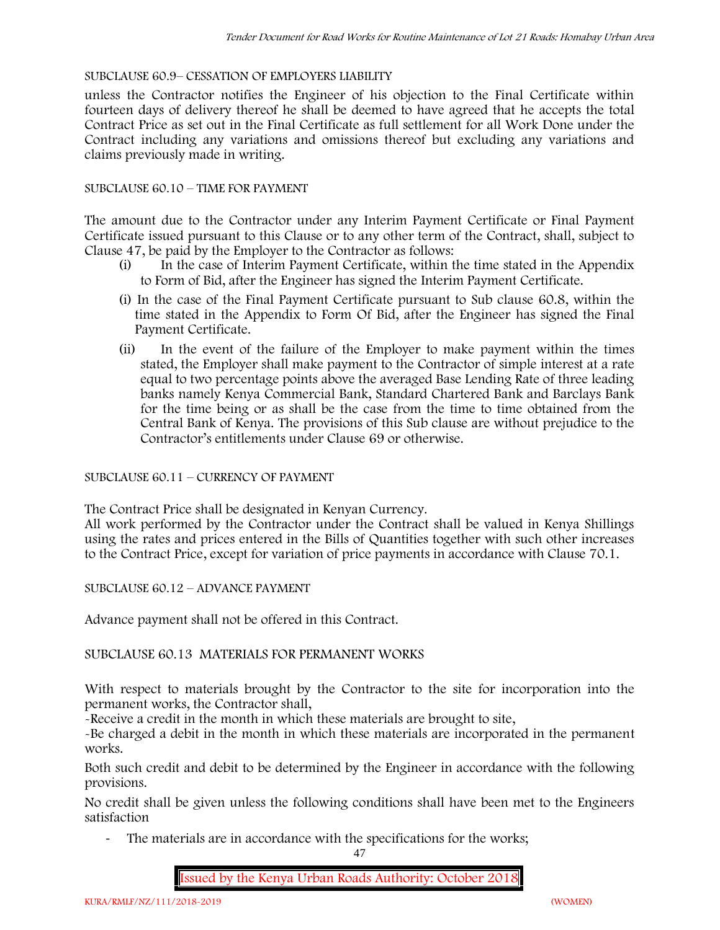### SUBCLAUSE 60.9– CESSATION OF EMPLOYERS LIABILITY

unless the Contractor notifies the Engineer of his objection to the Final Certificate within fourteen days of delivery thereof he shall be deemed to have agreed that he accepts the total Contract Price as set out in the Final Certificate as full settlement for all Work Done under the Contract including any variations and omissions thereof but excluding any variations and claims previously made in writing.

### SUBCLAUSE 60.10 – TIME FOR PAYMENT

The amount due to the Contractor under any Interim Payment Certificate or Final Payment Certificate issued pursuant to this Clause or to any other term of the Contract, shall, subject to Clause 47, be paid by the Employer to the Contractor as follows:

- (i) In the case of Interim Payment Certificate, within the time stated in the Appendix to Form of Bid, after the Engineer has signed the Interim Payment Certificate.
- (i) In the case of the Final Payment Certificate pursuant to Sub clause 60.8, within the time stated in the Appendix to Form Of Bid, after the Engineer has signed the Final Payment Certificate.
- (ii) In the event of the failure of the Employer to make payment within the times stated, the Employer shall make payment to the Contractor of simple interest at a rate equal to two percentage points above the averaged Base Lending Rate of three leading banks namely Kenya Commercial Bank, Standard Chartered Bank and Barclays Bank for the time being or as shall be the case from the time to time obtained from the Central Bank of Kenya. The provisions of this Sub clause are without prejudice to the Contractor's entitlements under Clause 69 or otherwise.

# SUBCLAUSE 60.11 – CURRENCY OF PAYMENT

The Contract Price shall be designated in Kenyan Currency.

All work performed by the Contractor under the Contract shall be valued in Kenya Shillings using the rates and prices entered in the Bills of Quantities together with such other increases to the Contract Price, except for variation of price payments in accordance with Clause 70.1.

SUBCLAUSE 60.12 – ADVANCE PAYMENT

Advance payment shall not be offered in this Contract.

### SUBCLAUSE 60.13 MATERIALS FOR PERMANENT WORKS

With respect to materials brought by the Contractor to the site for incorporation into the permanent works, the Contractor shall,

-Receive a credit in the month in which these materials are brought to site,

-Be charged a debit in the month in which these materials are incorporated in the permanent works.

Both such credit and debit to be determined by the Engineer in accordance with the following provisions.

No credit shall be given unless the following conditions shall have been met to the Engineers satisfaction

- The materials are in accordance with the specifications for the works;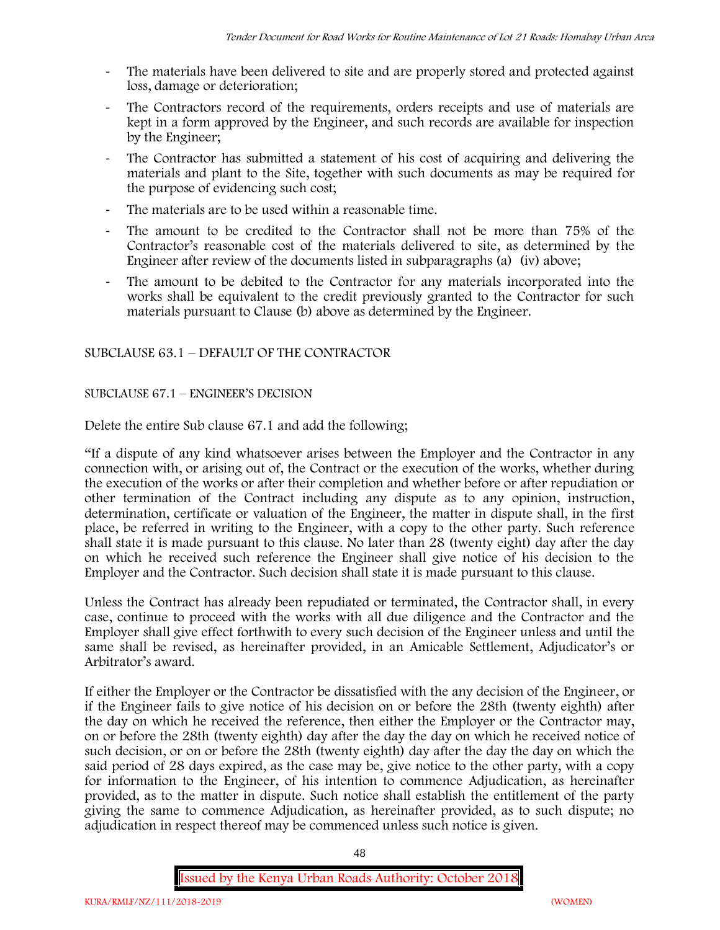- The materials have been delivered to site and are properly stored and protected against loss, damage or deterioration;
- The Contractors record of the requirements, orders receipts and use of materials are kept in a form approved by the Engineer, and such records are available for inspection by the Engineer;
- The Contractor has submitted a statement of his cost of acquiring and delivering the materials and plant to the Site, together with such documents as may be required for the purpose of evidencing such cost;
- The materials are to be used within a reasonable time.
- The amount to be credited to the Contractor shall not be more than 75% of the Contractor's reasonable cost of the materials delivered to site, as determined by the Engineer after review of the documents listed in subparagraphs (a) (iv) above;
- The amount to be debited to the Contractor for any materials incorporated into the works shall be equivalent to the credit previously granted to the Contractor for such materials pursuant to Clause (b) above as determined by the Engineer.

# SUBCLAUSE 63.1 – DEFAULT OF THE CONTRACTOR

### SUBCLAUSE 67.1 – ENGINEER'S DECISION

Delete the entire Sub clause 67.1 and add the following;

"If a dispute of any kind whatsoever arises between the Employer and the Contractor in any connection with, or arising out of, the Contract or the execution of the works, whether during the execution of the works or after their completion and whether before or after repudiation or other termination of the Contract including any dispute as to any opinion, instruction, determination, certificate or valuation of the Engineer, the matter in dispute shall, in the first place, be referred in writing to the Engineer, with a copy to the other party. Such reference shall state it is made pursuant to this clause. No later than 28 (twenty eight) day after the day on which he received such reference the Engineer shall give notice of his decision to the Employer and the Contractor. Such decision shall state it is made pursuant to this clause.

Unless the Contract has already been repudiated or terminated, the Contractor shall, in every case, continue to proceed with the works with all due diligence and the Contractor and the Employer shall give effect forthwith to every such decision of the Engineer unless and until the same shall be revised, as hereinafter provided, in an Amicable Settlement, Adjudicator's or Arbitrator's award.

If either the Employer or the Contractor be dissatisfied with the any decision of the Engineer, or if the Engineer fails to give notice of his decision on or before the 28th (twenty eighth) after the day on which he received the reference, then either the Employer or the Contractor may, on or before the 28th (twenty eighth) day after the day the day on which he received notice of such decision, or on or before the 28th (twenty eighth) day after the day the day on which the said period of 28 days expired, as the case may be, give notice to the other party, with a copy for information to the Engineer, of his intention to commence Adjudication, as hereinafter provided, as to the matter in dispute. Such notice shall establish the entitlement of the party giving the same to commence Adjudication, as hereinafter provided, as to such dispute; no adjudication in respect thereof may be commenced unless such notice is given.

48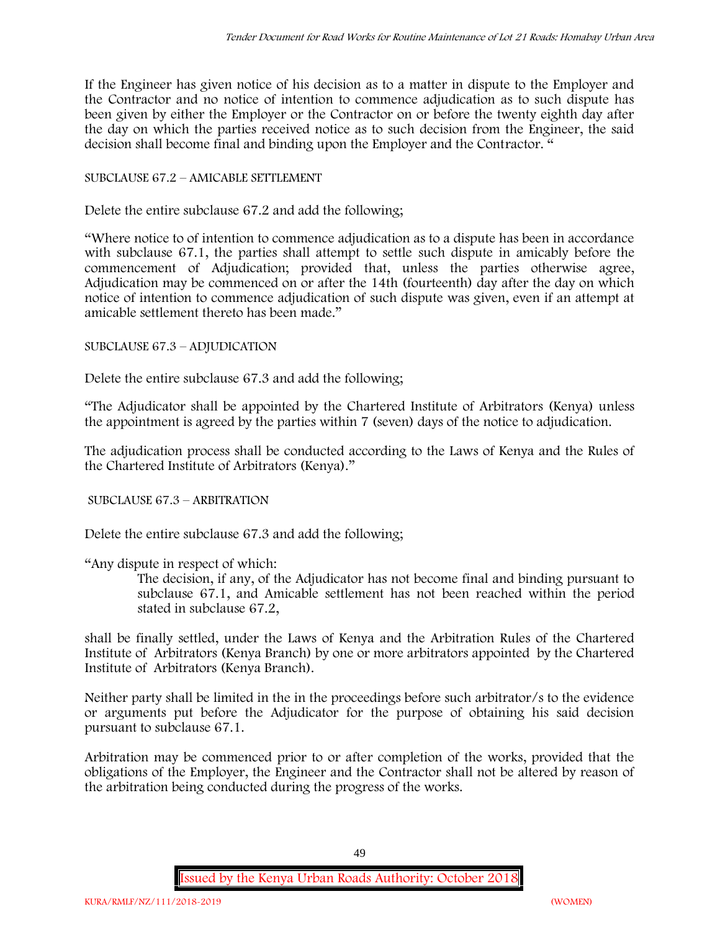If the Engineer has given notice of his decision as to a matter in dispute to the Employer and the Contractor and no notice of intention to commence adjudication as to such dispute has been given by either the Employer or the Contractor on or before the twenty eighth day after the day on which the parties received notice as to such decision from the Engineer, the said decision shall become final and binding upon the Employer and the Contractor. "

# SUBCLAUSE 67.2 – AMICABLE SETTLEMENT

Delete the entire subclause 67.2 and add the following;

"Where notice to of intention to commence adjudication as to a dispute has been in accordance with subclause 67.1, the parties shall attempt to settle such dispute in amicably before the commencement of Adjudication; provided that, unless the parties otherwise agree, Adjudication may be commenced on or after the 14th (fourteenth) day after the day on which notice of intention to commence adjudication of such dispute was given, even if an attempt at amicable settlement thereto has been made."

# SUBCLAUSE 67.3 – ADJUDICATION

Delete the entire subclause 67.3 and add the following;

"The Adjudicator shall be appointed by the Chartered Institute of Arbitrators (Kenya) unless the appointment is agreed by the parties within 7 (seven) days of the notice to adjudication.

The adjudication process shall be conducted according to the Laws of Kenya and the Rules of the Chartered Institute of Arbitrators (Kenya)."

SUBCLAUSE 67.3 – ARBITRATION

Delete the entire subclause 67.3 and add the following;

"Any dispute in respect of which:

The decision, if any, of the Adjudicator has not become final and binding pursuant to subclause 67.1, and Amicable settlement has not been reached within the period stated in subclause 67.2,

shall be finally settled, under the Laws of Kenya and the Arbitration Rules of the Chartered Institute of Arbitrators (Kenya Branch) by one or more arbitrators appointed by the Chartered Institute of Arbitrators (Kenya Branch).

Neither party shall be limited in the in the proceedings before such arbitrator/s to the evidence or arguments put before the Adjudicator for the purpose of obtaining his said decision pursuant to subclause 67.1.

Arbitration may be commenced prior to or after completion of the works, provided that the obligations of the Employer, the Engineer and the Contractor shall not be altered by reason of the arbitration being conducted during the progress of the works.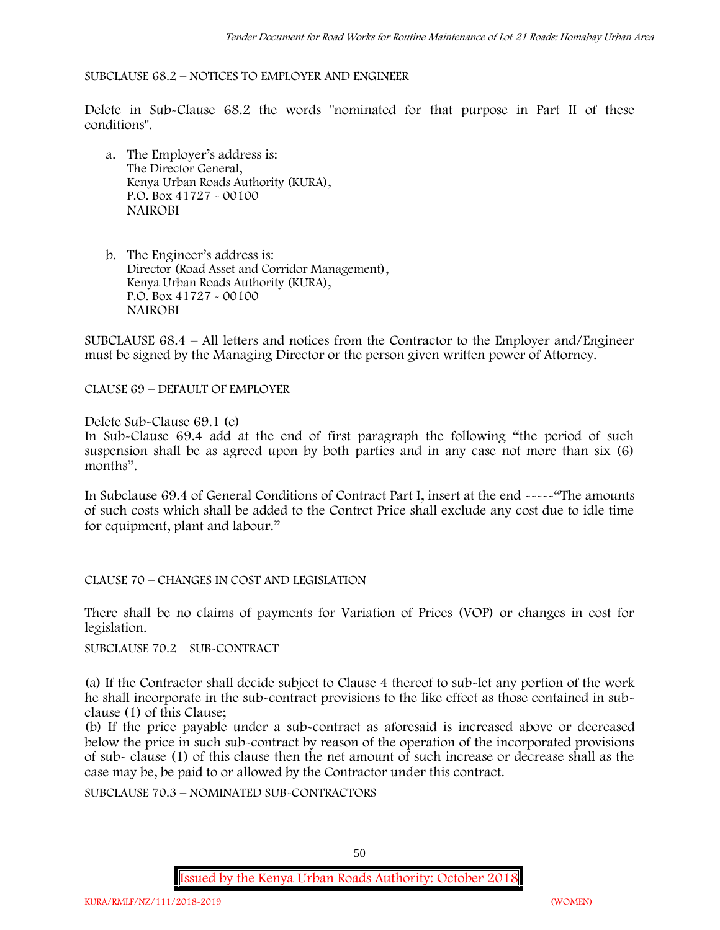#### SUBCLAUSE 68.2 – NOTICES TO EMPLOYER AND ENGINEER

Delete in Sub-Clause 68.2 the words "nominated for that purpose in Part II of these conditions".

- a. The Employer's address is: The Director General, Kenya Urban Roads Authority (KURA), P.O. Box 41727 - 00100 **NAIROBI**
- b. The Engineer's address is: Director (Road Asset and Corridor Management), Kenya Urban Roads Authority (KURA), P.O. Box 41727 - 00100 **NAIROBI**

SUBCLAUSE 68.4 – All letters and notices from the Contractor to the Employer and/Engineer must be signed by the Managing Director or the person given written power of Attorney.

CLAUSE 69 – DEFAULT OF EMPLOYER

Delete Sub-Clause 69.1 (c)

In Sub-Clause 69.4 add at the end of first paragraph the following "the period of such suspension shall be as agreed upon by both parties and in any case not more than six (6) months".

In Subclause 69.4 of General Conditions of Contract Part I, insert at the end -----"The amounts of such costs which shall be added to the Contrct Price shall exclude any cost due to idle time for equipment, plant and labour."

CLAUSE 70 – CHANGES IN COST AND LEGISLATION

There shall be no claims of payments for Variation of Prices (VOP) or changes in cost for legislation.

SUBCLAUSE 70.2 – SUB-CONTRACT

(a) If the Contractor shall decide subject to Clause 4 thereof to sub-let any portion of the work he shall incorporate in the sub-contract provisions to the like effect as those contained in sub clause (1) of this Clause;

(b) If the price payable under a sub-contract as aforesaid is increased above or decreased below the price in such sub-contract by reason of the operation of the incorporated provisions of sub- clause (1) of this clause then the net amount of such increase or decrease shall as the case may be, be paid to or allowed by the Contractor under this contract.

SUBCLAUSE 70.3 – NOMINATED SUB-CONTRACTORS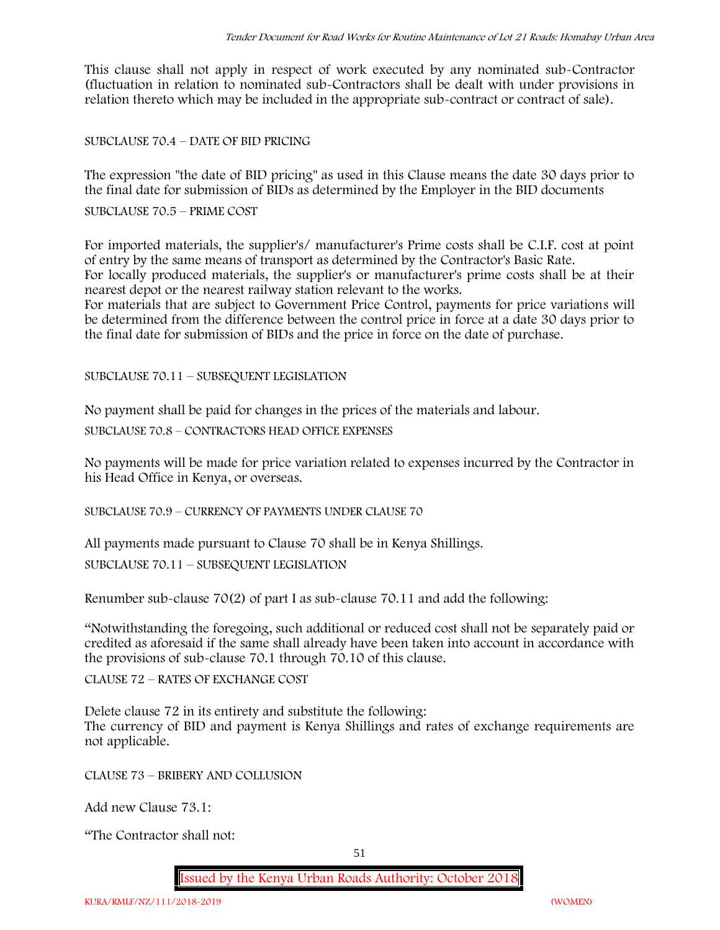This clause shall not apply in respect of work executed by any nominated sub-Contractor (fluctuation in relation to nominated sub-Contractors shall be dealt with under provisions in relation thereto which may be included in the appropriate sub-contract or contract of sale).

SUBCLAUSE 70.4 – DATE OF BID PRICING

The expression "the date of BID pricing" as used in this Clause means the date 30 days prior to the final date for submission of BIDs as determined by the Employer in the BID documents

SUBCLAUSE 70.5 – PRIME COST

For imported materials, the supplier's/ manufacturer's Prime costs shall be C.I.F. cost at point of entry by the same means of transport as determined by the Contractor's Basic Rate. For locally produced materials, the supplier's or manufacturer's prime costs shall be at their nearest depot or the nearest railway station relevant to the works.

For materials that are subject to Government Price Control, payments for price variations will be determined from the difference between the control price in force at a date 30 days prior to the final date for submission of BIDs and the price in force on the date of purchase.

SUBCLAUSE 70.11 – SUBSEQUENT LEGISLATION

No payment shall be paid for changes in the prices of the materials and labour.

SUBCLAUSE 70.8 – CONTRACTORS HEAD OFFICE EXPENSES

No payments will be made for price variation related to expenses incurred by the Contractor in his Head Office in Kenya, or overseas.

SUBCLAUSE 70.9 – CURRENCY OF PAYMENTS UNDER CLAUSE 70

All payments made pursuant to Clause 70 shall be in Kenya Shillings.

SUBCLAUSE 70.11 – SUBSEQUENT LEGISLATION

Renumber sub-clause 70(2) of part I as sub-clause 70.11 and add the following:

"Notwithstanding the foregoing, such additional or reduced cost shall not be separately paid or credited as aforesaid if the same shall already have been taken into account in accordance with the provisions of sub-clause 70.1 through 70.10 of this clause.

CLAUSE 72 – RATES OF EXCHANGE COST

Delete clause 72 in its entirety and substitute the following: The currency of BID and payment is Kenya Shillings and rates of exchange requirements are not applicable.

CLAUSE 73 – BRIBERY AND COLLUSION

Add new Clause 73.1:

"The Contractor shall not: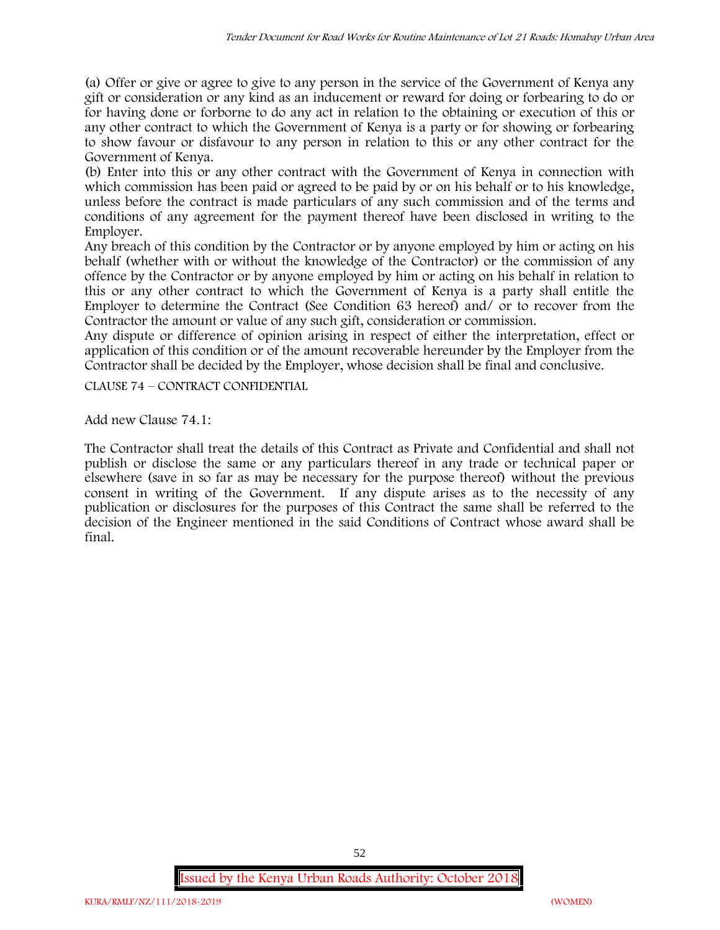(a) Offer or give or agree to give to any person in the service of the Government of Kenya any gift or consideration or any kind as an inducement or reward for doing or forbearing to do or for having done or forborne to do any act in relation to the obtaining or execution of this or any other contract to which the Government of Kenya is a party or for showing or forbearing to show favour or disfavour to any person in relation to this or any other contract for the Government of Kenya.

(b) Enter into this or any other contract with the Government of Kenya in connection with which commission has been paid or agreed to be paid by or on his behalf or to his knowledge, unless before the contract is made particulars of any such commission and of the terms and conditions of any agreement for the payment thereof have been disclosed in writing to the Employer.

Any breach of this condition by the Contractor or by anyone employed by him or acting on his behalf (whether with or without the knowledge of the Contractor) or the commission of any offence by the Contractor or by anyone employed by him or acting on his behalf in relation to this or any other contract to which the Government of Kenya is a party shall entitle the Employer to determine the Contract (See Condition 63 hereof) and/ or to recover from the Contractor the amount or value of any such gift, consideration or commission.

Any dispute or difference of opinion arising in respect of either the interpretation, effect or application of this condition or of the amount recoverable hereunder by the Employer from the Contractor shall be decided by the Employer, whose decision shall be final and conclusive.

CLAUSE 74 – CONTRACT CONFIDENTIAL

Add new Clause 74.1:

The Contractor shall treat the details of this Contract as Private and Confidential and shall not publish or disclose the same or any particulars thereof in any trade or technical paper or elsewhere (save in so far as may be necessary for the purpose thereof) without the previous consent in writing of the Government. If any dispute arises as to the necessity of any publication or disclosures for the purposes of this Contract the same shall be referred to the decision of the Engineer mentioned in the said Conditions of Contract whose award shall be final.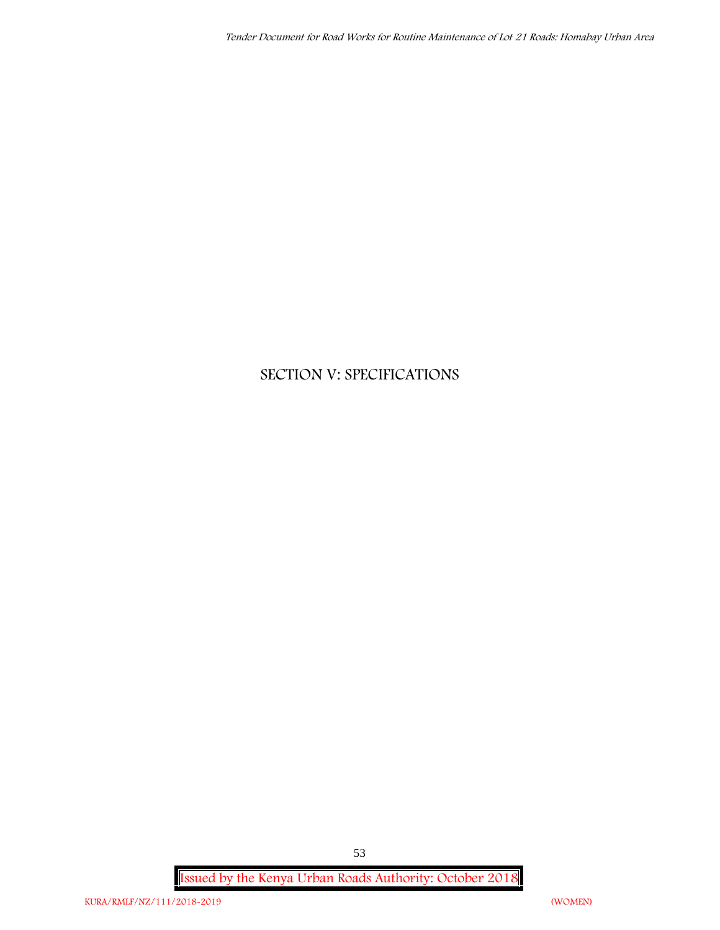# **SECTION V: SPECIFICATIONS**

**Issued by the Kenya Urban Roads Authority: October 2018**

53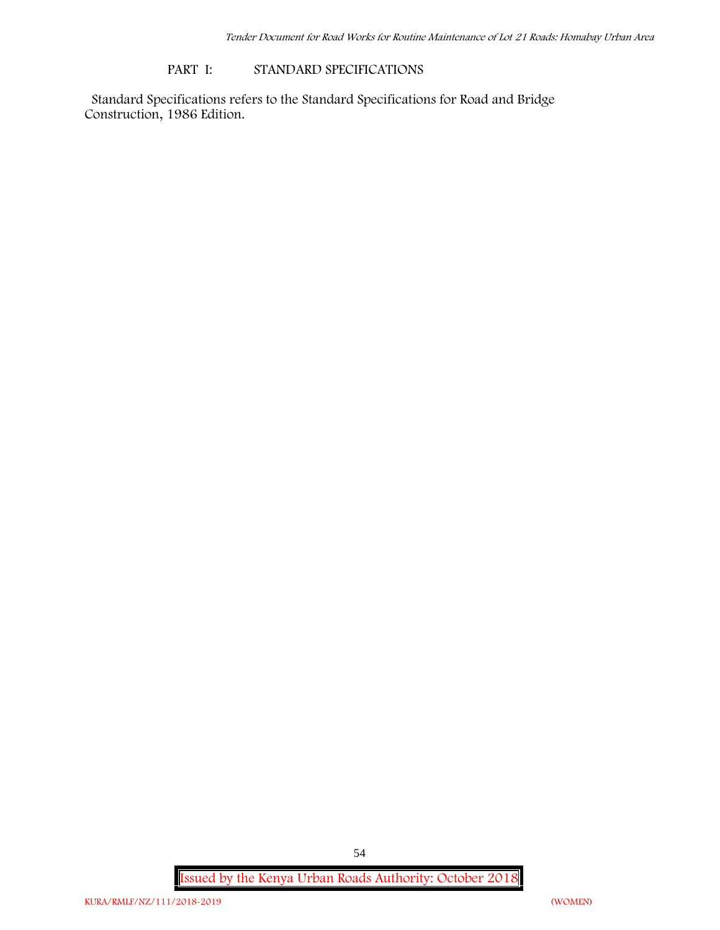#### **PART I: STANDARD SPECIFICATIONS**

Standard Specifications refers to the Standard Specifications for Road and Bridge Construction, 1986 Edition.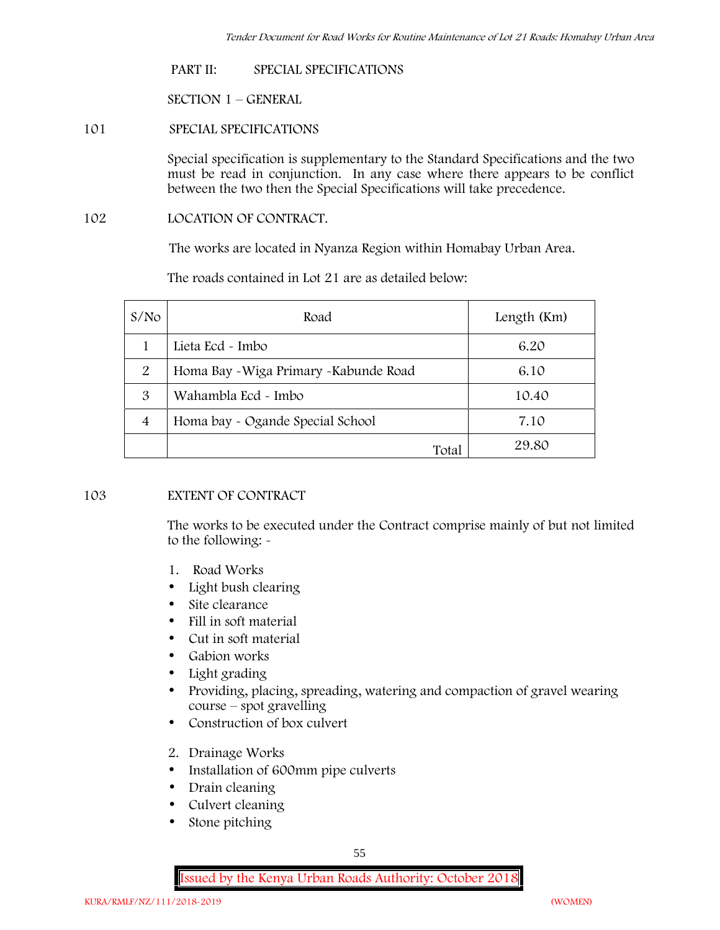#### **PART II: SPECIAL SPECIFICATIONS**

**SECTION 1 – GENERAL**

# **101 SPECIAL SPECIFICATIONS**

Special specification is supplementary to the Standard Specifications and the two must be read in conjunction. In any case where there appears to be conflict between the two then the Special Specifications will take precedence.

#### **102 LOCATION OF CONTRACT.**

The works are located in Nyanza Region within Homabay Urban Area.

The roads contained in Lot 21 are as detailed below:

| S/N <sub>O</sub> | Road                                   | Length (Km) |
|------------------|----------------------------------------|-------------|
|                  | Lieta Ecd - Imbo                       | 6.20        |
| 2                | Homa Bay - Wiga Primary - Kabunde Road | 6.10        |
| 3                | Wahambla Ecd - Imbo                    | 10.40       |
| 4                | Homa bay - Ogande Special School       | 7.10        |
|                  | Total                                  | 29.80       |

### **103 EXTENT OF CONTRACT**

The works to be executed under the Contract comprise mainly of but not limited to the following: -

- **1. Road Works**
- Light bush clearing
- Site clearance
- Fill in soft material
- Cut in soft material
- Gabion works
- Light grading
- Providing, placing, spreading, watering and compaction of gravel wearing course – spot gravelling
- Construction of box culvert
- **2. Drainage Works**
- Installation of 600mm pipe culverts
- Drain cleaning
- Culvert cleaning
- Stone pitching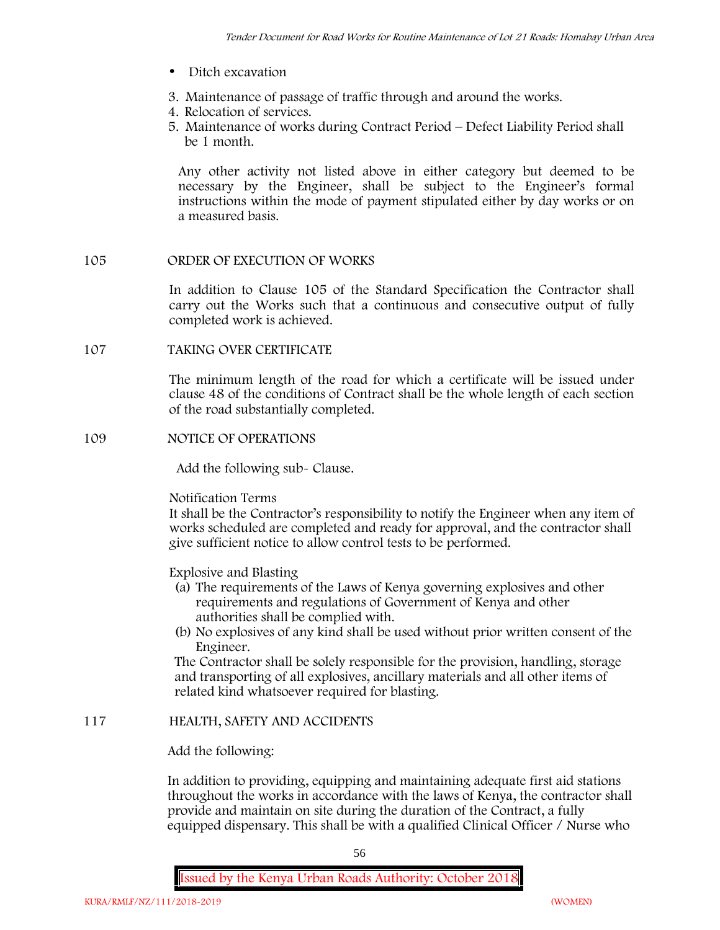- Ditch excavation
- **3. Maintenance of passage of traffic through and around the works.**
- **4. Relocation of services.**
- **5. Maintenance of works during Contract Period – Defect Liability Period shall be 1 month.**

Any other activity not listed above in either category but deemed to be necessary by the Engineer, shall be subject to the Engineer's formal instructions within the mode of payment stipulated either by day works or on a measured basis.

### **105 ORDER OF EXECUTION OF WORKS**

In addition to Clause 105 of the Standard Specification the Contractor shall carry out the Works such that a continuous and consecutive output of fully completed work is achieved.

#### **107 TAKING OVER CERTIFICATE**

The minimum length of the road for which a certificate will be issued under clause 48 of the conditions of Contract shall be the whole length of each section of the road substantially completed.

#### **109 NOTICE OF OPERATIONS**

Add the following sub- Clause.

#### Notification Terms

It shall be the Contractor's responsibility to notify the Engineer when any item of works scheduled are completed and ready for approval, and the contractor shall give sufficient notice to allow control tests to be performed.

### Explosive and Blasting

- (a) The requirements of the Laws of Kenya governing explosives and other requirements and regulations of Government of Kenya and other authorities shall be complied with.
- (b) No explosives of any kind shall be used without prior written consent of the Engineer.

The Contractor shall be solely responsible for the provision, handling, storage and transporting of all explosives, ancillary materials and all other items of related kind whatsoever required for blasting.

### **117 HEALTH, SAFETY AND ACCIDENTS**

# Add the following:

In addition to providing, equipping and maintaining adequate first aid stations throughout the works in accordance with the laws of Kenya, the contractor shall provide and maintain on site during the duration of the Contract, a fully equipped dispensary. This shall be with a qualified Clinical Officer / Nurse who

56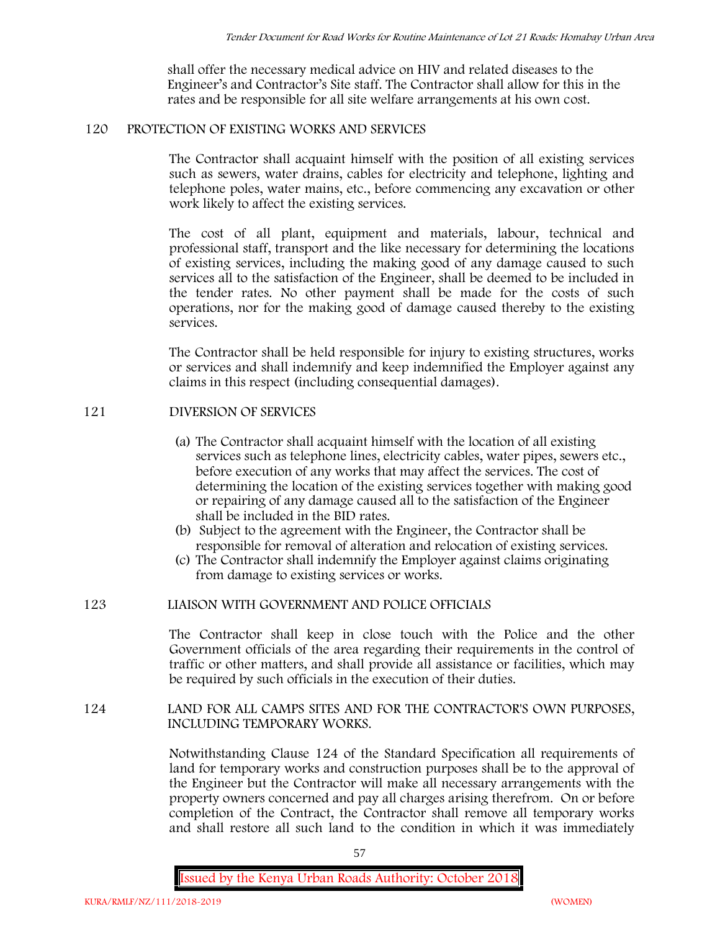shall offer the necessary medical advice on HIV and related diseases to the Engineer's and Contractor's Site staff. The Contractor shall allow for this in the rates and be responsible for all site welfare arrangements at his own cost.

# **120 PROTECTION OF EXISTING WORKS AND SERVICES**

The Contractor shall acquaint himself with the position of all existing services such as sewers, water drains, cables for electricity and telephone, lighting and telephone poles, water mains, etc., before commencing any excavation or other work likely to affect the existing services.

The cost of all plant, equipment and materials, labour, technical and professional staff, transport and the like necessary for determining the locations of existing services, including the making good of any damage caused to such services all to the satisfaction of the Engineer, shall be deemed to be included in the tender rates. No other payment shall be made for the costs of such operations, nor for the making good of damage caused thereby to the existing services.

The Contractor shall be held responsible for injury to existing structures, works or services and shall indemnify and keep indemnified the Employer against any claims in this respect (including consequential damages).

# **121 DIVERSION OF SERVICES**

- (a) The Contractor shall acquaint himself with the location of all existing services such as telephone lines, electricity cables, water pipes, sewers etc., before execution of any works that may affect the services. The cost of determining the location of the existing services together with making good or repairing of any damage caused all to the satisfaction of the Engineer shall be included in the BID rates.
- (b) Subject to the agreement with the Engineer, the Contractor shall be responsible for removal of alteration and relocation of existing services.
- (c) The Contractor shall indemnify the Employer against claims originating from damage to existing services or works.

# **123 LIAISON WITH GOVERNMENT AND POLICE OFFICIALS**

The Contractor shall keep in close touch with the Police and the other Government officials of the area regarding their requirements in the control of traffic or other matters, and shall provide all assistance or facilities, which may be required by such officials in the execution of their duties.

# **124 LAND FOR ALL CAMPS SITES AND FOR THE CONTRACTOR'S OWN PURPOSES, INCLUDING TEMPORARY WORKS.**

Notwithstanding Clause 124 of the Standard Specification all requirements of land for temporary works and construction purposes shall be to the approval of the Engineer but the Contractor will make all necessary arrangements with the property owners concerned and pay all charges arising therefrom. On or before completion of the Contract, the Contractor shall remove all temporary works and shall restore all such land to the condition in which it was immediately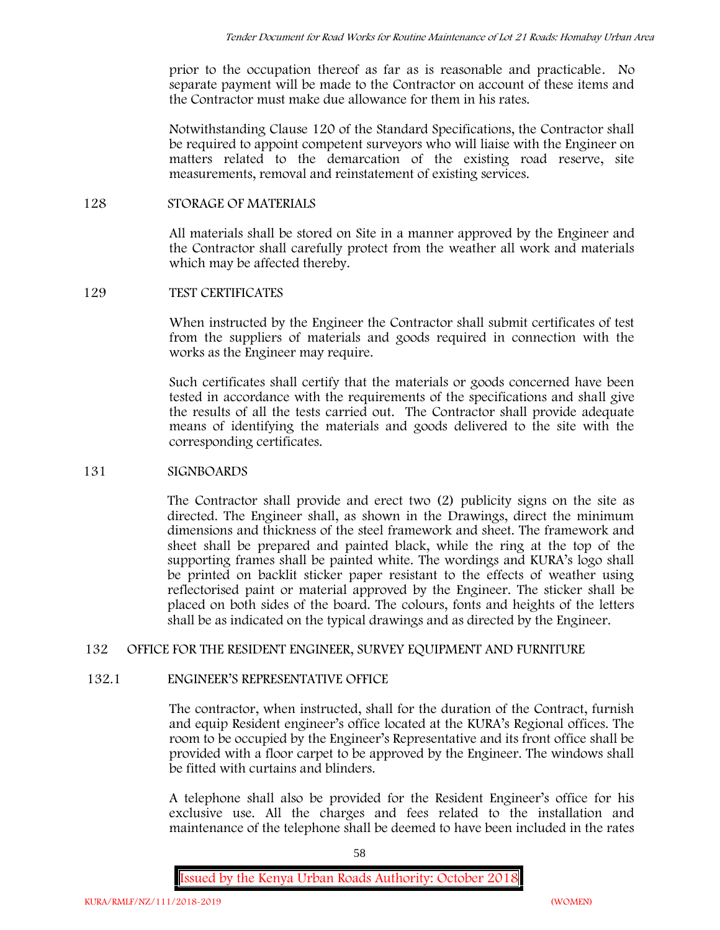prior to the occupation thereof as far as is reasonable and practicable. No separate payment will be made to the Contractor on account of these items and the Contractor must make due allowance for them in his rates.

Notwithstanding Clause 120 of the Standard Specifications, the Contractor shall be required to appoint competent surveyors who will liaise with the Engineer on matters related to the demarcation of the existing road reserve, site measurements, removal and reinstatement of existing services.

### **128 STORAGE OF MATERIALS**

All materials shall be stored on Site in a manner approved by the Engineer and the Contractor shall carefully protect from the weather all work and materials which may be affected thereby.

### **129 TEST CERTIFICATES**

When instructed by the Engineer the Contractor shall submit certificates of test from the suppliers of materials and goods required in connection with the works as the Engineer may require.

Such certificates shall certify that the materials or goods concerned have been tested in accordance with the requirements of the specifications and shall give the results of all the tests carried out. The Contractor shall provide adequate means of identifying the materials and goods delivered to the site with the corresponding certificates.

#### **131 SIGNBOARDS**

The Contractor shall provide and erect two (2) publicity signs on the site as directed. The Engineer shall, as shown in the Drawings, direct the minimum dimensions and thickness of the steel framework and sheet. The framework and sheet shall be prepared and painted black, while the ring at the top of the supporting frames shall be painted white. The wordings and KURA's logo shall be printed on backlit sticker paper resistant to the effects of weather using reflectorised paint or material approved by the Engineer. The sticker shall be placed on both sides of the board. The colours, fonts and heights of the letters shall be as indicated on the typical drawings and as directed by the Engineer.

# **132 OFFICE FOR THE RESIDENT ENGINEER, SURVEY EQUIPMENT AND FURNITURE**

### **132.1 ENGINEER'S REPRESENTATIVE OFFICE**

The contractor, when instructed, shall for the duration of the Contract, furnish and equip Resident engineer's office located at the KURA's Regional offices. The room to be occupied by the Engineer's Representative and its front office shall be provided with a floor carpet to be approved by the Engineer. The windows shall be fitted with curtains and blinders.

A telephone shall also be provided for the Resident Engineer's office for his exclusive use. All the charges and fees related to the installation and maintenance of the telephone shall be deemed to have been included in the rates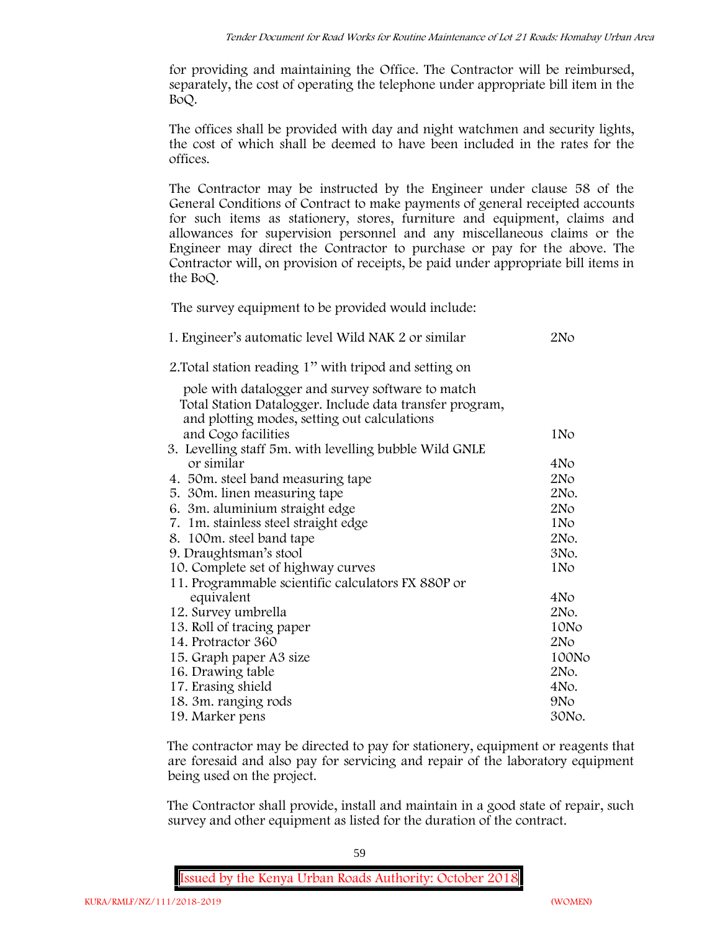for providing and maintaining the Office. The Contractor will be reimbursed, separately, the cost of operating the telephone under appropriate bill item in the BoQ.

The offices shall be provided with day and night watchmen and security lights, the cost of which shall be deemed to have been included in the rates for the offices.

The Contractor may be instructed by the Engineer under clause 58 of the General Conditions of Contract to make payments of general receipted accounts for such items as stationery, stores, furniture and equipment, claims and allowances for supervision personnel and any miscellaneous claims or the Engineer may direct the Contractor to purchase or pay for the above. The Contractor will, on provision of receipts, be paid under appropriate bill items in the BoQ.

**The survey equipment to be provided would include:**

| 1. Engineer's automatic level Wild NAK 2 or similar      | 2No             |
|----------------------------------------------------------|-----------------|
| 2. Total station reading 1" with tripod and setting on   |                 |
| pole with datalogger and survey software to match        |                 |
| Total Station Datalogger. Include data transfer program, |                 |
| and plotting modes, setting out calculations             |                 |
| and Cogo facilities                                      | 1N <sub>o</sub> |
| 3. Levelling staff 5m. with levelling bubble Wild GNLE   |                 |
| or similar                                               | 4No             |
| 4. 50m. steel band measuring tape                        | 2No             |
| 5. 30 m. linen measuring tape                            | 2No.            |
| 6. 3m. aluminium straight edge                           | 2N <sub>O</sub> |
| 7. 1m. stainless steel straight edge                     | 1N <sub>o</sub> |
| 8. 100m. steel band tape                                 | 2No.            |
| 9. Draughtsman's stool                                   | 3No.            |
| 10. Complete set of highway curves                       | 1No             |
| 11. Programmable scientific calculators FX 880P or       |                 |
| equivalent                                               | 4No             |
| 12. Survey umbrella                                      | 2No.            |
| 13. Roll of tracing paper                                | 10No            |
| 14. Protractor 360                                       | 2No             |
| 15. Graph paper A3 size                                  | 100No           |
| 16. Drawing table                                        | 2No.            |
| 17. Erasing shield                                       | 4No.            |
| 18. 3m. ranging rods                                     | 9No             |
| 19. Marker pens                                          | 30No.           |

The contractor may be directed to pay for stationery, equipment or reagents that are foresaid and also pay for servicing and repair of the laboratory equipment being used on the project.

The Contractor shall provide, install and maintain in a good state of repair, such survey and other equipment as listed for the duration of the contract.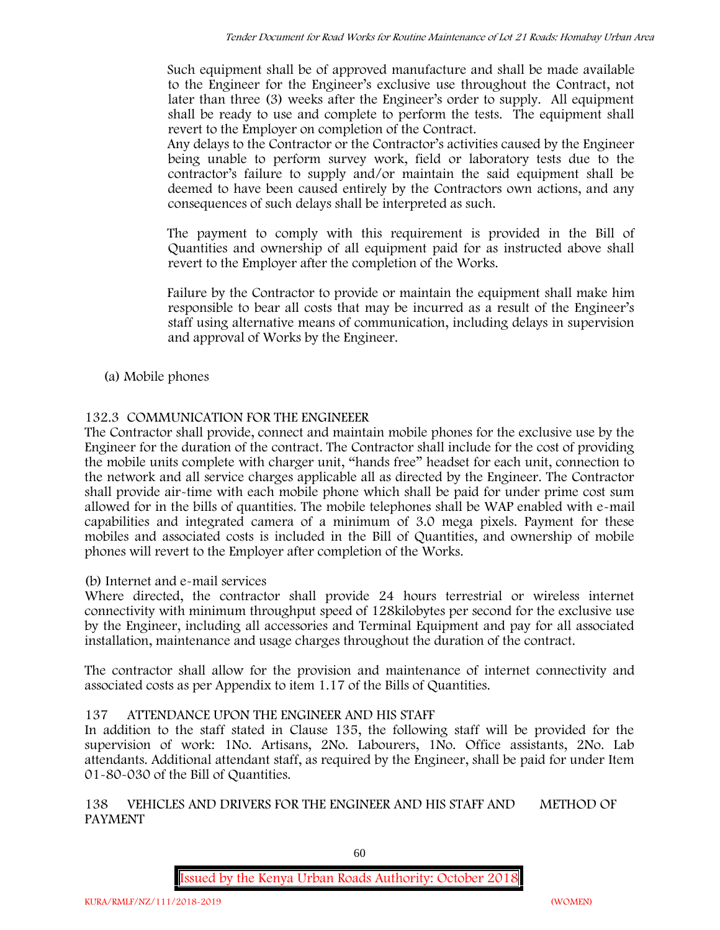Such equipment shall be of approved manufacture and shall be made available to the Engineer for the Engineer's exclusive use throughout the Contract, not later than three (3) weeks after the Engineer's order to supply. All equipment shall be ready to use and complete to perform the tests. The equipment shall revert to the Employer on completion of the Contract.

Any delays to the Contractor or the Contractor's activities caused by the Engineer being unable to perform survey work, field or laboratory tests due to the contractor's failure to supply and/or maintain the said equipment shall be deemed to have been caused entirely by the Contractors own actions, and any consequences of such delays shall be interpreted as such.

The payment to comply with this requirement is provided in the Bill of Quantities and ownership of all equipment paid for as instructed above shall revert to the Employer after the completion of the Works.

Failure by the Contractor to provide or maintain the equipment shall make him responsible to bear all costs that may be incurred as a result of the Engineer's staff using alternative means of communication, including delays in supervision and approval of Works by the Engineer.

**(a) Mobile phones**

# **132.3 COMMUNICATION FOR THE ENGINEEER**

The Contractor shall provide, connect and maintain mobile phones for the exclusive use by the Engineer for the duration of the contract. The Contractor shall include for the cost of providing the mobile units complete with charger unit, "hands free" headset for each unit, connection to the network and all service charges applicable all as directed by the Engineer. The Contractor shall provide air-time with each mobile phone which shall be paid for under prime cost sum allowed for in the bills of quantities. The mobile telephones shall be WAP enabled with e-mail capabilities and integrated camera of a minimum of 3.0 mega pixels. Payment for these mobiles and associated costs is included in the Bill of Quantities, and ownership of mobile phones will revert to the Employer after completion of the Works.

# **(b) Internet and e-mail services**

Where directed, the contractor shall provide 24 hours terrestrial or wireless internet connectivity with minimum throughput speed of 128kilobytes per second for the exclusive use by the Engineer, including all accessories and Terminal Equipment and pay for all associated installation, maintenance and usage charges throughout the duration of the contract.

The contractor shall allow for the provision and maintenance of internet connectivity and associated costs as per Appendix to item 1.17 of the Bills of Quantities.

# **137 ATTENDANCE UPON THE ENGINEER AND HIS STAFF**

In addition to the staff stated in Clause 135, the following staff will be provided for the supervision of work: 1No. Artisans, 2No. Labourers, 1No. Office assistants, 2No. Lab attendants. Additional attendant staff, as required by the Engineer, shall be paid for under Item 01-80-030 of the Bill of Quantities.

# **138 VEHICLES AND DRIVERS FOR THE ENGINEER AND HIS STAFF AND METHOD OF PAYMENT**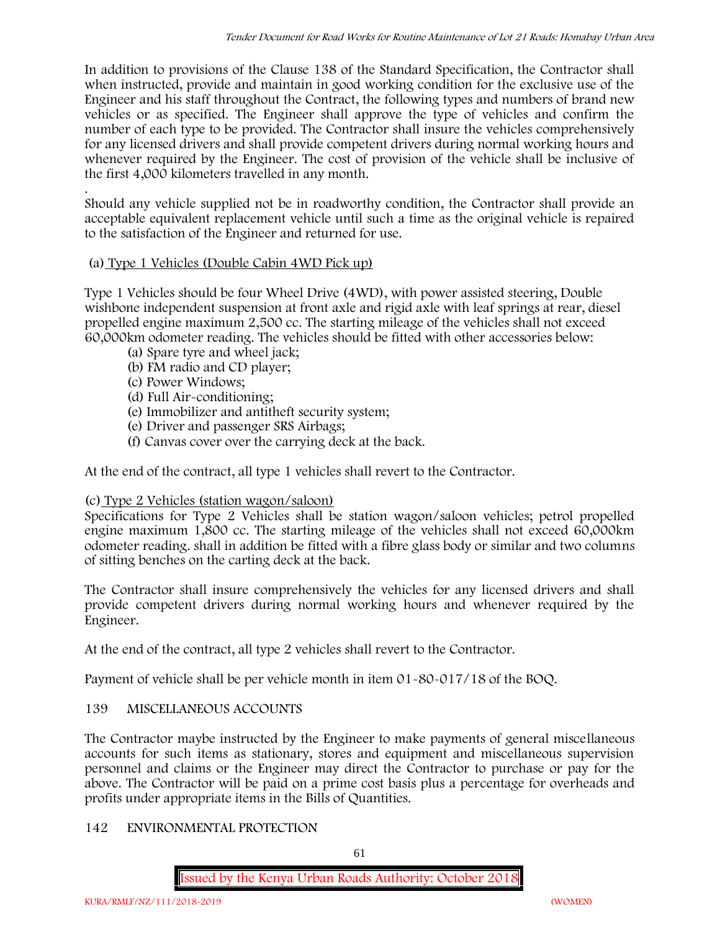In addition to provisions of the Clause 138 of the Standard Specification, the Contractor shall when instructed, provide and maintain in good working condition for the exclusive use of the Engineer and his staff throughout the Contract, the following types and numbers of brand new vehicles or as specified. The Engineer shall approve the type of vehicles and confirm the number of each type to be provided. The Contractor shall insure the vehicles comprehensively for any licensed drivers and shall provide competent drivers during normal working hours and whenever required by the Engineer. The cost of provision of the vehicle shall be inclusive of the first 4,000 kilometers travelled in any month.

.Should any vehicle supplied not be in roadworthy condition, the Contractor shall provide an acceptable equivalent replacement vehicle until such a time as the original vehicle is repaired to the satisfaction of the Engineer and returned for use.

# **(a) Type 1 Vehicles (Double Cabin 4WD Pick up)**

Type 1 Vehicles should be four Wheel Drive (4WD), with power assisted steering, Double wishbone independent suspension at front axle and rigid axle with leaf springs at rear, diesel propelled engine maximum 2,500 cc. The starting mileage of the vehicles shall not exceed 60,000km odometer reading. The vehicles should be fitted with other accessories below:

- (a) Spare tyre and wheel jack;
- (b) FM radio and CD player;
- (c) Power Windows;
- (d) Full Air-conditioning;
- (e) Immobilizer and antitheft security system;
- (e) Driver and passenger SRS Airbags;
- (f) Canvas cover over the carrying deck at the back.

At the end of the contract, all type 1 vehicles shall revert to the Contractor.

# **(c) Type 2 Vehicles (station wagon/saloon)**

Specifications for Type 2 Vehicles shall be station wagon/saloon vehicles; petrol propelled engine maximum 1,800 cc. The starting mileage of the vehicles shall not exceed 60,000km odometer reading. shall in addition be fitted with a fibre glass body or similar and two columns of sitting benches on the carting deck at the back.

The Contractor shall insure comprehensively the vehicles for any licensed drivers and shall provide competent drivers during normal working hours and whenever required by the Engineer.

At the end of the contract, all type 2 vehicles shall revert to the Contractor.

Payment of vehicle shall be per vehicle month in item 01-80-017/18 of the BOQ.

# **139 MISCELLANEOUS ACCOUNTS**

The Contractor maybe instructed by the Engineer to make payments of general miscellaneous accounts for such items as stationary, stores and equipment and miscellaneous supervision personnel and claims or the Engineer may direct the Contractor to purchase or pay for the above. The Contractor will be paid on a prime cost basis plus a percentage for overheads and profits under appropriate items in the Bills of Quantities.

# **142 ENVIRONMENTAL PROTECTION**

61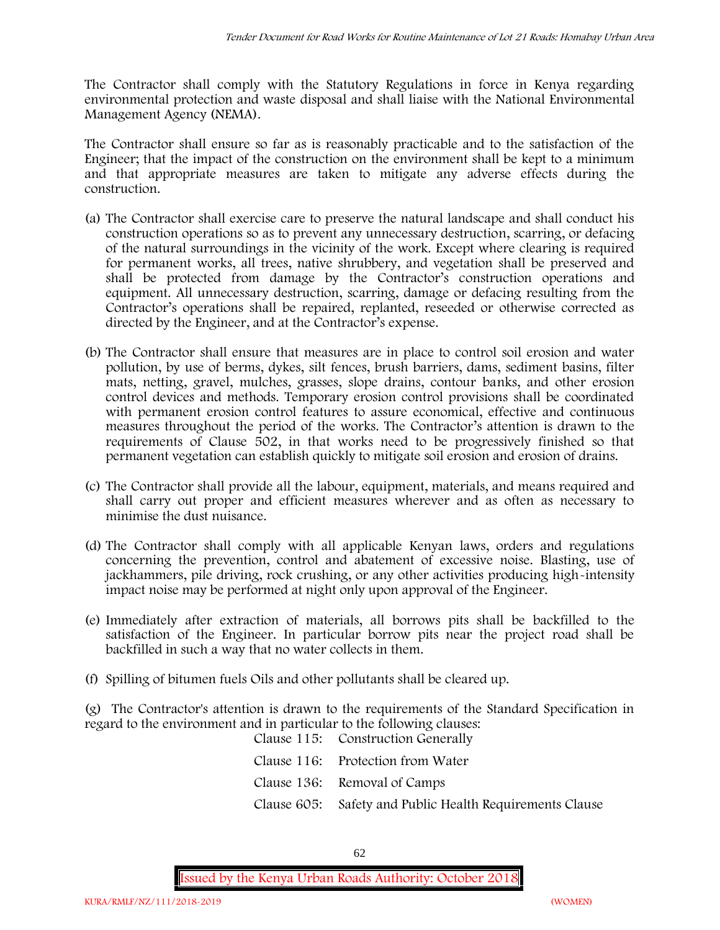The Contractor shall comply with the Statutory Regulations in force in Kenya regarding environmental protection and waste disposal and shall liaise with the National Environmental Management Agency (NEMA).

The Contractor shall ensure so far as is reasonably practicable and to the satisfaction of the Engineer; that the impact of the construction on the environment shall be kept to a minimum and that appropriate measures are taken to mitigate any adverse effects during the construction.

- (a) The Contractor shall exercise care to preserve the natural landscape and shall conduct his construction operations so as to prevent any unnecessary destruction, scarring, or defacing of the natural surroundings in the vicinity of the work. Except where clearing is required for permanent works, all trees, native shrubbery, and vegetation shall be preserved and shall be protected from damage by the Contractor's construction operations and equipment. All unnecessary destruction, scarring, damage or defacing resulting from the Contractor's operations shall be repaired, replanted, reseeded or otherwise corrected as directed by the Engineer, and at the Contractor's expense.
- (b) The Contractor shall ensure that measures are in place to control soil erosion and water pollution, by use of berms, dykes, silt fences, brush barriers, dams, sediment basins, filter mats, netting, gravel, mulches, grasses, slope drains, contour banks, and other erosion control devices and methods. Temporary erosion control provisions shall be coordinated with permanent erosion control features to assure economical, effective and continuous measures throughout the period of the works. The Contractor's attention is drawn to the requirements of Clause 502, in that works need to be progressively finished so that permanent vegetation can establish quickly to mitigate soil erosion and erosion of drains.
- (c) The Contractor shall provide all the labour, equipment, materials, and means required and shall carry out proper and efficient measures wherever and as often as necessary to minimise the dust nuisance.
- (d) The Contractor shall comply with all applicable Kenyan laws, orders and regulations concerning the prevention, control and abatement of excessive noise. Blasting, use of jackhammers, pile driving, rock crushing, or any other activities producing high-intensity impact noise may be performed at night only upon approval of the Engineer.
- (e) Immediately after extraction of materials, all borrows pits shall be backfilled to the satisfaction of the Engineer. In particular borrow pits near the project road shall be backfilled in such a way that no water collects in them.
- (f) Spilling of bitumen fuels Oils and other pollutants shall be cleared up.

(g) The Contractor's attention is drawn to the requirements of the Standard Specification in regard to the environment and in particular to the following clauses:

| Clause 115: Construction Generally                       |
|----------------------------------------------------------|
| Clause 116: Protection from Water                        |
| Clause 136: Removal of Camps                             |
| Clause 605: Safety and Public Health Requirements Clause |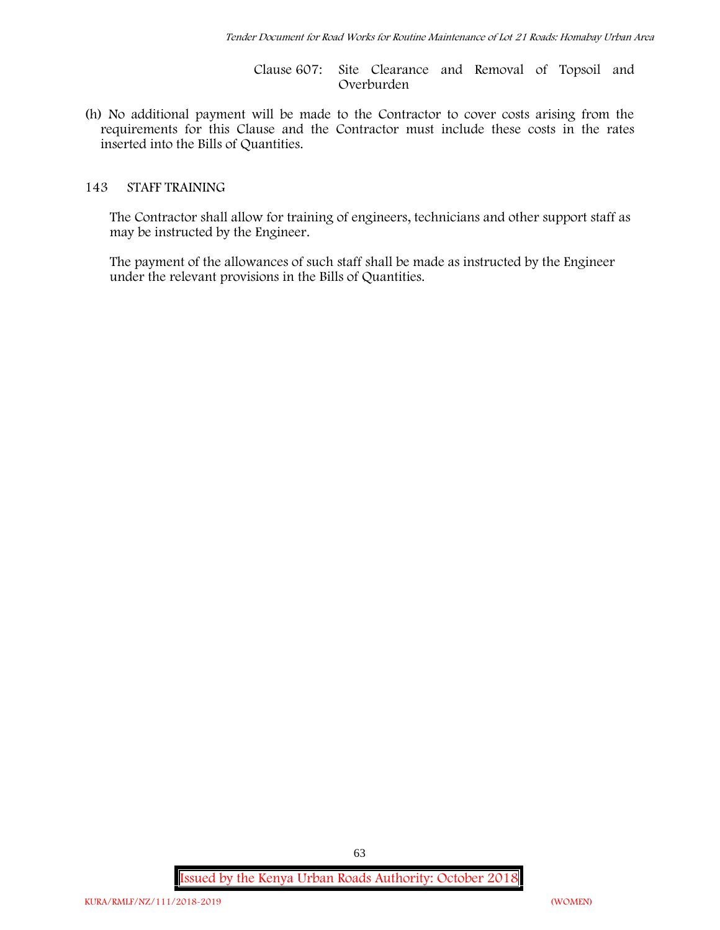Clause 607: Site Clearance and Removal of Topsoil and Overburden

(h) No additional payment will be made to the Contractor to cover costs arising from the requirements for this Clause and the Contractor must include these costs in the rates inserted into the Bills of Quantities.

#### **143 STAFF TRAINING**

The Contractor shall allow for training of engineers, technicians and other support staff as may be instructed by the Engineer.

The payment of the allowances of such staff shall be made as instructed by the Engineer under the relevant provisions in the Bills of Quantities.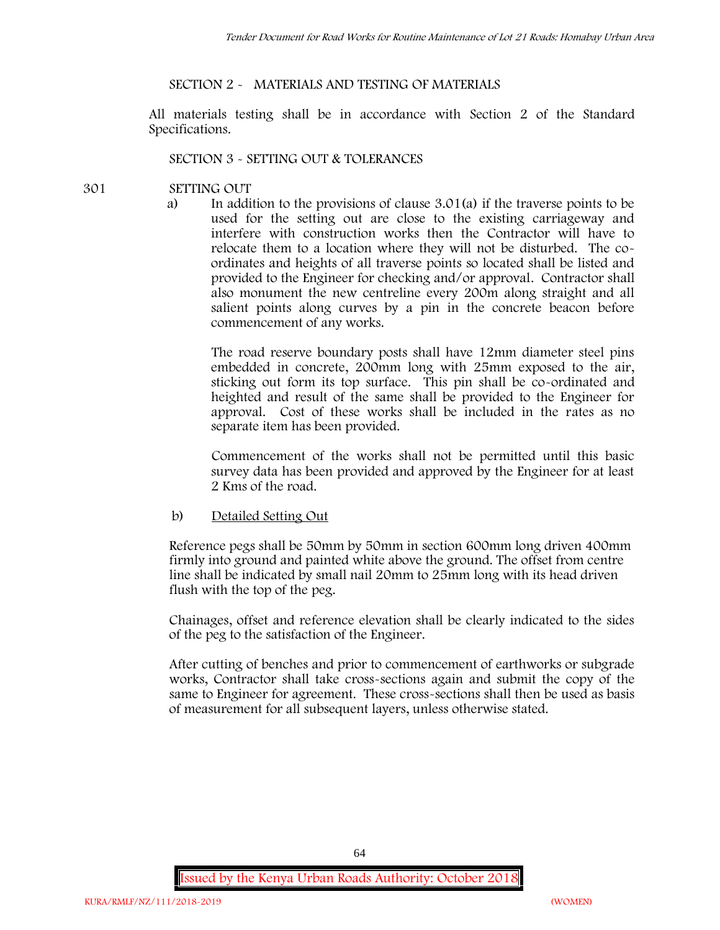#### **SECTION 2 - MATERIALS AND TESTING OF MATERIALS**

All materials testing shall be in accordance with Section 2 of the Standard Specifications.

#### **SECTION 3 - SETTING OUT & TOLERANCES**

- **301 SETTING OUT**
	- a) In addition to the provisions of clause 3.01(a) if the traverse points to be used for the setting out are close to the existing carriageway and interfere with construction works then the Contractor will have to relocate them to a location where they will not be disturbed. The co ordinates and heights of all traverse points so located shall be listed and provided to the Engineer for checking and/or approval. Contractor shall also monument the new centreline every 200m along straight and all salient points along curves by a pin in the concrete beacon before commencement of any works.

The road reserve boundary posts shall have 12mm diameter steel pins embedded in concrete, 200mm long with 25mm exposed to the air, sticking out form its top surface. This pin shall be co-ordinated and heighted and result of the same shall be provided to the Engineer for approval. Cost of these works shall be included in the rates as no separate item has been provided.

Commencement of the works shall not be permitted until this basic survey data has been provided and approved by the Engineer for at least 2 Kms of the road.

b) Detailed Setting Out

Reference pegs shall be 50mm by 50mm in section 600mm long driven 400mm firmly into ground and painted white above the ground. The offset from centre line shall be indicated by small nail 20mm to 25mm long with its head driven flush with the top of the peg.

Chainages, offset and reference elevation shall be clearly indicated to the sides of the peg to the satisfaction of the Engineer.

After cutting of benches and prior to commencement of earthworks or subgrade works, Contractor shall take cross-sections again and submit the copy of the same to Engineer for agreement. These cross-sections shall then be used as basis of measurement for all subsequent layers, unless otherwise stated.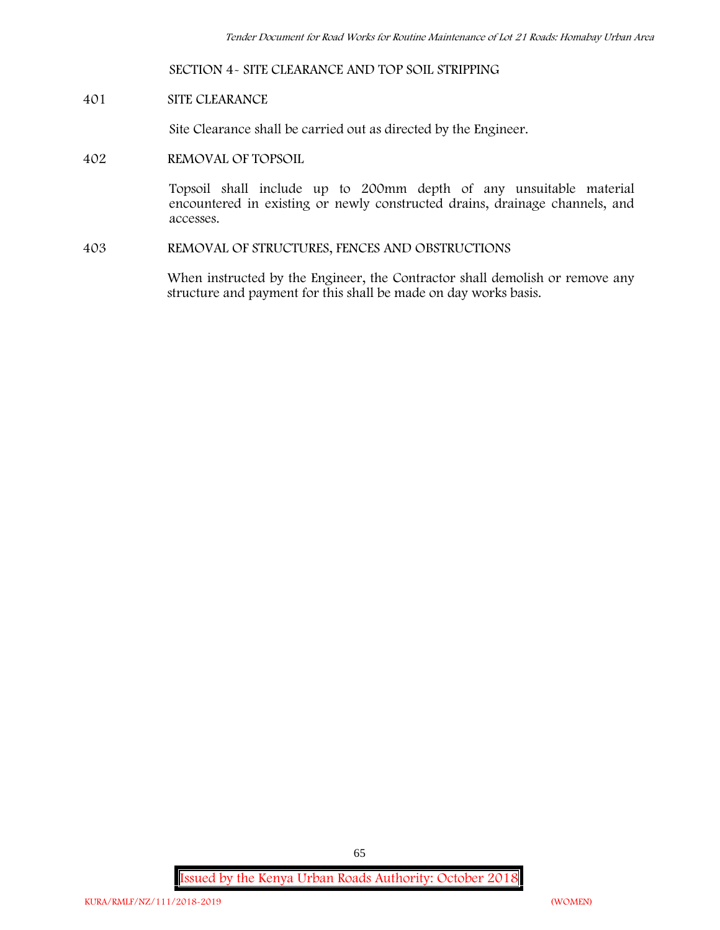**SECTION 4- SITE CLEARANCE AND TOP SOIL STRIPPING**

**401 SITE CLEARANCE**

Site Clearance shall be carried out as directed by the Engineer.

**402 REMOVAL OF TOPSOIL**

Topsoil shall include up to 200mm depth of any unsuitable material encountered in existing or newly constructed drains, drainage channels, and accesses.

**403 REMOVAL OF STRUCTURES, FENCES AND OBSTRUCTIONS**

When instructed by the Engineer, the Contractor shall demolish or remove any structure and payment for this shall be made on day works basis.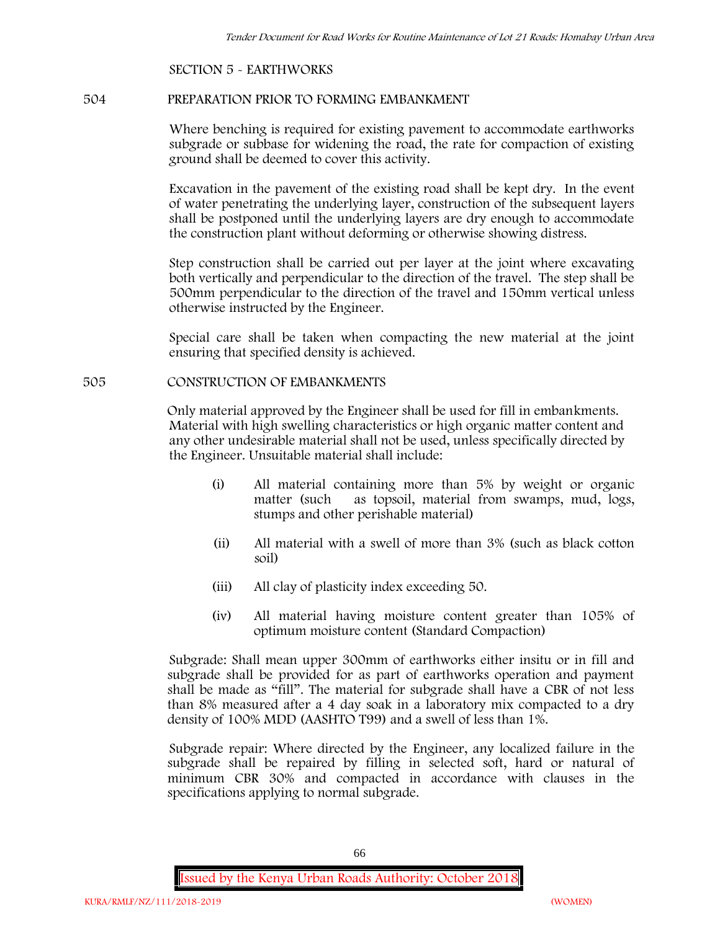#### **SECTION 5 - EARTHWORKS**

#### **504 PREPARATION PRIOR TO FORMING EMBANKMENT**

Where benching is required for existing pavement to accommodate earthworks subgrade or subbase for widening the road, the rate for compaction of existing ground shall be deemed to cover this activity.

Excavation in the pavement of the existing road shall be kept dry. In the event of water penetrating the underlying layer, construction of the subsequent layers shall be postponed until the underlying layers are dry enough to accommodate the construction plant without deforming or otherwise showing distress.

Step construction shall be carried out per layer at the joint where excavating both vertically and perpendicular to the direction of the travel. The step shall be 500mm perpendicular to the direction of the travel and 150mm vertical unless otherwise instructed by the Engineer.

Special care shall be taken when compacting the new material at the joint ensuring that specified density is achieved.

#### **505 CONSTRUCTION OF EMBANKMENTS**

Only material approved by the Engineer shall be used for fill in embankments. Material with high swelling characteristics or high organic matter content and any other undesirable material shall not be used, unless specifically directed by the Engineer. Unsuitable material shall include:

- (i) All material containing more than 5% by weight or organic matter (such as topsoil, material from swamps, mud, logs, stumps and other perishable material)
- (ii) All material with a swell of more than 3% (such as black cotton soil)
- (iii) All clay of plasticity index exceeding 50.
- (iv) All material having moisture content greater than 105% of optimum moisture content (Standard Compaction)

Subgrade: Shall mean upper 300mm of earthworks either insitu or in fill and subgrade shall be provided for as part of earthworks operation and payment shall be made as "fill". The material for subgrade shall have a CBR of not less than 8% measured after a 4 day soak in a laboratory mix compacted to a dry density of 100% MDD (AASHTO T99) and a swell of less than 1%.

Subgrade repair: Where directed by the Engineer, any localized failure in the subgrade shall be repaired by filling in selected soft, hard or natural of minimum CBR 30% and compacted in accordance with clauses in the specifications applying to normal subgrade.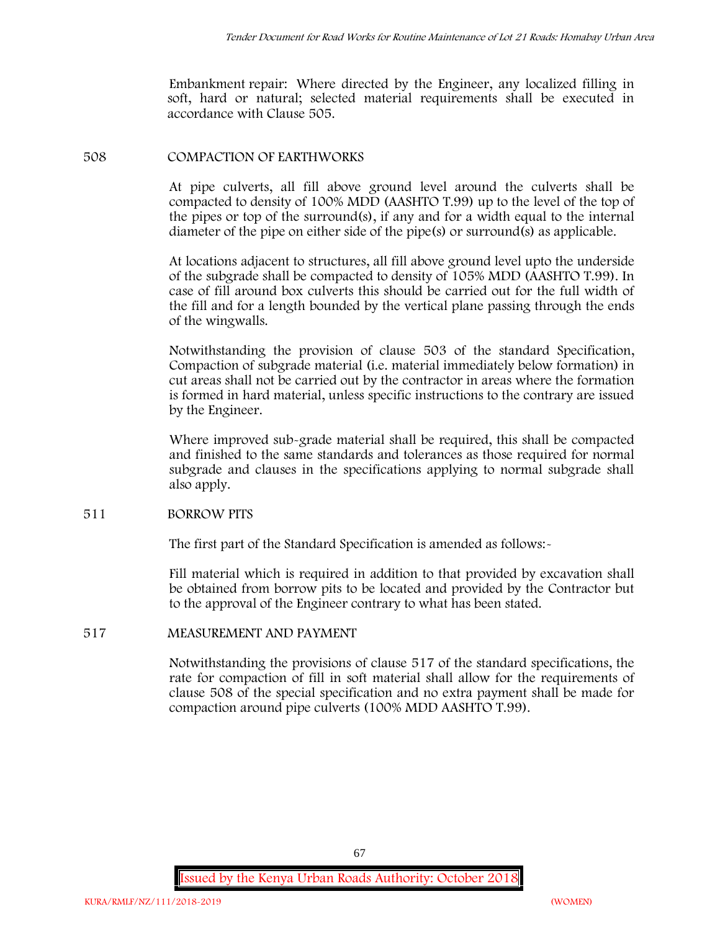Embankment repair: Where directed by the Engineer, any localized filling in soft, hard or natural; selected material requirements shall be executed in accordance with Clause 505.

#### **508 COMPACTION OF EARTHWORKS**

At pipe culverts, all fill above ground level around the culverts shall be compacted to density of 100% MDD (AASHTO T.99) up to the level of the top of the pipes or top of the surround(s), if any and for a width equal to the internal diameter of the pipe on either side of the pipe(s) or surround(s) as applicable.

At locations adjacent to structures, all fill above ground level upto the underside of the subgrade shall be compacted to density of 105% MDD (AASHTO T.99). In case of fill around box culverts this should be carried out for the full width of the fill and for a length bounded by the vertical plane passing through the ends of the wingwalls.

Notwithstanding the provision of clause 503 of the standard Specification, Compaction of subgrade material (i.e. material immediately below formation) in cut areas shall not be carried out by the contractor in areas where the formation is formed in hard material, unless specific instructions to the contrary are issued by the Engineer.

Where improved sub-grade material shall be required, this shall be compacted and finished to the same standards and tolerances as those required for normal subgrade and clauses in the specifications applying to normal subgrade shall also apply.

#### **511 BORROW PITS**

The first part of the Standard Specification is amended as follows:

Fill material which is required in addition to that provided by excavation shall be obtained from borrow pits to be located and provided by the Contractor but to the approval of the Engineer contrary to what has been stated.

### **517 MEASUREMENT AND PAYMENT**

Notwithstanding the provisions of clause 517 of the standard specifications, the rate for compaction of fill in soft material shall allow for the requirements of clause 508 of the special specification and no extra payment shall be made for compaction around pipe culverts (100% MDD AASHTO T.99).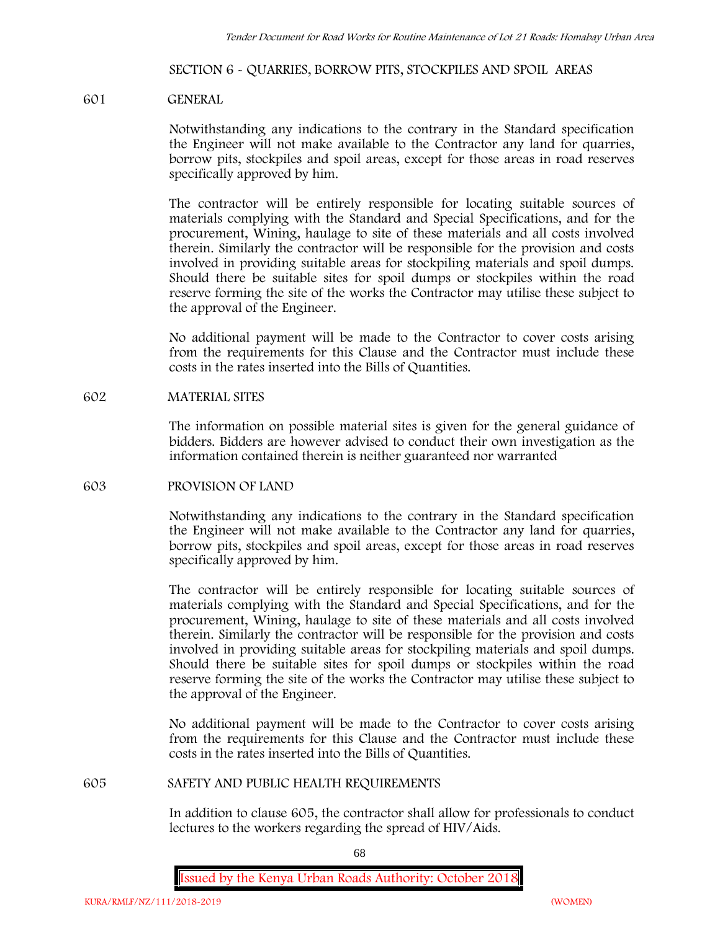#### **SECTION 6 - QUARRIES, BORROW PITS, STOCKPILES AND SPOIL AREAS**

#### **601 GENERAL**

Notwithstanding any indications to the contrary in the Standard specification the Engineer will not make available to the Contractor any land for quarries, borrow pits, stockpiles and spoil areas, except for those areas in road reserves specifically approved by him.

The contractor will be entirely responsible for locating suitable sources of materials complying with the Standard and Special Specifications, and for the procurement, Wining, haulage to site of these materials and all costs involved therein. Similarly the contractor will be responsible for the provision and costs involved in providing suitable areas for stockpiling materials and spoil dumps. Should there be suitable sites for spoil dumps or stockpiles within the road reserve forming the site of the works the Contractor may utilise these subject to the approval of the Engineer.

No additional payment will be made to the Contractor to cover costs arising from the requirements for this Clause and the Contractor must include these costs in the rates inserted into the Bills of Quantities.

#### **602 MATERIAL SITES**

The information on possible material sites is given for the general guidance of bidders. Bidders are however advised to conduct their own investigation as the information contained therein is neither guaranteed nor warranted

#### **603 PROVISION OF LAND**

Notwithstanding any indications to the contrary in the Standard specification the Engineer will not make available to the Contractor any land for quarries, borrow pits, stockpiles and spoil areas, except for those areas in road reserves specifically approved by him.

The contractor will be entirely responsible for locating suitable sources of materials complying with the Standard and Special Specifications, and for the procurement, Wining, haulage to site of these materials and all costs involved therein. Similarly the contractor will be responsible for the provision and costs involved in providing suitable areas for stockpiling materials and spoil dumps. Should there be suitable sites for spoil dumps or stockpiles within the road reserve forming the site of the works the Contractor may utilise these subject to the approval of the Engineer.

No additional payment will be made to the Contractor to cover costs arising from the requirements for this Clause and the Contractor must include these costs in the rates inserted into the Bills of Quantities.

#### **605 SAFETY AND PUBLIC HEALTH REQUIREMENTS**

In addition to clause 605, the contractor shall allow for professionals to conduct lectures to the workers regarding the spread of HIV/Aids.

68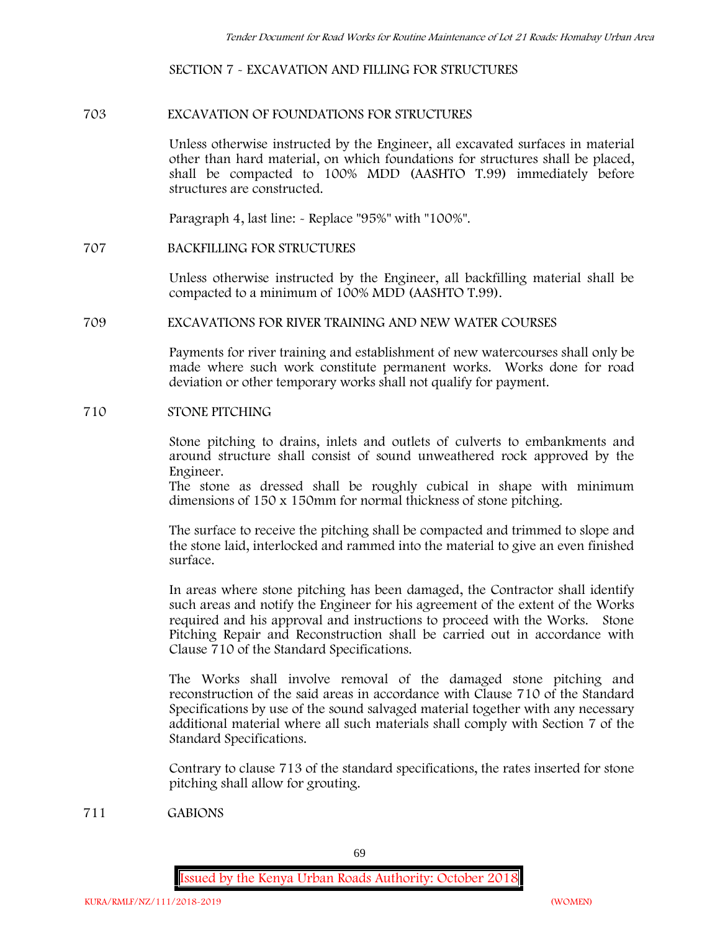#### **SECTION 7 - EXCAVATION AND FILLING FOR STRUCTURES**

#### **703 EXCAVATION OF FOUNDATIONS FOR STRUCTURES**

Unless otherwise instructed by the Engineer, all excavated surfaces in material other than hard material, on which foundations for structures shall be placed, shall be compacted to 100% MDD (AASHTO T.99) immediately before structures are constructed.

Paragraph 4, last line: - Replace "95%" with "100%".

#### **707 BACKFILLING FOR STRUCTURES**

Unless otherwise instructed by the Engineer, all backfilling material shall be compacted to a minimum of 100% MDD (AASHTO T.99).

#### **709 EXCAVATIONS FOR RIVER TRAINING AND NEW WATER COURSES**

Payments for river training and establishment of new watercourses shall only be made where such work constitute permanent works. Works done for road deviation or other temporary works shall not qualify for payment.

#### **710 STONE PITCHING**

Stone pitching to drains, inlets and outlets of culverts to embankments and around structure shall consist of sound unweathered rock approved by the Engineer.

The stone as dressed shall be roughly cubical in shape with minimum dimensions of 150 x 150mm for normal thickness of stone pitching.

The surface to receive the pitching shall be compacted and trimmed to slope and the stone laid, interlocked and rammed into the material to give an even finished surface.

In areas where stone pitching has been damaged, the Contractor shall identify such areas and notify the Engineer for his agreement of the extent of the Works required and his approval and instructions to proceed with the Works. Stone Pitching Repair and Reconstruction shall be carried out in accordance with Clause 710 of the Standard Specifications.

The Works shall involve removal of the damaged stone pitching and reconstruction of the said areas in accordance with Clause 710 of the Standard Specifications by use of the sound salvaged material together with any necessary additional material where all such materials shall comply with Section 7 of the Standard Specifications.

Contrary to clause 713 of the standard specifications, the rates inserted for stone pitching shall allow for grouting.

**711 GABIONS**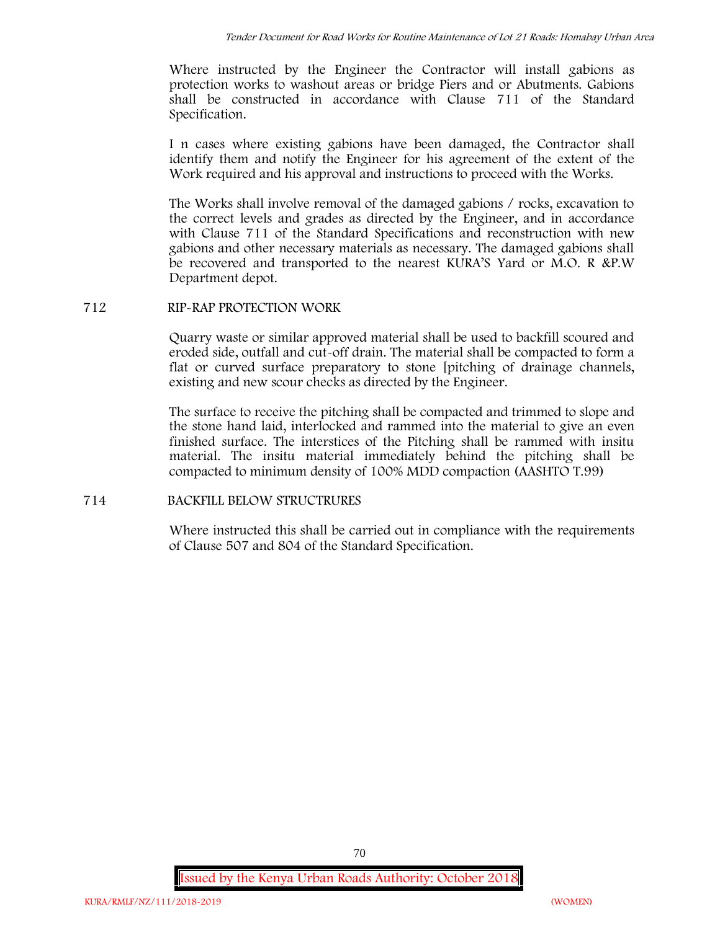Where instructed by the Engineer the Contractor will install gabions as protection works to washout areas or bridge Piers and or Abutments. Gabions shall be constructed in accordance with Clause 711 of the Standard Specification.

I n cases where existing gabions have been damaged, the Contractor shall identify them and notify the Engineer for his agreement of the extent of the Work required and his approval and instructions to proceed with the Works.

The Works shall involve removal of the damaged gabions / rocks, excavation to the correct levels and grades as directed by the Engineer, and in accordance with Clause 711 of the Standard Specifications and reconstruction with new gabions and other necessary materials as necessary. The damaged gabions shall be recovered and transported to the nearest KURA'S Yard or M.O. R &P.W Department depot.

# **712 RIP-RAP PROTECTION WORK**

Quarry waste or similar approved material shall be used to backfill scoured and eroded side, outfall and cut-off drain. The material shall be compacted to form a flat or curved surface preparatory to stone [pitching of drainage channels, existing and new scour checks as directed by the Engineer.

The surface to receive the pitching shall be compacted and trimmed to slope and the stone hand laid, interlocked and rammed into the material to give an even finished surface. The interstices of the Pitching shall be rammed with insitu material. The insitu material immediately behind the pitching shall be compacted to minimum density of 100% MDD compaction (AASHTO T.99)

# **714 BACKFILL BELOW STRUCTRURES**

Where instructed this shall be carried out in compliance with the requirements of Clause 507 and 804 of the Standard Specification.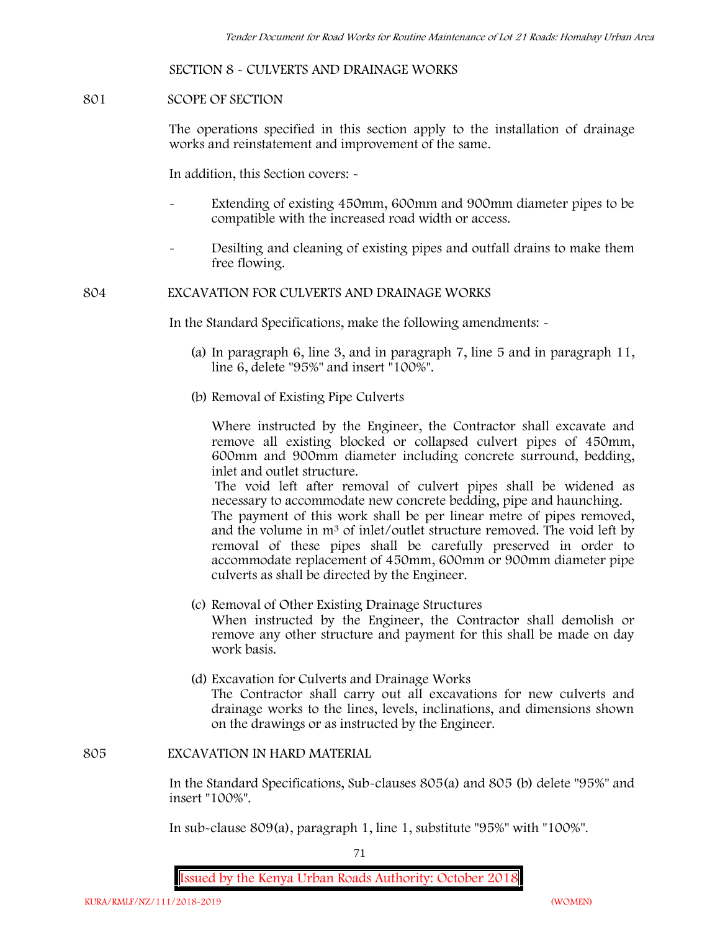#### **SECTION 8 - CULVERTS AND DRAINAGE WORKS**

#### **801 SCOPE OF SECTION**

The operations specified in this section apply to the installation of drainage works and reinstatement and improvement of the same.

In addition, this Section covers: -

- Extending of existing 450mm, 600mm and 900mm diameter pipes to be compatible with the increased road width or access.
- Desilting and cleaning of existing pipes and outfall drains to make them free flowing.

#### **804 EXCAVATION FOR CULVERTS AND DRAINAGE WORKS**

In the Standard Specifications, make the following amendments: -

- (a) In paragraph 6, line 3, and in paragraph 7, line 5 and in paragraph 11, line 6, delete "95%" and insert "100%".
- (b) Removal of Existing Pipe Culverts

Where instructed by the Engineer, the Contractor shall excavate and remove all existing blocked or collapsed culvert pipes of 450mm, 600mm and 900mm diameter including concrete surround, bedding, inlet and outlet structure.

The void left after removal of culvert pipes shall be widened as necessary to accommodate new concrete bedding, pipe and haunching. The payment of this work shall be per linear metre of pipes removed, and the volume in m<sup>3</sup> of inlet/outlet structure removed. The void left by removal of these pipes shall be carefully preserved in order to accommodate replacement of 450mm, 600mm or 900mm diameter pipe culverts as shall be directed by the Engineer.

- (c) Removal of Other Existing Drainage Structures When instructed by the Engineer, the Contractor shall demolish or remove any other structure and payment for this shall be made on day work basis.
- (d) Excavation for Culverts and Drainage Works The Contractor shall carry out all excavations for new culverts and drainage works to the lines, levels, inclinations, and dimensions shown on the drawings or as instructed by the Engineer.

#### **805 EXCAVATION IN HARD MATERIAL**

In the Standard Specifications, Sub-clauses 805(a) and 805 (b) delete "95%" and insert "100%".

In sub-clause 809(a), paragraph 1, line 1, substitute "95%" with "100%".

71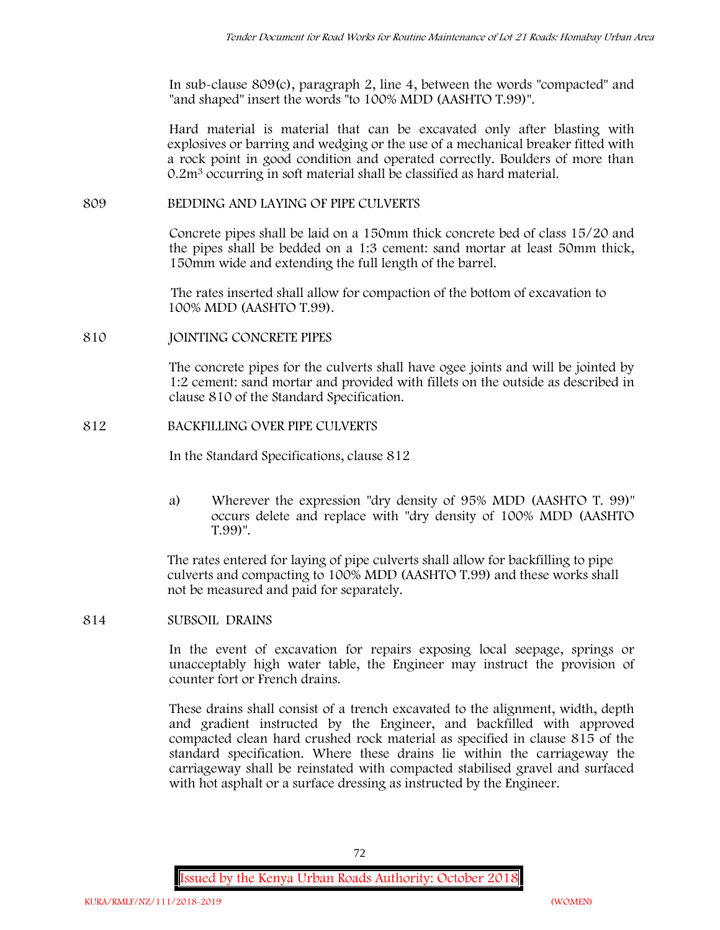In sub-clause 809(c), paragraph 2, line 4, between the words "compacted" and "and shaped" insert the words "to 100% MDD (AASHTO T.99)".

Hard material is material that can be excavated only after blasting with explosives or barring and wedging or the use of a mechanical breaker fitted with a rock point in good condition and operated correctly. Boulders of more than 0.2m<sup>3</sup> occurring in soft material shall be classified as hard material.

### **809 BEDDING AND LAYING OF PIPE CULVERTS**

Concrete pipes shall be laid on a 150mm thick concrete bed of class 15/20 and the pipes shall be bedded on a 1:3 cement: sand mortar at least 50mm thick, 150mm wide and extending the full length of the barrel.

The rates inserted shall allow for compaction of the bottom of excavation to 100% MDD (AASHTO T.99).

### **810 JOINTING CONCRETE PIPES**

The concrete pipes for the culverts shall have ogee joints and will be jointed by 1:2 cement: sand mortar and provided with fillets on the outside as described in clause 810 of the Standard Specification.

## **812 BACKFILLING OVER PIPE CULVERTS**

In the Standard Specifications, clause 812

a) Wherever the expression "dry density of 95% MDD (AASHTO T. 99)" occurs delete and replace with "dry density of 100% MDD (AASHTO T.99)".

The rates entered for laying of pipe culverts shall allow for backfilling to pipe culverts and compacting to 100% MDD (AASHTO T.99) and these works shall not be measured and paid for separately.

**814 SUBSOIL DRAINS**

In the event of excavation for repairs exposing local seepage, springs or unacceptably high water table, the Engineer may instruct the provision of counter fort or French drains.

These drains shall consist of a trench excavated to the alignment, width, depth and gradient instructed by the Engineer, and backfilled with approved compacted clean hard crushed rock material as specified in clause 815 of the standard specification. Where these drains lie within the carriageway the carriageway shall be reinstated with compacted stabilised gravel and surfaced with hot asphalt or a surface dressing as instructed by the Engineer.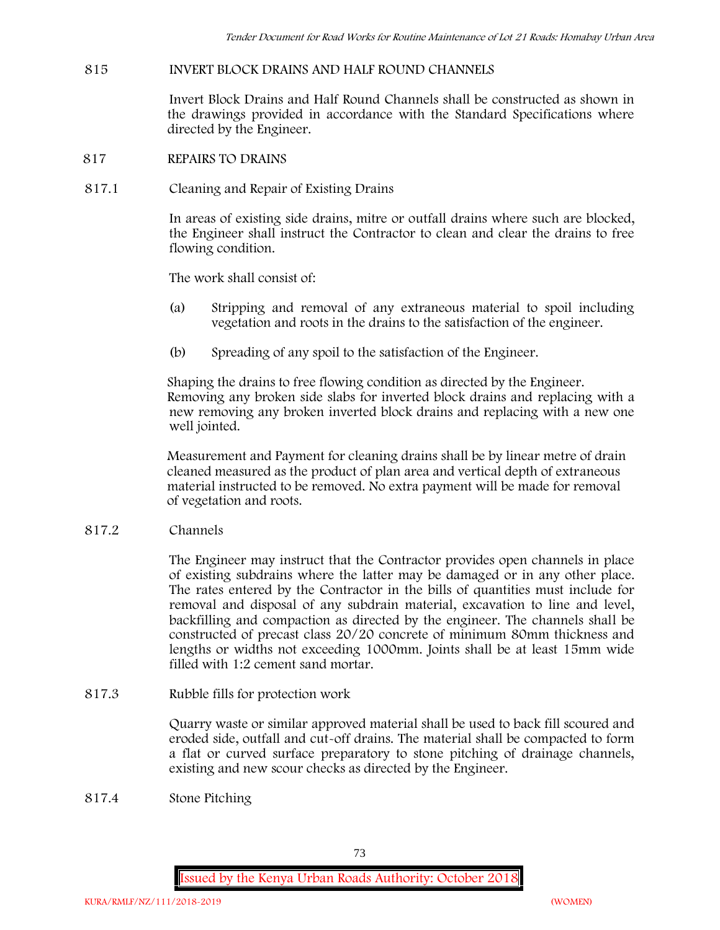## **815 INVERT BLOCK DRAINS AND HALF ROUND CHANNELS**

Invert Block Drains and Half Round Channels shall be constructed as shown in the drawings provided in accordance with the Standard Specifications where directed by the Engineer.

- **817 REPAIRS TO DRAINS**
- **817.1 Cleaning and Repair of Existing Drains**

In areas of existing side drains, mitre or outfall drains where such are blocked, the Engineer shall instruct the Contractor to clean and clear the drains to free flowing condition.

The work shall consist of:

- (a) Stripping and removal of any extraneous material to spoil including vegetation and roots in the drains to the satisfaction of the engineer.
- (b) Spreading of any spoil to the satisfaction of the Engineer.

Shaping the drains to free flowing condition as directed by the Engineer. Removing any broken side slabs for inverted block drains and replacing with a new removing any broken inverted block drains and replacing with a new one well jointed.

Measurement and Payment for cleaning drains shall be by linear metre of drain cleaned measured as the product of plan area and vertical depth of extraneous material instructed to be removed. No extra payment will be made for removal of vegetation and roots.

**817.2 Channels**

The Engineer may instruct that the Contractor provides open channels in place of existing subdrains where the latter may be damaged or in any other place. The rates entered by the Contractor in the bills of quantities must include for removal and disposal of any subdrain material, excavation to line and level, backfilling and compaction as directed by the engineer. The channels shall be constructed of precast class 20/20 concrete of minimum 80mm thickness and lengths or widths not exceeding 1000mm. Joints shall be at least 15mm wide filled with 1:2 cement sand mortar.

**817.3 Rubble fills for protection work**

Quarry waste or similar approved material shall be used to back fill scoured and eroded side, outfall and cut-off drains. The material shall be compacted to form a flat or curved surface preparatory to stone pitching of drainage channels, existing and new scour checks as directed by the Engineer.

**817.4 Stone Pitching**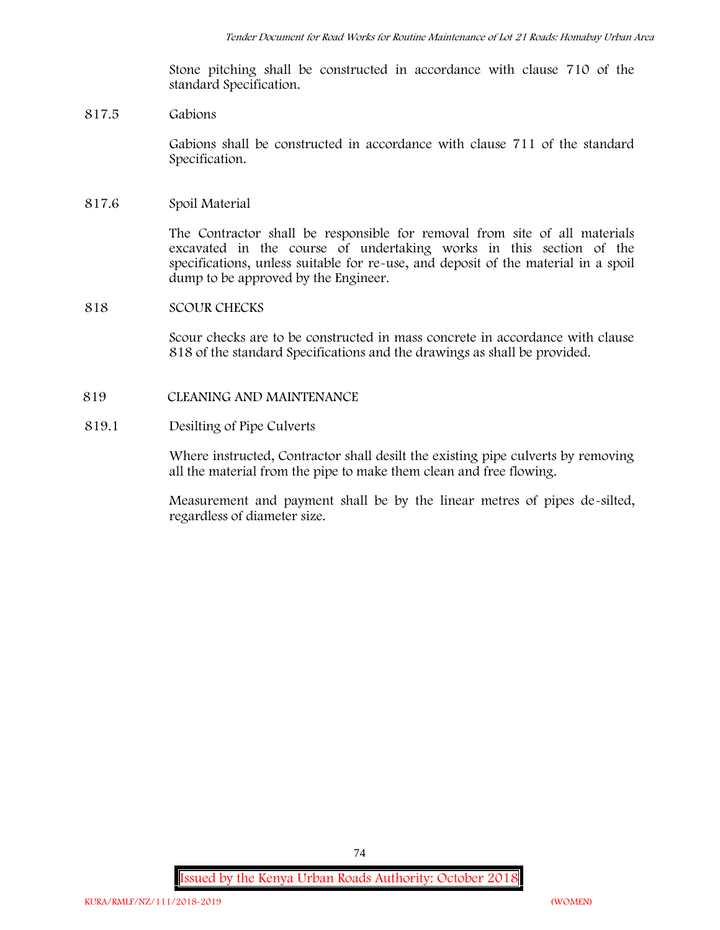Stone pitching shall be constructed in accordance with clause 710 of the standard Specification.

### **817.5 Gabions**

Gabions shall be constructed in accordance with clause 711 of the standard Specification.

### **817.6 Spoil Material**

The Contractor shall be responsible for removal from site of all materials excavated in the course of undertaking works in this section of the specifications, unless suitable for re-use, and deposit of the material in a spoil dump to be approved by the Engineer.

### **818 SCOUR CHECKS**

Scour checks are to be constructed in mass concrete in accordance with clause 818 of the standard Specifications and the drawings as shall be provided.

### **819 CLEANING AND MAINTENANCE**

### **819.1 Desilting of Pipe Culverts**

Where instructed, Contractor shall desilt the existing pipe culverts by removing all the material from the pipe to make them clean and free flowing.

Measurement and payment shall be by the linear metres of pipes de-silted, regardless of diameter size.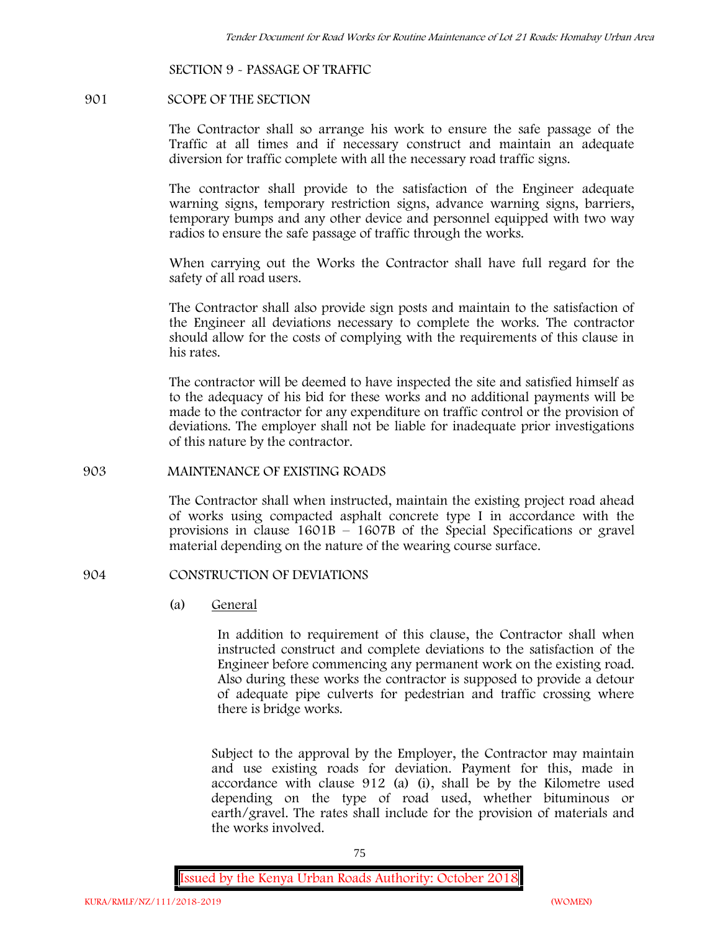### **SECTION 9 - PASSAGE OF TRAFFIC**

### **901 SCOPE OF THE SECTION**

The Contractor shall so arrange his work to ensure the safe passage of the Traffic at all times and if necessary construct and maintain an adequate diversion for traffic complete with all the necessary road traffic signs.

The contractor shall provide to the satisfaction of the Engineer adequate warning signs, temporary restriction signs, advance warning signs, barriers, temporary bumps and any other device and personnel equipped with two way radios to ensure the safe passage of traffic through the works.

When carrying out the Works the Contractor shall have full regard for the safety of all road users.

The Contractor shall also provide sign posts and maintain to the satisfaction of the Engineer all deviations necessary to complete the works. The contractor should allow for the costs of complying with the requirements of this clause in his rates.

The contractor will be deemed to have inspected the site and satisfied himself as to the adequacy of his bid for these works and no additional payments will be made to the contractor for any expenditure on traffic control or the provision of deviations. The employer shall not be liable for inadequate prior investigations of this nature by the contractor.

### **903 MAINTENANCE OF EXISTING ROADS**

The Contractor shall when instructed, maintain the existing project road ahead of works using compacted asphalt concrete type I in accordance with the provisions in clause 1601B – 1607B of the Special Specifications or gravel material depending on the nature of the wearing course surface.

### **904 CONSTRUCTION OF DEVIATIONS**

(a) **General**

In addition to requirement of this clause, the Contractor shall when instructed construct and complete deviations to the satisfaction of the Engineer before commencing any permanent work on the existing road. Also during these works the contractor is supposed to provide a detour of adequate pipe culverts for pedestrian and traffic crossing where there is bridge works.

Subject to the approval by the Employer, the Contractor may maintain and use existing roads for deviation. Payment for this, made in accordance with clause 912 (a) (i), shall be by the Kilometre used depending on the type of road used, whether bituminous or earth/gravel. The rates shall include for the provision of materials and the works involved.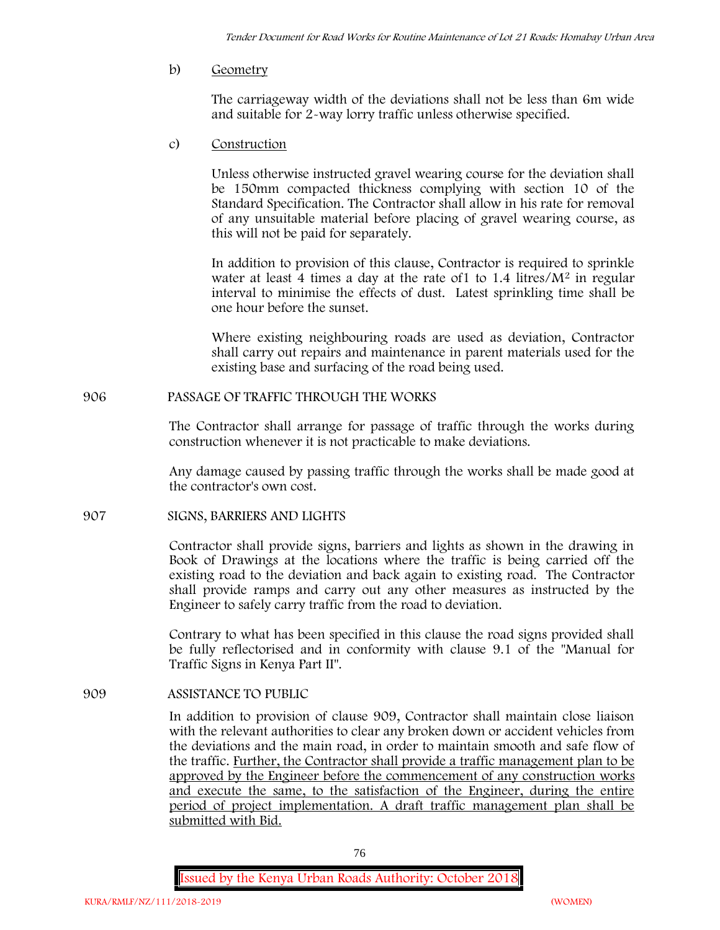b) **Geometry**

The carriageway width of the deviations shall not be less than 6m wide and suitable for 2-way lorry traffic unless otherwise specified.

c) **Construction**

Unless otherwise instructed gravel wearing course for the deviation shall be 150mm compacted thickness complying with section 10 of the Standard Specification. The Contractor shall allow in his rate for removal of any unsuitable material before placing of gravel wearing course, as this will not be paid for separately.

In addition to provision of this clause, Contractor is required to sprinkle water at least 4 times a day at the rate of  $1$  to  $1.4$  litres/ $M<sup>2</sup>$  in regular interval to minimise the effects of dust. Latest sprinkling time shall be one hour before the sunset.

Where existing neighbouring roads are used as deviation, Contractor shall carry out repairs and maintenance in parent materials used for the existing base and surfacing of the road being used.

**906 PASSAGE OF TRAFFIC THROUGH THE WORKS**

The Contractor shall arrange for passage of traffic through the works during construction whenever it is not practicable to make deviations.

Any damage caused by passing traffic through the works shall be made good at the contractor's own cost.

**907 SIGNS, BARRIERS AND LIGHTS**

Contractor shall provide signs, barriers and lights as shown in the drawing in Book of Drawings at the locations where the traffic is being carried off the existing road to the deviation and back again to existing road. The Contractor shall provide ramps and carry out any other measures as instructed by the Engineer to safely carry traffic from the road to deviation.

Contrary to what has been specified in this clause the road signs provided shall be fully reflectorised and in conformity with clause 9.1 of the "Manual for Traffic Signs in Kenya Part II".

**909 ASSISTANCE TO PUBLIC**

In addition to provision of clause 909, Contractor shall maintain close liaison with the relevant authorities to clear any broken down or accident vehicles from the deviations and the main road, in order to maintain smooth and safe flow of the traffic. Further, the Contractor shall provide a traffic management plan to be approved by the Engineer before the commencement of any construction works and execute the same, to the satisfaction of the Engineer, during the entire period of project implementation. A draft traffic management plan shall be submitted with Bid.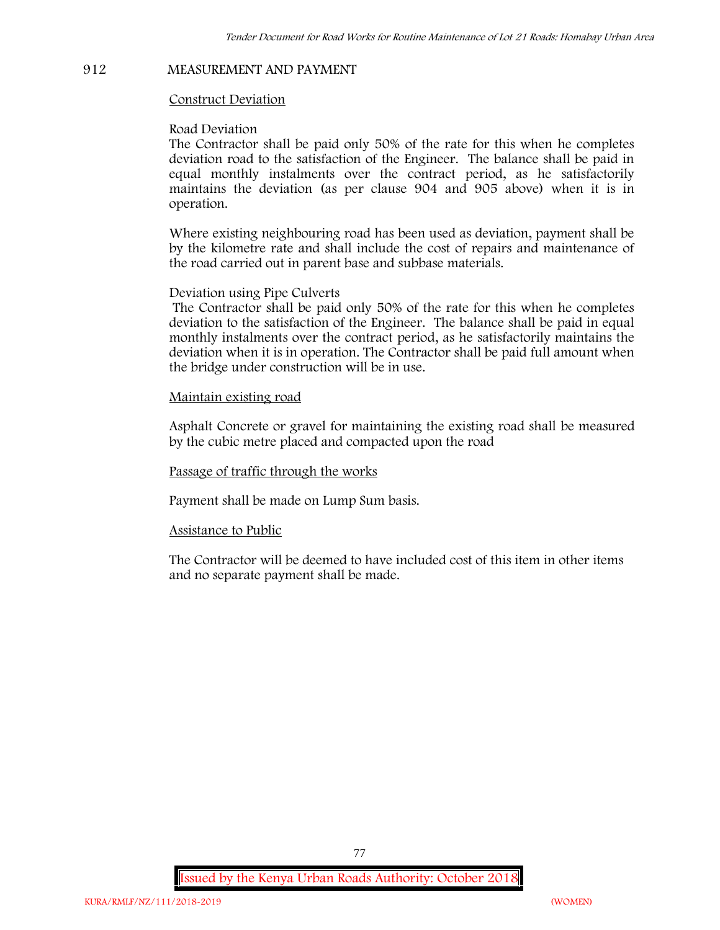#### **912 MEASUREMENT AND PAYMENT**

### **Construct Deviation**

### **Road Deviation**

The Contractor shall be paid only 50% of the rate for this when he completes deviation road to the satisfaction of the Engineer. The balance shall be paid in equal monthly instalments over the contract period, as he satisfactorily maintains the deviation (as per clause 904 and 905 above) when it is in operation.

Where existing neighbouring road has been used as deviation, payment shall be by the kilometre rate and shall include the cost of repairs and maintenance of the road carried out in parent base and subbase materials.

### **Deviation using Pipe Culverts**

The Contractor shall be paid only 50% of the rate for this when he completes deviation to the satisfaction of the Engineer. The balance shall be paid in equal monthly instalments over the contract period, as he satisfactorily maintains the deviation when it is in operation. The Contractor shall be paid full amount when the bridge under construction will be in use.

## **Maintain existing road**

Asphalt Concrete or gravel for maintaining the existing road shall be measured by the cubic metre placed and compacted upon the road

### **Passage of traffic through the works**

Payment shall be made on Lump Sum basis.

### **Assistance to Public**

The Contractor will be deemed to have included cost of this item in other items and no separate payment shall be made.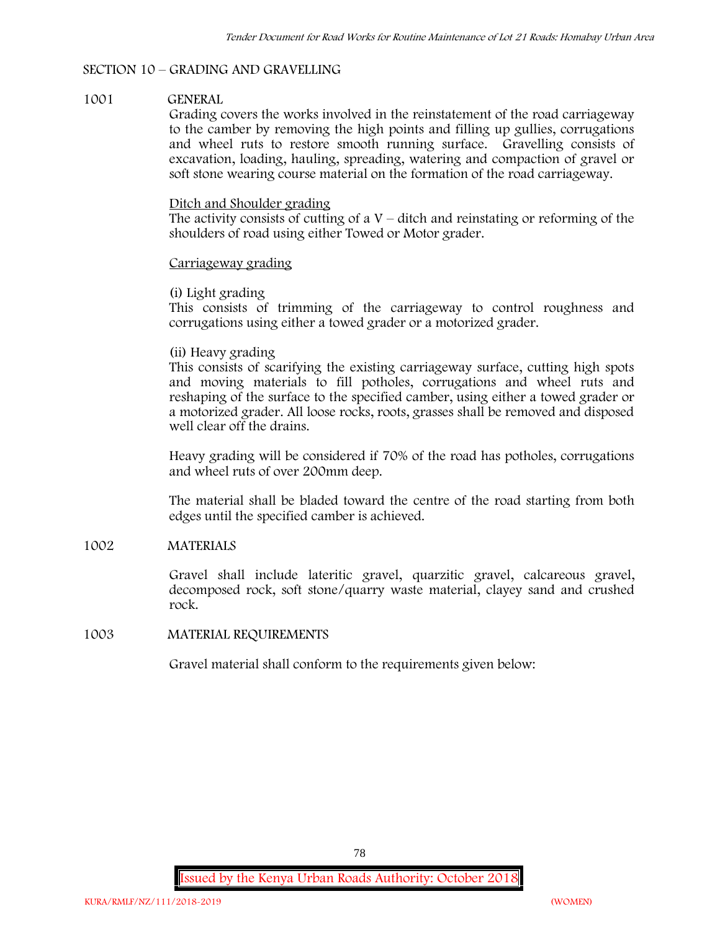## **SECTION 10 – GRADING AND GRAVELLING**

## **1001 GENERAL**

Grading covers the works involved in the reinstatement of the road carriageway to the camber by removing the high points and filling up gullies, corrugations and wheel ruts to restore smooth running surface. Gravelling consists of excavation, loading, hauling, spreading, watering and compaction of gravel or soft stone wearing course material on the formation of the road carriageway.

## Ditch and Shoulder grading

The activity consists of cutting of a  $V$  – ditch and reinstating or reforming of the shoulders of road using either Towed or Motor grader.

## Carriageway grading

# **(i) Light grading**

This consists of trimming of the carriageway to control roughness and corrugations using either a towed grader or a motorized grader.

# **(ii) Heavy grading**

This consists of scarifying the existing carriageway surface, cutting high spots and moving materials to fill potholes, corrugations and wheel ruts and reshaping of the surface to the specified camber, using either a towed grader or a motorized grader. All loose rocks, roots, grasses shall be removed and disposed well clear off the drains.

Heavy grading will be considered if 70% of the road has potholes, corrugations and wheel ruts of over 200mm deep.

The material shall be bladed toward the centre of the road starting from both edges until the specified camber is achieved.

# **1002 MATERIALS**

Gravel shall include lateritic gravel, quarzitic gravel, calcareous gravel, decomposed rock, soft stone/quarry waste material, clayey sand and crushed rock.

# **1003 MATERIAL REQUIREMENTS**

Gravel material shall conform to the requirements given below: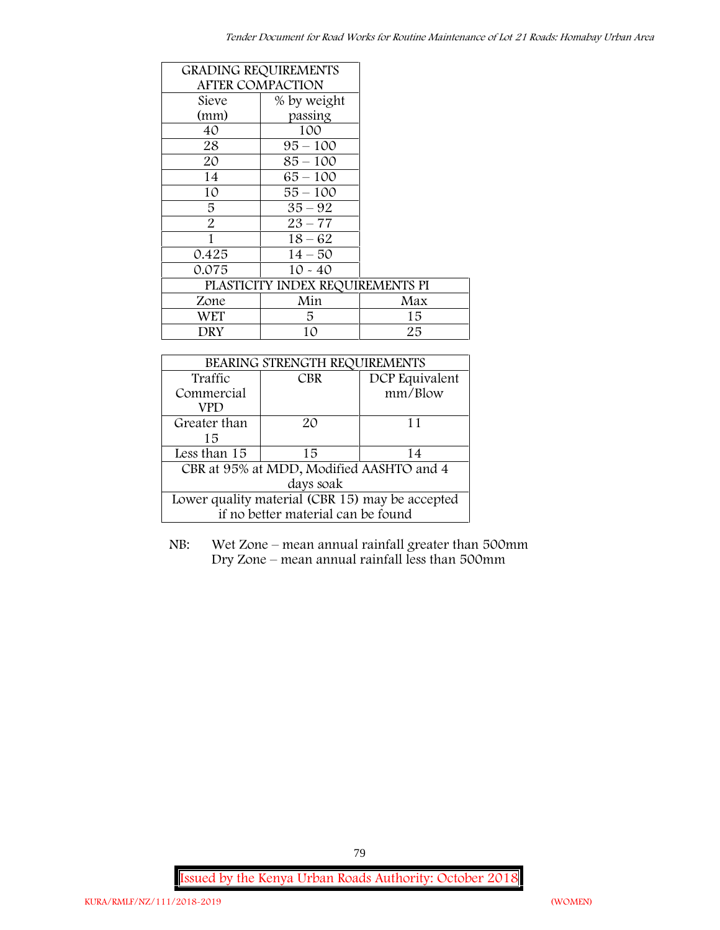| <b>GRADING REQUIREMENTS</b>      |                         |     |  |
|----------------------------------|-------------------------|-----|--|
|                                  | <b>AFTER COMPACTION</b> |     |  |
| Sieve                            | % by weight             |     |  |
| (mm)                             | passing                 |     |  |
| 40                               | 100                     |     |  |
| 28                               | $95 - 100$              |     |  |
| 20                               | $85 - 100$              |     |  |
| 14                               | $65 - 100$              |     |  |
| 10                               | $55 - 100$              |     |  |
| 5                                | $35 - 92$               |     |  |
| $\overline{2}$                   | $23 - 77$               |     |  |
| 1                                | $18 - 62$               |     |  |
| 0.425                            | $14 - 50$               |     |  |
| 0.075                            | $10 - 40$               |     |  |
| PLASTICITY INDEX REQUIREMENTS PI |                         |     |  |
| Zone                             | Min                     | Max |  |
| WET                              | 5                       | 15  |  |
| DRY                              | 10                      | 25  |  |

| BEARING STRENGTH REQUIREMENTS                   |                                    |                |  |  |
|-------------------------------------------------|------------------------------------|----------------|--|--|
| Traffic                                         | <b>CBR</b>                         | DCP Equivalent |  |  |
| Commercial                                      |                                    | mm/Blow        |  |  |
| VPD                                             |                                    |                |  |  |
| Greater than                                    | $2\Omega$                          | 11             |  |  |
| 15                                              |                                    |                |  |  |
| Less than 15                                    | 15                                 | 14             |  |  |
| CBR at 95% at MDD, Modified AASHTO and 4        |                                    |                |  |  |
| days soak                                       |                                    |                |  |  |
| Lower quality material (CBR 15) may be accepted |                                    |                |  |  |
|                                                 | if no better material can be found |                |  |  |

NB: Wet Zone – mean annual rainfall greater than 500mm Dry Zone – mean annual rainfall less than 500mm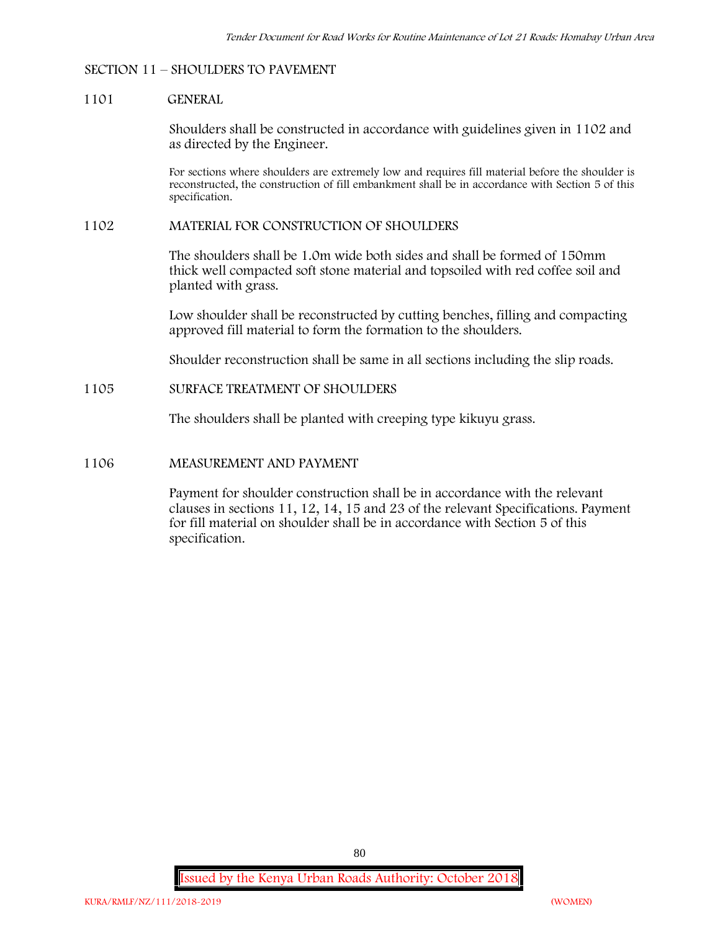### **SECTION 11 – SHOULDERS TO PAVEMENT**

### **1101 GENERAL**

Shoulders shall be constructed in accordance with guidelines given in 1102 and as directed by the Engineer.

For sections where shoulders are extremely low and requires fill material before the shoulder is reconstructed, the construction of fill embankment shall be in accordance with Section 5 of this specification.

### **1102 MATERIAL FOR CONSTRUCTION OF SHOULDERS**

The shoulders shall be 1.0m wide both sides and shall be formed of 150mm thick well compacted soft stone material and topsoiled with red coffee soil and planted with grass.

Low shoulder shall be reconstructed by cutting benches, filling and compacting approved fill material to form the formation to the shoulders.

Shoulder reconstruction shall be same in all sections including the slip roads.

## **1105 SURFACE TREATMENT OF SHOULDERS**

The shoulders shall be planted with creeping type kikuyu grass.

### **1106 MEASUREMENT AND PAYMENT**

Payment for shoulder construction shall be in accordance with the relevant clauses in sections 11, 12, 14, 15 and 23 of the relevant Specifications. Payment for fill material on shoulder shall be in accordance with Section 5 of this specification.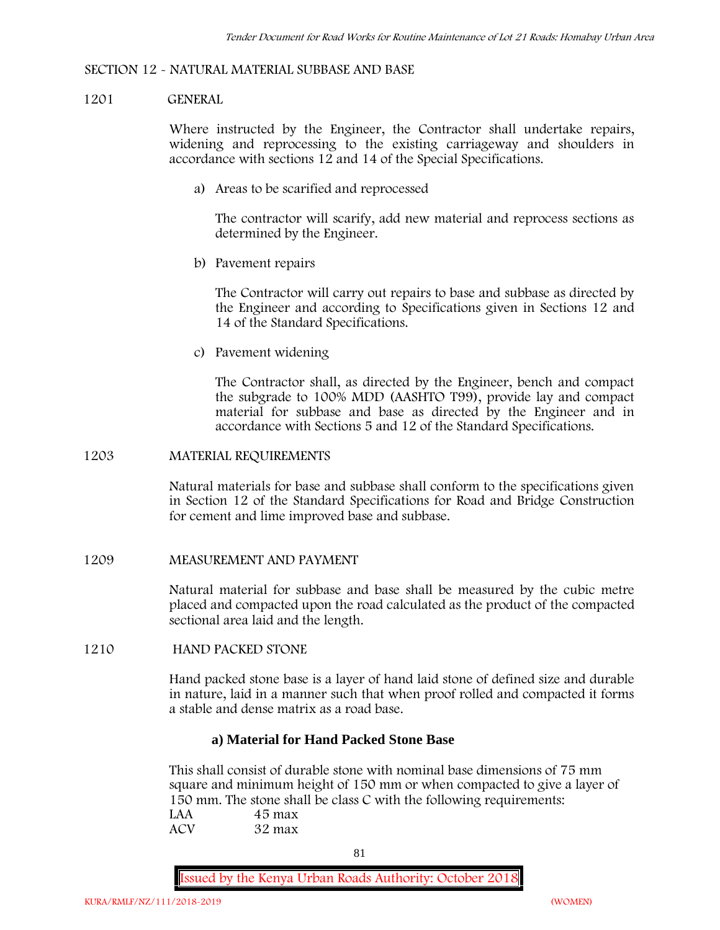### **SECTION 12 - NATURAL MATERIAL SUBBASE AND BASE**

### **1201 GENERAL**

Where instructed by the Engineer, the Contractor shall undertake repairs, widening and reprocessing to the existing carriageway and shoulders in accordance with sections 12 and 14 of the Special Specifications.

**a) Areas to be scarified and reprocessed**

The contractor will scarify, add new material and reprocess sections as determined by the Engineer.

**b) Pavement repairs**

The Contractor will carry out repairs to base and subbase as directed by the Engineer and according to Specifications given in Sections 12 and 14 of the Standard Specifications.

**c) Pavement widening**

The Contractor shall, as directed by the Engineer, bench and compact the subgrade to 100% MDD (AASHTO T99), provide lay and compact material for subbase and base as directed by the Engineer and in accordance with Sections 5 and 12 of the Standard Specifications.

### **1203 MATERIAL REQUIREMENTS**

Natural materials for base and subbase shall conform to the specifications given in Section 12 of the Standard Specifications for Road and Bridge Construction for cement and lime improved base and subbase.

### **1209 MEASUREMENT AND PAYMENT**

Natural material for subbase and base shall be measured by the cubic metre placed and compacted upon the road calculated as the product of the compacted sectional area laid and the length.

### **1210 HAND PACKED STONE**

Hand packed stone base is a layer of hand laid stone of defined size and durable in nature, laid in a manner such that when proof rolled and compacted it forms a stable and dense matrix as a road base.

## **a) Material for Hand Packed Stone Base**

This shall consist of durable stone with nominal base dimensions of 75 mm square and minimum height of 150 mm or when compacted to give a layer of 150 mm. The stone shall be class C with the following requirements: **LAA 45 max ACV 32 max**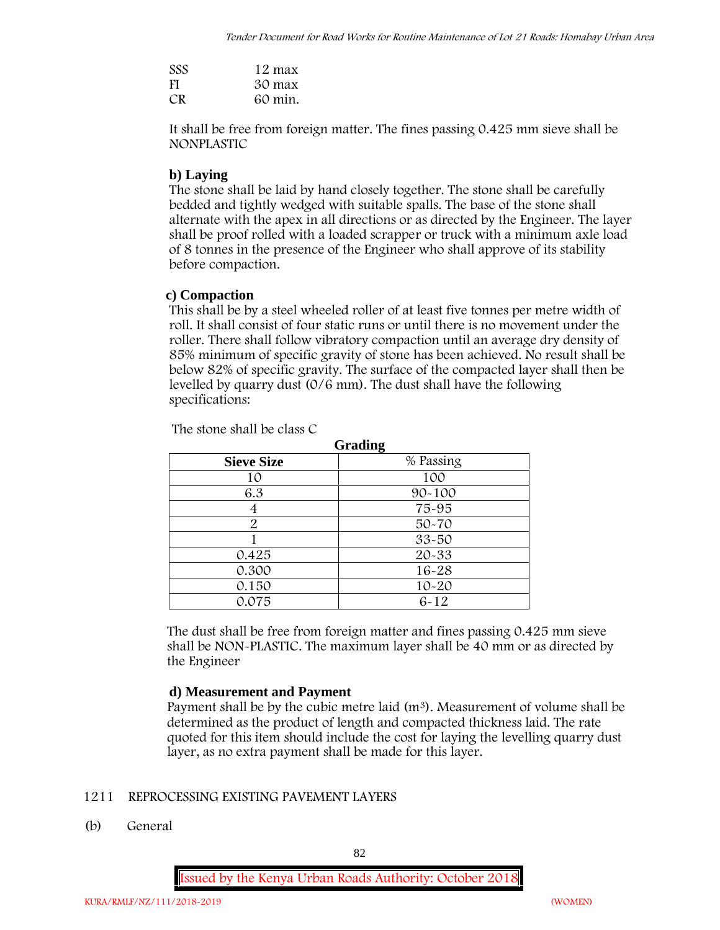| <b>SSS</b> | 12 max  |
|------------|---------|
| FI         | 30 max  |
| CR.        | 60 min. |

It shall be free from foreign matter. The fines passing 0.425 mm sieve shall be **NONPLASTIC**

# **b) Laying**

The stone shall be laid by hand closely together. The stone shall be carefully bedded and tightly wedged with suitable spalls. The base of the stone shall alternate with the apex in all directions or as directed by the Engineer. The layer shall be proof rolled with a loaded scrapper or truck with a minimum axle load of 8 tonnes in the presence of the Engineer who shall approve of its stability before compaction.

# **c) Compaction**

This shall be by a steel wheeled roller of at least five tonnes per metre width of roll. It shall consist of four static runs or until there is no movement under the roller. There shall follow vibratory compaction until an average dry density of 85% minimum of specific gravity of stone has been achieved. No result shall be below 82% of specific gravity. The surface of the compacted layer shall then be levelled by quarry dust (0/6 mm). The dust shall have the following specifications:

| <b>Grading</b>    |            |  |  |  |
|-------------------|------------|--|--|--|
| <b>Sieve Size</b> | % Passing  |  |  |  |
| 10                | 100        |  |  |  |
| 6.3               | $90 - 100$ |  |  |  |
| 4                 | 75-95      |  |  |  |
| $\overline{2}$    | $50 - 70$  |  |  |  |
|                   | $33 - 50$  |  |  |  |
| 0.425             | 20-33      |  |  |  |
| 0.300             | $16 - 28$  |  |  |  |
| 0.150             | $10 - 20$  |  |  |  |
| 0.075             | $6 - 12$   |  |  |  |

The stone shall be class C

The dust shall be free from foreign matter and fines passing 0.425 mm sieve shall be **NON-PLASTIC**. The maximum layer shall be 40 mm or as directed by the Engineer

# **d) Measurement and Payment**

Payment shall be by the cubic metre laid  $(m^3)$ . Measurement of volume shall be determined as the product of length and compacted thickness laid. The rate quoted for this item should include the cost for laying the levelling quarry dust layer, as no extra payment shall be made for this layer.

# **1211 REPROCESSING EXISTING PAVEMENT LAYERS**

**(b) General**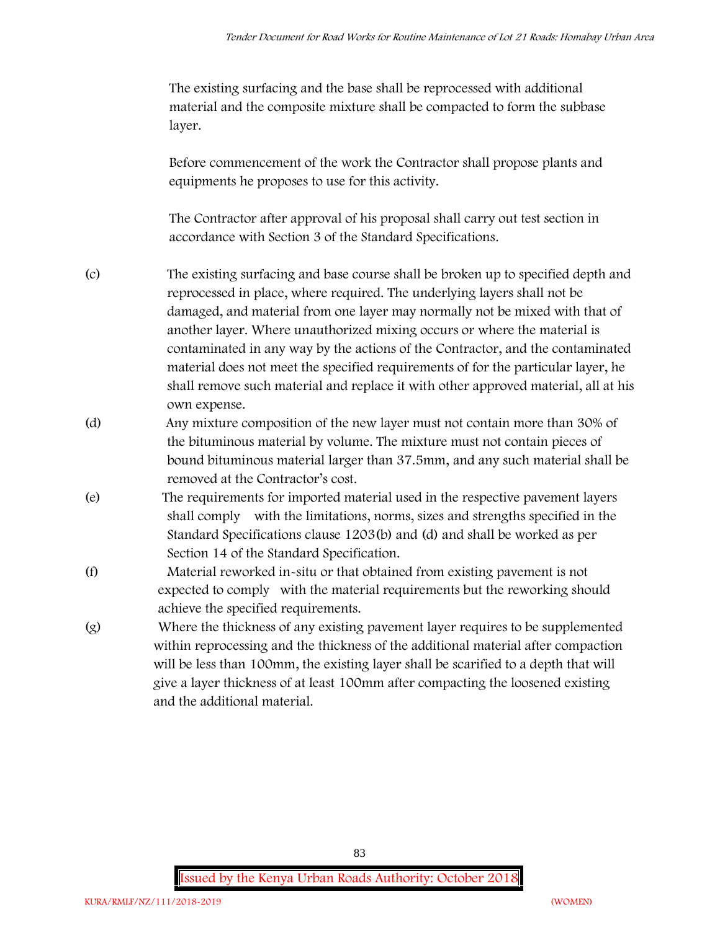The existing surfacing and the base shall be reprocessed with additional material and the composite mixture shall be compacted to form the subbase layer.

Before commencement of the work the Contractor shall propose plants and equipments he proposes to use for this activity.

The Contractor after approval of his proposal shall carry out test section in accordance with Section 3 of the Standard Specifications.

- (c) The existing surfacing and base course shall be broken up to specified depth and reprocessed in place, where required. The underlying layers shall not be damaged, and material from one layer may normally not be mixed with that of another layer. Where unauthorized mixing occurs or where the material is contaminated in any way by the actions of the Contractor, and the contaminated material does not meet the specified requirements of for the particular layer, he shall remove such material and replace it with other approved material, all at his own expense.
- (d) Any mixture composition of the new layer must not contain more than 30% of the bituminous material by volume. The mixture must not contain pieces of bound bituminous material larger than 37.5mm, and any such material shall be removed at the Contractor's cost.
- (e) The requirements for imported material used in the respective pavement layers shall comply with the limitations, norms, sizes and strengths specified in the Standard Specifications clause 1203(b) and (d) and shall be worked as per Section 14 of the Standard Specification.
- (f) Material reworked in-situ or that obtained from existing pavement is not expected to comply with the material requirements but the reworking should achieve the specified requirements.
- (g) Where the thickness of any existing pavement layer requires to be supplemented within reprocessing and the thickness of the additional material after compaction will be less than 100mm, the existing layer shall be scarified to a depth that will give a layer thickness of at least 100mm after compacting the loosened existing and the additional material.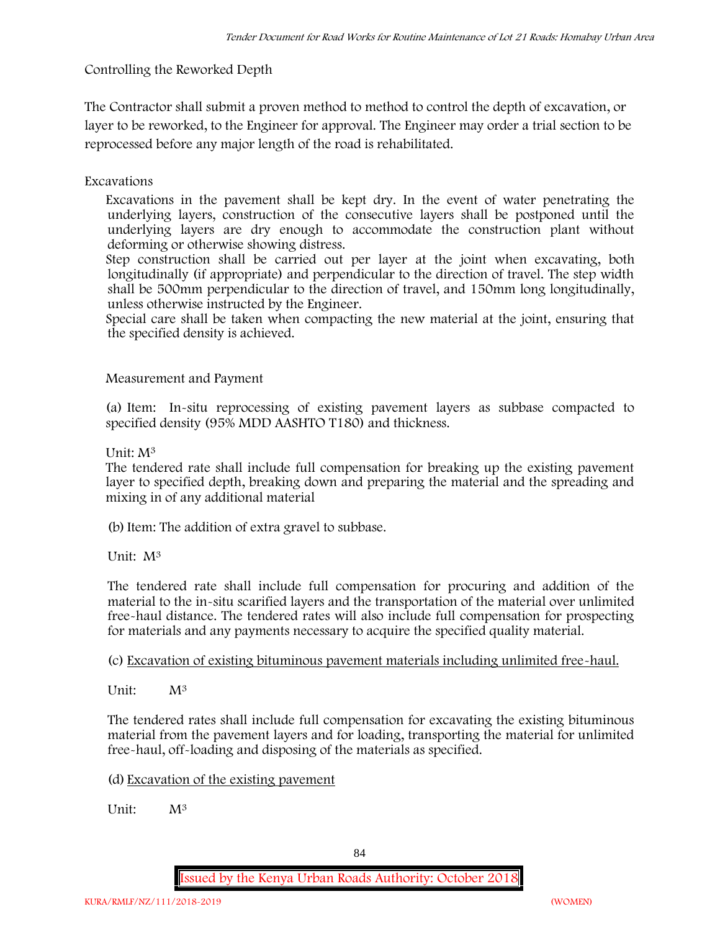**Controlling the Reworked Depth**

The Contractor shall submit a proven method to method to control the depth of excavation, or layer to be reworked, to the Engineer for approval. The Engineer may order a trial section to be reprocessed before any major length of the road is rehabilitated.

**Excavations**

Excavations in the pavement shall be kept dry. In the event of water penetrating the underlying layers, construction of the consecutive layers shall be postponed until the underlying layers are dry enough to accommodate the construction plant without deforming or otherwise showing distress.

Step construction shall be carried out per layer at the joint when excavating, both longitudinally (if appropriate) and perpendicular to the direction of travel. The step width shall be 500mm perpendicular to the direction of travel, and 150mm long longitudinally, unless otherwise instructed by the Engineer.

Special care shall be taken when compacting the new material at the joint, ensuring that the specified density is achieved.

**Measurement and Payment**

(a) Item: In-situ reprocessing of existing pavement layers as subbase compacted to specified density (95% MDD AASHTO T180) and thickness.

Unit: M<sup>3</sup>

The tendered rate shall include full compensation for breaking up the existing pavement layer to specified depth, breaking down and preparing the material and the spreading and mixing in of any additional material

(b)Item: The addition of extra gravel to subbase.

Unit: M<sup>3</sup>

The tendered rate shall include full compensation for procuring and addition of the material to the in-situ scarified layers and the transportation of the material over unlimited free-haul distance. The tendered rates will also include full compensation for prospecting for materials and any payments necessary to acquire the specified quality material.

(c) Excavation of existing bituminous pavement materials including unlimited free-haul.

Unit:  $M^3$ 

The tendered rates shall include full compensation for excavating the existing bituminous material from the pavement layers and for loading, transporting the material for unlimited free-haul, off-loading and disposing of the materials as specified.

(d) Excavation of the existing pavement

Unit: M<sup>3</sup>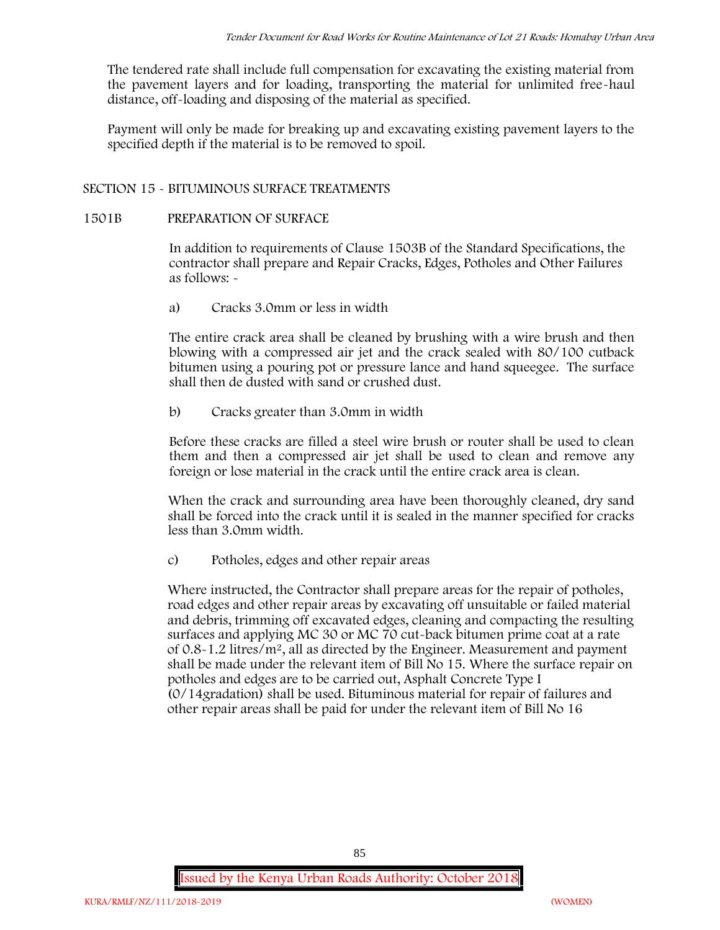The tendered rate shall include full compensation for excavating the existing material from the pavement layers and for loading, transporting the material for unlimited free-haul distance, off-loading and disposing of the material as specified.

Payment will only be made for breaking up and excavating existing pavement layers to the specified depth if the material is to be removed to spoil.

## **SECTION 15 - BITUMINOUS SURFACE TREATMENTS**

### **1501B PREPARATION OF SURFACE**

In addition to requirements of Clause 1503B of the Standard Specifications, the contractor shall prepare and Repair Cracks, Edges, Potholes and Other Failures as follows: **-**

a) **Cracks 3.0mm or less in width**

The entire crack area shall be cleaned by brushing with a wire brush and then blowing with a compressed air jet and the crack sealed with 80/100 cutback bitumen using a pouring pot or pressure lance and hand squeegee. The surface shall then de dusted with sand or crushed dust.

b) **Cracks greater than 3.0mm in width**

Before these cracks are filled a steel wire brush or router shall be used to clean them and then a compressed air jet shall be used to clean and remove any foreign or lose material in the crack until the entire crack area is clean.

When the crack and surrounding area have been thoroughly cleaned, dry sand shall be forced into the crack until it is sealed in the manner specified for cracks less than 3.0mm width.

c) **Potholes, edges and other repair areas**

Where instructed, the Contractor shall prepare areas for the repair of potholes, road edges and other repair areas by excavating off unsuitable or failed material and debris, trimming off excavated edges, cleaning and compacting the resulting surfaces and applying MC 30 or MC 70 cut-back bitumen prime coat at a rate of 0.8-1.2 litres/m2, all as directed by the Engineer. Measurement and payment shall be made under the relevant item of Bill No 15. Where the surface repair on potholes and edges are to be carried out, Asphalt Concrete Type I (0/14gradation) shall be used. Bituminous material for repair of failures and other repair areas shall be paid for under the relevant item of Bill No 16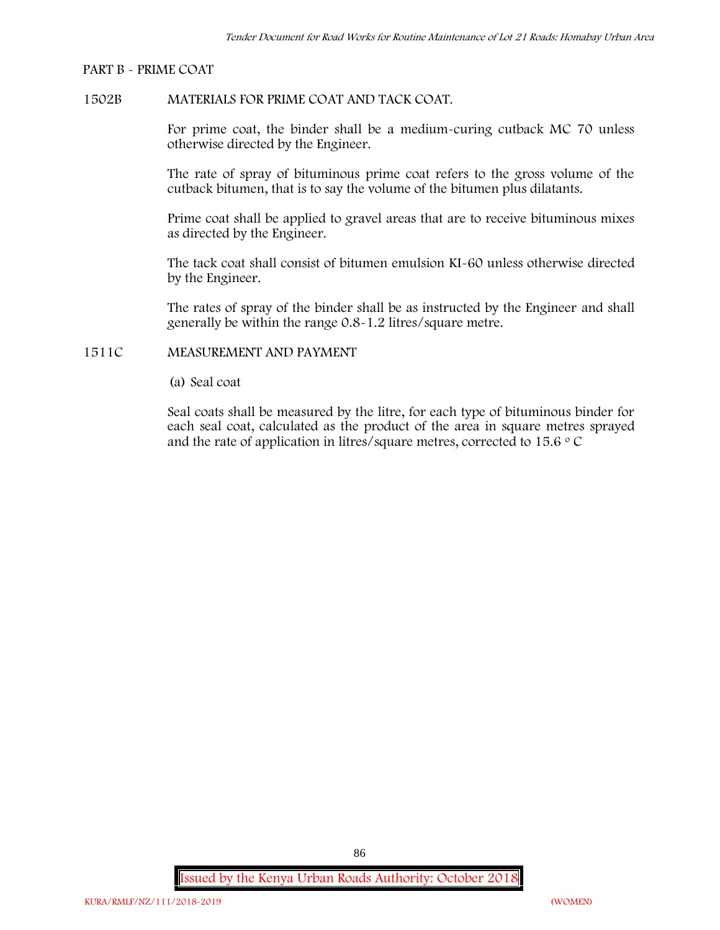#### **PART B - PRIME COAT**

# **1502B MATERIALS FOR PRIME COAT AND TACK COAT.**

For prime coat, the binder shall be a medium-curing cutback MC 70 unless otherwise directed by the Engineer.

The rate of spray of bituminous prime coat refers to the gross volume of the cutback bitumen, that is to say the volume of the bitumen plus dilatants.

Prime coat shall be applied to gravel areas that are to receive bituminous mixes as directed by the Engineer.

The tack coat shall consist of bitumen emulsion KI-60 unless otherwise directed by the Engineer.

The rates of spray of the binder shall be as instructed by the Engineer and shall generally be within the range 0.8-1.2 litres/square metre.

## **1511C MEASUREMENT AND PAYMENT**

(a) Seal coat

Seal coats shall be measured by the litre, for each type of bituminous binder for each seal coat, calculated as the product of the area in square metres sprayed and the rate of application in litres/square metres, corrected to 15.6  $\circ$  C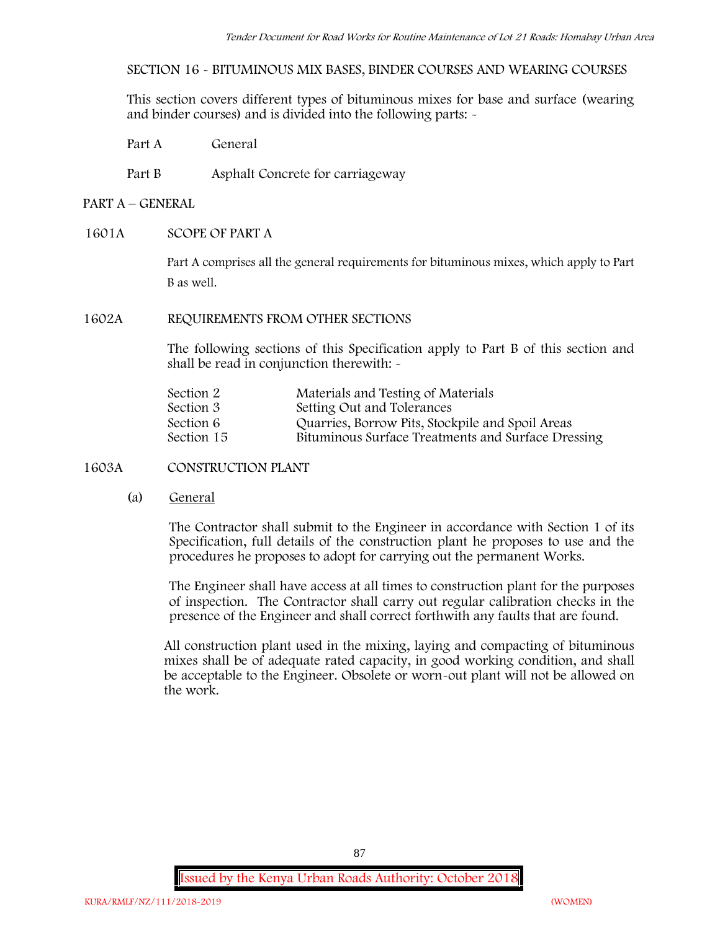**SECTION 16 - BITUMINOUS MIX BASES, BINDER COURSES AND WEARING COURSES**

This section covers different types of bituminous mixes for base and surface (wearing and binder courses) and is divided into the following parts: -

Part A General

Part B Asphalt Concrete for carriageway

# **PART A –GENERAL**

## **1601A SCOPE OF PART A**

Part A comprises all the general requirements for bituminous mixes, which apply to Part B as well.

# **1602A REQUIREMENTS FROM OTHER SECTIONS**

The following sections of this Specification apply to Part B of this section and shall be read in conjunction therewith: -

| Section 2  | Materials and Testing of Materials                 |
|------------|----------------------------------------------------|
| Section 3  | Setting Out and Tolerances                         |
| Section 6  | Quarries, Borrow Pits, Stockpile and Spoil Areas   |
| Section 15 | Bituminous Surface Treatments and Surface Dressing |

**1603A CONSTRUCTION PLANT**

(a) **General**

The Contractor shall submit to the Engineer in accordance with Section 1 of its Specification, full details of the construction plant he proposes to use and the procedures he proposes to adopt for carrying out the permanent Works.

The Engineer shall have access at all times to construction plant for the purposes of inspection. The Contractor shall carry out regular calibration checks in the presence of the Engineer and shall correct forthwith any faults that are found.

All construction plant used in the mixing, laying and compacting of bituminous mixes shall be of adequate rated capacity, in good working condition, and shall be acceptable to the Engineer. Obsolete or worn-out plant will not be allowed on the work.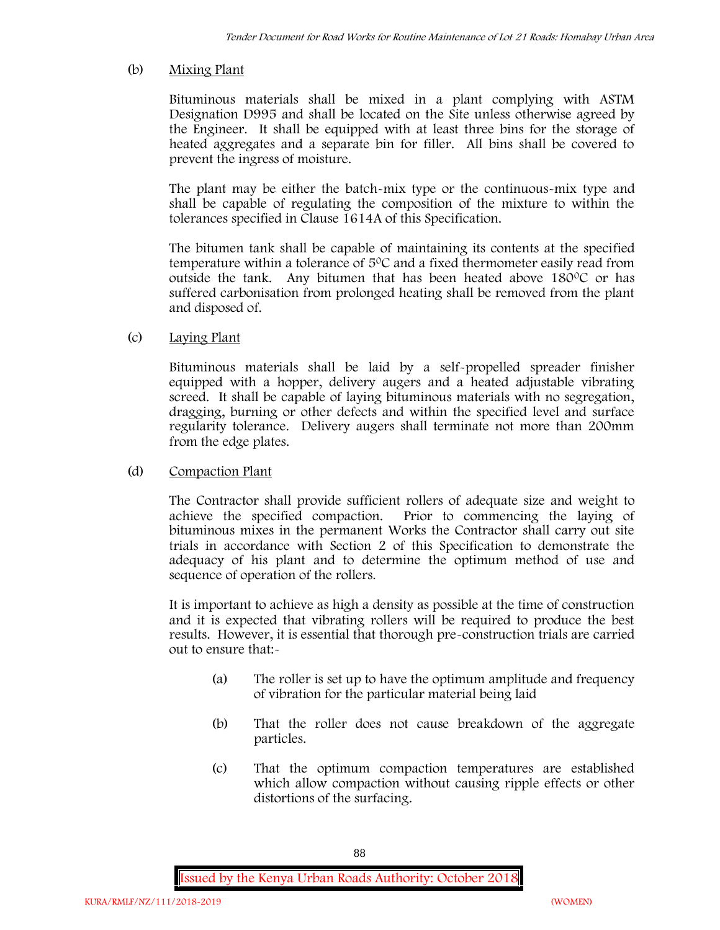# (b) **Mixing Plant**

Bituminous materials shall be mixed in a plant complying with ASTM Designation D995 and shall be located on the Site unless otherwise agreed by the Engineer. It shall be equipped with at least three bins for the storage of heated aggregates and a separate bin for filler. All bins shall be covered to prevent the ingress of moisture.

The plant may be either the batch-mix type or the continuous-mix type and shall be capable of regulating the composition of the mixture to within the tolerances specified in Clause 1614A of this Specification.

The bitumen tank shall be capable of maintaining its contents at the specified temperature within a tolerance of  $5^{\circ}$ C and a fixed thermometer easily read from outside the tank. Any bitumen that has been heated above 180°C or has suffered carbonisation from prolonged heating shall be removed from the plant and disposed of.

# (c) **Laying Plant**

Bituminous materials shall be laid by a self-propelled spreader finisher equipped with a hopper, delivery augers and a heated adjustable vibrating screed. It shall be capable of laying bituminous materials with no segregation, dragging, burning or other defects and within the specified level and surface regularity tolerance. Delivery augers shall terminate not more than 200mm from the edge plates.

## (d) **Compaction Plant**

The Contractor shall provide sufficient rollers of adequate size and weight to achieve the specified compaction. Prior to commencing the laying of bituminous mixes in the permanent Works the Contractor shall carry out site trials in accordance with Section 2 of this Specification to demonstrate the adequacy of his plant and to determine the optimum method of use and sequence of operation of the rollers.

It is important to achieve as high a density as possible at the time of construction and it is expected that vibrating rollers will be required to produce the best results. However, it is essential that thorough pre-construction trials are carried out to ensure that:-

- (a) The roller is set up to have the optimum amplitude and frequency of vibration for the particular material being laid
- (b) That the roller does not cause breakdown of the aggregate particles.
- (c) That the optimum compaction temperatures are established which allow compaction without causing ripple effects or other distortions of the surfacing.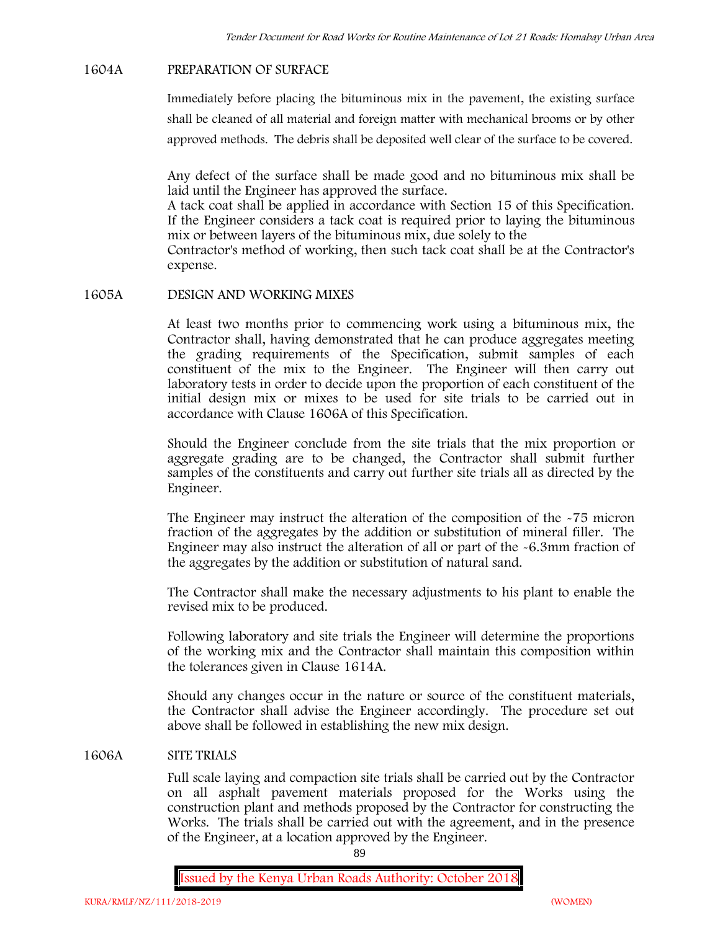### **1604A PREPARATION OF SURFACE**

Immediately before placing the bituminous mix in the pavement, the existing surface shall be cleaned of all material and foreign matter with mechanical brooms or by other approved methods. The debris shall be deposited well clear of the surface to be covered.

Any defect of the surface shall be made good and no bituminous mix shall be laid until the Engineer has approved the surface.

A tack coat shall be applied in accordance with Section 15 of this Specification. If the Engineer considers a tack coat is required prior to laying the bituminous mix or between layers of the bituminous mix, due solely to the

Contractor's method of working, then such tack coat shall be at the Contractor's expense.

## **1605A DESIGN AND WORKING MIXES**

At least two months prior to commencing work using a bituminous mix, the Contractor shall, having demonstrated that he can produce aggregates meeting the grading requirements of the Specification, submit samples of each constituent of the mix to the Engineer. The Engineer will then carry out laboratory tests in order to decide upon the proportion of each constituent of the initial design mix or mixes to be used for site trials to be carried out in accordance with Clause 1606A of this Specification.

Should the Engineer conclude from the site trials that the mix proportion or aggregate grading are to be changed, the Contractor shall submit further samples of the constituents and carry out further site trials all as directed by the Engineer.

The Engineer may instruct the alteration of the composition of the -75 micron fraction of the aggregates by the addition or substitution of mineral filler. The Engineer may also instruct the alteration of all or part of the -6.3mm fraction of the aggregates by the addition or substitution of natural sand.

The Contractor shall make the necessary adjustments to his plant to enable the revised mix to be produced.

Following laboratory and site trials the Engineer will determine the proportions of the working mix and the Contractor shall maintain this composition within the tolerances given in Clause 1614A.

Should any changes occur in the nature or source of the constituent materials, the Contractor shall advise the Engineer accordingly. The procedure set out above shall be followed in establishing the new mix design.

## **1606A SITE TRIALS**

Full scale laying and compaction site trials shall be carried out by the Contractor on all asphalt pavement materials proposed for the Works using the construction plant and methods proposed by the Contractor for constructing the Works. The trials shall be carried out with the agreement, and in the presence of the Engineer, at a location approved by the Engineer.

89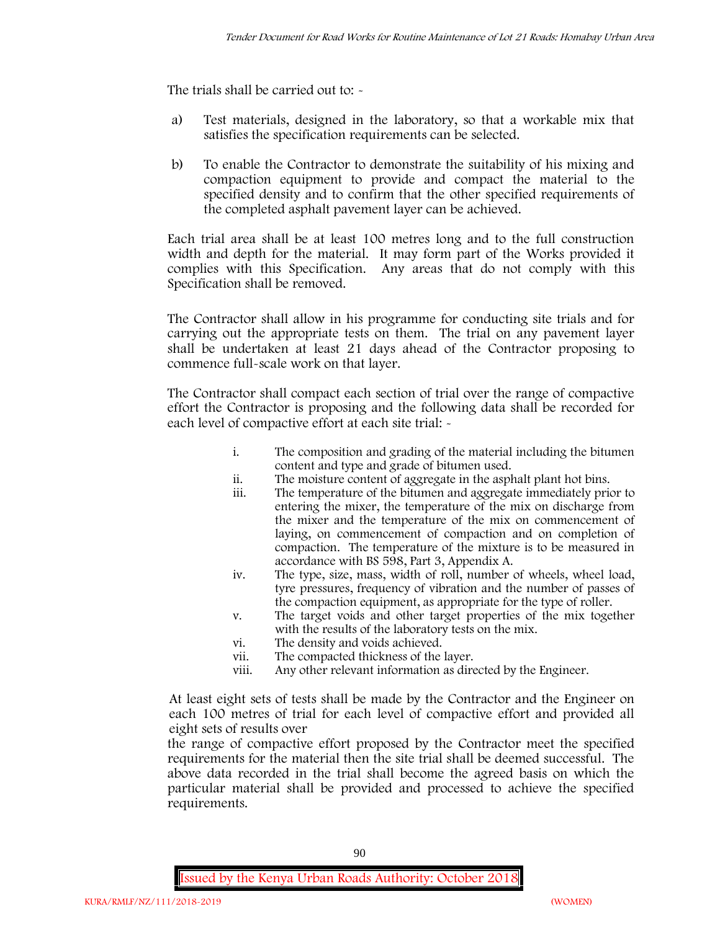The trials shall be carried out to: -

- a) Test materials, designed in the laboratory, so that a workable mix that satisfies the specification requirements can be selected.
- b) To enable the Contractor to demonstrate the suitability of his mixing and compaction equipment to provide and compact the material to the specified density and to confirm that the other specified requirements of the completed asphalt pavement layer can be achieved.

Each trial area shall be at least 100 metres long and to the full construction width and depth for the material. It may form part of the Works provided it complies with this Specification. Any areas that do not comply with this Specification shall be removed.

The Contractor shall allow in his programme for conducting site trials and for carrying out the appropriate tests on them. The trial on any pavement layer shall be undertaken at least 21 days ahead of the Contractor proposing to commence full-scale work on that layer.

The Contractor shall compact each section of trial over the range of compactive effort the Contractor is proposing and the following data shall be recorded for each level of compactive effort at each site trial:  $\sim$ 

- i. The composition and grading of the material including the bitumen content and type and grade of bitumen used.
- ii. The moisture content of aggregate in the asphalt plant hot bins.
- iii. The temperature of the bitumen and aggregate immediately prior to entering the mixer, the temperature of the mix on discharge from the mixer and the temperature of the mix on commencement of laying, on commencement of compaction and on completion of compaction. The temperature of the mixture is to be measured in accordance with BS 598, Part 3, Appendix A.
- iv. The type, size, mass, width of roll, number of wheels, wheel load, tyre pressures, frequency of vibration and the number of passes of the compaction equipment, as appropriate for the type of roller.
- v. The target voids and other target properties of the mix together with the results of the laboratory tests on the mix.
- vi. The density and voids achieved.
- vii. The compacted thickness of the layer.
- viii. Any other relevant information as directed by the Engineer.

At least eight sets of tests shall be made by the Contractor and the Engineer on each 100 metres of trial for each level of compactive effort and provided all eight sets of results over

the range of compactive effort proposed by the Contractor meet the specified requirements for the material then the site trial shall be deemed successful. The above data recorded in the trial shall become the agreed basis on which the particular material shall be provided and processed to achieve the specified requirements.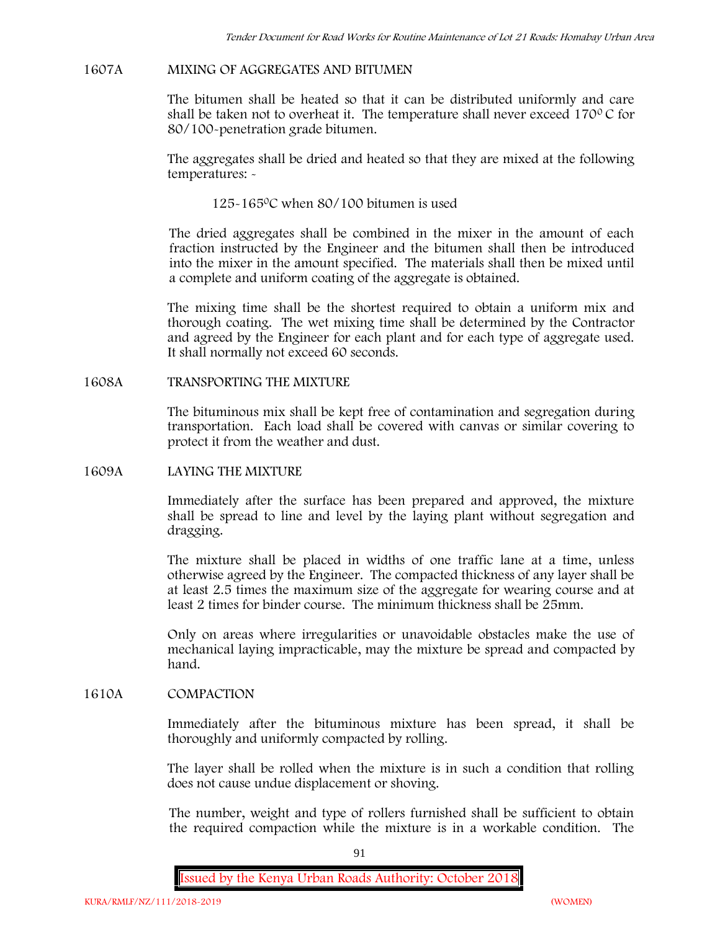### **1607A MIXING OF AGGREGATES AND BITUMEN**

The bitumen shall be heated so that it can be distributed uniformly and care shall be taken not to overheat it. The temperature shall never exceed  $170^{\circ}$ C for 80/100-penetration grade bitumen.

The aggregates shall be dried and heated so that they are mixed at the following temperatures: -

125-1650C when 80/100 bitumen is used

The dried aggregates shall be combined in the mixer in the amount of each fraction instructed by the Engineer and the bitumen shall then be introduced into the mixer in the amount specified. The materials shall then be mixed until a complete and uniform coating of the aggregate is obtained.

The mixing time shall be the shortest required to obtain a uniform mix and thorough coating. The wet mixing time shall be determined by the Contractor and agreed by the Engineer for each plant and for each type of aggregate used. It shall normally not exceed 60 seconds.

**1608A TRANSPORTING THE MIXTURE**

The bituminous mix shall be kept free of contamination and segregation during transportation. Each load shall be covered with canvas or similar covering to protect it from the weather and dust.

**1609A LAYING THE MIXTURE**

Immediately after the surface has been prepared and approved, the mixture shall be spread to line and level by the laying plant without segregation and dragging.

The mixture shall be placed in widths of one traffic lane at a time, unless otherwise agreed by the Engineer. The compacted thickness of any layer shall be at least 2.5 times the maximum size of the aggregate for wearing course and at least 2 times for binder course. The minimum thickness shall be 25mm.

Only on areas where irregularities or unavoidable obstacles make the use of mechanical laying impracticable, may the mixture be spread and compacted by hand.

# **1610A COMPACTION**

Immediately after the bituminous mixture has been spread, it shall be thoroughly and uniformly compacted by rolling.

The layer shall be rolled when the mixture is in such a condition that rolling does not cause undue displacement or shoving.

The number, weight and type of rollers furnished shall be sufficient to obtain the required compaction while the mixture is in a workable condition. The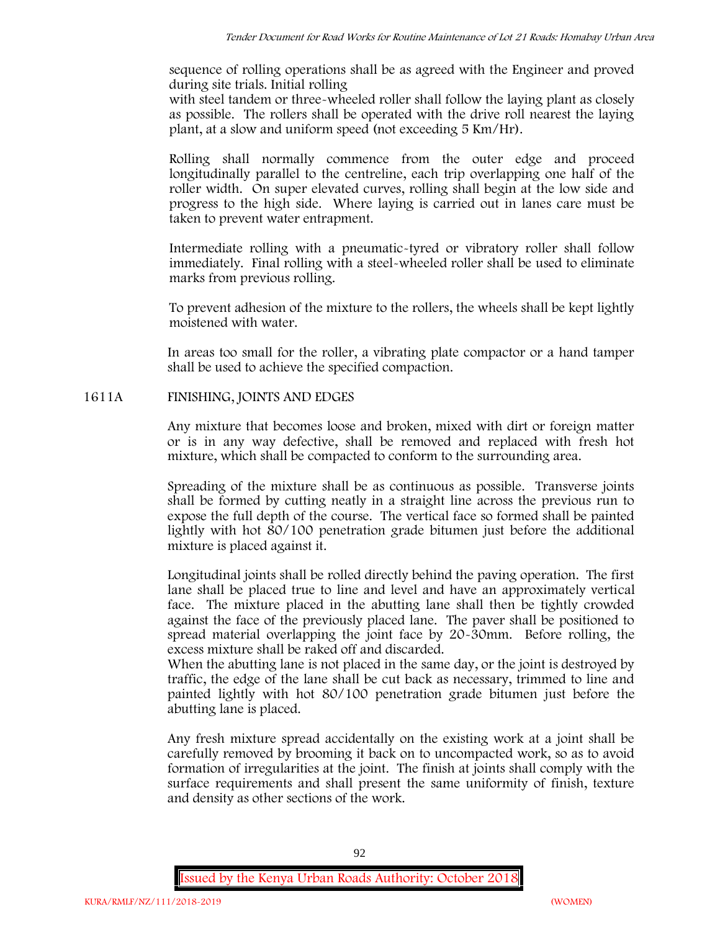sequence of rolling operations shall be as agreed with the Engineer and proved during site trials. Initial rolling

with steel tandem or three-wheeled roller shall follow the laying plant as closely as possible. The rollers shall be operated with the drive roll nearest the laying plant, at a slow and uniform speed (not exceeding 5 Km/Hr).

Rolling shall normally commence from the outer edge and proceed longitudinally parallel to the centreline, each trip overlapping one half of the roller width. On super elevated curves, rolling shall begin at the low side and progress to the high side. Where laying is carried out in lanes care must be taken to prevent water entrapment.

Intermediate rolling with a pneumatic-tyred or vibratory roller shall follow immediately. Final rolling with a steel-wheeled roller shall be used to eliminate marks from previous rolling.

To prevent adhesion of the mixture to the rollers, the wheels shall be kept lightly moistened with water.

In areas too small for the roller, a vibrating plate compactor or a hand tamper shall be used to achieve the specified compaction.

# **1611A FINISHING, JOINTS AND EDGES**

Any mixture that becomes loose and broken, mixed with dirt or foreign matter or is in any way defective, shall be removed and replaced with fresh hot mixture, which shall be compacted to conform to the surrounding area.

Spreading of the mixture shall be as continuous as possible. Transverse joints shall be formed by cutting neatly in a straight line across the previous run to expose the full depth of the course. The vertical face so formed shall be painted lightly with hot 80/100 penetration grade bitumen just before the additional mixture is placed against it.

Longitudinal joints shall be rolled directly behind the paving operation. The first lane shall be placed true to line and level and have an approximately vertical face. The mixture placed in the abutting lane shall then be tightly crowded against the face of the previously placed lane. The paver shall be positioned to spread material overlapping the joint face by 20-30mm. Before rolling, the excess mixture shall be raked off and discarded.

When the abutting lane is not placed in the same day, or the joint is destroyed by traffic, the edge of the lane shall be cut back as necessary, trimmed to line and painted lightly with hot 80/100 penetration grade bitumen just before the abutting lane is placed.

Any fresh mixture spread accidentally on the existing work at a joint shall be carefully removed by brooming it back on to uncompacted work, so as to avoid formation of irregularities at the joint. The finish at joints shall comply with the surface requirements and shall present the same uniformity of finish, texture and density as other sections of the work.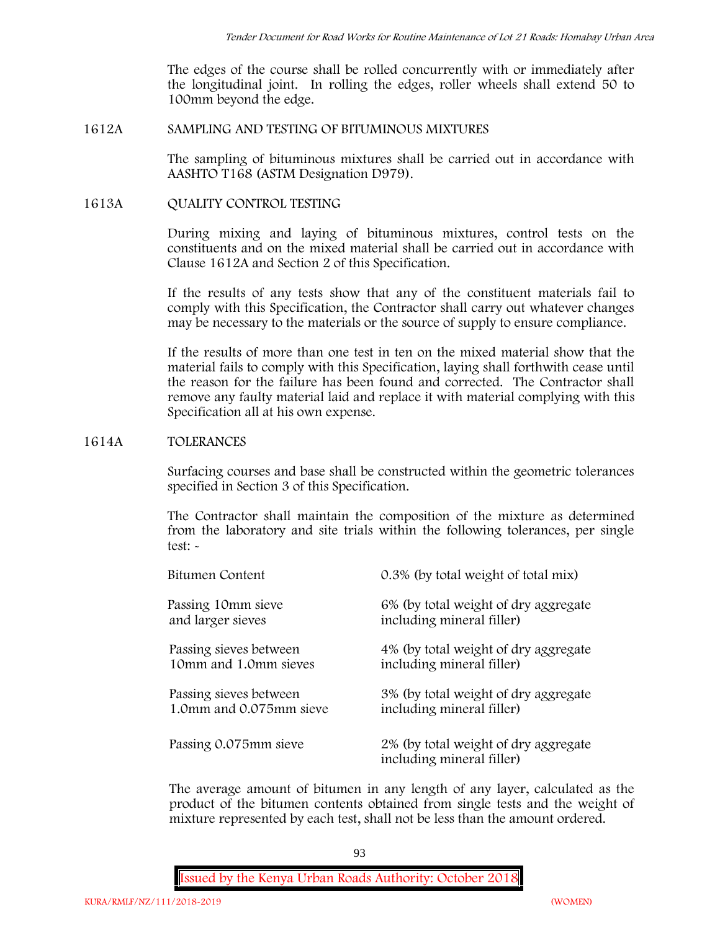The edges of the course shall be rolled concurrently with or immediately after the longitudinal joint. In rolling the edges, roller wheels shall extend 50 to 100mm beyond the edge.

# **1612A SAMPLING AND TESTING OF BITUMINOUS MIXTURES**

The sampling of bituminous mixtures shall be carried out in accordance with AASHTO T168 (ASTM Designation D979).

# **1613A QUALITY CONTROL TESTING**

During mixing and laying of bituminous mixtures, control tests on the constituents and on the mixed material shall be carried out in accordance with Clause 1612A and Section 2 of this Specification.

If the results of any tests show that any of the constituent materials fail to comply with this Specification, the Contractor shall carry out whatever changes may be necessary to the materials or the source of supply to ensure compliance.

If the results of more than one test in ten on the mixed material show that the material fails to comply with this Specification, laying shall forthwith cease until the reason for the failure has been found and corrected. The Contractor shall remove any faulty material laid and replace it with material complying with this Specification all at his own expense.

## **1614A TOLERANCES**

Surfacing courses and base shall be constructed within the geometric tolerances specified in Section 3 of this Specification.

The Contractor shall maintain the composition of the mixture as determined from the laboratory and site trials within the following tolerances, per single test: -

| Bitumen Content         | 0.3% (by total weight of total mix)                               |
|-------------------------|-------------------------------------------------------------------|
| Passing 10mm sieve      | 6% (by total weight of dry aggregate                              |
| and larger sieves       | including mineral filler)                                         |
| Passing sieves between  | 4% (by total weight of dry aggregate                              |
| 10mm and 1.0mm sieves   | including mineral filler)                                         |
| Passing sieves between  | 3% (by total weight of dry aggregate                              |
| 1.0mm and 0.075mm sieve | including mineral filler)                                         |
| Passing 0.075mm sieve   | 2% (by total weight of dry aggregate<br>including mineral filler) |

The average amount of bitumen in any length of any layer, calculated as the product of the bitumen contents obtained from single tests and the weight of mixture represented by each test, shall not be less than the amount ordered.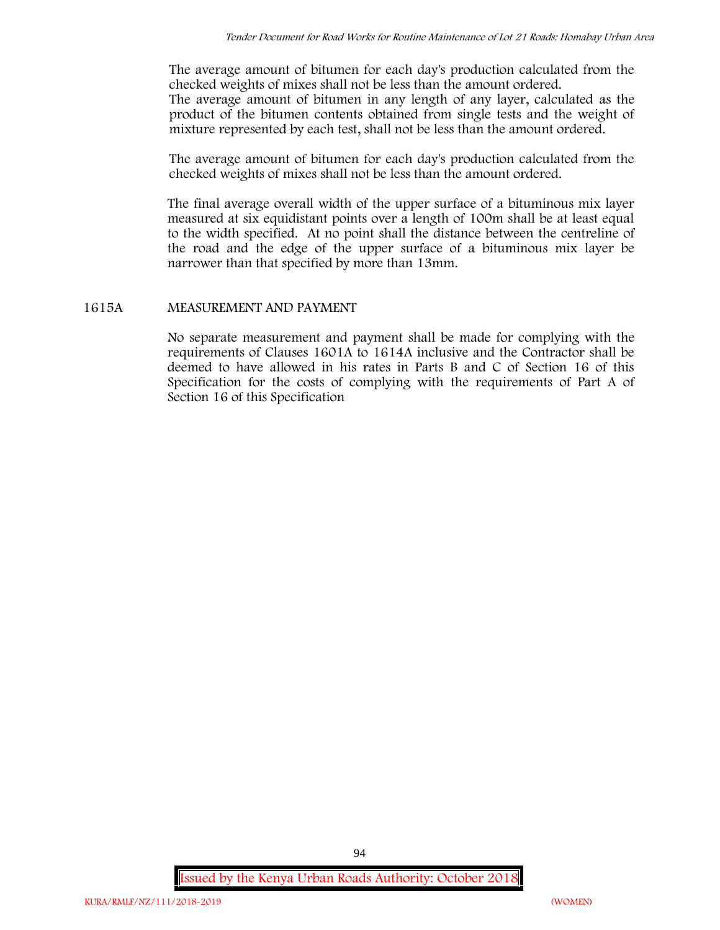The average amount of bitumen for each day's production calculated from the checked weights of mixes shall not be less than the amount ordered. The average amount of bitumen in any length of any layer, calculated as the product of the bitumen contents obtained from single tests and the weight of mixture represented by each test, shall not be less than the amount ordered.

The average amount of bitumen for each day's production calculated from the checked weights of mixes shall not be less than the amount ordered.

The final average overall width of the upper surface of a bituminous mix layer measured at six equidistant points over a length of 100m shall be at least equal to the width specified. At no point shall the distance between the centreline of the road and the edge of the upper surface of a bituminous mix layer be narrower than that specified by more than 13mm.

## **1615A MEASUREMENT AND PAYMENT**

No separate measurement and payment shall be made for complying with the requirements of Clauses 1601A to 1614A inclusive and the Contractor shall be deemed to have allowed in his rates in Parts B and C of Section 16 of this Specification for the costs of complying with the requirements of Part A of Section 16 of this Specification

**Issued by the Kenya Urban Roads Authority: October 2018**

94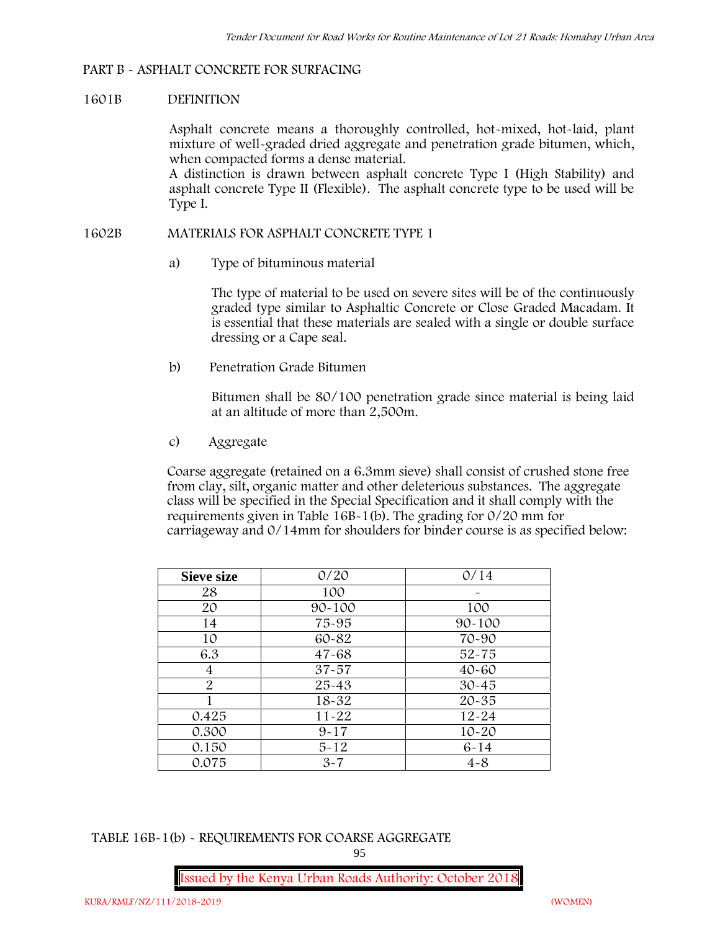## **PART B - ASPHALT CONCRETE FOR SURFACING**

### **1601B DEFINITION**

Asphalt concrete means a thoroughly controlled, hot-mixed, hot-laid, plant mixture of well-graded dried aggregate and penetration grade bitumen, which, when compacted forms a dense material.

A distinction is drawn between asphalt concrete Type I (High Stability) and asphalt concrete Type II (Flexible). The asphalt concrete type to be used will be Type I.

### **1602B MATERIALS FOR ASPHALT CONCRETE TYPE 1**

a) **Type of bituminous material**

The type of material to be used on severe sites will be of the continuously graded type similar to Asphaltic Concrete or Close Graded Macadam. It is essential that these materials are sealed with a single or double surface dressing or a Cape seal.

b) **Penetration Grade Bitumen**

Bitumen shall be 80/100 penetration grade since material is being laid at an altitude of more than 2,500m.

c) **Aggregate**

Coarse aggregate (retained on a 6.3mm sieve) shall consist of crushed stone free from clay, silt, organic matter and other deleterious substances. The aggregate class will be specified in the Special Specification and it shall comply with the requirements given in Table 16B-1(b). The grading for 0/20 mm for carriageway and 0/14mm for shoulders for binder course is as specified below:

| <b>Sieve size</b> | 0/20       | 0/14       |
|-------------------|------------|------------|
| 28                | 100        |            |
| 20                | $90 - 100$ | 100        |
| 14                | 75-95      | $90 - 100$ |
| 10                | 60-82      | 70-90      |
| 6.3               | $47 - 68$  | $52 - 75$  |
| 4                 | $37 - 57$  | $40 - 60$  |
| $\overline{2}$    | 25-43      | $30 - 45$  |
|                   | 18-32      | $20 - 35$  |
| 0.425             | $11 - 22$  | $12 - 24$  |
| 0.300             | $9 - 17$   | $10 - 20$  |
| 0.150             | $5 - 12$   | $6 - 14$   |
| 0.075             | $3 - 7$    | $4 - 8$    |

**TABLE 16B-1(b) - REQUIREMENTS FOR COARSE AGGREGATE**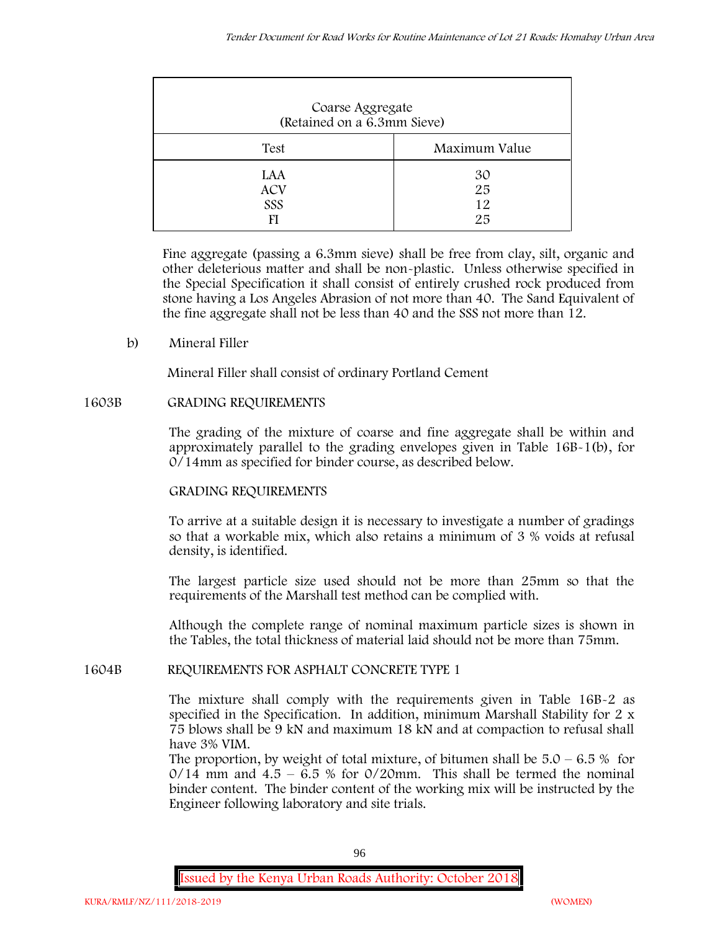| Coarse Aggregate<br>(Retained on a 6.3mm Sieve) |                      |
|-------------------------------------------------|----------------------|
| Test                                            | Maximum Value        |
| LAA<br><b>ACV</b><br>SSS<br>FI                  | 30<br>25<br>12<br>25 |

Fine aggregate (passing a 6.3mm sieve) shall be free from clay, silt, organic and other deleterious matter and shall be non-plastic. Unless otherwise specified in the Special Specification it shall consist of entirely crushed rock produced from stone having a Los Angeles Abrasion of not more than 40. The Sand Equivalent of the fine aggregate shall not be less than 40 and the SSS not more than 12.

**b) Mineral Filler**

Mineral Filler shall consist of ordinary Portland Cement

# **1603B GRADING REQUIREMENTS**

The grading of the mixture of coarse and fine aggregate shall be within and approximately parallel to the grading envelopes given in Table 16B-1(b), for 0/14mm as specified for binder course, as described below.

# **GRADING REQUIREMENTS**

To arrive at a suitable design it is necessary to investigate a number of gradings so that a workable mix, which also retains a minimum of 3 % voids at refusal density, is identified.

The largest particle size used should not be more than 25mm so that the requirements of the Marshall test method can be complied with.

Although the complete range of nominal maximum particle sizes is shown in the Tables, the total thickness of material laid should not be more than 75mm.

## **1604B REQUIREMENTS FOR ASPHALT CONCRETE TYPE 1**

The mixture shall comply with the requirements given in Table 16B-2 as specified in the Specification. In addition, minimum Marshall Stability for 2 x 75 blows shall be 9 kN and maximum 18 kN and at compaction to refusal shall have 3% VIM.

The proportion, by weight of total mixture, of bitumen shall be  $5.0 - 6.5\%$  for  $0/14$  mm and  $4.5 - 6.5$  % for  $0/20$ mm. This shall be termed the nominal binder content. The binder content of the working mix will be instructed by the Engineer following laboratory and site trials.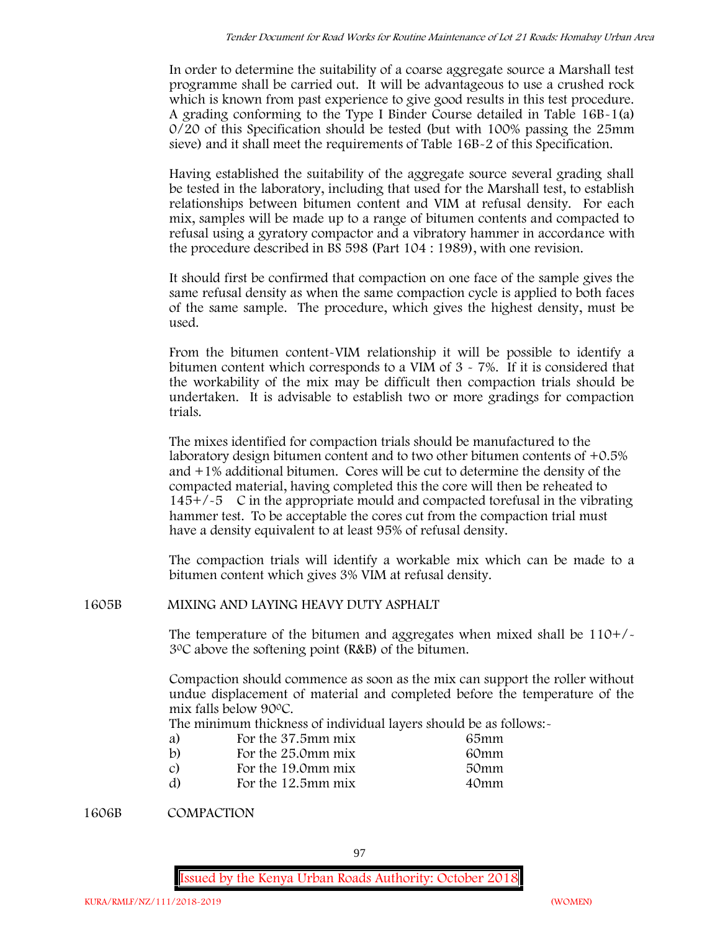In order to determine the suitability of a coarse aggregate source a Marshall test programme shall be carried out. It will be advantageous to use a crushed rock which is known from past experience to give good results in this test procedure. A grading conforming to the Type I Binder Course detailed in Table 16B-1(a) 0/20 of this Specification should be tested (but with 100% passing the 25mm sieve) and it shall meet the requirements of Table 16B-2 of this Specification.

Having established the suitability of the aggregate source several grading shall be tested in the laboratory, including that used for the Marshall test, to establish relationships between bitumen content and VIM at refusal density. For each mix, samples will be made up to a range of bitumen contents and compacted to refusal using a gyratory compactor and a vibratory hammer in accordance with the procedure described in BS 598 (Part 104 : 1989), with one revision.

It should first be confirmed that compaction on one face of the sample gives the same refusal density as when the same compaction cycle is applied to both faces of the same sample. The procedure, which gives the highest density, must be used.

From the bitumen content-VIM relationship it will be possible to identify a bitumen content which corresponds to a VIM of 3 - 7%. If it is considered that the workability of the mix may be difficult then compaction trials should be undertaken. It is advisable to establish two or more gradings for compaction trials.

The mixes identified for compaction trials should be manufactured to the laboratory design bitumen content and to two other bitumen contents of +0.5% and +1% additional bitumen. Cores will be cut to determine the density of the compacted material, having completed this the core will then be reheated to  $145+/5$  C in the appropriate mould and compacted torefusal in the vibrating hammer test. To be acceptable the cores cut from the compaction trial must have a density equivalent to at least 95% of refusal density.

The compaction trials will identify a workable mix which can be made to a bitumen content which gives 3% VIM at refusal density.

**1605B MIXING AND LAYING HEAVY DUTY ASPHALT**

The temperature of the bitumen and aggregates when mixed shall be  $110+/$ 30C above the softening point (R&B) of the bitumen.

Compaction should commence as soon as the mix can support the roller without undue displacement of material and completed before the temperature of the mix falls below 900C.

The minimum thickness of individual layers should be as follows:-

| a) | For the 37.5mm mix | 65mm |  |
|----|--------------------|------|--|
| b) | For the 25.0mm mix | 60mm |  |
| C) | For the 19.0mm mix | 50mm |  |
| d) | For the 12.5mm mix | 40mm |  |

**1606B COMPACTION**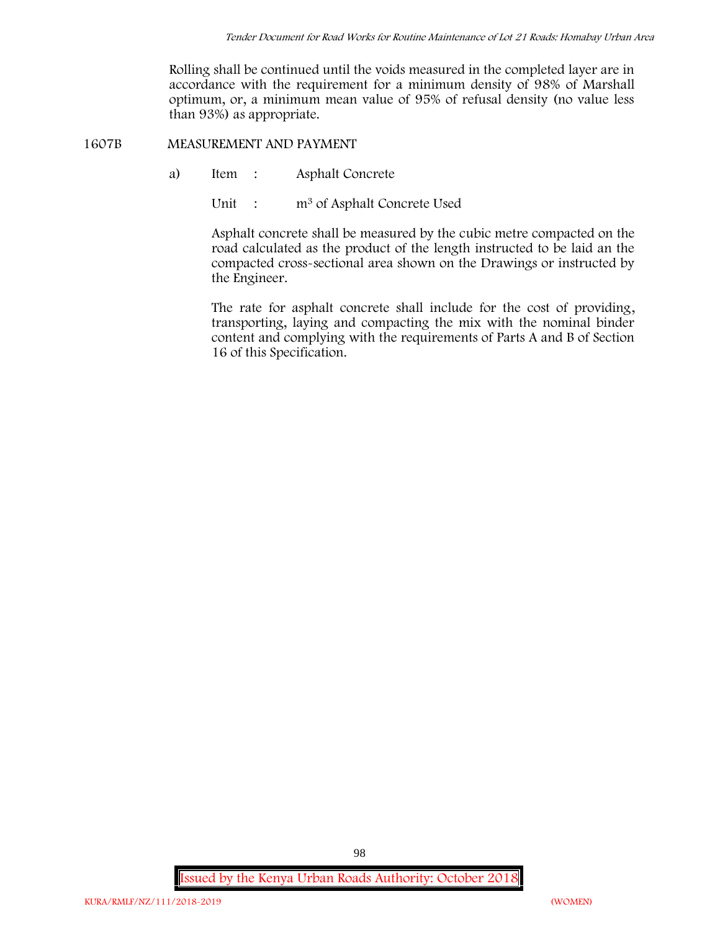Rolling shall be continued until the voids measured in the completed layer are in accordance with the requirement for a minimum density of 98% of Marshall optimum, or, a minimum mean value of 95% of refusal density (no value less than 93%) as appropriate.

**1607B MEASUREMENT AND PAYMENT**

- a) Item : Asphalt Concrete
	- Unit : m<sup>3</sup> of Asphalt Concrete Used

Asphalt concrete shall be measured by the cubic metre compacted on the road calculated as the product of the length instructed to be laid an the compacted cross-sectional area shown on the Drawings or instructed by the Engineer.

The rate for asphalt concrete shall include for the cost of providing, transporting, laying and compacting the mix with the nominal binder content and complying with the requirements of Parts A and B of Section 16 of this Specification.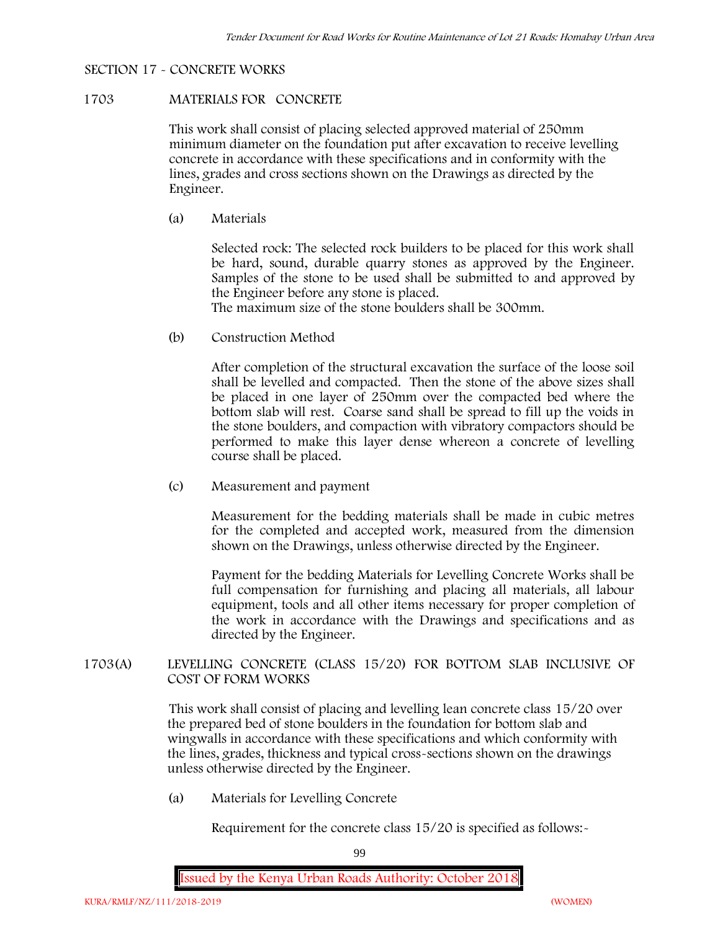### **SECTION 17 - CONCRETE WORKS**

### **1703 MATERIALS FOR CONCRETE**

This work shall consist of placing selected approved material of 250mm minimum diameter on the foundation put after excavation to receive levelling concrete in accordance with these specifications and in conformity with the lines, grades and cross sections shown on the Drawings as directed by the Engineer.

(a) **Materials**

Selected rock: The selected rock builders to be placed for this work shall be hard, sound, durable quarry stones as approved by the Engineer. Samples of the stone to be used shall be submitted to and approved by the Engineer before any stone is placed.

The maximum size of the stone boulders shall be 300mm.

(b) **Construction Method**

After completion of the structural excavation the surface of the loose soil shall be levelled and compacted. Then the stone of the above sizes shall be placed in one layer of 250mm over the compacted bed where the bottom slab will rest. Coarse sand shall be spread to fill up the voids in the stone boulders, and compaction with vibratory compactors should be performed to make this layer dense whereon a concrete of levelling course shall be placed.

(c) **Measurement and payment**

Measurement for the bedding materials shall be made in cubic metres for the completed and accepted work, measured from the dimension shown on the Drawings, unless otherwise directed by the Engineer.

Payment for the bedding Materials for Levelling Concrete Works shall be full compensation for furnishing and placing all materials, all labour equipment, tools and all other items necessary for proper completion of the work in accordance with the Drawings and specifications and as directed by the Engineer.

**1703(A) LEVELLING CONCRETE (CLASS 15/20) FOR BOTTOM SLAB INCLUSIVE OF COST OF FORM WORKS**

> This work shall consist of placing and levelling lean concrete class 15/20 over the prepared bed of stone boulders in the foundation for bottom slab and wingwalls in accordance with these specifications and which conformity with the lines, grades, thickness and typical cross-sections shown on the drawings unless otherwise directed by the Engineer.

(a) **Materials for Levelling Concrete**

Requirement for the concrete class  $15/20$  is specified as follows:-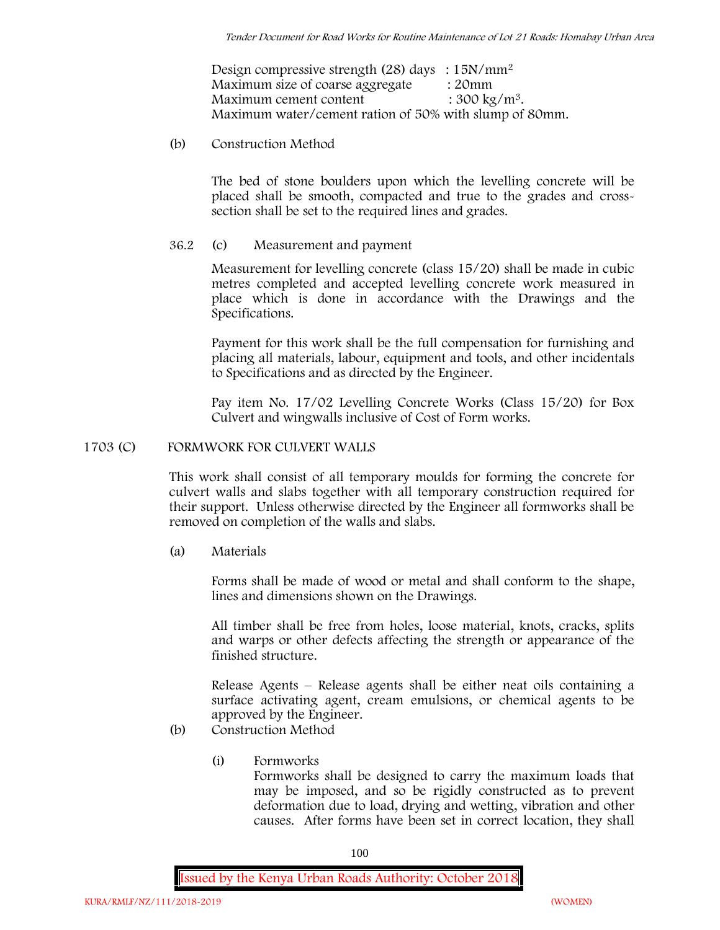Design compressive strength (28) days :  $15N/mm^2$ Maximum size of coarse aggregate : 20mm Maximum cement content  $: 300 \text{ kg/m}^3$ . Maximum water/cement ration of 50% with slump of 80mm.

(b) **Construction Method**

The bed of stone boulders upon which the levelling concrete will be placed shall be smooth, compacted and true to the grades and crosssection shall be set to the required lines and grades.

**36.2** (c) **Measurement and payment**

Measurement for levelling concrete (class 15/20) shall be made in cubic metres completed and accepted levelling concrete work measured in place which is done in accordance with the Drawings and the Specifications.

Payment for this work shall be the full compensation for furnishing and placing all materials, labour, equipment and tools, and other incidentals to Specifications and as directed by the Engineer.

Pay item No. 17/02 Levelling Concrete Works (Class 15/20) for Box Culvert and wingwalls inclusive of Cost of Form works.

# **1703 (C) FORMWORK FOR CULVERT WALLS**

This work shall consist of all temporary moulds for forming the concrete for culvert walls and slabs together with all temporary construction required for their support. Unless otherwise directed by the Engineer all formworks shall be removed on completion of the walls and slabs.

(a) **Materials**

Forms shall be made of wood or metal and shall conform to the shape, lines and dimensions shown on the Drawings.

All timber shall be free from holes, loose material, knots, cracks, splits and warps or other defects affecting the strength or appearance of the finished structure.

Release Agents – Release agents shall be either neat oils containing a surface activating agent, cream emulsions, or chemical agents to be approved by the Engineer.

- (b) **Construction Method**
	- (i) **Formworks** Formworks shall be designed to carry the maximum loads that may be imposed, and so be rigidly constructed as to prevent deformation due to load, drying and wetting, vibration and other causes. After forms have been set in correct location, they shall

100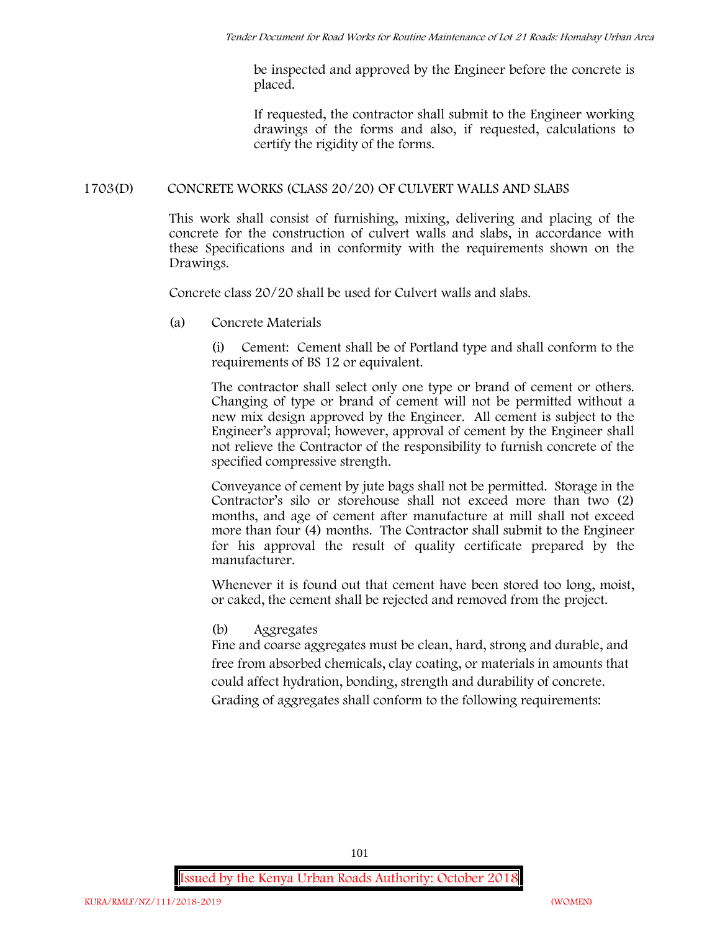be inspected and approved by the Engineer before the concrete is placed.

If requested, the contractor shall submit to the Engineer working drawings of the forms and also, if requested, calculations to certify the rigidity of the forms.

# **1703(D) CONCRETE WORKS (CLASS 20/20) OF CULVERT WALLS AND SLABS**

This work shall consist of furnishing, mixing, delivering and placing of the concrete for the construction of culvert walls and slabs, in accordance with these Specifications and in conformity with the requirements shown on the Drawings.

Concrete class 20/20 shall be used for Culvert walls and slabs.

**(a) Concrete Materials**

(i) Cement: Cement shall be of Portland type and shall conform to the requirements of BS 12 or equivalent.

The contractor shall select only one type or brand of cement or others. Changing of type or brand of cement will not be permitted without a new mix design approved by the Engineer. All cement is subject to the Engineer's approval; however, approval of cement by the Engineer shall not relieve the Contractor of the responsibility to furnish concrete of the specified compressive strength.

Conveyance of cement by jute bags shall not be permitted. Storage in the Contractor's silo or storehouse shall not exceed more than two (2) months, and age of cement after manufacture at mill shall not exceed more than four (4) months. The Contractor shall submit to the Engineer for his approval the result of quality certificate prepared by the manufacturer.

Whenever it is found out that cement have been stored too long, moist, or caked, the cement shall be rejected and removed from the project.

**(b) Aggregates**

Fine and coarse aggregates must be clean, hard, strong and durable, and free from absorbed chemicals, clay coating, or materials in amounts that could affect hydration, bonding, strength and durability of concrete. Grading of aggregates shall conform to the following requirements: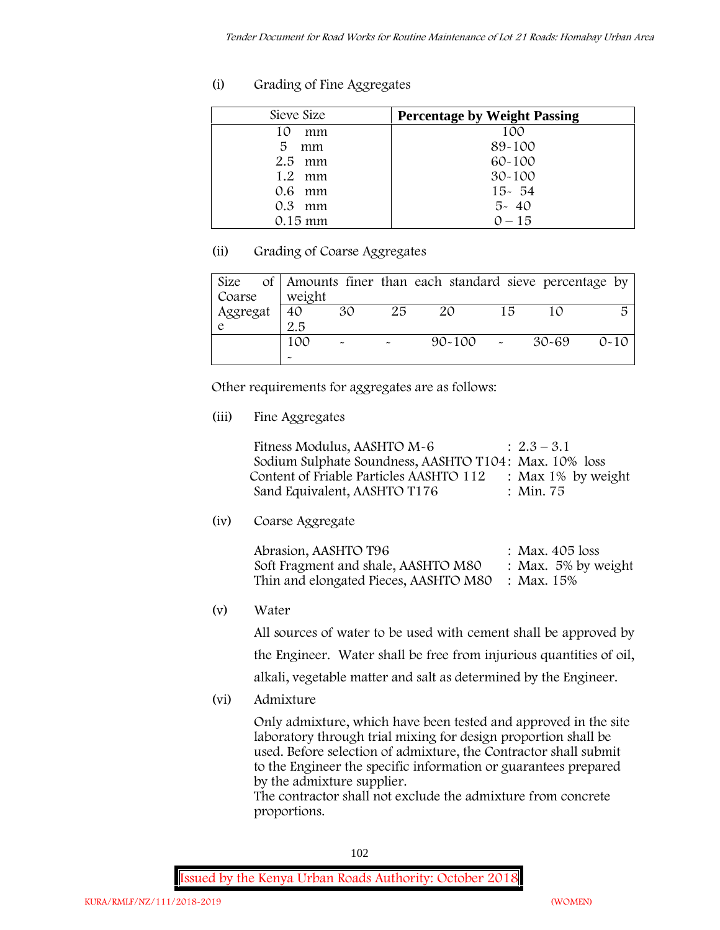# **(i) Grading of Fine Aggregates**

| Sieve Size        | <b>Percentage by Weight Passing</b> |
|-------------------|-------------------------------------|
| 10<br>mm          | 100                                 |
| 5<br>mm           | 89-100                              |
| $2.5$ mm          | $60 - 100$                          |
| $1.2 \cdot mm$    | $30 - 100$                          |
| $0.6$ mm          | $15 - 54$                           |
| $0.3$ mm          | $5 - 40$                            |
| $0.15 \text{ mm}$ | $0 - 15$                            |

# **(ii) Grading of Coarse Aggregates**

| Size     |                       |                       |    | of Amounts finer than each standard sieve percentage by |    |         |          |
|----------|-----------------------|-----------------------|----|---------------------------------------------------------|----|---------|----------|
| Coarse   | weight                |                       |    |                                                         |    |         |          |
| Aggregat | 40                    | 30                    | 25 | 20                                                      | 15 |         | 局        |
|          | 2.5                   |                       |    |                                                         |    |         |          |
|          | 100                   | $\tilde{\phantom{a}}$ |    | $90 - 100$ -                                            |    | - 30-69 | $0 - 10$ |
|          | $\tilde{\phantom{a}}$ |                       |    |                                                         |    |         |          |

Other requirements for aggregates are as follows:

**(iii) Fine Aggregates**

| Fitness Modulus, AASHTO M-6                           | $: 2.3 - 3.1$         |
|-------------------------------------------------------|-----------------------|
| Sodium Sulphate Soundness, AASHTO T104: Max. 10% loss |                       |
| Content of Friable Particles AASHTO 112               | : Max $1\%$ by weight |
| Sand Equivalent, AASHTO T176                          | : Min. 75             |

**(iv) Coarse Aggregate**

| Abrasion, AASHTO T96                             | : Max. $405$ loss      |
|--------------------------------------------------|------------------------|
| Soft Fragment and shale, AASHTO M80              | : Max. $5\%$ by weight |
| Thin and elongated Pieces, AASHTO M80 : Max. 15% |                        |

**(v) Water**

All sources of water to be used with cement shall be approved by the Engineer. Water shall be free from injurious quantities of oil, alkali, vegetable matter and salt as determined by the Engineer.

**(vi) Admixture**

Only admixture, which have been tested and approved in the site laboratory through trial mixing for design proportion shall be used. Before selection of admixture, the Contractor shall submit to the Engineer the specific information or guarantees prepared by the admixture supplier.

The contractor shall not exclude the admixture from concrete proportions.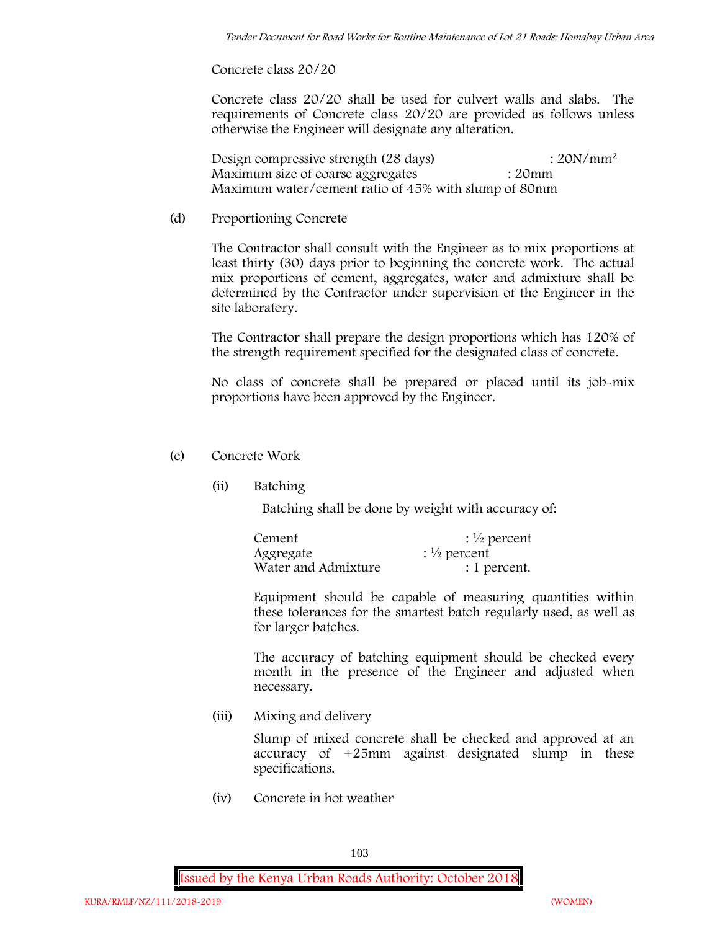**Concrete class 20/20**

Concrete class 20/20 shall be used for culvert walls and slabs. The requirements of Concrete class 20/20 are provided as follows unless otherwise the Engineer will designate any alteration.

Design compressive strength (28 days) : 20N/mm<sup>2</sup> Maximum size of coarse aggregates : 20mm Maximum water/cement ratio of 45% with slump of 80mm

(d) **Proportioning Concrete**

The Contractor shall consult with the Engineer as to mix proportions at least thirty (30) days prior to beginning the concrete work. The actual mix proportions of cement, aggregates, water and admixture shall be determined by the Contractor under supervision of the Engineer in the site laboratory.

The Contractor shall prepare the design proportions which has 120% of the strength requirement specified for the designated class of concrete.

No class of concrete shall be prepared or placed until its job-mix proportions have been approved by the Engineer.

## (e) **Concrete Work**

**(ii) Batching**

Batching shall be done by weight with accuracy of:

| Cement              | $\frac{1}{2}$ percent |
|---------------------|-----------------------|
| Aggregate           | $\frac{1}{2}$ percent |
| Water and Admixture | : 1 percent.          |

Equipment should be capable of measuring quantities within these tolerances for the smartest batch regularly used, as well as for larger batches.

The accuracy of batching equipment should be checked every month in the presence of the Engineer and adjusted when necessary.

**(iii) Mixing and delivery**

Slump of mixed concrete shall be checked and approved at an accuracy of +25mm against designated slump in these specifications.

**(iv) Concrete in hot weather**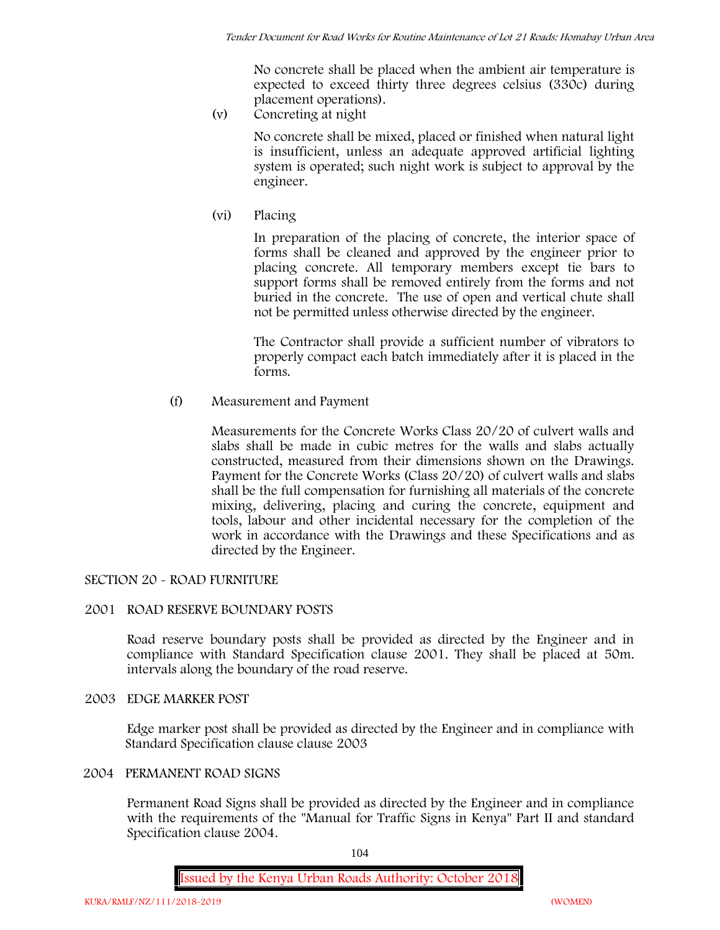No concrete shall be placed when the ambient air temperature is expected to exceed thirty three degrees celsius (330c) during placement operations).

**(v) Concreting at night**

No concrete shall be mixed, placed or finished when natural light is insufficient, unless an adequate approved artificial lighting system is operated; such night work is subject to approval by the engineer.

**(vi) Placing**

In preparation of the placing of concrete, the interior space of forms shall be cleaned and approved by the engineer prior to placing concrete. All temporary members except tie bars to support forms shall be removed entirely from the forms and not buried in the concrete. The use of open and vertical chute shall not be permitted unless otherwise directed by the engineer.

The Contractor shall provide a sufficient number of vibrators to properly compact each batch immediately after it is placed in the forms.

(f) **Measurement and Payment**

Measurements for the Concrete Works Class 20/20 of culvert walls and slabs shall be made in cubic metres for the walls and slabs actually constructed, measured from their dimensions shown on the Drawings. Payment for the Concrete Works (Class 20/20) of culvert walls and slabs shall be the full compensation for furnishing all materials of the concrete mixing, delivering, placing and curing the concrete, equipment and tools, labour and other incidental necessary for the completion of the work in accordance with the Drawings and these Specifications and as directed by the Engineer.

# **SECTION 20 - ROAD FURNITURE**

## **2001 ROAD RESERVE BOUNDARY POSTS**

Road reserve boundary posts shall be provided as directed by the Engineer and in compliance with Standard Specification clause 2001. They shall be placed at 50m. intervals along the boundary of the road reserve.

## **2003 EDGE MARKER POST**

Edge marker post shall be provided as directed by the Engineer and in compliance with Standard Specification clause clause 2003

# **2004 PERMANENT ROAD SIGNS**

Permanent Road Signs shall be provided as directed by the Engineer and in compliance with the requirements of the "Manual for Traffic Signs in Kenya" Part II and standard Specification clause 2004.

104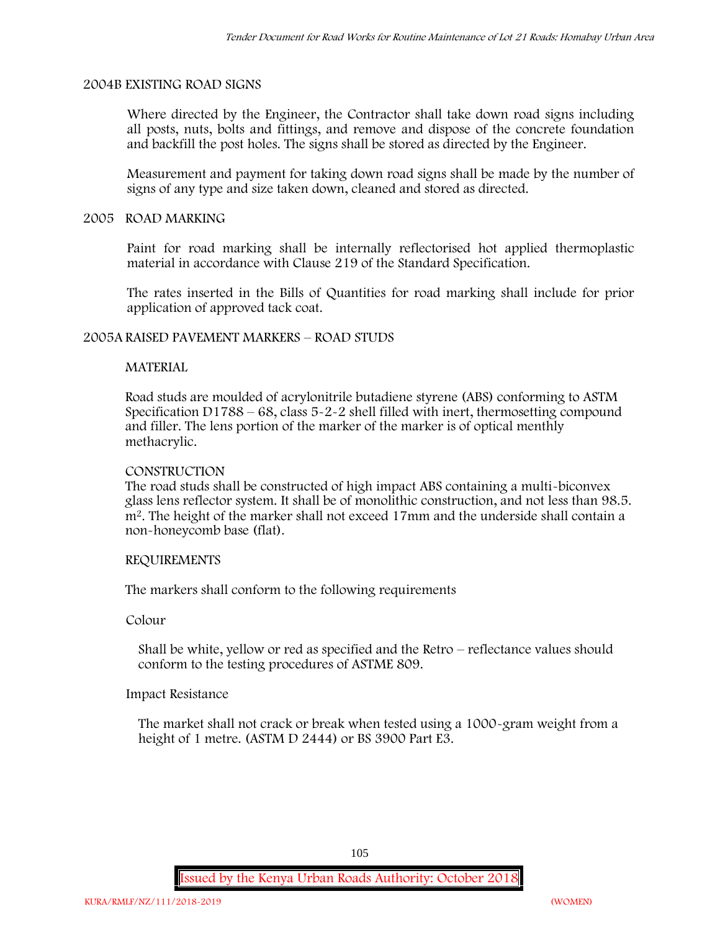## **2004B EXISTING ROAD SIGNS**

Where directed by the Engineer, the Contractor shall take down road signs including all posts, nuts, bolts and fittings, and remove and dispose of the concrete foundation and backfill the post holes. The signs shall be stored as directed by the Engineer.

Measurement and payment for taking down road signs shall be made by the number of signs of any type and size taken down, cleaned and stored as directed.

### **2005 ROAD MARKING**

Paint for road marking shall be internally reflectorised hot applied thermoplastic material in accordance with Clause 219 of the Standard Specification.

The rates inserted in the Bills of Quantities for road marking shall include for prior application of approved tack coat.

## **2005A RAISED PAVEMENT MARKERS – ROAD STUDS**

## **MATERIAL**

Road studs are moulded of acrylonitrile butadiene styrene (ABS) conforming to ASTM Specification D1788 – 68, class  $5 - 2 - 2$  shell filled with inert, thermosetting compound and filler. The lens portion of the marker of the marker is of optical menthly methacrylic.

### **CONSTRUCTION**

The road studs shall be constructed of high impact ABS containing a multi-biconvex glass lens reflector system. It shall be of monolithic construction, and not less than 98.5. m2. The height of the marker shall not exceed 17mm and the underside shall contain a non-honeycomb base (flat).

### **REQUIREMENTS**

The markers shall conform to the following requirements

**Colour**

Shall be white, yellow or red as specified and the Retro – reflectance values should conform to the testing procedures of ASTME 809.

## **Impact Resistance**

The market shall not crack or break when tested using a 1000**-**gram weight from a height of 1 metre. (ASTM D 2444) or BS 3900 Part E3.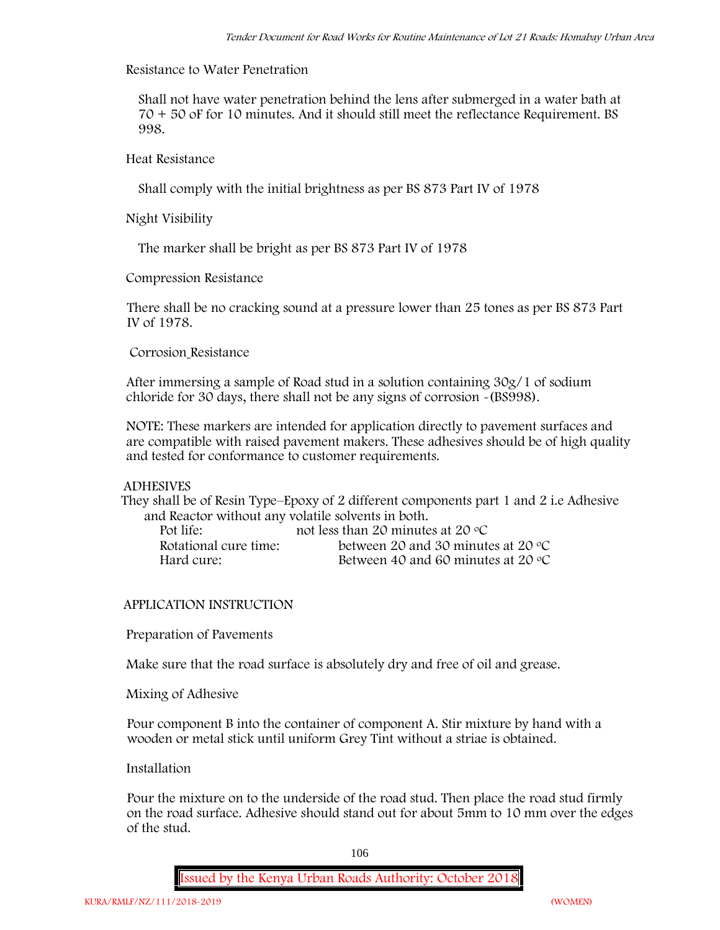# **Resistance to Water Penetration**

Shall not have water penetration behind the lens after submerged in a water bath at 70 + 50 oF for 10 minutes. And it should still meet the reflectance Requirement. BS 998.

# **Heat Resistance**

Shall comply with the initial brightness as per BS 873 Part IV of 1978

**Night Visibility**

The marker shall be bright as per BS 873 Part IV of 1978

# **Compression Resistance**

There shall be no cracking sound at a pressure lower than 25 tones as per BS 873 Part IV of 1978.

# **Corrosion Resistance**

After immersing a sample of Road stud in a solution containing 30g/1 of sodium chloride for 30 days, there shall not be any signs of corrosion **-**(BS998).

**NOTE**: These markers are intended for application directly to pavement surfaces and are compatible with raised pavement makers. These adhesives should be of high quality and tested for conformance to customer requirements.

## **ADHESIVES**

They shall be of Resin Type–Epoxy of 2 different components part 1 and 2 i.e Adhesive and Reactor without any volatile solvents in both.

| Pot life:             | not less than 20 minutes at 20 $\degree$ C  |
|-----------------------|---------------------------------------------|
| Rotational cure time: | between 20 and 30 minutes at 20 $\degree$ C |
| Hard cure:            | Between 40 and 60 minutes at 20 $\degree$ C |

# **APPLICATION INSTRUCTION**

**Preparation of Pavements**

Make sure that the road surface is absolutely dry and free of oil and grease**.**

## **Mixing of Adhesive**

Pour component B into the container of component A. Stir mixture by hand with a wooden or metal stick until uniform Grey Tint without a striae is obtained.

# **Installation**

Pour the mixture on to the underside of the road stud. Then place the road stud firmly on the road surface. Adhesive should stand out for about 5mm to 10 mm over the edges of the stud.

106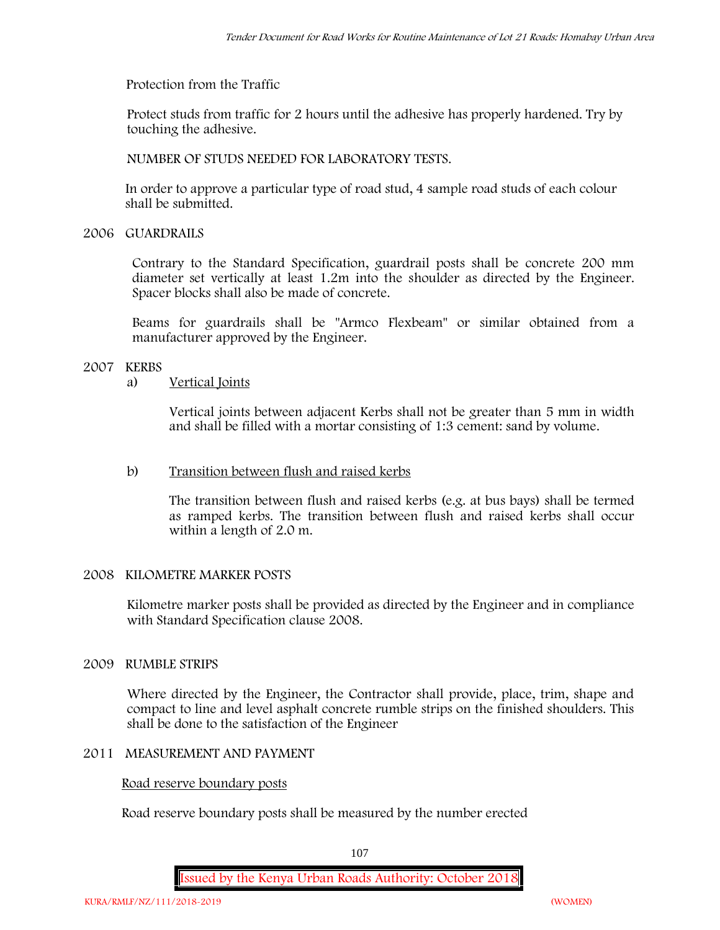**Protection from the Traffic**

Protect studs from traffic for 2 hours until the adhesive has properly hardened. Try by touching the adhesive.

**NUMBER OF STUDS NEEDED FOR LABORATORY TESTS.**

In order to approve a particular type of road stud, 4 sample road studs of each colour shall be submitted.

**2006 GUARDRAILS**

Contrary to the Standard Specification, guardrail posts shall be concrete 200 mm diameter set vertically at least 1.2m into the shoulder as directed by the Engineer. Spacer blocks shall also be made of concrete.

Beams for guardrails shall be "Armco Flexbeam" or similar obtained from a manufacturer approved by the Engineer.

# **2007 KERBS**

# a) **Vertical Joints**

Vertical joints between adjacent Kerbs shall not be greater than 5 mm in width and shall be filled with a mortar consisting of 1:3 cement: sand by volume.

# b) **Transition between flush and raised kerbs**

The transition between flush and raised kerbs (e.g. at bus bays) shall be termed as ramped kerbs. The transition between flush and raised kerbs shall occur within a length of 2.0 m.

# **2008 KILOMETRE MARKER POSTS**

Kilometre marker posts shall be provided as directed by the Engineer and in compliance with Standard Specification clause 2008.

# **2009 RUMBLE STRIPS**

Where directed by the Engineer, the Contractor shall provide, place, trim, shape and compact to line and level asphalt concrete rumble strips on the finished shoulders. This shall be done to the satisfaction of the Engineer

## **2011 MEASUREMENT AND PAYMENT**

## **Road reserve boundary posts**

Road reserve boundary posts shall be measured by the number erected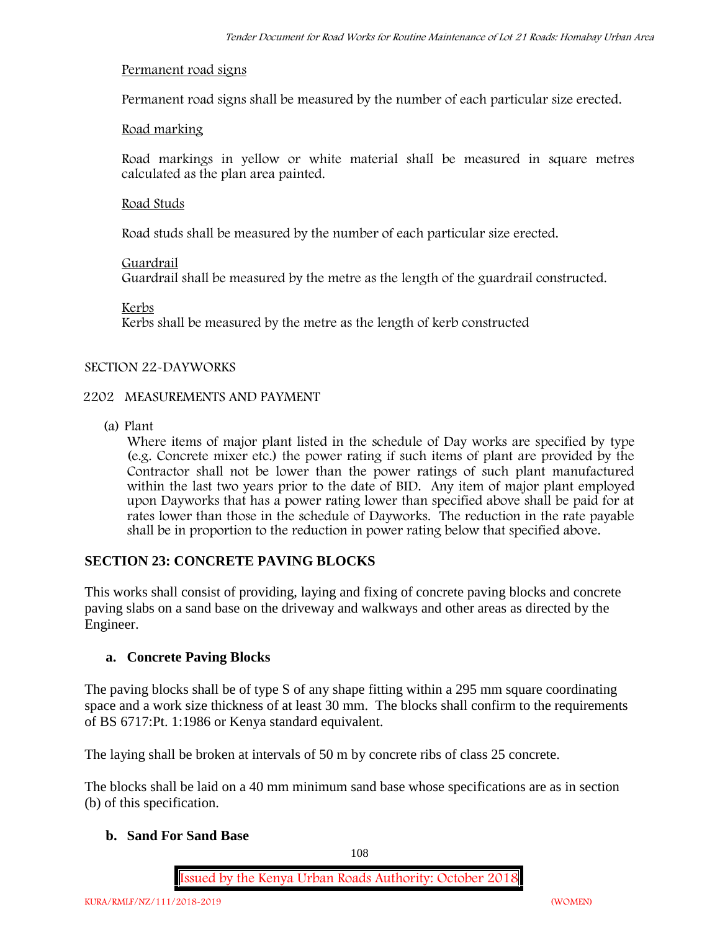### **Permanent road signs**

Permanent road signs shall be measured by the number of each particular size erected.

## **Road marking**

Road markings in yellow or white material shall be measured in square metres calculated as the plan area painted.

## **Road Studs**

Road studs shall be measured by the number of each particular size erected.

### **Guardrail**

Guardrail shall be measured by the metre as the length of the guardrail constructed.

**Kerbs**

Kerbs shall be measured by the metre as the length of kerb constructed

### **SECTION 22-DAYWORKS**

## **2202 MEASUREMENTS AND PAYMENT**

(a) Plant

Where items of major plant listed in the schedule of Day works are specified by type (e.g. Concrete mixer etc.) the power rating if such items of plant are provided by the Contractor shall not be lower than the power ratings of such plant manufactured within the last two years prior to the date of BID. Any item of major plant employed upon Dayworks that has a power rating lower than specified above shall be paid for at rates lower than those in the schedule of Dayworks. The reduction in the rate payable shall be in proportion to the reduction in power rating below that specified above.

## **SECTION 23: CONCRETE PAVING BLOCKS**

This works shall consist of providing, laying and fixing of concrete paving blocks and concrete paving slabs on a sand base on the driveway and walkways and other areas as directed by the Engineer.

### **a. Concrete Paving Blocks**

The paving blocks shall be of type S of any shape fitting within a 295 mm square coordinating space and a work size thickness of at least 30 mm. The blocks shall confirm to the requirements of BS 6717:Pt. 1:1986 or Kenya standard equivalent.

The laying shall be broken at intervals of 50 m by concrete ribs of class 25 concrete.

The blocks shall be laid on a 40 mm minimum sand base whose specifications are as in section (b) of this specification.

### **b. Sand For Sand Base**

108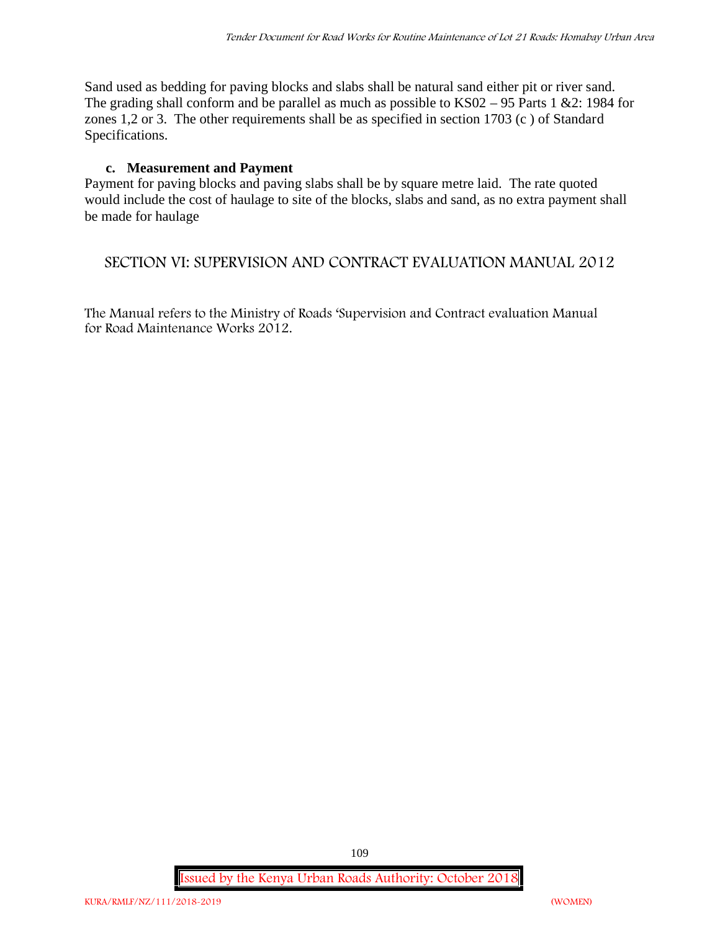Sand used as bedding for paving blocks and slabs shall be natural sand either pit or river sand. The grading shall conform and be parallel as much as possible to KS02 – 95 Parts 1 &2: 1984 for zones 1,2 or 3. The other requirements shall be as specified in section 1703 (c ) of Standard Specifications.

## **c. Measurement and Payment**

Payment for paving blocks and paving slabs shall be by square metre laid. The rate quoted would include the cost of haulage to site of the blocks, slabs and sand, as no extra payment shall be made for haulage

## **SECTION VI: SUPERVISION AND CONTRACT EVALUATION MANUAL 2012**

The Manual refers to the Ministry of Roads 'Supervision and Contract evaluation Manual for Road Maintenance Works 2012.

**Issued by the Kenya Urban Roads Authority: October 2018**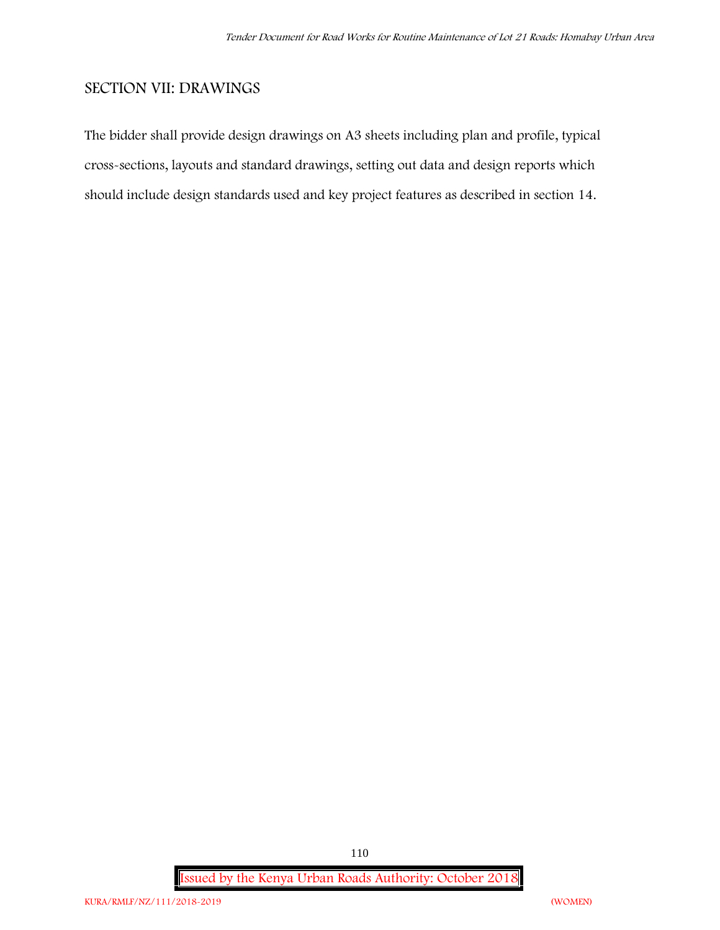## **SECTION VII: DRAWINGS**

The bidder shall provide design drawings on A3 sheets including plan and profile, typical cross-sections, layouts and standard drawings, setting out data and design reports which should include design standards used and key project features as described in section 14.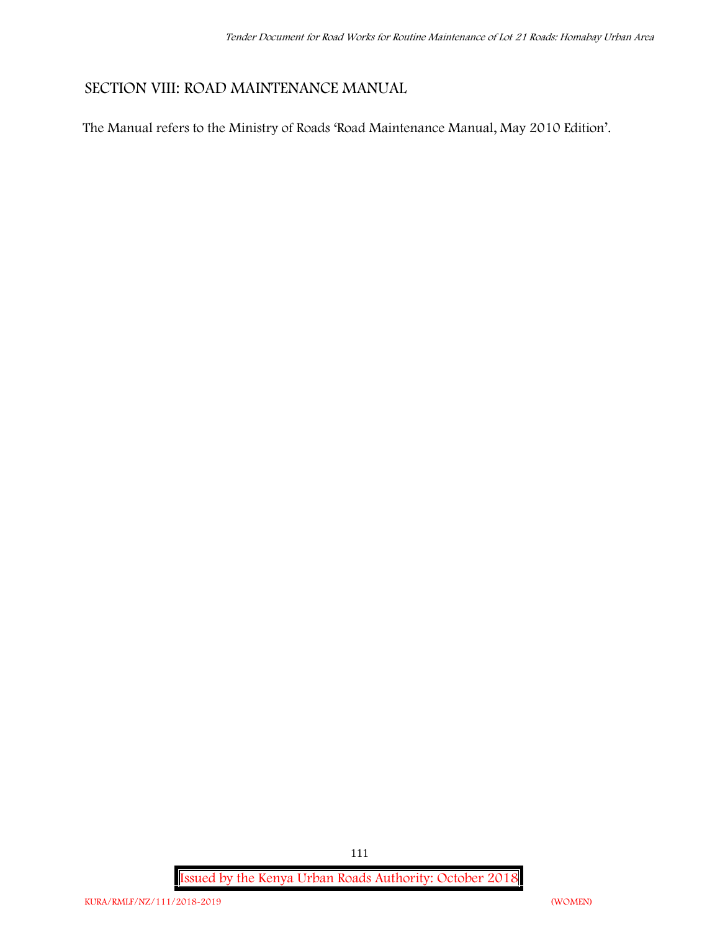## **SECTION VIII: ROAD MAINTENANCE MANUAL**

The Manual refers to the Ministry of Roads 'Road Maintenance Manual, May 2010 Edition'.

**Issued by the Kenya Urban Roads Authority: October 2018**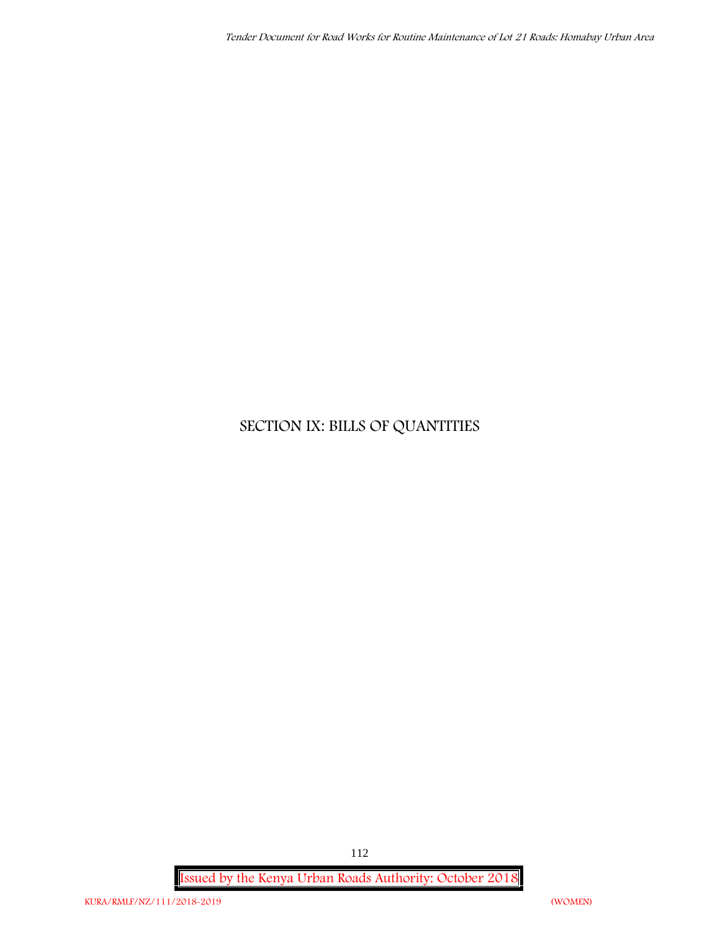# **SECTION IX: BILLS OF QUANTITIES**

**Issued by the Kenya Urban Roads Authority: October 2018**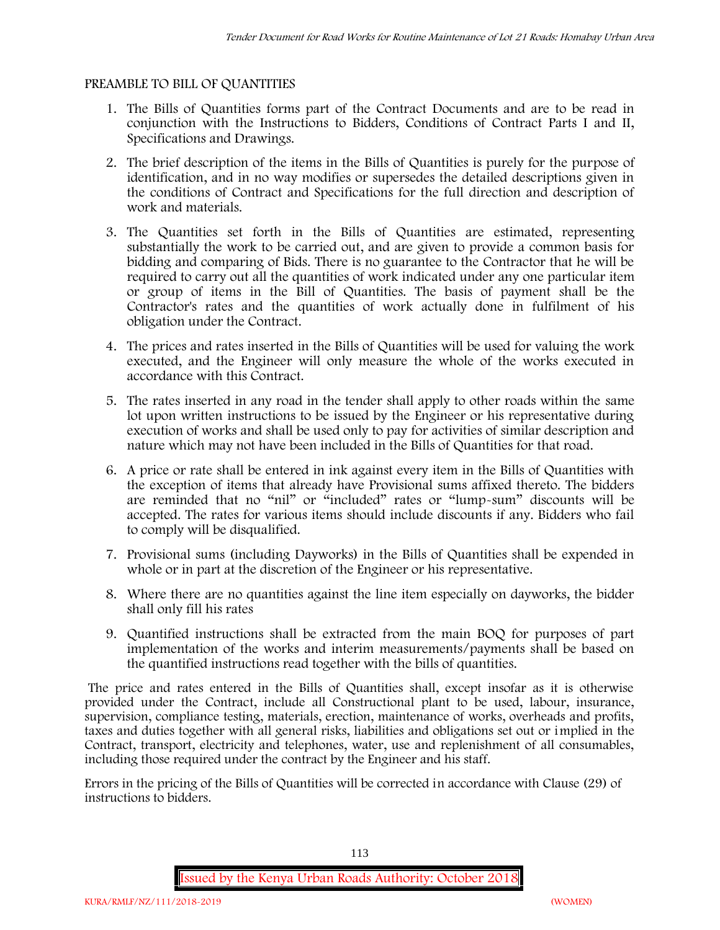#### **PREAMBLE TO BILL OF QUANTITIES**

- 1. The Bills of Quantities forms part of the Contract Documents and are to be read in conjunction with the Instructions to Bidders, Conditions of Contract Parts I and II, Specifications and Drawings.
- 2. The brief description of the items in the Bills of Quantities is purely for the purpose of identification, and in no way modifies or supersedes the detailed descriptions given in the conditions of Contract and Specifications for the full direction and description of work and materials.
- 3. The Quantities set forth in the Bills of Quantities are estimated, representing substantially the work to be carried out, and are given to provide a common basis for bidding and comparing of Bids. There is no guarantee to the Contractor that he will be required to carry out all the quantities of work indicated under any one particular item or group of items in the Bill of Quantities. The basis of payment shall be the Contractor's rates and the quantities of work actually done in fulfilment of his obligation under the Contract.
- 4. The prices and rates inserted in the Bills of Quantities will be used for valuing the work executed, and the Engineer will only measure the whole of the works executed in accordance with this Contract.
- 5. The rates inserted in any road in the tender shall apply to other roads within the same lot upon written instructions to be issued by the Engineer or his representative during execution of works and shall be used only to pay for activities of similar description and nature which may not have been included in the Bills of Quantities for that road.
- 6. A price or rate shall be entered in ink against every item in the Bills of Quantities with the exception of items that already have Provisional sums affixed thereto. The bidders are reminded that no "nil" or "included" rates or "lump-sum" discounts will be accepted. The rates for various items should include discounts if any. Bidders who fail to comply will be disqualified.
- 7. Provisional sums (including Dayworks) in the Bills of Quantities shall be expended in whole or in part at the discretion of the Engineer or his representative.
- 8. Where there are no quantities against the line item especially on dayworks, the bidder shall only fill his rates
- 9. Quantified instructions shall be extracted from the main BOQ for purposes of part implementation of the works and interim measurements/payments shall be based on the quantified instructions read together with the bills of quantities.

The price and rates entered in the Bills of Quantities shall, except insofar as it is otherwise provided under the Contract, include all Constructional plant to be used, labour, insurance, supervision, compliance testing, materials, erection, maintenance of works, overheads and profits, taxes and duties together with all general risks, liabilities and obligations set out or implied in the Contract, transport, electricity and telephones, water, use and replenishment of all consumables, including those required under the contract by the Engineer and his staff.

Errors in the pricing of the Bills of Quantities will be corrected in accordance with Clause (29) of instructions to bidders.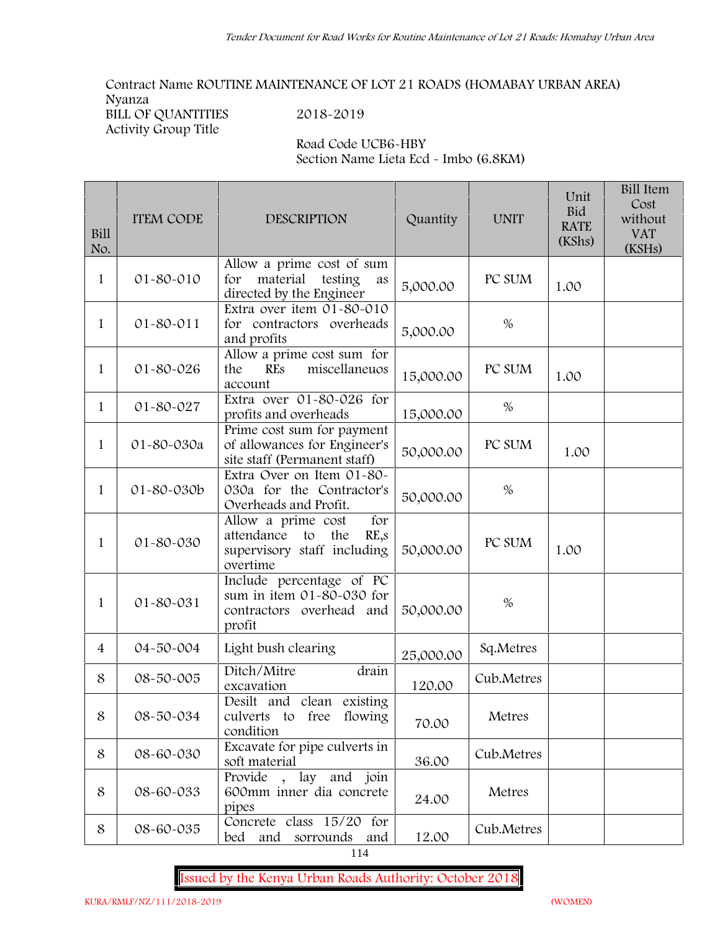**Contract Name ROUTINE MAINTENANCE OF LOT 21 ROADS (HOMABAY URBAN AREA) Nyanza BILL OF QUANTITIES 2018-2019**

**Activity Group Title**

**Road Code UCB6-HBY Section Name Lieta Ecd - Imbo (6.8KM)**

| Bill<br>No.    | <b>ITEM CODE</b> | <b>DESCRIPTION</b>                                                                                          | Quantity  | <b>UNIT</b> | Unit<br>Bid<br><b>RATE</b><br>(KShs) | <b>Bill Item</b><br>Cost<br>without<br><b>VAT</b><br>(KSHs) |
|----------------|------------------|-------------------------------------------------------------------------------------------------------------|-----------|-------------|--------------------------------------|-------------------------------------------------------------|
| 1              | 01-80-010        | Allow a prime cost of sum<br>material<br>for<br>testing<br>as<br>directed by the Engineer                   | 5,000.00  | PC SUM      | 1.00                                 |                                                             |
| 1              | $01 - 80 - 011$  | Extra over item 01-80-010<br>for contractors overheads<br>and profits                                       | 5,000.00  | $\%$        |                                      |                                                             |
| 1              | 01-80-026        | Allow a prime cost sum for<br>miscellaneuos<br>the<br><b>REs</b><br>account                                 | 15,000.00 | PC SUM      | 1.00                                 |                                                             |
| 1              | 01-80-027        | Extra over $\overline{01}$ -80-026 for<br>profits and overheads                                             | 15,000.00 | $\%$        |                                      |                                                             |
| $\mathbf{1}$   | 01-80-030a       | Prime cost sum for payment<br>of allowances for Engineer's<br>site staff (Permanent staff)                  | 50,000.00 | PC SUM      | 1.00                                 |                                                             |
| 1              | 01-80-030b       | Extra Over on Item 01-80-<br>030a for the Contractor's<br>Overheads and Profit.                             | 50,000.00 | $\%$        |                                      |                                                             |
| 1              | 01-80-030        | for<br>Allow a prime cost<br>attendance to<br>the<br>$RE_{\nu}S$<br>supervisory staff including<br>overtime | 50,000.00 | PC SUM      | 1.00                                 |                                                             |
| 1              | 01-80-031        | Include percentage of PC<br>sum in item 01-80-030 for<br>contractors overhead and<br>profit                 | 50,000.00 | $\%$        |                                      |                                                             |
| $\overline{4}$ | 04-50-004        | Light bush clearing                                                                                         | 25,000.00 | Sq.Metres   |                                      |                                                             |
| 8              | 08-50-005        | Ditch/Mitre<br>drain<br>excavation                                                                          | 120.00    | Cub.Metres  |                                      |                                                             |
| 8              | 08-50-034        | Desilt and clean existing<br>culverts to free flowing<br>condition                                          | 70.00     | Metres      |                                      |                                                             |
| 8              | 08-60-030        | Excavate for pipe culverts in<br>soft material                                                              | 36.00     | Cub.Metres  |                                      |                                                             |
| 8              | 08-60-033        | Provide, lay and join<br>600mm inner dia concrete<br>pipes                                                  | 24.00     | Metres      |                                      |                                                             |
| 8              | 08-60-035        | Concrete class 15/20 for<br>bed and sorrounds<br>and                                                        | 12.00     | Cub.Metres  |                                      |                                                             |

114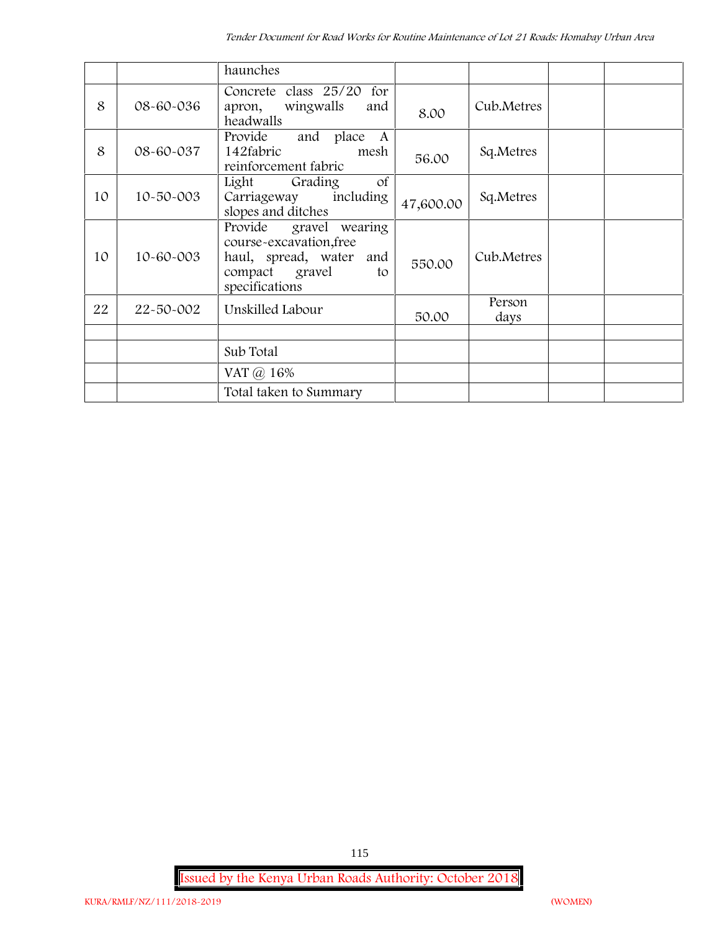|    |           | haunches                                                                                                                     |           |                |  |
|----|-----------|------------------------------------------------------------------------------------------------------------------------------|-----------|----------------|--|
| 8  | 08-60-036 | Concrete class 25/20 for<br>wingwalls<br>and<br>apron,<br>headwalls                                                          | 8.00      | Cub.Metres     |  |
| 8  | 08-60-037 | Provide<br>and place A<br>142fabric<br>mesh<br>reinforcement fabric                                                          | 56.00     | Sq.Metres      |  |
| 10 | 10-50-003 | <sub>of</sub><br>Light<br>Grading<br>including<br>Carriageway<br>slopes and ditches                                          | 47,600.00 | Sq.Metres      |  |
| 10 | 10-60-003 | Provide<br>gravel wearing<br>course-excavation, free<br>haul, spread, water<br>and<br>compact gravel<br>to<br>specifications | 550.00    | Cub.Metres     |  |
| 22 | 22-50-002 | Unskilled Labour                                                                                                             | 50.00     | Person<br>days |  |
|    |           |                                                                                                                              |           |                |  |
|    |           | Sub Total                                                                                                                    |           |                |  |
|    |           | VAT @ 16%                                                                                                                    |           |                |  |
|    |           | Total taken to Summary                                                                                                       |           |                |  |

**Issued by the Kenya Urban Roads Authority: October 2018**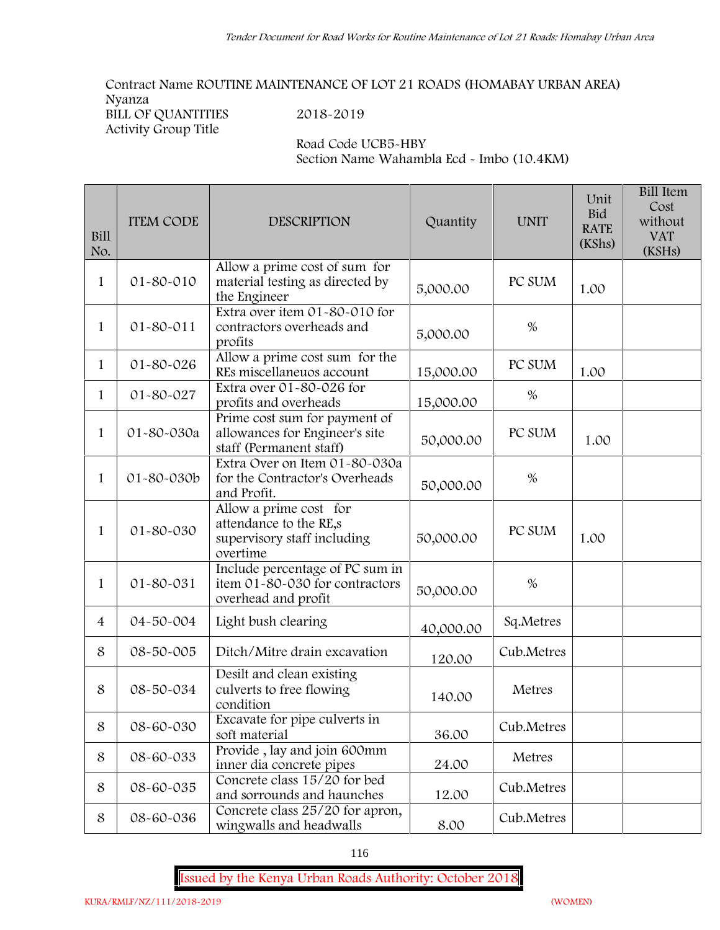**Contract Name ROUTINE MAINTENANCE OF LOT 21 ROADS (HOMABAY URBAN AREA) Nyanza BILL OF QUANTITIES 2018-2019**

**Activity Group Title**

**Road Code UCB5-HBY Section Name Wahambla Ecd - Imbo (10.4KM)**

| <b>Bill</b><br>No. | <b>ITEM CODE</b> | DESCRIPTION                                                                                 | Quantity  | <b>UNIT</b> | Unit<br><b>Bid</b><br><b>RATE</b><br>(KShs) | <b>Bill Item</b><br>Cost<br>without<br><b>VAT</b><br>(KSHs) |
|--------------------|------------------|---------------------------------------------------------------------------------------------|-----------|-------------|---------------------------------------------|-------------------------------------------------------------|
| 1                  | 01-80-010        | Allow a prime cost of sum for<br>material testing as directed by<br>the Engineer            | 5,000.00  | PC SUM      | 1.00                                        |                                                             |
| $\mathbf{1}$       | 01-80-011        | Extra over item 01-80-010 for<br>contractors overheads and<br>profits                       | 5,000.00  | $\%$        |                                             |                                                             |
| 1                  | $01 - 80 - 026$  | Allow a prime cost sum for the<br>REs miscellaneuos account                                 | 15,000.00 | PC SUM      | 1.00                                        |                                                             |
| $\mathbf{1}$       | 01-80-027        | Extra over 01-80-026 for<br>profits and overheads                                           | 15,000.00 | %           |                                             |                                                             |
| $\mathbf{1}$       | 01-80-030a       | Prime cost sum for payment of<br>allowances for Engineer's site<br>staff (Permanent staff)  | 50,000.00 | PC SUM      | 1.00                                        |                                                             |
| 1                  | 01-80-030b       | Extra Over on Item 01-80-030a<br>for the Contractor's Overheads<br>and Profit.              | 50,000.00 | $\%$        |                                             |                                                             |
| $\mathbf{1}$       | 01-80-030        | Allow a prime cost for<br>attendance to the RE,s<br>supervisory staff including<br>overtime | 50,000.00 | PC SUM      | 1.00                                        |                                                             |
| 1                  | 01-80-031        | Include percentage of PC sum in<br>item 01-80-030 for contractors<br>overhead and profit    | 50,000.00 | $\%$        |                                             |                                                             |
| 4                  | 04-50-004        | Light bush clearing                                                                         | 40,000.00 | Sq.Metres   |                                             |                                                             |
| 8                  | 08-50-005        | Ditch/Mitre drain excavation                                                                | 120.00    | Cub.Metres  |                                             |                                                             |
| 8                  | 08-50-034        | Desilt and clean existing<br>culverts to free flowing<br>condition                          | 140.00    | Metres      |                                             |                                                             |
| 8                  | 08-60-030        | Excavate for pipe culverts in<br>soft material                                              | 36.00     | Cub.Metres  |                                             |                                                             |
| 8                  | 08-60-033        | Provide, lay and join 600mm<br>inner dia concrete pipes                                     | 24.00     | Metres      |                                             |                                                             |
| 8                  | 08-60-035        | Concrete class 15/20 for bed<br>and sorrounds and haunches                                  | 12.00     | Cub.Metres  |                                             |                                                             |
| 8                  | 08-60-036        | Concrete class 25/20 for apron,<br>wingwalls and headwalls                                  | 8.00      | Cub.Metres  |                                             |                                                             |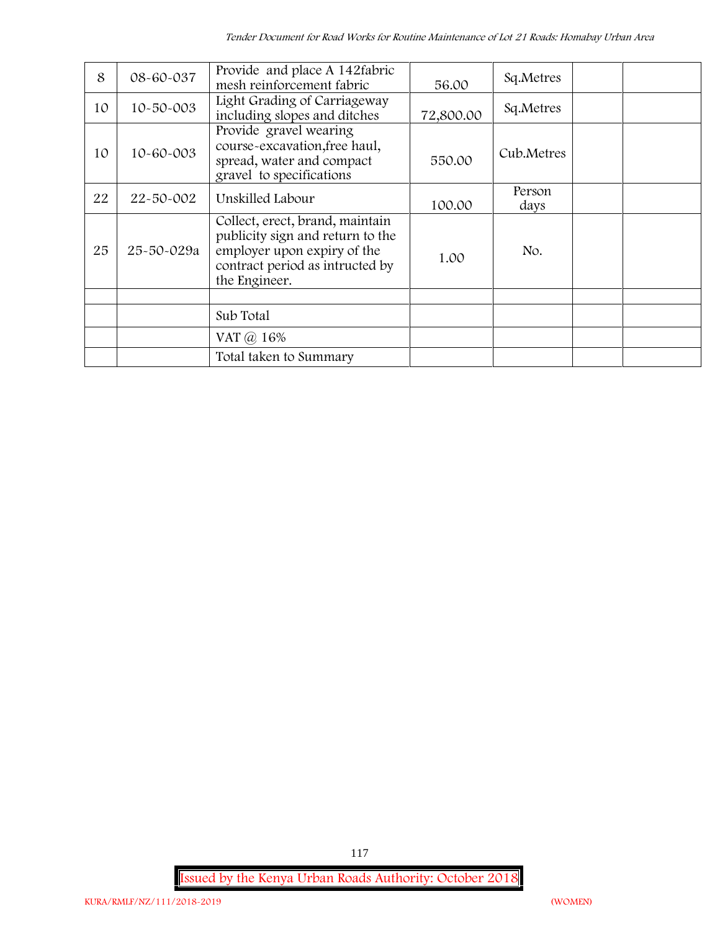| 8  | 08-60-037       | Provide and place A 142fabric<br>mesh reinforcement fabric                                                                                             | 56.00     | Sq.Metres      |  |  |
|----|-----------------|--------------------------------------------------------------------------------------------------------------------------------------------------------|-----------|----------------|--|--|
| 10 | $10 - 50 - 003$ | Light Grading of Carriageway<br>including slopes and ditches                                                                                           | 72,800.00 | Sq.Metres      |  |  |
| 10 | 10-60-003       | Provide gravel wearing<br>course-excavation, free haul,<br>spread, water and compact<br>gravel to specifications                                       | 550.00    | Cub.Metres     |  |  |
| 22 | 22-50-002       | Unskilled Labour                                                                                                                                       | 100.00    | Person<br>days |  |  |
| 25 | 25-50-029a      | Collect, erect, brand, maintain<br>publicity sign and return to the<br>employer upon expiry of the<br>contract period as intructed by<br>the Engineer. | 1.00      | No.            |  |  |
|    |                 |                                                                                                                                                        |           |                |  |  |
|    |                 | Sub Total                                                                                                                                              |           |                |  |  |
|    |                 | VAT @ 16%                                                                                                                                              |           |                |  |  |
|    |                 | Total taken to Summary                                                                                                                                 |           |                |  |  |

**Issued by the Kenya Urban Roads Authority: October 2018**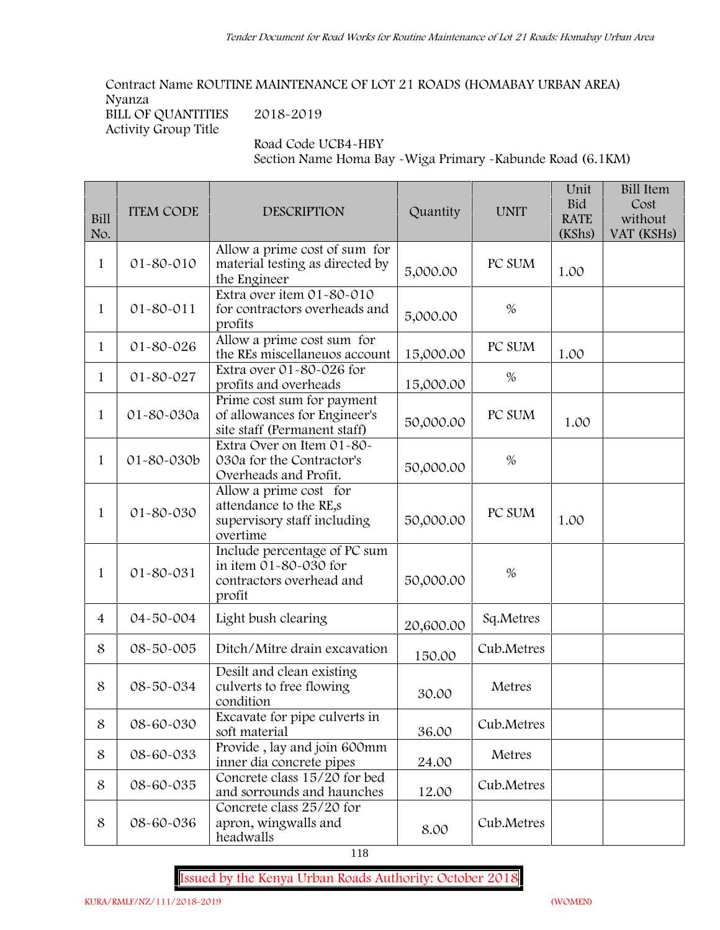**Contract Name ROUTINE MAINTENANCE OF LOT 21 ROADS (HOMABAY URBAN AREA) Nyanza BILL OF QUANTITIES 2018-2019**

**Activity Group Title**

**Road Code UCB4-HBY**

**Section Name Homa Bay -Wiga Primary -Kabunde Road (6.1KM)**

| Bill<br>No.    | <b>ITEM CODE</b> | <b>DESCRIPTION</b>                                                                          | Quantity  | <b>UNIT</b> | Unit<br><b>Bid</b><br><b>RATE</b><br>(KShs) | <b>Bill Item</b><br>Cost<br>without<br>VAT (KSHs) |
|----------------|------------------|---------------------------------------------------------------------------------------------|-----------|-------------|---------------------------------------------|---------------------------------------------------|
| 1              | 01-80-010        | Allow a prime cost of sum for<br>material testing as directed by<br>the Engineer            | 5,000.00  | PC SUM      | 1.00                                        |                                                   |
| $\mathbf{1}$   | 01-80-011        | Extra over item 01-80-010<br>for contractors overheads and<br>profits                       | 5,000.00  | $\%$        |                                             |                                                   |
| $\mathbf{1}$   | 01-80-026        | Allow a prime cost sum for<br>the REs miscellaneuos account                                 | 15,000.00 | PC SUM      | 1.00                                        |                                                   |
| 1              | 01-80-027        | Extra over 01-80-026 for<br>profits and overheads                                           | 15,000.00 | %           |                                             |                                                   |
| $\mathbf{1}$   | 01-80-030a       | Prime cost sum for payment<br>of allowances for Engineer's<br>site staff (Permanent staff)  | 50,000.00 | PC SUM      | 1.00                                        |                                                   |
| $\mathbf{1}$   | 01-80-030b       | Extra Over on Item 01-80-<br>030a for the Contractor's<br>Overheads and Profit.             | 50,000.00 | $\%$        |                                             |                                                   |
| $\mathbf{1}$   | 01-80-030        | Allow a prime cost for<br>attendance to the RE,s<br>supervisory staff including<br>overtime | 50,000.00 | PC SUM      | 1.00                                        |                                                   |
| $\mathbf{1}$   | 01-80-031        | Include percentage of PC sum<br>in item 01-80-030 for<br>contractors overhead and<br>profit | 50,000.00 | $\%$        |                                             |                                                   |
| $\overline{4}$ | 04-50-004        | Light bush clearing                                                                         | 20,600.00 | Sq.Metres   |                                             |                                                   |
| 8              | 08-50-005        | Ditch/Mitre drain excavation                                                                | 150.00    | Cub.Metres  |                                             |                                                   |
| 8              | 08-50-034        | Desilt and clean existing<br>culverts to free flowing<br>condition                          | 30.00     | Metres      |                                             |                                                   |
| 8              | 08-60-030        | Excavate for pipe culverts in<br>soft material                                              | 36.00     | Cub.Metres  |                                             |                                                   |
| 8              | 08-60-033        | Provide, lay and join 600mm<br>inner dia concrete pipes                                     | 24.00     | Metres      |                                             |                                                   |
| 8              | 08-60-035        | Concrete class 15/20 for bed<br>and sorrounds and haunches                                  | 12.00     | Cub.Metres  |                                             |                                                   |
| 8              | 08-60-036        | Concrete class 25/20 for<br>apron, wingwalls and<br>headwalls                               | 8.00      | Cub.Metres  |                                             |                                                   |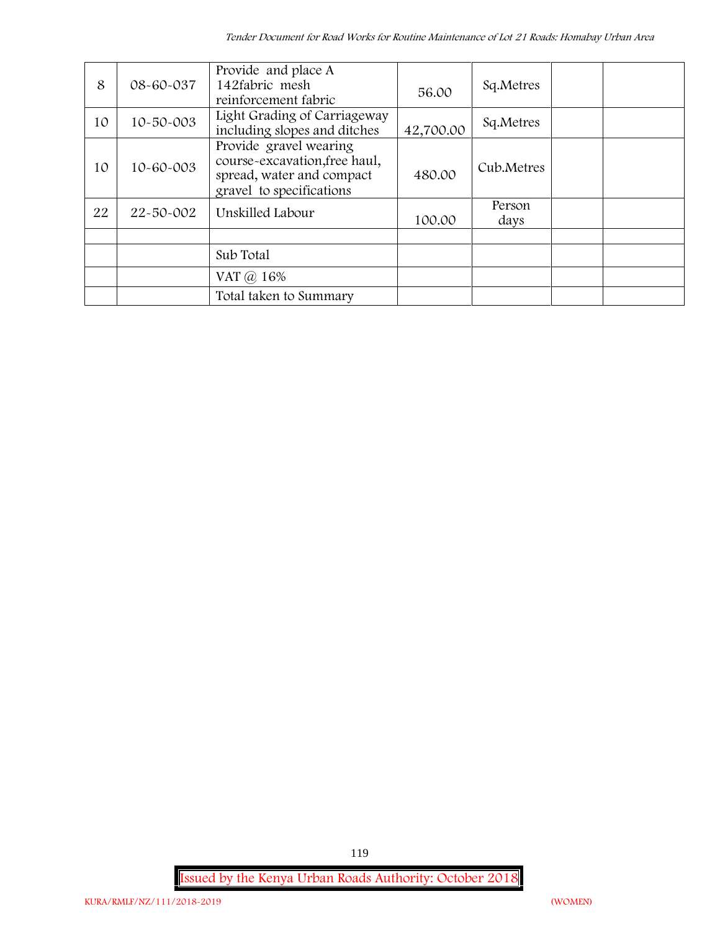| 8  | 08-60-037       | Provide and place A<br>142fabric mesh<br>reinforcement fabric                                                    | 56.00     | Sq.Metres      |  |
|----|-----------------|------------------------------------------------------------------------------------------------------------------|-----------|----------------|--|
| 10 | $10 - 50 - 003$ | Light Grading of Carriageway<br>including slopes and ditches                                                     | 42,700.00 | Sq.Metres      |  |
| 10 | 10-60-003       | Provide gravel wearing<br>course-excavation, free haul,<br>spread, water and compact<br>gravel to specifications | 480.00    | Cub.Metres     |  |
| 22 | 22-50-002       | Unskilled Labour                                                                                                 | 100.00    | Person<br>days |  |
|    |                 | Sub Total                                                                                                        |           |                |  |
|    |                 | VAT @ 16%                                                                                                        |           |                |  |
|    |                 | Total taken to Summary                                                                                           |           |                |  |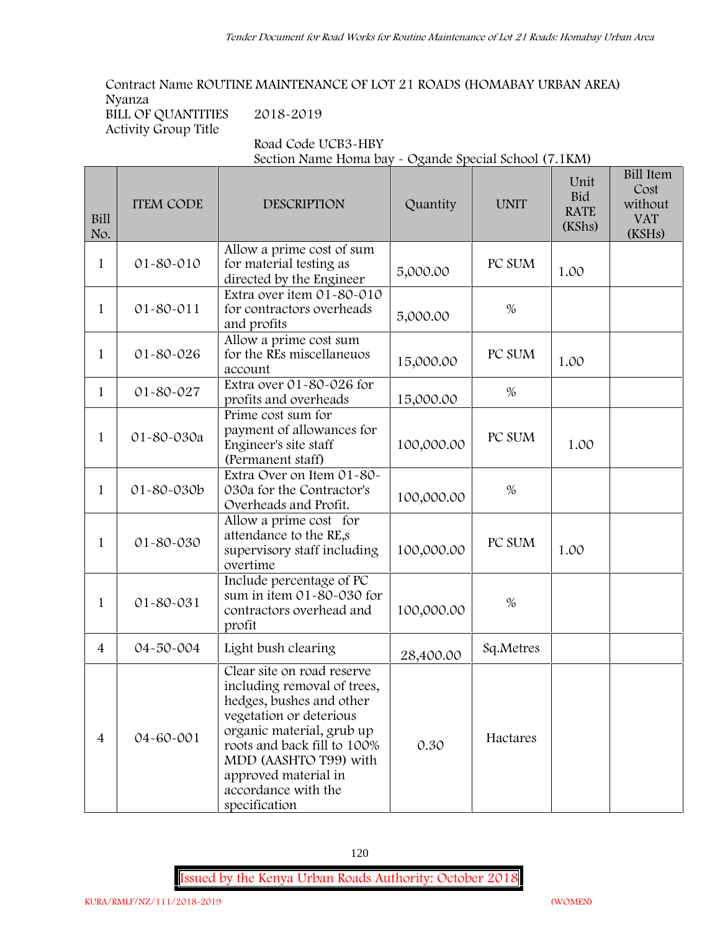**Contract Name ROUTINE MAINTENANCE OF LOT 21 ROADS (HOMABAY URBAN AREA) Nyanza**

**BILL OF QUANTITIES 2018-2019 Activity Group Title**

**Road Code UCB3-HBY**

**Section Name Homa bay - Ogande Special School (7.1KM)**

| Bill<br>No.    | <b>ITEM CODE</b> | <b>DESCRIPTION</b>                                                                                                                                                                                                                                                    | Quantity   | <b>UNIT</b> | Unit<br><b>Bid</b><br><b>RATE</b><br>(KShs) | <b>Bill Item</b><br>Cost<br>without<br><b>VAT</b><br>(KSHs) |
|----------------|------------------|-----------------------------------------------------------------------------------------------------------------------------------------------------------------------------------------------------------------------------------------------------------------------|------------|-------------|---------------------------------------------|-------------------------------------------------------------|
| 1              | 01-80-010        | Allow a prime cost of sum<br>for material testing as<br>directed by the Engineer                                                                                                                                                                                      | 5,000.00   | PC SUM      | 1.00                                        |                                                             |
| $\mathbf{1}$   | 01-80-011        | Extra over item 01-80-010<br>for contractors overheads<br>and profits                                                                                                                                                                                                 | 5,000.00   | $\%$        |                                             |                                                             |
| 1              | 01-80-026        | Allow a prime cost sum<br>for the REs miscellaneuos<br>account                                                                                                                                                                                                        | 15,000.00  | PC SUM      | 1.00                                        |                                                             |
| $\mathbf{1}$   | 01-80-027        | Extra over 01-80-026 for<br>profits and overheads                                                                                                                                                                                                                     | 15,000.00  | $\%$        |                                             |                                                             |
| $\mathbf{1}$   | 01-80-030a       | Prime cost sum for<br>payment of allowances for<br>Engineer's site staff<br>(Permanent staff)                                                                                                                                                                         | 100,000.00 | PC SUM      | 1.00                                        |                                                             |
| $\mathbf{1}$   | 01-80-030b       | Extra Over on Item 01-80-<br>030a for the Contractor's<br>Overheads and Profit.                                                                                                                                                                                       | 100,000.00 | $\%$        |                                             |                                                             |
| 1              | 01-80-030        | Allow a prime cost for<br>attendance to the RE,s<br>supervisory staff including<br>overtime                                                                                                                                                                           | 100,000.00 | PC SUM      | 1.00                                        |                                                             |
| 1              | 01-80-031        | Include percentage of PC<br>sum in item 01-80-030 for<br>contractors overhead and<br>profit                                                                                                                                                                           | 100,000.00 | $\%$        |                                             |                                                             |
| $\overline{4}$ | 04-50-004        | Light bush clearing                                                                                                                                                                                                                                                   | 28,400.00  | Sq.Metres   |                                             |                                                             |
| $\overline{4}$ | 04-60-001        | Clear site on road reserve<br>including removal of trees,<br>hedges, bushes and other<br>vegetation or deterious<br>organic material, grub up<br>roots and back fill to 100%<br>MDD (AASHTO T99) with<br>approved material in<br>accordance with the<br>specification | 0.30       | Hactares    |                                             |                                                             |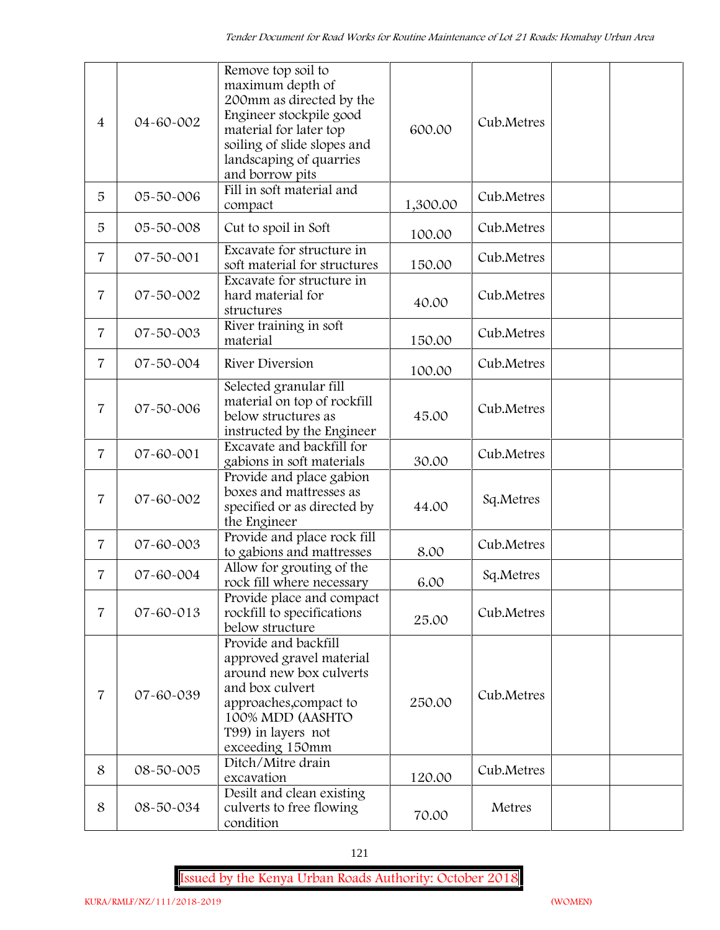| $\overline{4}$ | 04-60-002 | Remove top soil to<br>maximum depth of<br>200mm as directed by the<br>Engineer stockpile good<br>material for later top<br>soiling of slide slopes and<br>landscaping of quarries<br>and borrow pits | 600.00   | Cub.Metres |  |
|----------------|-----------|------------------------------------------------------------------------------------------------------------------------------------------------------------------------------------------------------|----------|------------|--|
| 5              | 05-50-006 | Fill in soft material and<br>compact                                                                                                                                                                 | 1,300.00 | Cub.Metres |  |
| 5              | 05-50-008 | Cut to spoil in Soft                                                                                                                                                                                 | 100.00   | Cub.Metres |  |
| $\overline{7}$ | 07-50-001 | Excavate for structure in<br>soft material for structures                                                                                                                                            | 150.00   | Cub.Metres |  |
| $\overline{7}$ | 07-50-002 | Excavate for structure in<br>hard material for<br>structures                                                                                                                                         | 40.00    | Cub.Metres |  |
| $\overline{7}$ | 07-50-003 | River training in soft<br>material                                                                                                                                                                   | 150.00   | Cub.Metres |  |
| $\overline{7}$ | 07-50-004 | River Diversion                                                                                                                                                                                      | 100.00   | Cub.Metres |  |
| $\overline{7}$ | 07-50-006 | Selected granular fill<br>material on top of rockfill<br>below structures as<br>instructed by the Engineer                                                                                           | 45.00    | Cub.Metres |  |
| $\overline{7}$ | 07-60-001 | Excavate and backfill for<br>gabions in soft materials                                                                                                                                               | 30.00    | Cub.Metres |  |
| $\overline{7}$ | 07-60-002 | Provide and place gabion<br>boxes and mattresses as<br>specified or as directed by<br>the Engineer                                                                                                   | 44.00    | Sq.Metres  |  |
| $\overline{7}$ | 07-60-003 | Provide and place rock fill<br>to gabions and mattresses                                                                                                                                             | 8.00     | Cub.Metres |  |
| $\overline{7}$ | 07-60-004 | Allow for grouting of the<br>rock fill where necessary                                                                                                                                               | 6.00     | Sq.Metres  |  |
| $\overline{7}$ | 07-60-013 | Provide place and compact<br>rockfill to specifications<br>below structure<br>Provide and backfill                                                                                                   | 25.00    | Cub.Metres |  |
| $\overline{7}$ | 07-60-039 | approved gravel material<br>around new box culverts<br>and box culvert<br>approaches, compact to<br>100% MDD (AASHTO<br>T99) in layers not<br>exceeding 150mm                                        | 250.00   | Cub.Metres |  |
| 8              | 08-50-005 | Ditch/Mitre drain<br>excavation                                                                                                                                                                      | 120.00   | Cub.Metres |  |
| 8              | 08-50-034 | Desilt and clean existing<br>culverts to free flowing<br>condition                                                                                                                                   | 70.00    | Metres     |  |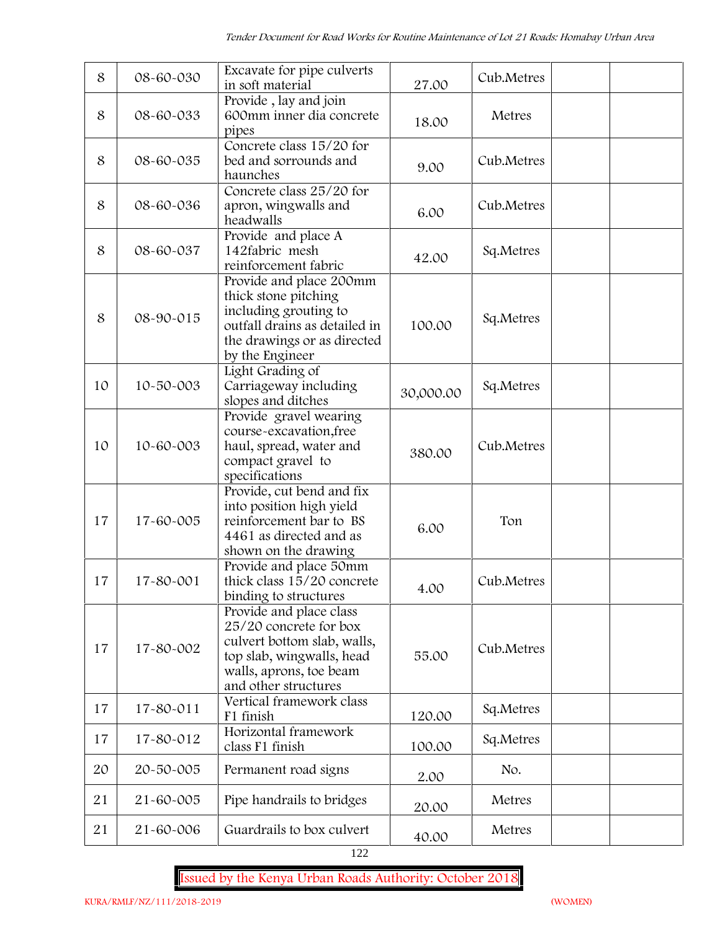| 8  | 08-60-030 | Excavate for pipe culverts<br>in soft material                                                                                                                   | 27.00     | Cub.Metres |  |
|----|-----------|------------------------------------------------------------------------------------------------------------------------------------------------------------------|-----------|------------|--|
| 8  | 08-60-033 | Provide, lay and join<br>600mm inner dia concrete<br>pipes                                                                                                       | 18.00     | Metres     |  |
| 8  | 08-60-035 | Concrete class 15/20 for<br>bed and sorrounds and<br>haunches                                                                                                    | 9.00      | Cub.Metres |  |
| 8  | 08-60-036 | Concrete class 25/20 for<br>apron, wingwalls and<br>headwalls                                                                                                    | 6.00      | Cub.Metres |  |
| 8  | 08-60-037 | Provide and place A<br>142fabric mesh<br>reinforcement fabric                                                                                                    | 42.00     | Sq.Metres  |  |
| 8  | 08-90-015 | Provide and place 200mm<br>thick stone pitching<br>including grouting to<br>outfall drains as detailed in<br>the drawings or as directed<br>by the Engineer      | 100.00    | Sq.Metres  |  |
| 10 | 10-50-003 | Light Grading of<br>Carriageway including<br>slopes and ditches                                                                                                  | 30,000.00 | Sq.Metres  |  |
| 10 | 10-60-003 | Provide gravel wearing<br>course-excavation, free<br>haul, spread, water and<br>compact gravel to<br>specifications                                              | 380.00    | Cub.Metres |  |
| 17 | 17-60-005 | Provide, cut bend and fix<br>into position high yield<br>reinforcement bar to BS<br>4461 as directed and as<br>shown on the drawing                              | 6.00      | Ton        |  |
| 17 | 17-80-001 | Provide and place 50mm<br>thick class 15/20 concrete<br>binding to structures                                                                                    | 4.00      | Cub.Metres |  |
| 17 | 17-80-002 | Provide and place class<br>25/20 concrete for box<br>culvert bottom slab, walls,<br>top slab, wingwalls, head<br>walls, aprons, toe beam<br>and other structures | 55.00     | Cub.Metres |  |
| 17 | 17-80-011 | Vertical framework class<br>F1 finish                                                                                                                            | 120.00    | Sq.Metres  |  |
| 17 | 17-80-012 | Horizontal framework<br>class F1 finish                                                                                                                          | 100.00    | Sq.Metres  |  |
| 20 | 20-50-005 | Permanent road signs                                                                                                                                             | 2.00      | No.        |  |
| 21 | 21-60-005 | Pipe handrails to bridges                                                                                                                                        | 20.00     | Metres     |  |
| 21 | 21-60-006 | Guardrails to box culvert                                                                                                                                        | 40.00     | Metres     |  |

122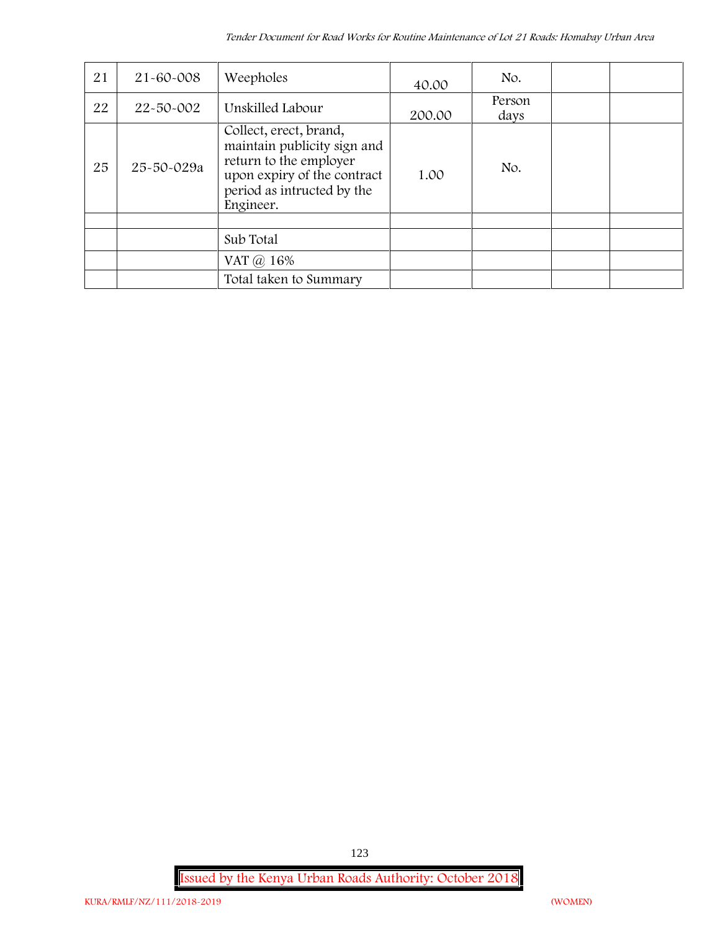| 21 | $21 - 60 - 008$ | Weepholes                                                                                                                                                 | 40.00  | No.            |  |
|----|-----------------|-----------------------------------------------------------------------------------------------------------------------------------------------------------|--------|----------------|--|
| 22 | 22-50-002       | Unskilled Labour                                                                                                                                          | 200.00 | Person<br>days |  |
| 25 | 25-50-029a      | Collect, erect, brand,<br>maintain publicity sign and<br>return to the employer<br>upon expiry of the contract<br>period as intructed by the<br>Engineer. | 1.00   | No.            |  |
|    |                 |                                                                                                                                                           |        |                |  |
|    |                 | Sub Total                                                                                                                                                 |        |                |  |
|    |                 | VAT @ 16%                                                                                                                                                 |        |                |  |
|    |                 | Total taken to Summary                                                                                                                                    |        |                |  |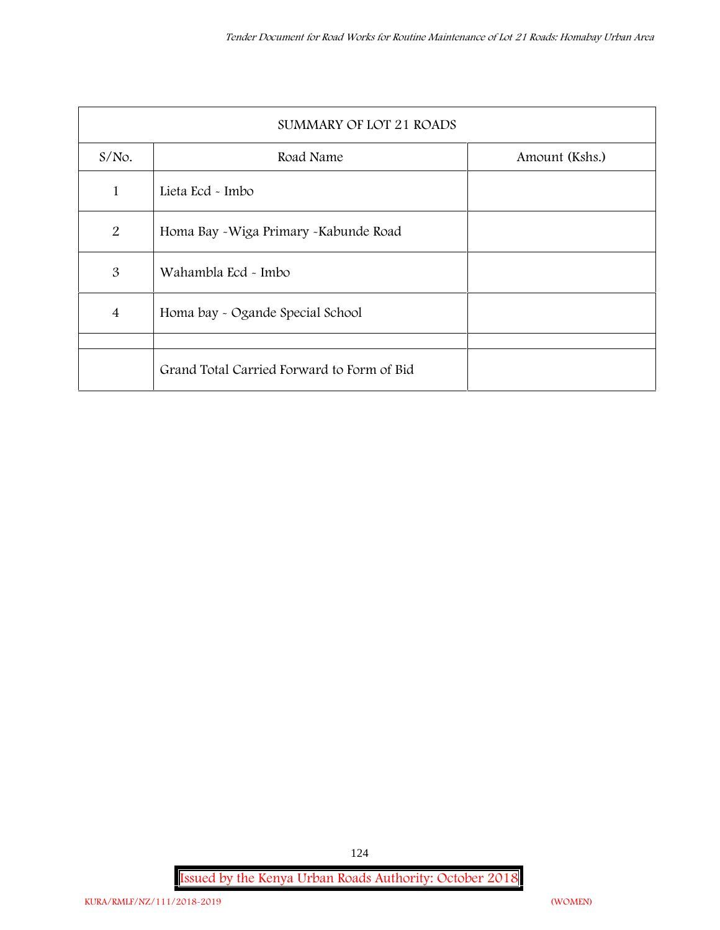|                | SUMMARY OF LOT 21 ROADS                    |                |  |  |  |  |
|----------------|--------------------------------------------|----------------|--|--|--|--|
| $S/NO$ .       | Road Name                                  | Amount (Kshs.) |  |  |  |  |
| 1              | Lieta Ecd - Imbo                           |                |  |  |  |  |
| 2              | Homa Bay - Wiga Primary - Kabunde Road     |                |  |  |  |  |
| 3              | Wahambla Ecd - Imbo                        |                |  |  |  |  |
| $\overline{4}$ | Homa bay - Ogande Special School           |                |  |  |  |  |
|                |                                            |                |  |  |  |  |
|                | Grand Total Carried Forward to Form of Bid |                |  |  |  |  |

**Issued by the Kenya Urban Roads Authority: October 2018**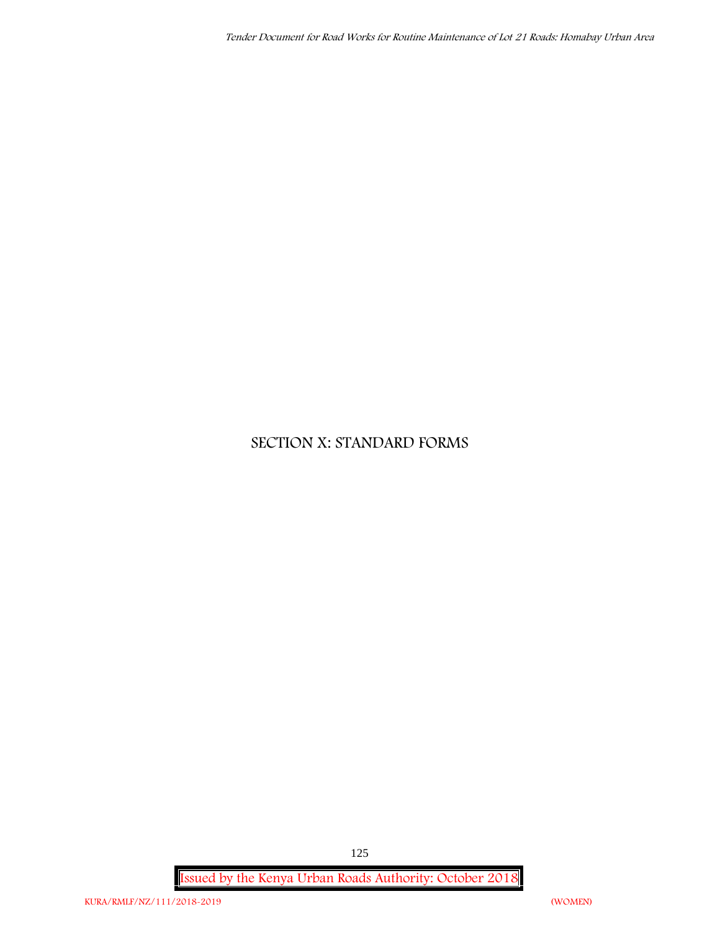# **SECTION X: STANDARD FORMS**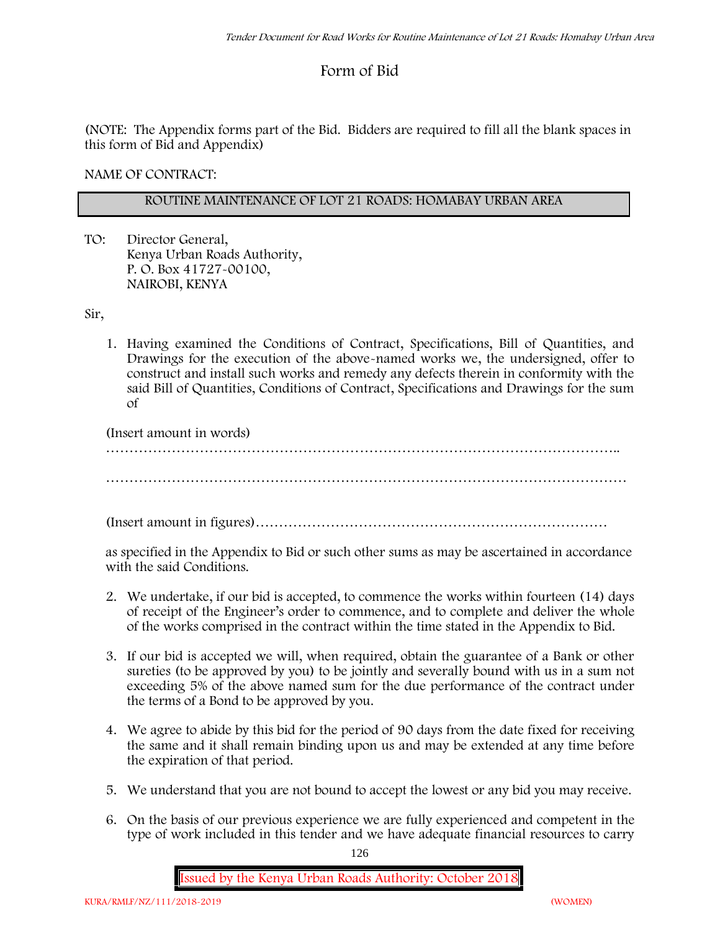# **Form of Bid**

(NOTE: The Appendix forms part of the Bid. Bidders are required to fill all the blank spaces in this form of Bid and Appendix)

**NAME OF CONTRACT:**

## **ROUTINE MAINTENANCE OF LOT 21 ROADS: HOMABAY URBAN AREA**

TO: Director General, Kenya Urban Roads Authority, P. O. Box 41727-00100, **NAIROBI, KENYA**

Sir,

1. Having examined the Conditions of Contract, Specifications, Bill of Quantities, and Drawings for the execution of the above-named works we, the undersigned, offer to construct and install such works and remedy any defects therein in conformity with the said Bill of Quantities, Conditions of Contract, Specifications and Drawings for the sum of

(Insert amount in words)

………………………………………………………………………………………………..

(Insert amount in figures)…………………………………………………………………

as specified in the Appendix to Bid or such other sums as may be ascertained in accordance with the said Conditions.

- 2. We undertake, if our bid is accepted, to commence the works within fourteen (14) days of receipt of the Engineer's order to commence, and to complete and deliver the whole of the works comprised in the contract within the time stated in the Appendix to Bid.
- 3. If our bid is accepted we will, when required, obtain the guarantee of a Bank or other sureties (to be approved by you) to be jointly and severally bound with us in a sum not exceeding 5% of the above named sum for the due performance of the contract under the terms of a Bond to be approved by you.
- 4. We agree to abide by this bid for the period of 90 days from the date fixed for receiving the same and it shall remain binding upon us and may be extended at any time before the expiration of that period.
- 5. We understand that you are not bound to accept the lowest or any bid you may receive.
- 6. On the basis of our previous experience we are fully experienced and competent in the type of work included in this tender and we have adequate financial resources to carry

126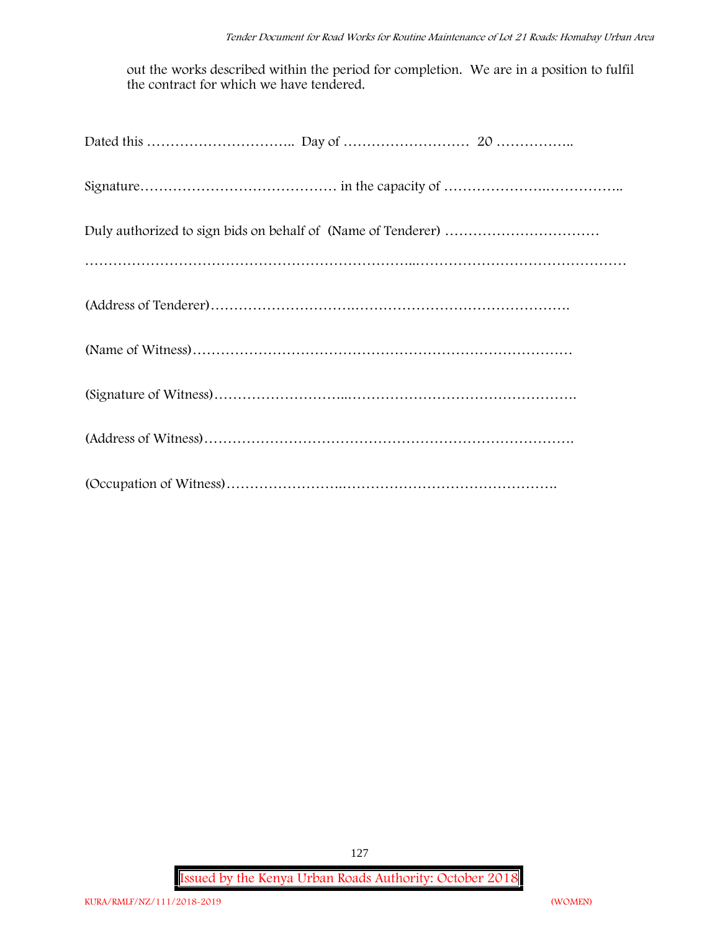out the works described within the period for completion. We are in a position to fulfil the contract for which we have tendered.

**Issued by the Kenya Urban Roads Authority: October 2018**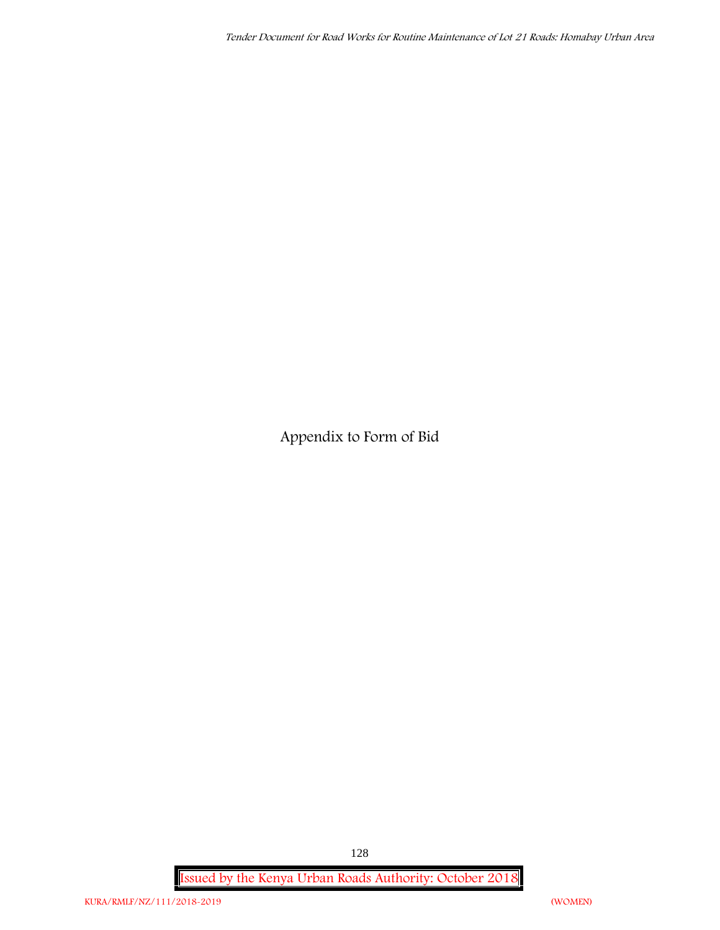**Appendix to Form of Bid**

**Issued by the Kenya Urban Roads Authority: October 2018**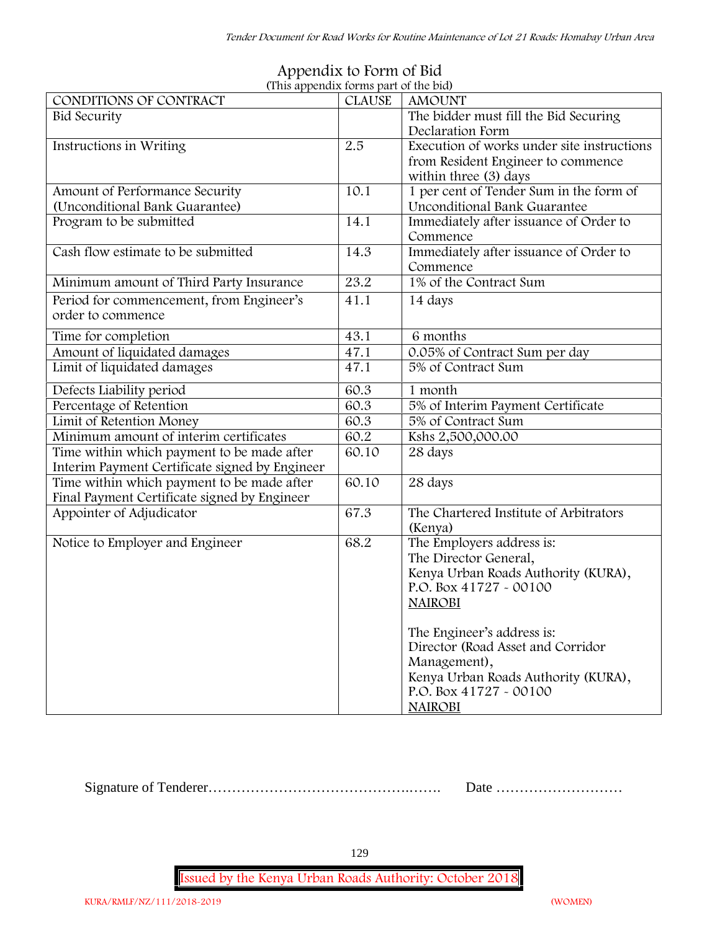| (This appendix forms part of the bid)          |               |                                            |
|------------------------------------------------|---------------|--------------------------------------------|
| CONDITIONS OF CONTRACT                         | <b>CLAUSE</b> | <b>AMOUNT</b>                              |
| <b>Bid Security</b>                            |               | The bidder must fill the Bid Securing      |
|                                                |               | Declaration Form                           |
| Instructions in Writing                        | 2.5           | Execution of works under site instructions |
|                                                |               | from Resident Engineer to commence         |
|                                                |               | within three (3) days                      |
| Amount of Performance Security                 | 10.1          | 1 per cent of Tender Sum in the form of    |
| (Unconditional Bank Guarantee)                 |               | <b>Unconditional Bank Guarantee</b>        |
| Program to be submitted                        | 14.1          | Immediately after issuance of Order to     |
|                                                |               | Commence                                   |
| Cash flow estimate to be submitted             | 14.3          | Immediately after issuance of Order to     |
|                                                |               | Commence                                   |
| Minimum amount of Third Party Insurance        | 23.2          | 1% of the Contract Sum                     |
| Period for commencement, from Engineer's       | 41.1          | 14 days                                    |
| order to commence                              |               |                                            |
|                                                |               |                                            |
| Time for completion                            | 43.1          | 6 months                                   |
| Amount of liquidated damages                   | 47.1          | 0.05% of Contract Sum per day              |
| Limit of liquidated damages                    | 47.1          | 5% of Contract Sum                         |
| Defects Liability period                       | 60.3          | 1 month                                    |
| Percentage of Retention                        | 60.3          | 5% of Interim Payment Certificate          |
| Limit of Retention Money                       | 60.3          | 5% of Contract Sum                         |
| Minimum amount of interim certificates         | 60.2          | Kshs 2,500,000.00                          |
| Time within which payment to be made after     | 60.10         | 28 days                                    |
| Interim Payment Certificate signed by Engineer |               |                                            |
| Time within which payment to be made after     | 60.10         | 28 days                                    |
| Final Payment Certificate signed by Engineer   |               |                                            |
| Appointer of Adjudicator                       | 67.3          | The Chartered Institute of Arbitrators     |
|                                                |               | (Kenya)                                    |
| Notice to Employer and Engineer                | 68.2          | The Employers address is:                  |
|                                                |               | The Director General,                      |
|                                                |               | Kenya Urban Roads Authority (KURA),        |
|                                                |               | P.O. Box 41727 - 00100                     |
|                                                |               | <b>NAIROBI</b>                             |
|                                                |               |                                            |
|                                                |               | The Engineer's address is:                 |
|                                                |               | Director (Road Asset and Corridor          |
|                                                |               | Management),                               |
|                                                |               | Kenya Urban Roads Authority (KURA),        |
|                                                |               | P.O. Box 41727 - 00100                     |
|                                                |               | <b>NAIROBI</b>                             |

## **Appendix to Form of Bid (This appendix forms part of the bid)**

Signature of Tenderer…………………………………….……. Date ………………………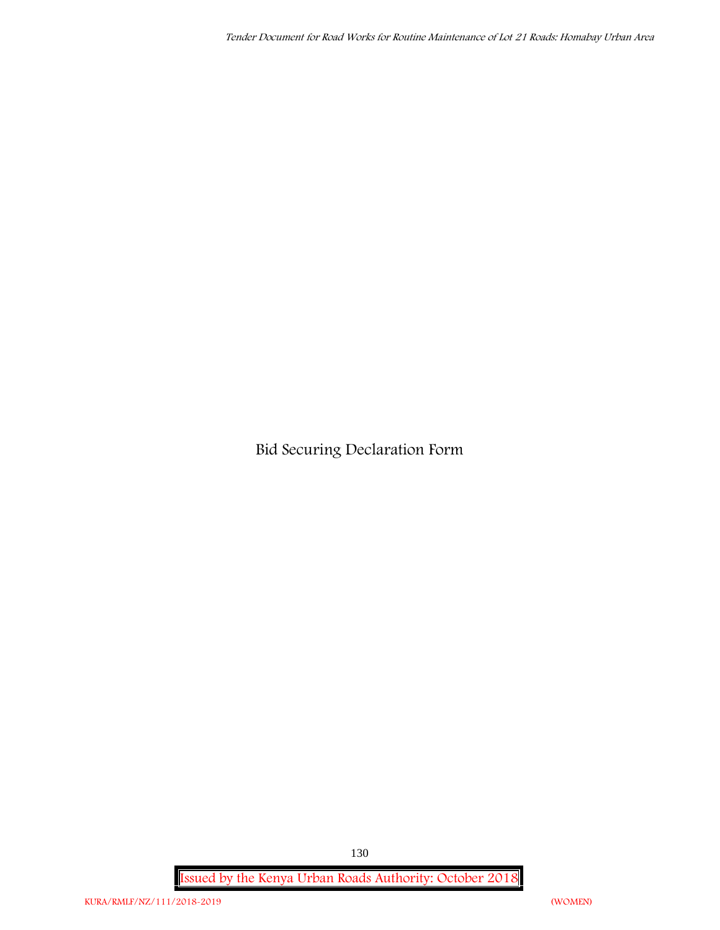**Bid Securing Declaration Form**

**Issued by the Kenya Urban Roads Authority: October 2018**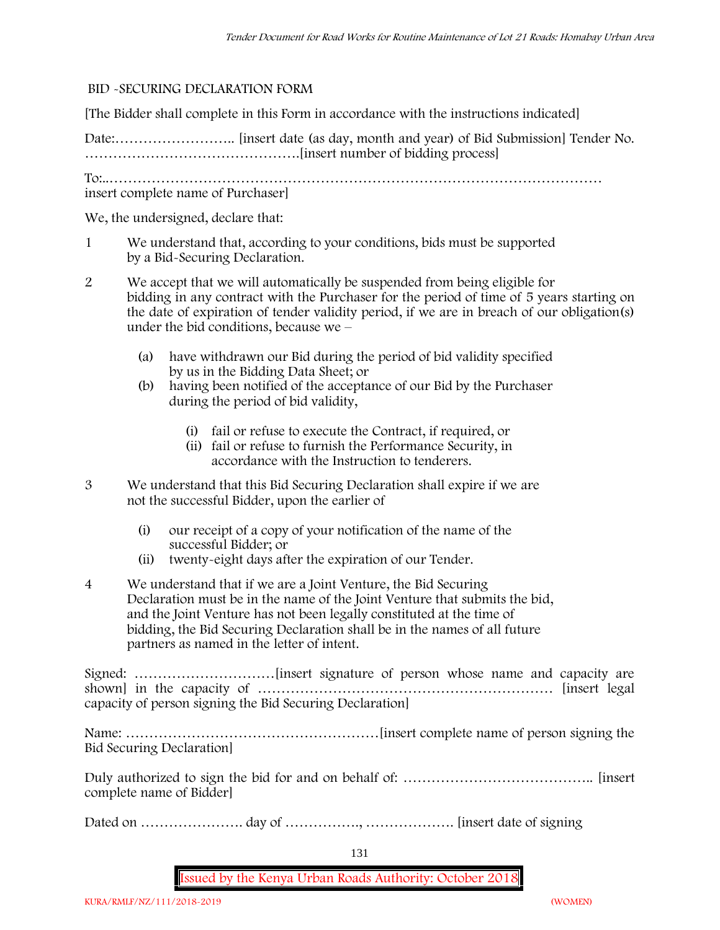#### **BID -SECURING DECLARATION FORM**

[The Bidder shall complete in this Form in accordance with the instructions indicated]

Date:…………………….. [insert date (as day, month and year) of Bid Submission] Tender No. ……………………………………….[insert number of bidding process]

To:..……………………………………………………………………………………………

insert complete name of Purchaser]

We, the undersigned, declare that:

- 1 We understand that, according to your conditions, bids must be supported by a Bid-Securing Declaration.
- 2 We accept that we will automatically be suspended from being eligible for bidding in any contract with the Purchaser for the period of time of **5 years** starting on the date of expiration of tender validity period, if we are in breach of our obligation(s) under the bid conditions, because we –
	- (a) have withdrawn our Bid during the period of bid validity specified by us in the Bidding Data Sheet; or
	- (b) having been notified of the acceptance of our Bid by the Purchaser during the period of bid validity,
		- (i) fail or refuse to execute the Contract, if required, or
		- (ii) fail or refuse to furnish the Performance Security, in accordance with the Instruction to tenderers.
- 3 We understand that this Bid Securing Declaration shall expire if we are not the successful Bidder, upon the earlier of
	- (i) our receipt of a copy of your notification of the name of the successful Bidder; or
	- (ii) twenty-eight days after the expiration of our Tender.
- 4 We understand that if we are a Joint Venture, the Bid Securing Declaration must be in the name of the Joint Venture that submits the bid, and the Joint Venture has not been legally constituted at the time of bidding, the Bid Securing Declaration shall be in the names of all future partners as named in the letter of intent.

Signed: …………………………[insert signature of person whose name and capacity are shown] in the capacity of ……………………………………………………… [insert legal capacity of person signing the Bid Securing Declaration]

Name: ………………………………………………[insert complete name of person signing the Bid Securing Declaration]

Duly authorized to sign the bid for and on behalf of: ………………………………….. [insert complete name of Bidder]

Dated on …………………. day of ……………., ………………. [insert date of signing

131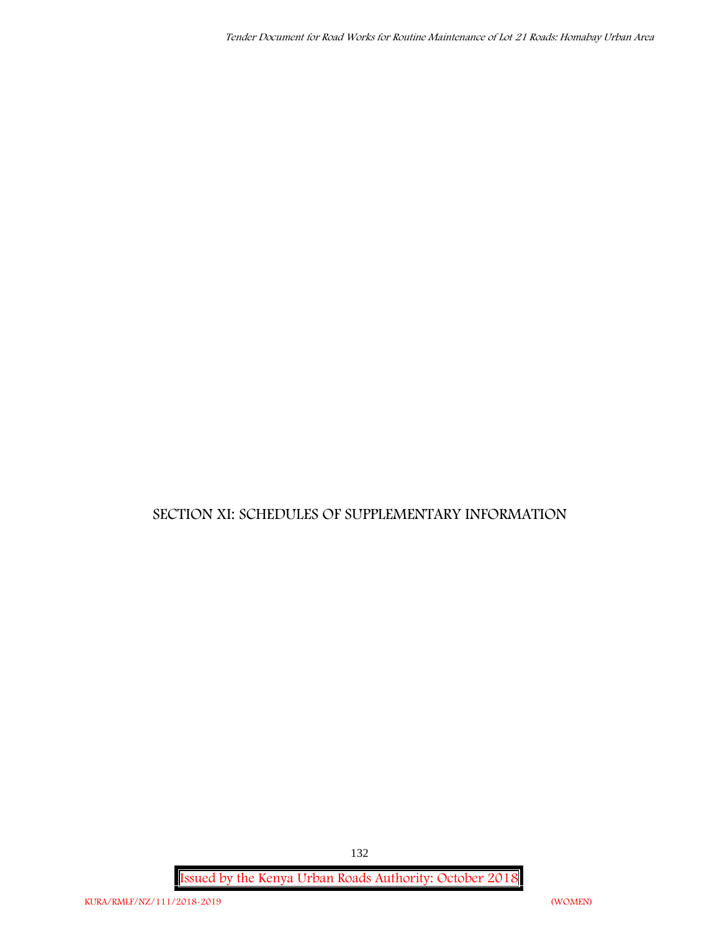# **SECTION XI: SCHEDULES OF SUPPLEMENTARY INFORMATION**

**Issued by the Kenya Urban Roads Authority: October 2018**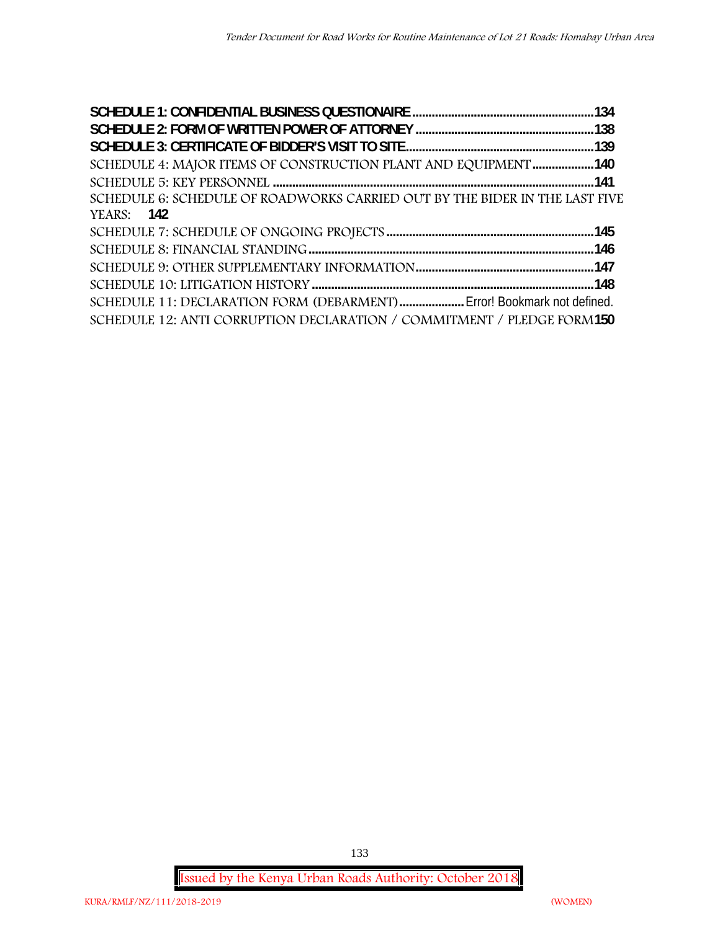| SCHEDULE 4: MAJOR ITEMS OF CONSTRUCTION PLANT AND EQUIPMENT 140             |  |
|-----------------------------------------------------------------------------|--|
|                                                                             |  |
| SCHEDULE 6: SCHEDULE OF ROADWORKS CARRIED OUT BY THE BIDER IN THE LAST FIVE |  |
| <b>YEARS: 142</b>                                                           |  |
|                                                                             |  |
|                                                                             |  |
|                                                                             |  |
|                                                                             |  |
| SCHEDULE 11: DECLARATION FORM (DEBARMENT) Error! Bookmark not defined.      |  |
| SCHEDULE 12: ANTI CORRUPTION DECLARATION / COMMITMENT / PLEDGE FORM150      |  |

**Issued by the Kenya Urban Roads Authority: October 2018**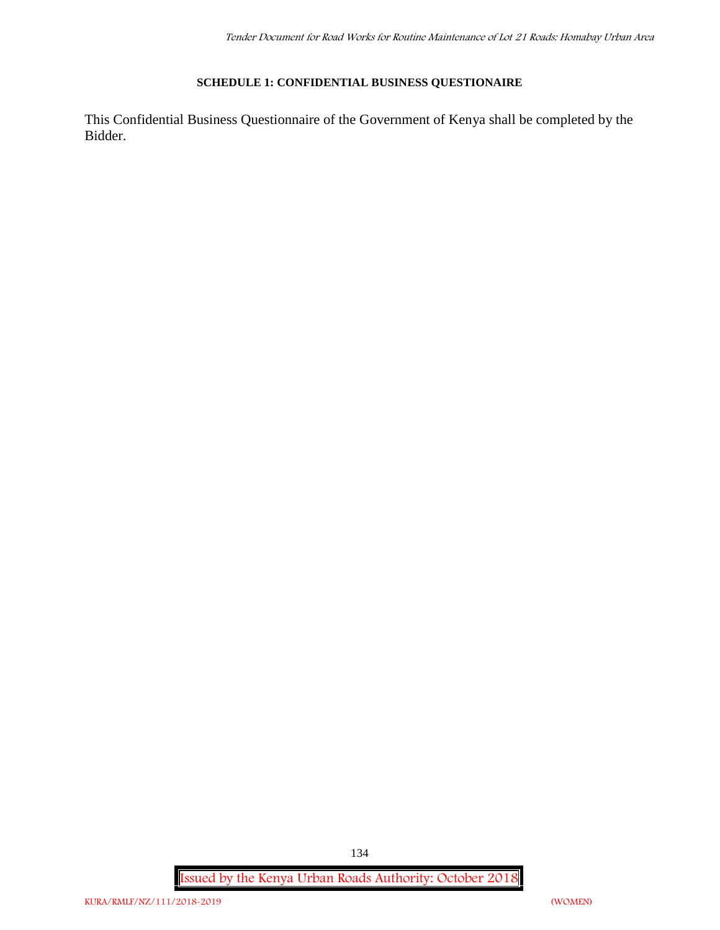#### **SCHEDULE 1: CONFIDENTIAL BUSINESS QUESTIONAIRE**

This Confidential Business Questionnaire of the Government of Kenya shall be completed by the Bidder.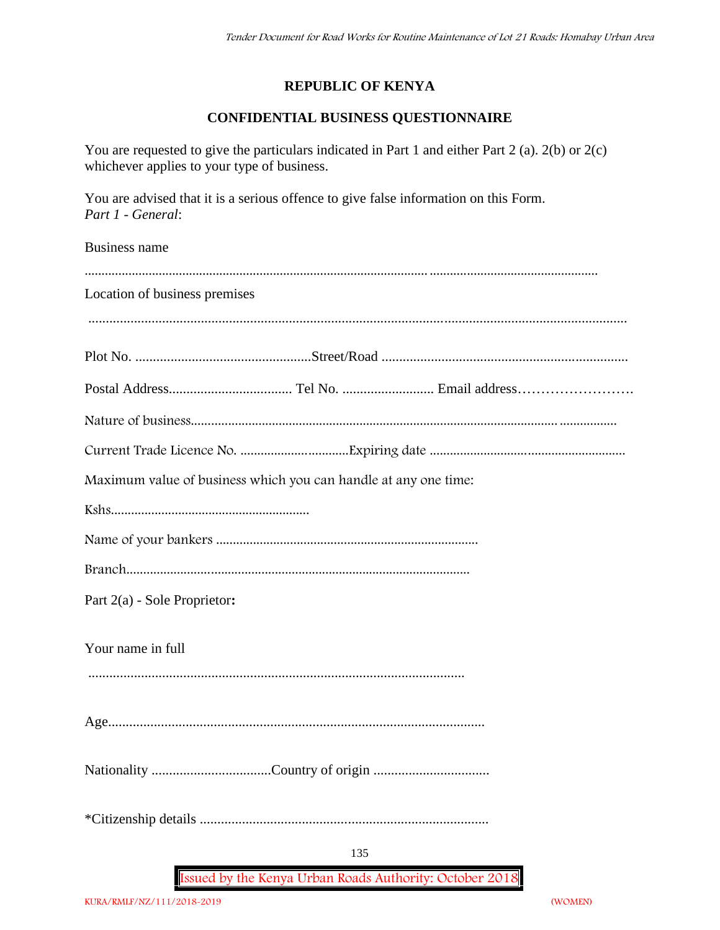## **REPUBLIC OF KENYA**

## **CONFIDENTIAL BUSINESS QUESTIONNAIRE**

You are requested to give the particulars indicated in Part 1 and either Part 2 (a). 2(b) or 2(c) whichever applies to your type of business.

You are advised that it is a serious offence to give false information on this Form. *Part 1 - General*:

Business name

| Location of business premises                                   |
|-----------------------------------------------------------------|
|                                                                 |
|                                                                 |
|                                                                 |
|                                                                 |
|                                                                 |
| Maximum value of business which you can handle at any one time: |
|                                                                 |
|                                                                 |
|                                                                 |
| Part 2(a) - Sole Proprietor:                                    |
| Your name in full                                               |
|                                                                 |
|                                                                 |
|                                                                 |
|                                                                 |
| 135                                                             |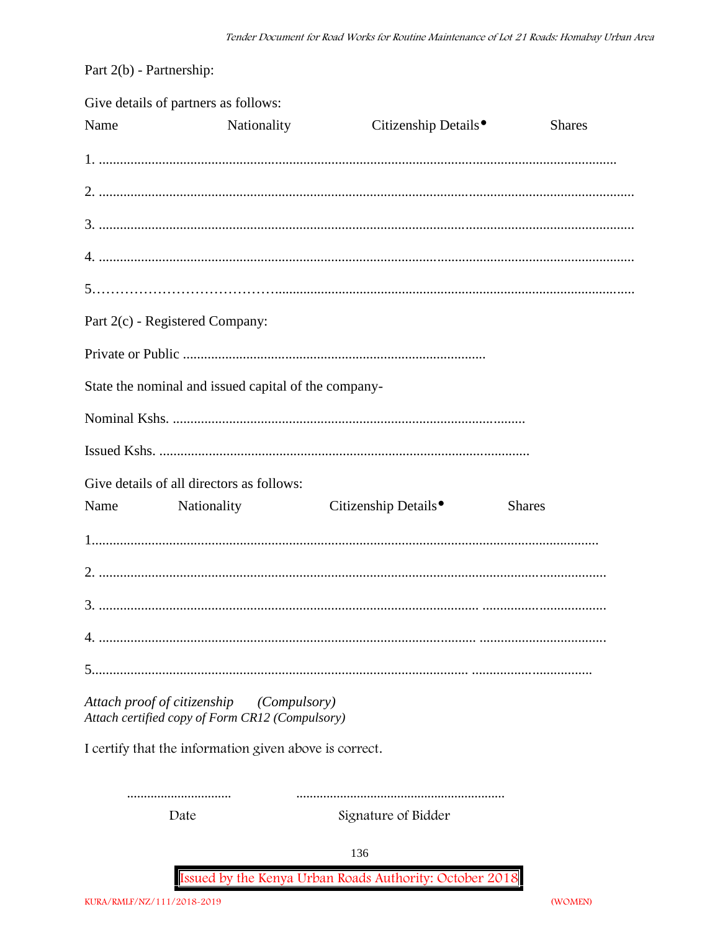Part 2(b) - Partnership:

|      | Give details of partners as follows:                                                        |                                  |               |
|------|---------------------------------------------------------------------------------------------|----------------------------------|---------------|
| Name | Nationality                                                                                 | Citizenship Details <sup>®</sup> | <b>Shares</b> |
|      |                                                                                             |                                  |               |
|      |                                                                                             |                                  |               |
|      |                                                                                             |                                  |               |
|      |                                                                                             |                                  |               |
|      |                                                                                             |                                  |               |
|      | Part 2(c) - Registered Company:                                                             |                                  |               |
|      |                                                                                             |                                  |               |
|      | State the nominal and issued capital of the company-                                        |                                  |               |
|      |                                                                                             |                                  |               |
|      |                                                                                             |                                  |               |
|      | Give details of all directors as follows:                                                   |                                  |               |
|      | Name Nationality                                                                            | Citizenship Details <sup>•</sup> | <b>Shares</b> |
|      |                                                                                             |                                  |               |
|      |                                                                                             |                                  |               |
|      |                                                                                             |                                  |               |
|      |                                                                                             |                                  |               |
|      |                                                                                             |                                  |               |
|      | Attach proof of citizenship (Compulsory)<br>Attach certified copy of Form CR12 (Compulsory) |                                  |               |
|      | I certify that the information given above is correct.                                      |                                  |               |
|      |                                                                                             |                                  |               |
|      | Date                                                                                        | Signature of Bidder              |               |
|      |                                                                                             | 136                              |               |

(WOMEN)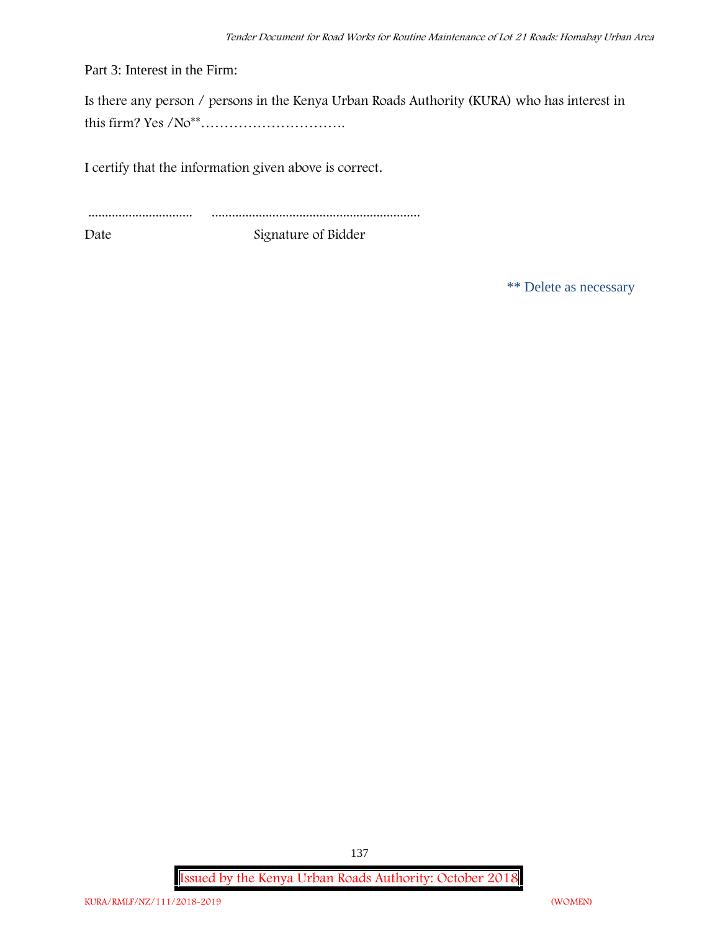Part 3: Interest in the Firm:

Is there any person / persons in the Kenya Urban Roads Authority (KURA) who has interest in this firm? Yes /No\*\*………………………….

I certify that the information given above is correct.

............................... .............................................................. Date Signature of Bidder

\*\* Delete as necessary

**Issued by the Kenya Urban Roads Authority: October 2018**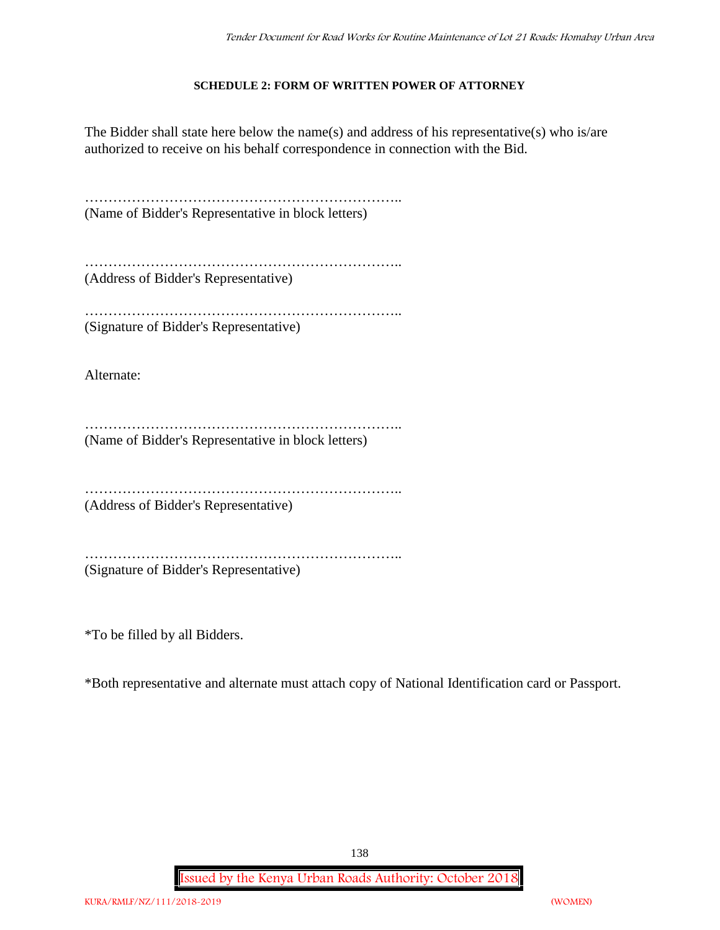#### **SCHEDULE 2: FORM OF WRITTEN POWER OF ATTORNEY**

The Bidder shall state here below the name(s) and address of his representative(s) who is/are authorized to receive on his behalf correspondence in connection with the Bid.

………………………………………………………….. (Name of Bidder's Representative in block letters)

………………………………………………………………………… (Address of Bidder's Representative)

…………………………………………………………………… (Signature of Bidder's Representative)

Alternate:

………………………………………………………….. (Name of Bidder's Representative in block letters)

…………………………………………………………..

(Address of Bidder's Representative)

…………………………………………………………..

(Signature of Bidder's Representative)

\*To be filled by all Bidders.

\*Both representative and alternate must attach copy of National Identification card or Passport.

138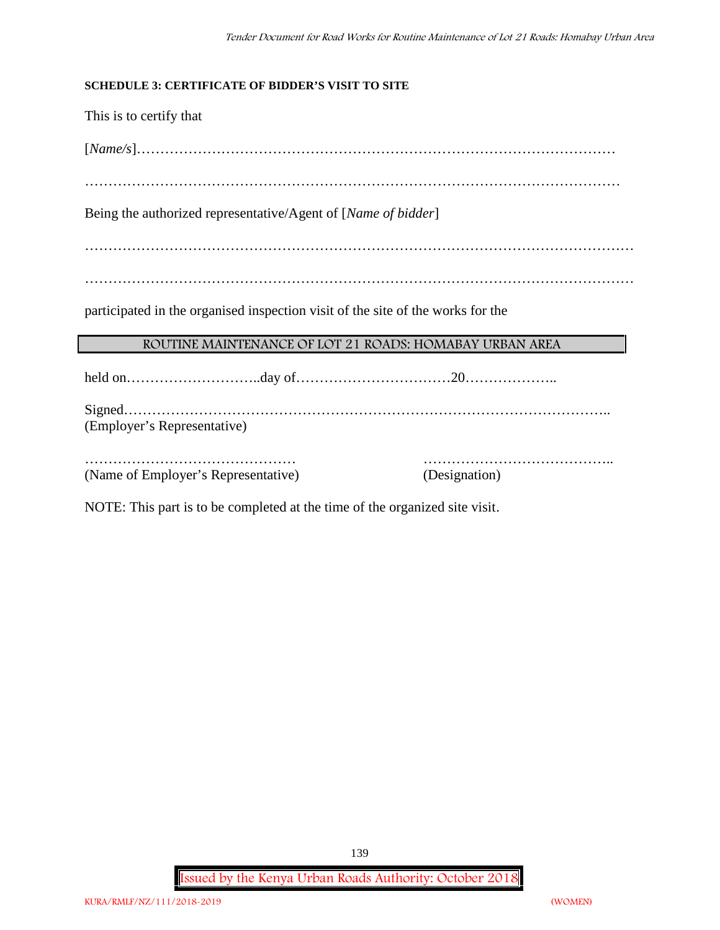#### **SCHEDULE 3: CERTIFICATE OF BIDDER'S VISIT TO SITE**

This is to certify that

[*Name/s*]…………………………………………………………………………………………

……………………………………………………………………………………………………

Being the authorized representative/Agent of [*Name of bidder*]

………………………………………………………………………………………………………

………………………………………………………………………………………………………

participated in the organised inspection visit of the site of the works for the

#### **ROUTINE MAINTENANCE OF LOT 21 ROADS: HOMABAY URBAN AREA**

held on………………………..day of……………………………20………………..

Signed………………………………………………………………………………………….. (Employer's Representative)

……………………………………… ………………………………….. (Name of Employer's Representative) (Designation)

NOTE: This part is to be completed at the time of the organized site visit.

**Issued by the Kenya Urban Roads Authority: October 2018**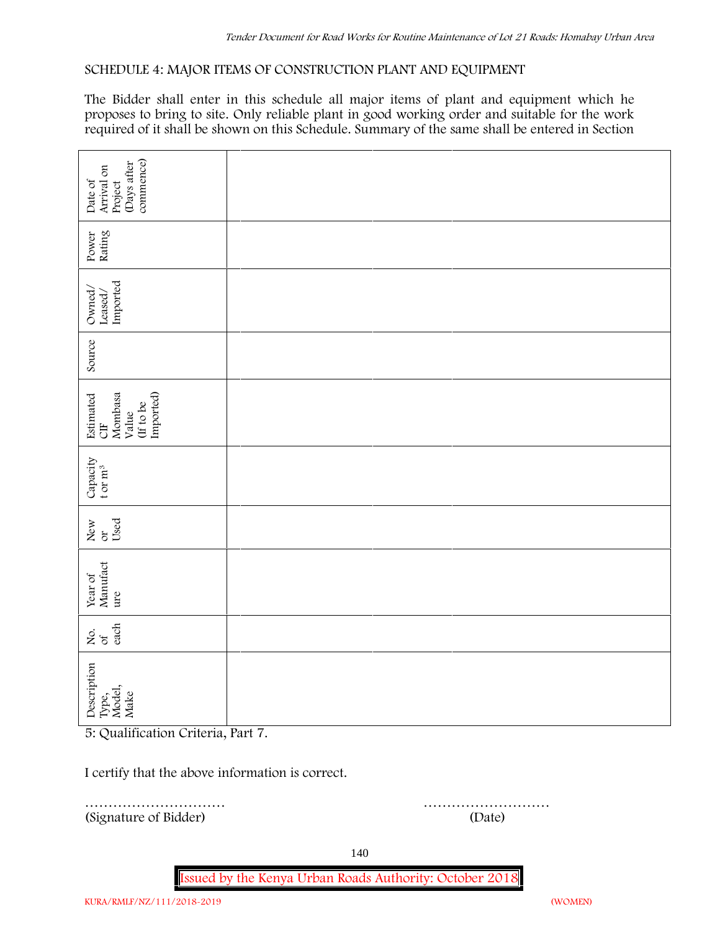#### **SCHEDULE 4: MAJOR ITEMS OF CONSTRUCTION PLANT AND EQUIPMENT**

The Bidder shall enter in this schedule all major items of plant and equipment which he proposes to bring to site. Only reliable plant in good working order and suitable for the work required of it shall be shown on this Schedule. Summary of the same shall be entered in Section

| commence)<br>(Days after<br>Arrival on                                    |        |  |  |  |  |  |  |
|---------------------------------------------------------------------------|--------|--|--|--|--|--|--|
| Date of<br>Project                                                        |        |  |  |  |  |  |  |
| Rating<br>Power                                                           |        |  |  |  |  |  |  |
| Imported<br>Owned/<br>Leased/                                             |        |  |  |  |  |  |  |
| Source                                                                    |        |  |  |  |  |  |  |
| Imported)<br>Mombasa<br>Estimated<br>(If to be<br>Value<br>$\overline{a}$ |        |  |  |  |  |  |  |
| Capacity t or $\mathbf{m}^3$                                              |        |  |  |  |  |  |  |
| Used<br>New<br>$\alpha$                                                   |        |  |  |  |  |  |  |
| Year of<br>Manufact<br>ure                                                |        |  |  |  |  |  |  |
| each<br>Σό.                                                               |        |  |  |  |  |  |  |
| Description<br>Type,<br>Model,<br>Make                                    |        |  |  |  |  |  |  |
| 5: Qualification Criteria, Part 7.                                        |        |  |  |  |  |  |  |
| I certify that the above information is correct.                          |        |  |  |  |  |  |  |
| (Signature of Bidder)                                                     | (Date) |  |  |  |  |  |  |

………………………… ………………………

140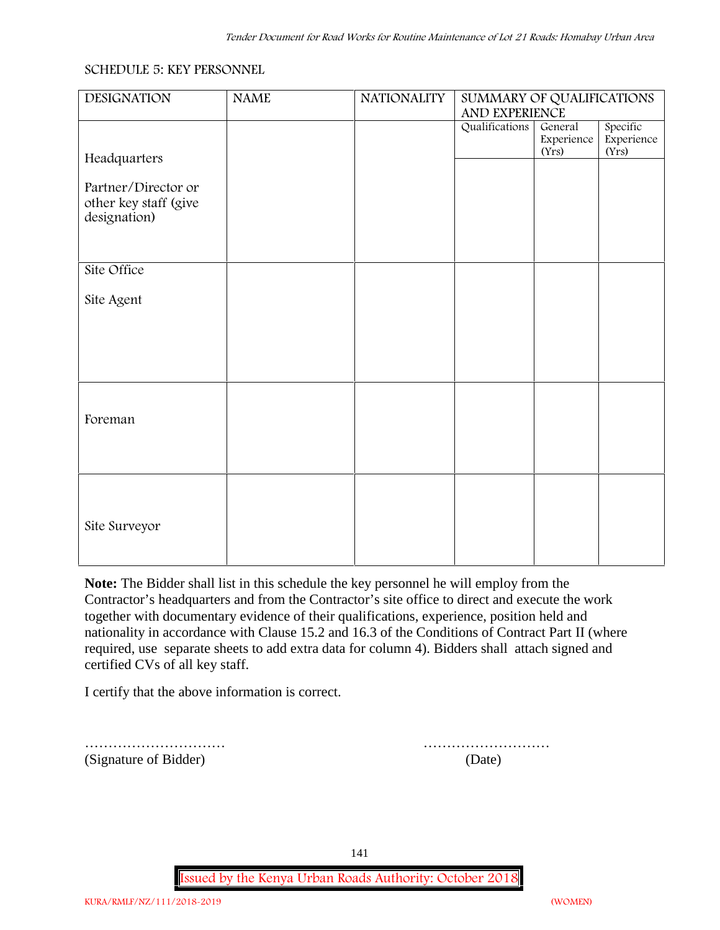#### **SCHEDULE 5: KEY PERSONNEL**

| <b>DESIGNATION</b>                                           | <b>NAME</b> | <b>NATIONALITY</b> | SUMMARY OF QUALIFICATIONS<br>AND EXPERIENCE |                                |                                 |  |  |
|--------------------------------------------------------------|-------------|--------------------|---------------------------------------------|--------------------------------|---------------------------------|--|--|
| Headquarters                                                 |             |                    | Qualifications                              | General<br>Experience<br>(Yrs) | Specific<br>Experience<br>(Yrs) |  |  |
| Partner/Director or<br>other key staff (give<br>designation) |             |                    |                                             |                                |                                 |  |  |
| Site Office                                                  |             |                    |                                             |                                |                                 |  |  |
| Site Agent                                                   |             |                    |                                             |                                |                                 |  |  |
|                                                              |             |                    |                                             |                                |                                 |  |  |
| Foreman                                                      |             |                    |                                             |                                |                                 |  |  |
| Site Surveyor                                                |             |                    |                                             |                                |                                 |  |  |

**Note:** The Bidder shall list in this schedule the key personnel he will employ from the Contractor's headquarters and from the Contractor's site office to direct and execute the work together with documentary evidence of their qualifications, experience, position held and nationality in accordance with Clause 15.2 and 16.3 of the Conditions of Contract Part II (where required, use separate sheets to add extra data for column 4). Bidders shall attach signed and certified CVs of all key staff.

I certify that the above information is correct.

(Signature of Bidder) (Date)

………………………… ………………………

141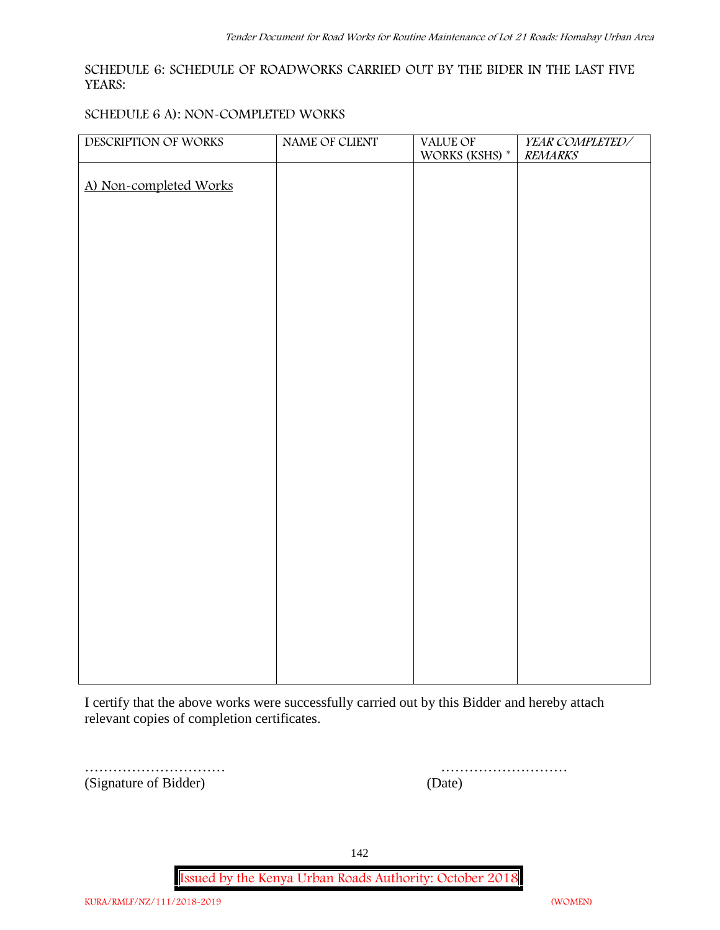#### **SCHEDULE 6: SCHEDULE OF ROADWORKS CARRIED OUT BY THE BIDER IN THE LAST FIVE YEARS:**

#### **SCHEDULE 6 A): NON-COMPLETED WORKS**

| DESCRIPTION OF WORKS   | NAME OF CLIENT | VALUE OF<br>WORKS (KSHS) $^\ast$ | YEAR COMPLETED/<br><b>REMARKS</b> |
|------------------------|----------------|----------------------------------|-----------------------------------|
| A) Non-completed Works |                |                                  |                                   |
|                        |                |                                  |                                   |
|                        |                |                                  |                                   |
|                        |                |                                  |                                   |
|                        |                |                                  |                                   |
|                        |                |                                  |                                   |
|                        |                |                                  |                                   |
|                        |                |                                  |                                   |
|                        |                |                                  |                                   |
|                        |                |                                  |                                   |
|                        |                |                                  |                                   |
|                        |                |                                  |                                   |
|                        |                |                                  |                                   |
|                        |                |                                  |                                   |
|                        |                |                                  |                                   |
|                        |                |                                  |                                   |
|                        |                |                                  |                                   |
|                        |                |                                  |                                   |
|                        |                |                                  |                                   |

I certify that the above works were successfully carried out by this Bidder and hereby attach relevant copies of completion certificates.

…………………………… (Signature of Bidder)

| (Date) |  |  |  |  |  |  |  |  |  |  |  |  |  |
|--------|--|--|--|--|--|--|--|--|--|--|--|--|--|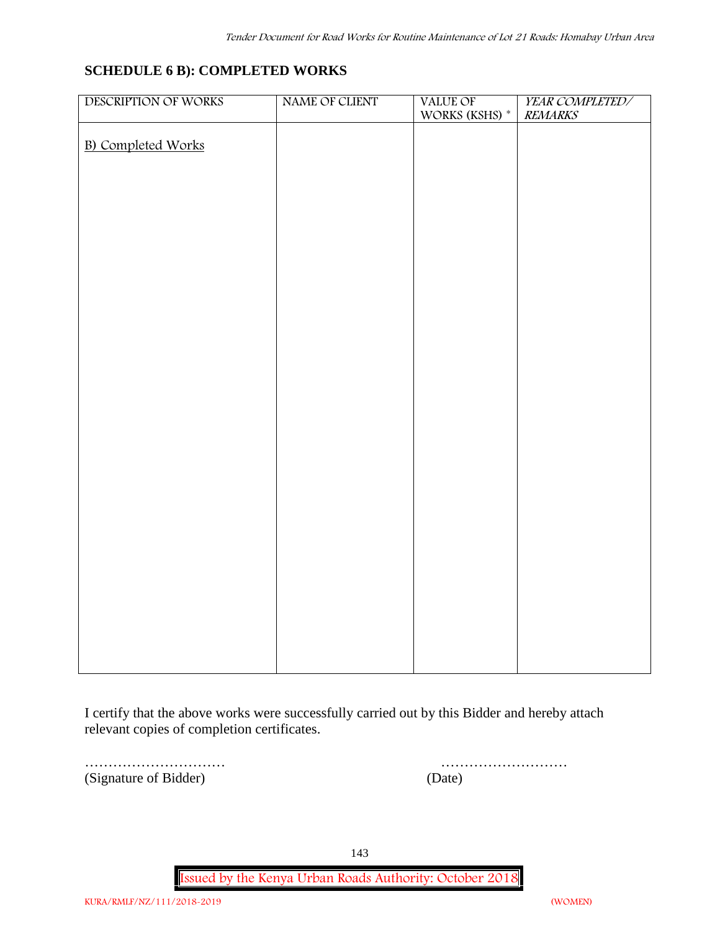## **SCHEDULE 6 B): COMPLETED WORKS**

| DESCRIPTION OF WORKS      | NAME OF CLIENT | VALUE OF       | YEAR COMPLETED/ |
|---------------------------|----------------|----------------|-----------------|
|                           |                | WORKS (KSHS) * | <b>REMARKS</b>  |
| <b>B)</b> Completed Works |                |                |                 |
|                           |                |                |                 |
|                           |                |                |                 |
|                           |                |                |                 |
|                           |                |                |                 |
|                           |                |                |                 |
|                           |                |                |                 |
|                           |                |                |                 |
|                           |                |                |                 |
|                           |                |                |                 |
|                           |                |                |                 |
|                           |                |                |                 |
|                           |                |                |                 |
|                           |                |                |                 |
|                           |                |                |                 |
|                           |                |                |                 |
|                           |                |                |                 |
|                           |                |                |                 |
|                           |                |                |                 |
|                           |                |                |                 |
|                           |                |                |                 |
|                           |                |                |                 |
|                           |                |                |                 |
|                           |                |                |                 |
|                           |                |                |                 |
|                           |                |                |                 |
|                           |                |                |                 |
|                           |                |                |                 |
|                           |                |                |                 |

I certify that the above works were successfully carried out by this Bidder and hereby attach relevant copies of completion certificates.

(Signature of Bidder) (Date)

………………………… ………………………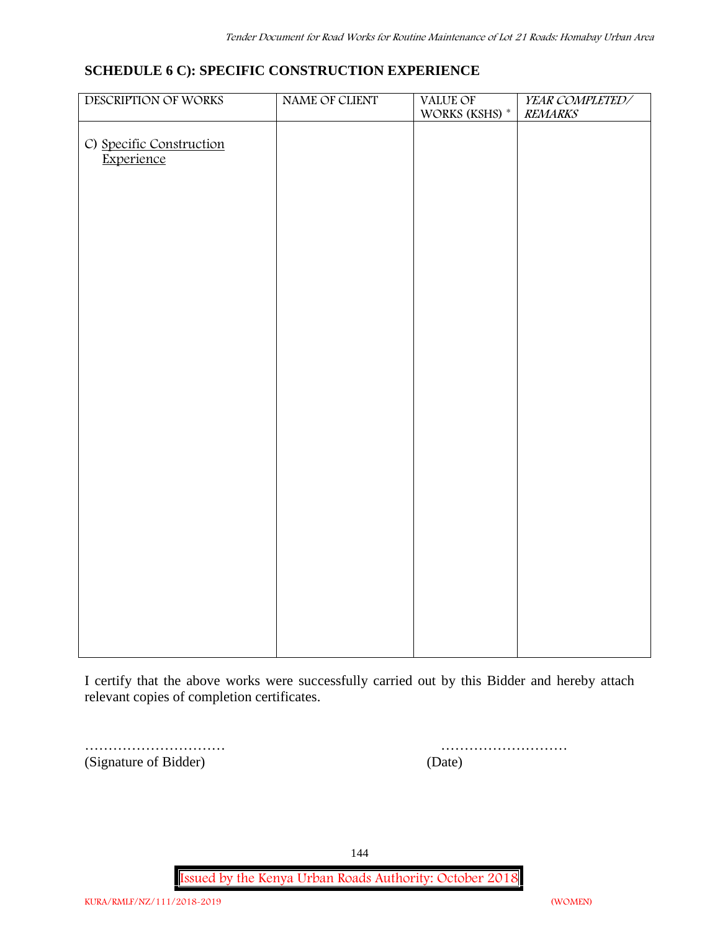# **SCHEDULE 6 C): SPECIFIC CONSTRUCTION EXPERIENCE**

| DESCRIPTION OF WORKS                   | NAME OF CLIENT | VALUE OF<br>WORKS (KSHS) $^\ast$ | YEAR COMPLETED/<br><b>REMARKS</b> |
|----------------------------------------|----------------|----------------------------------|-----------------------------------|
|                                        |                |                                  |                                   |
| C) Specific Construction<br>Experience |                |                                  |                                   |
|                                        |                |                                  |                                   |
|                                        |                |                                  |                                   |
|                                        |                |                                  |                                   |
|                                        |                |                                  |                                   |
|                                        |                |                                  |                                   |
|                                        |                |                                  |                                   |
|                                        |                |                                  |                                   |
|                                        |                |                                  |                                   |
|                                        |                |                                  |                                   |
|                                        |                |                                  |                                   |
|                                        |                |                                  |                                   |
|                                        |                |                                  |                                   |
|                                        |                |                                  |                                   |
|                                        |                |                                  |                                   |
|                                        |                |                                  |                                   |
|                                        |                |                                  |                                   |
|                                        |                |                                  |                                   |
|                                        |                |                                  |                                   |
|                                        |                |                                  |                                   |
|                                        |                |                                  |                                   |
|                                        |                |                                  |                                   |

I certify that the above works were successfully carried out by this Bidder and hereby attach relevant copies of completion certificates.

(Signature of Bidder) (Date)

| (Signature of Bidder) | <sub>date</sub> |
|-----------------------|-----------------|

144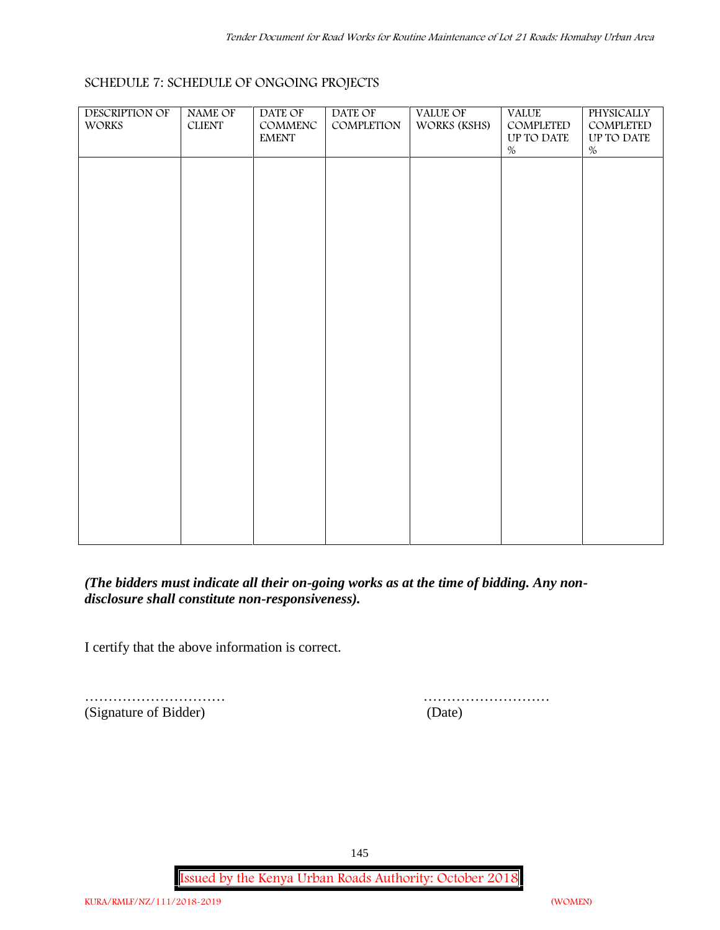| <b>DESCRIPTION OF</b><br>WORKS | NAME OF<br>${\rm CLIENT}$ | DATE OF<br>COMMENC<br>$\ensuremath{\text{EMENT}}$ | DATE OF<br>COMPLETION | VALUE OF<br>WORKS (KSHS) | <b>VALUE</b><br>COMPLETED<br>UP TO DATE<br>$\%$ | PHYSICALLY<br>COMPLETED<br>UP TO DATE<br>$\%$ |  |
|--------------------------------|---------------------------|---------------------------------------------------|-----------------------|--------------------------|-------------------------------------------------|-----------------------------------------------|--|
|                                |                           |                                                   |                       |                          |                                                 |                                               |  |
|                                |                           |                                                   |                       |                          |                                                 |                                               |  |
|                                |                           |                                                   |                       |                          |                                                 |                                               |  |
|                                |                           |                                                   |                       |                          |                                                 |                                               |  |
|                                |                           |                                                   |                       |                          |                                                 |                                               |  |
|                                |                           |                                                   |                       |                          |                                                 |                                               |  |
|                                |                           |                                                   |                       |                          |                                                 |                                               |  |

# **SCHEDULE 7: SCHEDULE OF ONGOING PROJECTS**

*(The bidders must indicate all their on-going works as at the time of bidding. Any non disclosure shall constitute non-responsiveness).*

I certify that the above information is correct.

(Signature of Bidder) (Date)

………………………… ………………………

145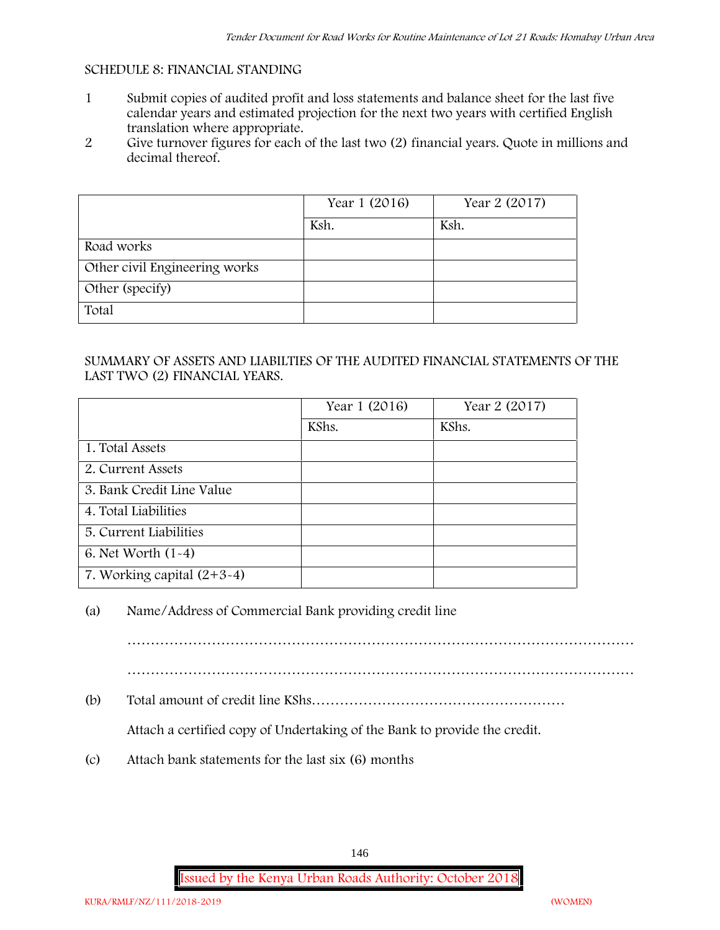#### **SCHEDULE 8: FINANCIAL STANDING**

- 1 Submit copies of audited profit and loss statements and balance sheet for the last five calendar years and estimated projection for the next two years with certified English translation where appropriate.
- 2 Give turnover figures for each of the last two (2) financial years. Quote in millions and decimal thereof.

|                               | Year 1 (2016) | Year 2 (2017) |
|-------------------------------|---------------|---------------|
|                               | Ksh.          | Ksh.          |
| Road works                    |               |               |
| Other civil Engineering works |               |               |
| Other (specify)               |               |               |
| Total                         |               |               |

## SUMMARY OF ASSETS AND LIABILTIES OF THE AUDITED FINANCIAL STATEMENTS OF THE LAST TWO (2) FINANCIAL YEARS.

|                              | Year 1 (2016) | Year 2 (2017) |
|------------------------------|---------------|---------------|
|                              | KShs.         | KShs.         |
| 1. Total Assets              |               |               |
| 2. Current Assets            |               |               |
| 3. Bank Credit Line Value    |               |               |
| 4. Total Liabilities         |               |               |
| 5. Current Liabilities       |               |               |
| 6. Net Worth $(1-4)$         |               |               |
| 7. Working capital $(2+3-4)$ |               |               |

## (a) Name/Address of Commercial Bank providing credit line

………………………………………………………………………………………………

(b) Total amount of credit line KShs………………………………………………

Attach a certified copy of Undertaking of the Bank to provide the credit.

(c) Attach bank statements for the last six (6) months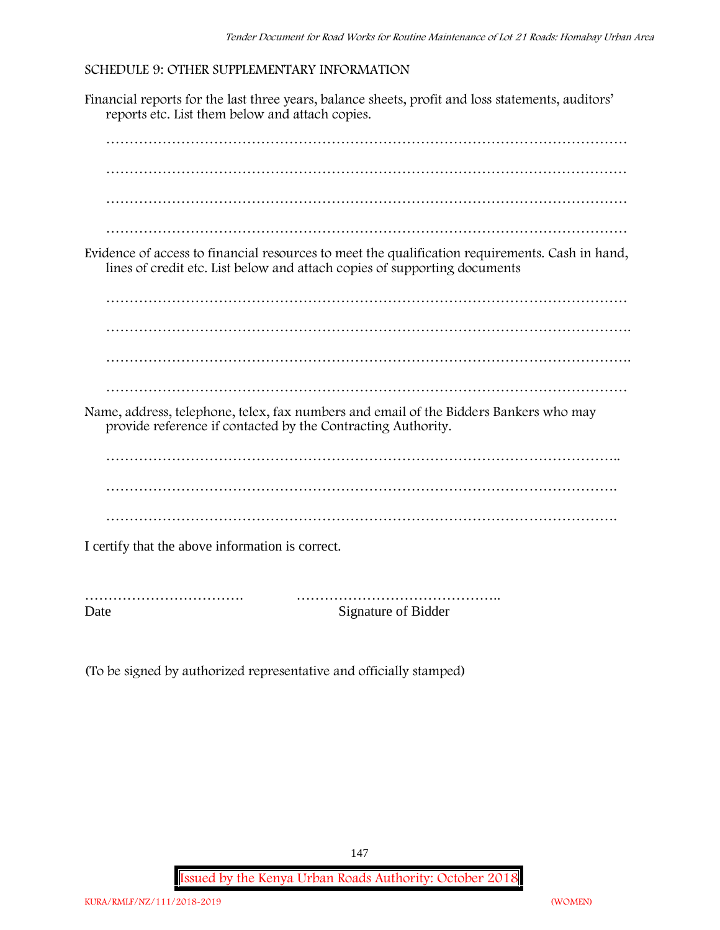### **SCHEDULE 9: OTHER SUPPLEMENTARY INFORMATION**

Financial reports for the last three years, balance sheets, profit and loss statements, auditors' reports etc. List them below and attach copies.



Date Signature of Bidder

(To be signed by authorized representative and officially stamped)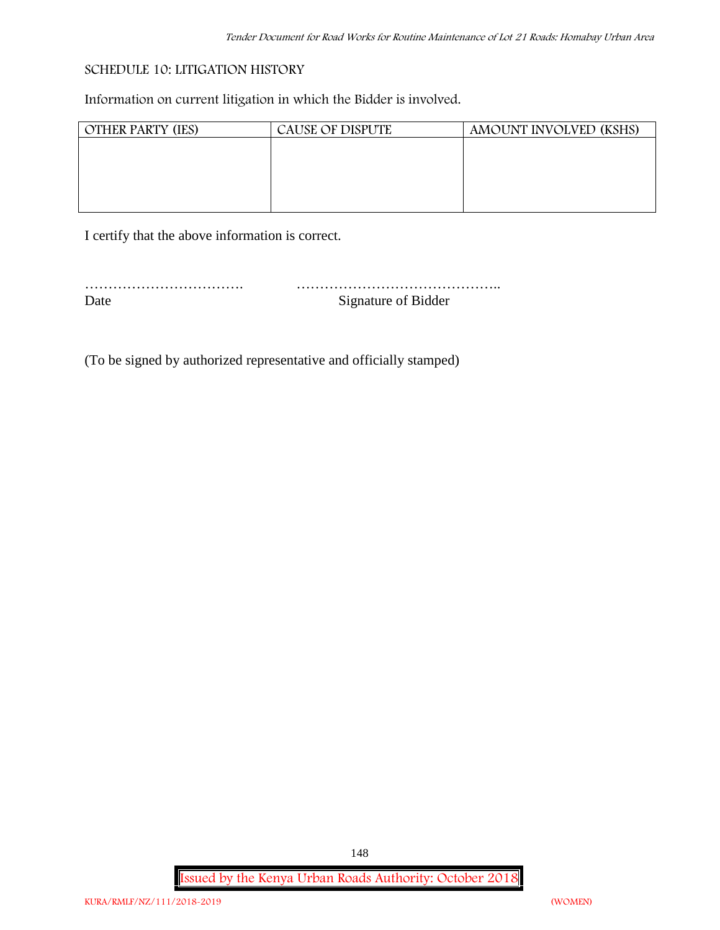### **SCHEDULE 10: LITIGATION HISTORY**

Information on current litigation in which the Bidder is involved.

| <b>OTHER PARTY (IES)</b> | <b>CAUSE OF DISPUTE</b> | AMOUNT INVOLVED (KSHS) |
|--------------------------|-------------------------|------------------------|
|                          |                         |                        |
|                          |                         |                        |
|                          |                         |                        |
|                          |                         |                        |
|                          |                         |                        |

I certify that the above information is correct.

| Date | Signature of Bidder |
|------|---------------------|

(To be signed by authorized representative and officially stamped)

**Issued by the Kenya Urban Roads Authority: October 2018**

148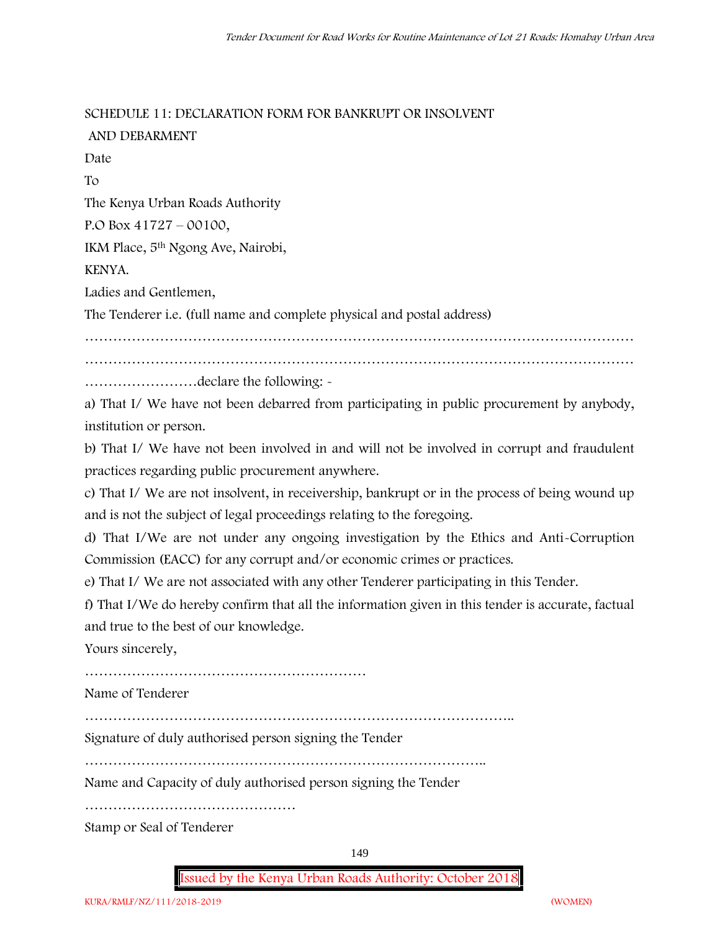**SCHEDULE 11: DECLARATION FORM FOR BANKRUPT OR INSOLVENT**

**AND DEBARMENT** Date To The Kenya Urban Roads Authority P.O Box 41727 – 00100, IKM Place, 5th Ngong Ave, Nairobi, KENYA. Ladies and Gentlemen, The Tenderer i.e. (full name and complete physical and postal address) ……………………………………………………………………………………………………… ……………………declare the following: -

a) That I/ We have not been debarred from participating in public procurement by anybody, institution or person.

b) That I/ We have not been involved in and will not be involved in corrupt and fraudulent practices regarding public procurement anywhere.

c) That I/ We are not insolvent, in receivership, bankrupt or in the process of being wound up and is not the subject of legal proceedings relating to the foregoing.

d) That I/We are not under any ongoing investigation by the Ethics and Anti-Corruption Commission (EACC) for any corrupt and/or economic crimes or practices.

e) That I/ We are not associated with any other Tenderer participating in this Tender.

f) That I/We do hereby confirm that all the information given in this tender is accurate, factual and true to the best of our knowledge.

Yours sincerely,

……………………………………………………

Name of Tenderer

………………………………………………………………………………..

Signature of duly authorised person signing the Tender

…………………………………………………………………………..

Name and Capacity of duly authorised person signing the Tender

………………………………………

Stamp or Seal of Tenderer

149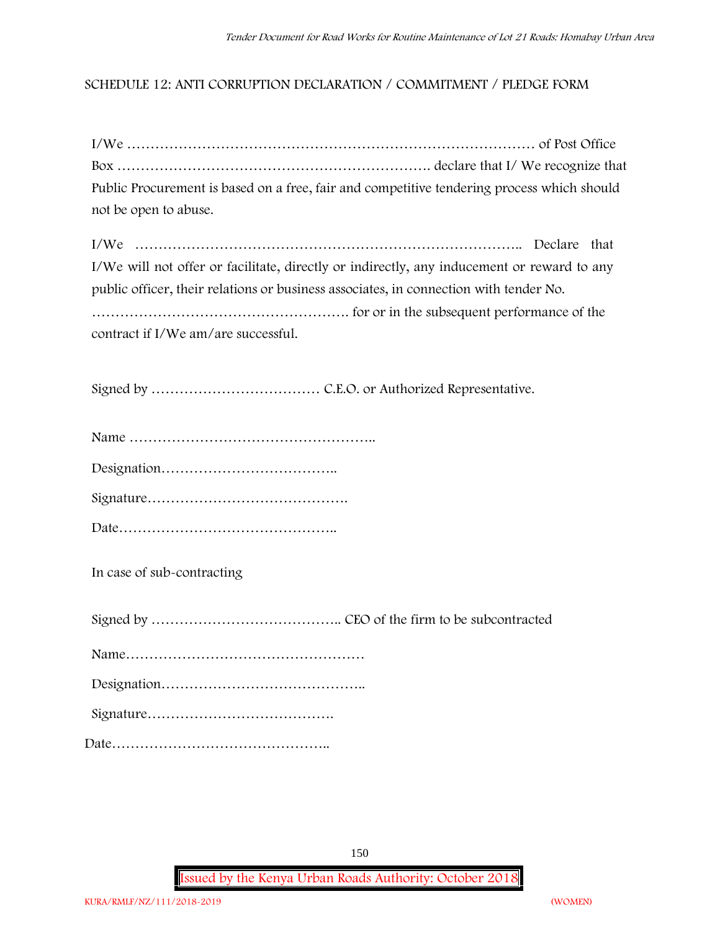## **SCHEDULE 12: ANTI CORRUPTION DECLARATION / COMMITMENT / PLEDGE FORM**

| Public Procurement is based on a free, fair and competitive tendering process which should                                                                                                                                 |
|----------------------------------------------------------------------------------------------------------------------------------------------------------------------------------------------------------------------------|
| not be open to abuse.                                                                                                                                                                                                      |
| I/We will not offer or facilitate, directly or indirectly, any inducement or reward to any<br>public officer, their relations or business associates, in connection with tender No.<br>contract if I/We am/are successful. |
|                                                                                                                                                                                                                            |
|                                                                                                                                                                                                                            |
|                                                                                                                                                                                                                            |
|                                                                                                                                                                                                                            |
|                                                                                                                                                                                                                            |
| In case of sub-contracting                                                                                                                                                                                                 |
|                                                                                                                                                                                                                            |
|                                                                                                                                                                                                                            |
|                                                                                                                                                                                                                            |
|                                                                                                                                                                                                                            |
|                                                                                                                                                                                                                            |

150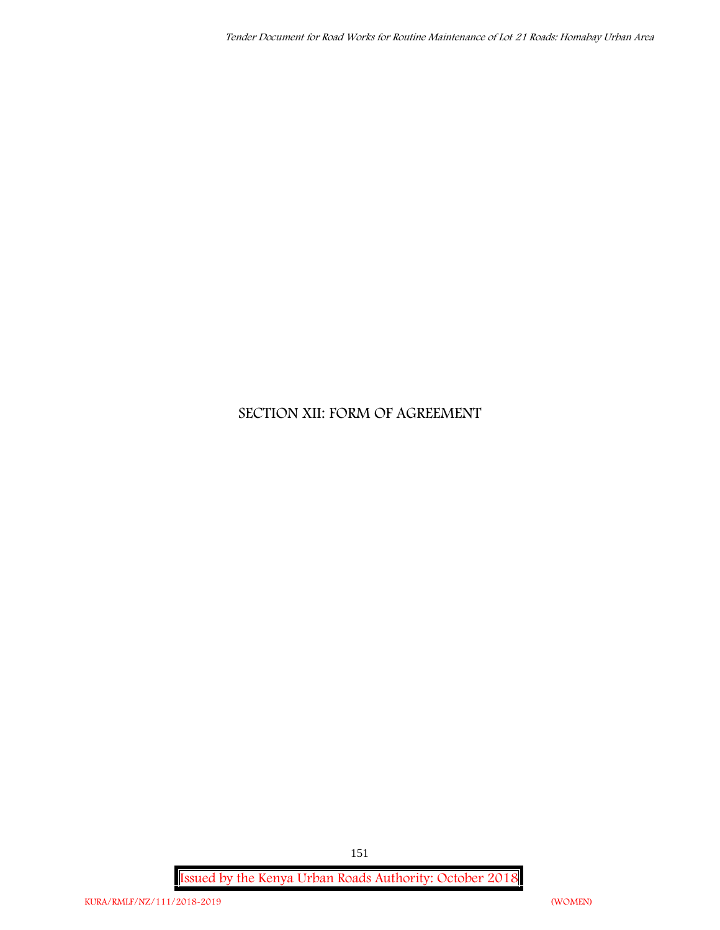# **SECTION XII: FORM OF AGREEMENT**

**Issued by the Kenya Urban Roads Authority: October 2018**

151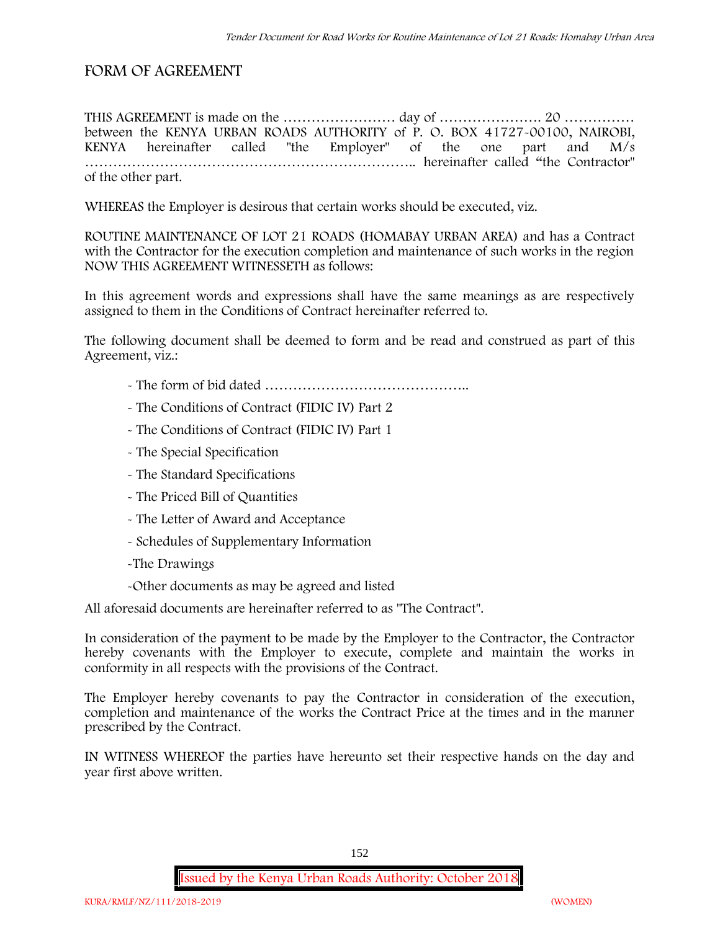# **FORM OF AGREEMENT**

THIS AGREEMENT is made on the …………………… day of …………………. 20 …………… between the **KENYA URBAN ROADS AUTHORITY** of **P. O. BOX 41727-00100, NAIROBI, KENYA** hereinafter called "the Employer" of the one part and **M/s ……………………………………………………………..** hereinafter called "the Contractor" of the other part.

WHEREAS the Employer is desirous that certain works should be executed, viz.

**ROUTINE MAINTENANCE OF LOT 21 ROADS (HOMABAY URBAN AREA)** and has a Contract with the Contractor for the execution completion and maintenance of such works in the region NOW THIS AGREEMENT WITNESSETH as follows:

In this agreement words and expressions shall have the same meanings as are respectively assigned to them in the Conditions of Contract hereinafter referred to.

The following document shall be deemed to form and be read and construed as part of this Agreement, viz.:

- The form of bid dated **……………………………………..**
- The Conditions of Contract (FIDIC IV) Part 2
- The Conditions of Contract (FIDIC IV) Part 1
- The Special Specification
- The Standard Specifications
- The Priced Bill of Quantities
- The Letter of Award and Acceptance
- Schedules of Supplementary Information
- -The Drawings
- -Other documents as may be agreed and listed

All aforesaid documents are hereinafter referred to as "The Contract".

In consideration of the payment to be made by the Employer to the Contractor, the Contractor hereby covenants with the Employer to execute, complete and maintain the works in conformity in all respects with the provisions of the Contract.

The Employer hereby covenants to pay the Contractor in consideration of the execution, completion and maintenance of the works the Contract Price at the times and in the manner prescribed by the Contract.

IN WITNESS WHEREOF the parties have hereunto set their respective hands on the day and year first above written.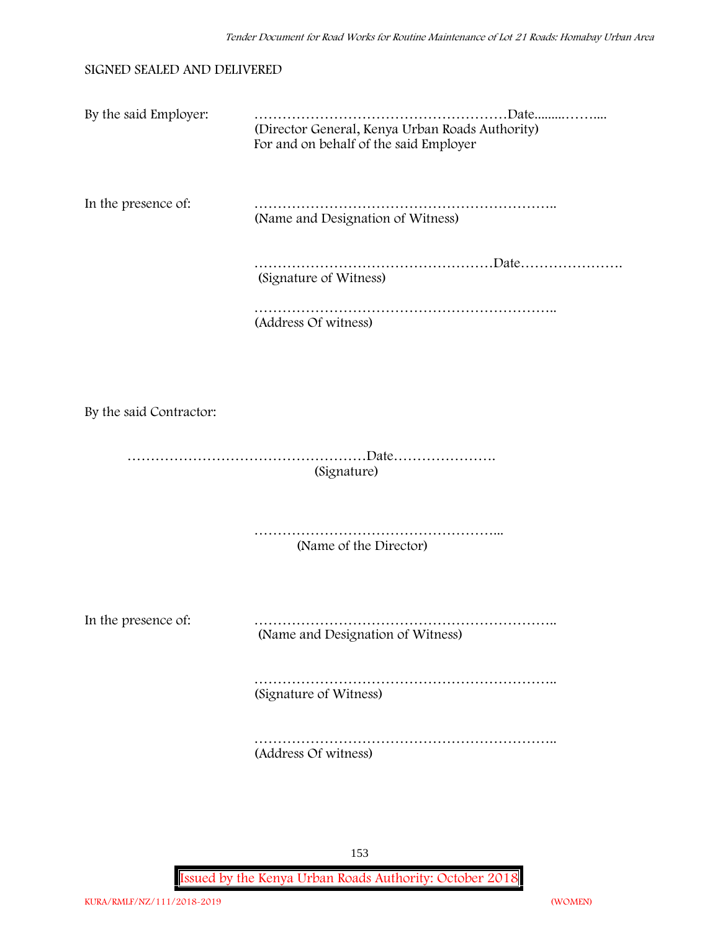#### **SIGNED SEALED AND DELIVERED**

| By the said Employer:   | (Director General, Kenya Urban Roads Authority)<br>For and on behalf of the said Employer |
|-------------------------|-------------------------------------------------------------------------------------------|
| In the presence of:     | (Name and Designation of Witness)                                                         |
|                         | (Signature of Witness)                                                                    |
|                         | (Address Of witness)                                                                      |
|                         |                                                                                           |
| By the said Contractor: |                                                                                           |
|                         | (Signature)                                                                               |
|                         | (Name of the Director)                                                                    |
| In the presence of:     | (Name and Designation of Witness)                                                         |
|                         | (Signature of Witness)                                                                    |
|                         | (Address Of witness)                                                                      |

153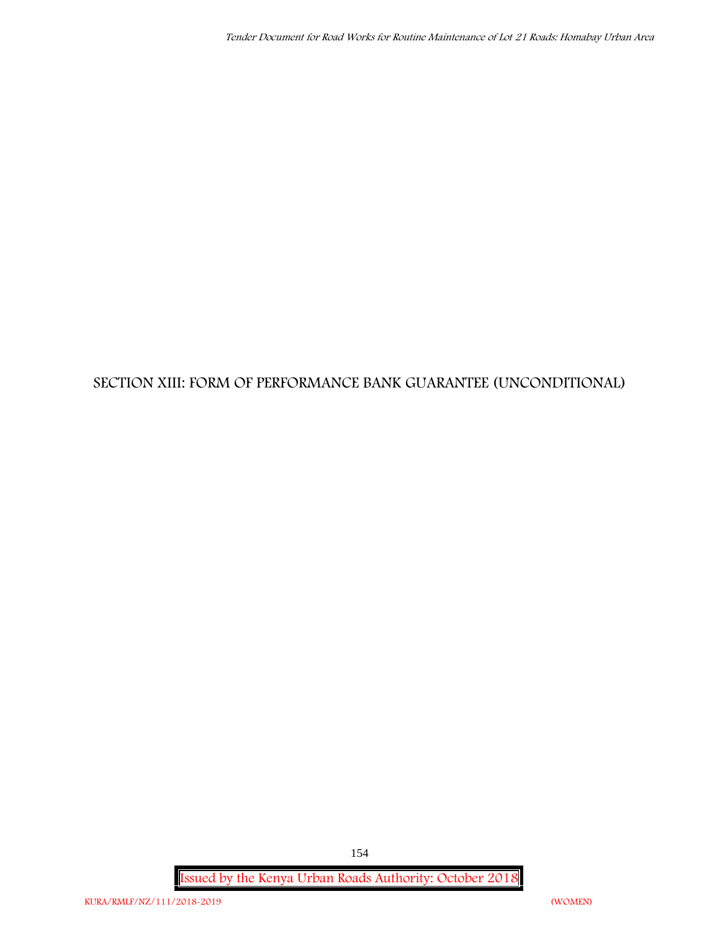# **SECTION XIII: FORM OF PERFORMANCE BANK GUARANTEE (UNCONDITIONAL)**

**Issued by the Kenya Urban Roads Authority: October 2018**

154